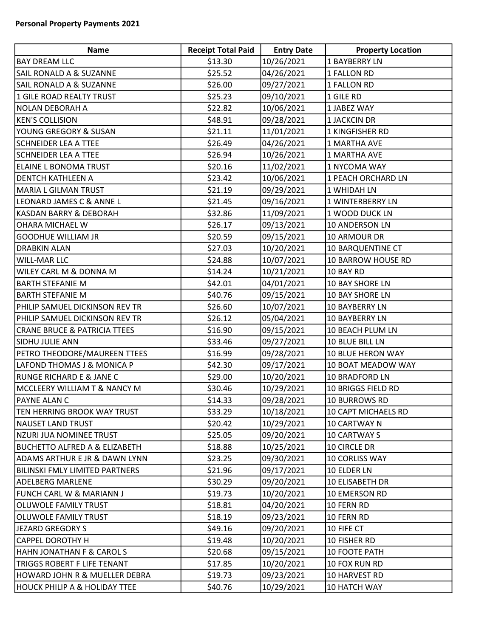| Name                                     | <b>Receipt Total Paid</b> | <b>Entry Date</b> | <b>Property Location</b> |
|------------------------------------------|---------------------------|-------------------|--------------------------|
| <b>BAY DREAM LLC</b>                     | \$13.30                   | 10/26/2021        | 1 BAYBERRY LN            |
| <b>SAIL RONALD A &amp; SUZANNE</b>       | \$25.52                   | 04/26/2021        | 1 FALLON RD              |
| <b>SAIL RONALD A &amp; SUZANNE</b>       | \$26.00                   | 09/27/2021        | 1 FALLON RD              |
| 1 GILE ROAD REALTY TRUST                 | \$25.23                   | 09/10/2021        | 1 GILE RD                |
| NOLAN DEBORAH A                          | \$22.82                   | 10/06/2021        | 1 JABEZ WAY              |
| <b>KEN'S COLLISION</b>                   | \$48.91                   | 09/28/2021        | 1 JACKCIN DR             |
| YOUNG GREGORY & SUSAN                    | \$21.11                   | 11/01/2021        | 1 KINGFISHER RD          |
| <b>SCHNEIDER LEA A TTEE</b>              | \$26.49                   | 04/26/2021        | 1 MARTHA AVE             |
| <b>SCHNEIDER LEA A TTEE</b>              | \$26.94                   | 10/26/2021        | 1 MARTHA AVE             |
| ELAINE L BONOMA TRUST                    | \$20.16                   | 11/02/2021        | 1 NYCOMA WAY             |
| <b>DENTCH KATHLEEN A</b>                 | \$23.42                   | 10/06/2021        | 1 PEACH ORCHARD LN       |
| MARIA L GILMAN TRUST                     | \$21.19                   | 09/29/2021        | 1 WHIDAH LN              |
| LEONARD JAMES C & ANNE L                 | \$21.45                   | 09/16/2021        | 1 WINTERBERRY LN         |
| KASDAN BARRY & DEBORAH                   | \$32.86                   | 11/09/2021        | 1 WOOD DUCK LN           |
| <b>OHARA MICHAEL W</b>                   | \$26.17                   | 09/13/2021        | 10 ANDERSON LN           |
| <b>GOODHUE WILLIAM JR</b>                | \$20.59                   | 09/15/2021        | 10 ARMOUR DR             |
| <b>DRABKIN ALAN</b>                      | \$27.03                   | 10/20/2021        | 10 BARQUENTINE CT        |
| <b>WILL-MAR LLC</b>                      | \$24.88                   | 10/07/2021        | 10 BARROW HOUSE RD       |
| <b>WILEY CARL M &amp; DONNA M</b>        | \$14.24                   | 10/21/2021        | 10 BAY RD                |
| <b>BARTH STEFANIE M</b>                  | \$42.01                   | 04/01/2021        | 10 BAY SHORE LN          |
| <b>BARTH STEFANIE M</b>                  | \$40.76                   | 09/15/2021        | 10 BAY SHORE LN          |
| PHILIP SAMUEL DICKINSON REV TR           | \$26.60                   | 10/07/2021        | <b>10 BAYBERRY LN</b>    |
| PHILIP SAMUEL DICKINSON REV TR           | \$26.12                   | 05/04/2021        | 10 BAYBERRY LN           |
| <b>CRANE BRUCE &amp; PATRICIA TTEES</b>  | \$16.90                   | 09/15/2021        | 10 BEACH PLUM LN         |
| <b>SIDHU JULIE ANN</b>                   | \$33.46                   | 09/27/2021        | 10 BLUE BILL LN          |
| PETRO THEODORE/MAUREEN TTEES             | \$16.99                   | 09/28/2021        | 10 BLUE HERON WAY        |
| LAFOND THOMAS J & MONICA P               | \$42.30                   | 09/17/2021        | 10 BOAT MEADOW WAY       |
| <b>RUNGE RICHARD E &amp; JANE C</b>      | \$29.00                   | 10/20/2021        | 10 BRADFORD LN           |
| MCCLEERY WILLIAM T & NANCY M             | \$30.46                   | 10/29/2021        | 10 BRIGGS FIELD RD       |
| PAYNE ALAN C                             | \$14.33                   | 09/28/2021        | 10 BURROWS RD            |
| TEN HERRING BROOK WAY TRUST              | \$33.29                   | 10/18/2021        | 10 CAPT MICHAELS RD      |
| <b>NAUSET LAND TRUST</b>                 | \$20.42                   | 10/29/2021        | 10 CARTWAY N             |
| NZURI JUA NOMINEE TRUST                  | \$25.05                   | 09/20/2021        | 10 CARTWAY S             |
| <b>BUCHETTO ALFRED A &amp; ELIZABETH</b> | \$18.88                   | 10/25/2021        | 10 CIRCLE DR             |
| ADAMS ARTHUR E JR & DAWN LYNN            | \$23.25                   | 09/30/2021        | 10 CORLISS WAY           |
| <b>BILINSKI FMLY LIMITED PARTNERS</b>    | \$21.96                   | 09/17/2021        | 10 ELDER LN              |
| <b>ADELBERG MARLENE</b>                  | \$30.29                   | 09/20/2021        | 10 ELISABETH DR          |
| FUNCH CARL W & MARIANN J                 | \$19.73                   | 10/20/2021        | 10 EMERSON RD            |
| <b>OLUWOLE FAMILY TRUST</b>              | \$18.81                   | 04/20/2021        | 10 FERN RD               |
| <b>OLUWOLE FAMILY TRUST</b>              | \$18.19                   | 09/23/2021        | 10 FERN RD               |
| JEZARD GREGORY S                         | \$49.16                   | 09/20/2021        | 10 FIFE CT               |
| <b>CAPPEL DOROTHY H</b>                  | \$19.48                   | 10/20/2021        | 10 FISHER RD             |
| HAHN JONATHAN F & CAROL S                | \$20.68                   | 09/15/2021        | 10 FOOTE PATH            |
| <b>TRIGGS ROBERT F LIFE TENANT</b>       | \$17.85                   | 10/20/2021        | 10 FOX RUN RD            |
| HOWARD JOHN R & MUELLER DEBRA            | \$19.73                   | 09/23/2021        | 10 HARVEST RD            |
| <b>HOUCK PHILIP A &amp; HOLIDAY TTEE</b> | \$40.76                   | 10/29/2021        | 10 HATCH WAY             |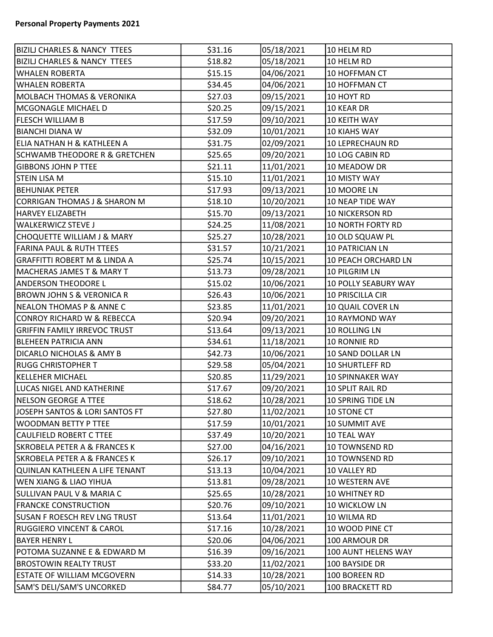| <b>BIZILJ CHARLES &amp; NANCY TTEES</b>  | \$31.16 | 05/18/2021 | 10 HELM RD               |
|------------------------------------------|---------|------------|--------------------------|
| <b>BIZILJ CHARLES &amp; NANCY TTEES</b>  | \$18.82 | 05/18/2021 | 10 HELM RD               |
| <b>WHALEN ROBERTA</b>                    | \$15.15 | 04/06/2021 | 10 HOFFMAN CT            |
| <b>WHALEN ROBERTA</b>                    | \$34.45 | 04/06/2021 | 10 HOFFMAN CT            |
| <b>MOLBACH THOMAS &amp; VERONIKA</b>     | \$27.03 | 09/15/2021 | 10 HOYT RD               |
| MCGONAGLE MICHAEL D                      | \$20.25 | 09/15/2021 | 10 KEAR DR               |
| <b>FLESCH WILLIAM B</b>                  | \$17.59 | 09/10/2021 | <b>10 KEITH WAY</b>      |
| <b>BIANCHI DIANA W</b>                   | \$32.09 | 10/01/2021 | <b>10 KIAHS WAY</b>      |
| <b>ELIA NATHAN H &amp; KATHLEEN A</b>    | \$31.75 | 02/09/2021 | 10 LEPRECHAUN RD         |
| <b>SCHWAMB THEODORE R &amp; GRETCHEN</b> | \$25.65 | 09/20/2021 | 10 LOG CABIN RD          |
| <b>GIBBONS JOHN P TTEE</b>               | \$21.11 | 11/01/2021 | 10 MEADOW DR             |
| <b>STEIN LISA M</b>                      | \$15.10 | 11/01/2021 | 10 MISTY WAY             |
| <b>BEHUNIAK PETER</b>                    | \$17.93 | 09/13/2021 | 10 MOORE LN              |
| <b>CORRIGAN THOMAS J &amp; SHARON M</b>  | \$18.10 | 10/20/2021 | <b>10 NEAP TIDE WAY</b>  |
| <b>HARVEY ELIZABETH</b>                  | \$15.70 | 09/13/2021 | <b>10 NICKERSON RD</b>   |
| <b>WALKERWICZ STEVE J</b>                | \$24.25 | 11/08/2021 | <b>10 NORTH FORTY RD</b> |
| CHOQUETTE WILLIAM J & MARY               | \$25.27 | 10/28/2021 | 10 OLD SQUAW PL          |
| <b>FARINA PAUL &amp; RUTH TTEES</b>      | \$31.57 | 10/21/2021 | 10 PATRICIAN LN          |
| <b>GRAFFITTI ROBERT M &amp; LINDA A</b>  | \$25.74 | 10/15/2021 | 10 PEACH ORCHARD LN      |
| MACHERAS JAMES T & MARY T                | \$13.73 | 09/28/2021 | 10 PILGRIM LN            |
| <b>ANDERSON THEODORE L</b>               | \$15.02 | 10/06/2021 | 10 POLLY SEABURY WAY     |
| <b>BROWN JOHN S &amp; VERONICA R</b>     | \$26.43 | 10/06/2021 | 10 PRISCILLA CIR         |
| NEALON THOMAS P & ANNE C                 | \$23.85 | 11/01/2021 | 10 QUAIL COVER LN        |
| CONROY RICHARD W & REBECCA               | \$20.94 | 09/20/2021 | 10 RAYMOND WAY           |
| <b>GRIFFIN FAMILY IRREVOC TRUST</b>      | \$13.64 | 09/13/2021 | 10 ROLLING LN            |
| <b>BLEHEEN PATRICIA ANN</b>              | \$34.61 | 11/18/2021 | 10 RONNIE RD             |
| <b>DICARLO NICHOLAS &amp; AMY B</b>      | \$42.73 | 10/06/2021 | 10 SAND DOLLAR LN        |
| <b>RUGG CHRISTOPHER T</b>                | \$29.58 | 05/04/2021 | 10 SHURTLEFF RD          |
| <b>KELLEHER MICHAEL</b>                  | \$20.85 | 11/29/2021 | 10 SPINNAKER WAY         |
| LUCAS NIGEL AND KATHERINE                | \$17.67 | 09/20/2021 | 10 SPLIT RAIL RD         |
| <b>NELSON GEORGE A TTEE</b>              | \$18.62 | 10/28/2021 | 10 SPRING TIDE LN        |
| JOSEPH SANTOS & LORI SANTOS FT           | \$27.80 | 11/02/2021 | 10 STONE CT              |
| <b>WOODMAN BETTY P TTEE</b>              | \$17.59 | 10/01/2021 | <b>10 SUMMIT AVE</b>     |
| CAULFIELD ROBERT C TTEE                  | \$37.49 | 10/20/2021 | 10 TEAL WAY              |
| <b>SKROBELA PETER A &amp; FRANCES K</b>  | \$27.00 | 04/16/2021 | 10 TOWNSEND RD           |
| <b>SKROBELA PETER A &amp; FRANCES K</b>  | \$26.17 | 09/10/2021 | 10 TOWNSEND RD           |
| QUINLAN KATHLEEN A LIFE TENANT           | \$13.13 | 10/04/2021 | 10 VALLEY RD             |
| <b>WEN XIANG &amp; LIAO YIHUA</b>        | \$13.81 | 09/28/2021 | 10 WESTERN AVE           |
| <b>SULLIVAN PAUL V &amp; MARIA C</b>     | \$25.65 | 10/28/2021 | 10 WHITNEY RD            |
| <b>FRANCKE CONSTRUCTION</b>              | \$20.76 | 09/10/2021 | 10 WICKLOW LN            |
| <b>SUSAN F ROESCH REV LNG TRUST</b>      | \$13.64 | 11/01/2021 | 10 WILMA RD              |
| <b>RUGGIERO VINCENT &amp; CAROL</b>      | \$17.16 | 10/28/2021 | 10 WOOD PINE CT          |
| <b>BAYER HENRY L</b>                     | \$20.06 | 04/06/2021 | 100 ARMOUR DR            |
| POTOMA SUZANNE E & EDWARD M              | \$16.39 | 09/16/2021 | 100 AUNT HELENS WAY      |
| <b>BROSTOWIN REALTY TRUST</b>            | \$33.20 | 11/02/2021 | 100 BAYSIDE DR           |
| <b>ESTATE OF WILLIAM MCGOVERN</b>        | \$14.33 | 10/28/2021 | 100 BOREEN RD            |
| SAM'S DELI/SAM'S UNCORKED                | \$84.77 | 05/10/2021 | 100 BRACKETT RD          |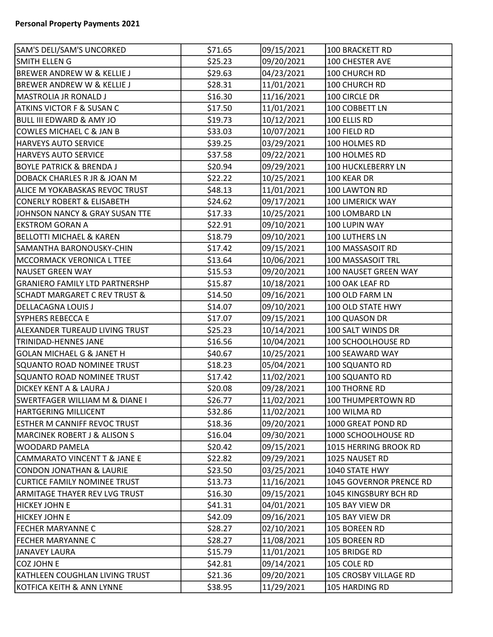| SAM'S DELI/SAM'S UNCORKED                | \$71.65 | 09/15/2021 | 100 BRACKETT RD         |
|------------------------------------------|---------|------------|-------------------------|
| <b>SMITH ELLEN G</b>                     | \$25.23 | 09/20/2021 | 100 CHESTER AVE         |
| <b>BREWER ANDREW W &amp; KELLIE J</b>    | \$29.63 | 04/23/2021 | 100 CHURCH RD           |
| <b>BREWER ANDREW W &amp; KELLIE J</b>    | \$28.31 | 11/01/2021 | 100 CHURCH RD           |
| MASTROLIA JR RONALD J                    | \$16.30 | 11/16/2021 | 100 CIRCLE DR           |
| <b>ATKINS VICTOR F &amp; SUSAN C</b>     | \$17.50 | 11/01/2021 | 100 COBBETT LN          |
| <b>BULL III EDWARD &amp; AMY JO</b>      | \$19.73 | 10/12/2021 | 100 ELLIS RD            |
| COWLES MICHAEL C & JAN B                 | \$33.03 | 10/07/2021 | 100 FIELD RD            |
| <b>HARVEYS AUTO SERVICE</b>              | \$39.25 | 03/29/2021 | 100 HOLMES RD           |
| HARVEYS AUTO SERVICE                     | \$37.58 | 09/22/2021 | 100 HOLMES RD           |
| <b>BOYLE PATRICK &amp; BRENDA J</b>      | \$20.94 | 09/29/2021 | 100 HUCKLEBERRY LN      |
| DOBACK CHARLES R JR & JOAN M             | \$22.22 | 10/25/2021 | 100 KEAR DR             |
| ALICE M YOKABASKAS REVOC TRUST           | \$48.13 | 11/01/2021 | 100 LAWTON RD           |
| <b>CONERLY ROBERT &amp; ELISABETH</b>    | \$24.62 | 09/17/2021 | 100 LIMERICK WAY        |
| JOHNSON NANCY & GRAY SUSAN TTE           | \$17.33 | 10/25/2021 | 100 LOMBARD LN          |
| <b>EKSTROM GORAN A</b>                   | \$22.91 | 09/10/2021 | 100 LUPIN WAY           |
| <b>BELLOTTI MICHAEL &amp; KAREN</b>      | \$18.79 | 09/10/2021 | 100 LUTHERS LN          |
| SAMANTHA BARONOUSKY-CHIN                 | \$17.42 | 09/15/2021 | 100 MASSASOIT RD        |
| <b>MCCORMACK VERONICA L TTEE</b>         | \$13.64 | 10/06/2021 | 100 MASSASOIT TRL       |
| <b>NAUSET GREEN WAY</b>                  | \$15.53 | 09/20/2021 | 100 NAUSET GREEN WAY    |
| <b>GRANIERO FAMILY LTD PARTNERSHP</b>    | \$15.87 | 10/18/2021 | 100 OAK LEAF RD         |
| <b>SCHADT MARGARET C REV TRUST &amp;</b> | \$14.50 | 09/16/2021 | 100 OLD FARM LN         |
| <b>DELLACAGNA LOUIS J</b>                | \$14.07 | 09/10/2021 | 100 OLD STATE HWY       |
| <b>SYPHERS REBECCA E</b>                 | \$17.07 | 09/15/2021 | 100 QUASON DR           |
| ALEXANDER TUREAUD LIVING TRUST           | \$25.23 | 10/14/2021 | 100 SALT WINDS DR       |
| <b>TRINIDAD-HENNES JANE</b>              | \$16.56 | 10/04/2021 | 100 SCHOOLHOUSE RD      |
| <b>GOLAN MICHAEL G &amp; JANET H</b>     | \$40.67 | 10/25/2021 | 100 SEAWARD WAY         |
| SQUANTO ROAD NOMINEE TRUST               | \$18.23 | 05/04/2021 | 100 SQUANTO RD          |
| SQUANTO ROAD NOMINEE TRUST               | \$17.42 | 11/02/2021 | 100 SQUANTO RD          |
| <b>DICKEY KENT A &amp; LAURA J</b>       | \$20.08 | 09/28/2021 | 100 THORNE RD           |
| SWERTFAGER WILLIAM M & DIANE I           | \$26.77 | 11/02/2021 | 100 THUMPERTOWN RD      |
| <b>HARTGERING MILLICENT</b>              | \$32.86 | 11/02/2021 | 100 WILMA RD            |
| <b>ESTHER M CANNIFF REVOC TRUST</b>      | \$18.36 | 09/20/2021 | 1000 GREAT POND RD      |
| <b>MARCINEK ROBERT J &amp; ALISON S</b>  | \$16.04 | 09/30/2021 | 1000 SCHOOLHOUSE RD     |
| <b>WOODARD PAMELA</b>                    | \$20.42 | 09/15/2021 | 1015 HERRING BROOK RD   |
| CAMMARATO VINCENT T & JANE E             | \$22.82 | 09/29/2021 | 1025 NAUSET RD          |
| <b>CONDON JONATHAN &amp; LAURIE</b>      | \$23.50 | 03/25/2021 | 1040 STATE HWY          |
| CURTICE FAMILY NOMINEE TRUST             | \$13.73 | 11/16/2021 | 1045 GOVERNOR PRENCE RD |
| <b>ARMITAGE THAYER REV LVG TRUST</b>     | \$16.30 | 09/15/2021 | 1045 KINGSBURY BCH RD   |
| <b>HICKEY JOHN E</b>                     | \$41.31 | 04/01/2021 | 105 BAY VIEW DR         |
| <b>HICKEY JOHN E</b>                     | \$42.09 | 09/16/2021 | 105 BAY VIEW DR         |
| <b>FECHER MARYANNE C</b>                 | \$28.27 | 02/10/2021 | 105 BOREEN RD           |
| <b>FECHER MARYANNE C</b>                 | \$28.27 | 11/08/2021 | 105 BOREEN RD           |
| JANAVEY LAURA                            | \$15.79 | 11/01/2021 | 105 BRIDGE RD           |
| COZ JOHN E                               | \$42.81 | 09/14/2021 | 105 COLE RD             |
| KATHLEEN COUGHLAN LIVING TRUST           | \$21.36 | 09/20/2021 | 105 CROSBY VILLAGE RD   |
| KOTFICA KEITH & ANN LYNNE                | \$38.95 | 11/29/2021 | 105 HARDING RD          |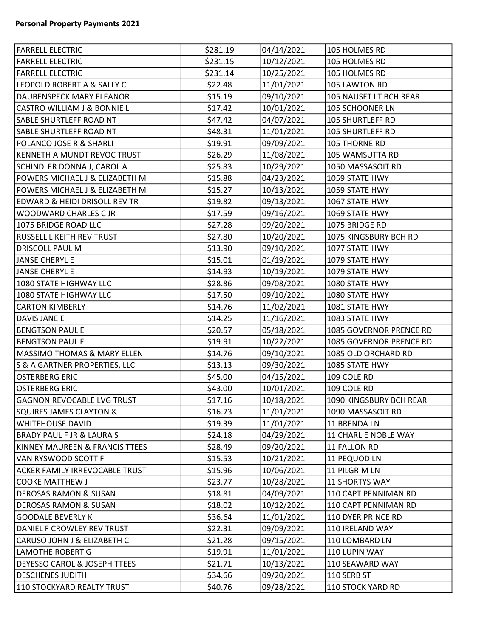| <b>FARRELL ELECTRIC</b>              | \$281.19 | 04/14/2021 | 105 HOLMES RD           |
|--------------------------------------|----------|------------|-------------------------|
| <b>FARRELL ELECTRIC</b>              | \$231.15 | 10/12/2021 | 105 HOLMES RD           |
| <b>FARRELL ELECTRIC</b>              | \$231.14 | 10/25/2021 | 105 HOLMES RD           |
| LEOPOLD ROBERT A & SALLY C           | \$22.48  | 11/01/2021 | 105 LAWTON RD           |
| DAUBENSPECK MARY ELEANOR             | \$15.19  | 09/10/2021 | 105 NAUSET LT BCH REAR  |
| CASTRO WILLIAM J & BONNIE L          | \$17.42  | 10/01/2021 | 105 SCHOONER LN         |
| SABLE SHURTLEFF ROAD NT              | \$47.42  | 04/07/2021 | <b>105 SHURTLEFF RD</b> |
| SABLE SHURTLEFF ROAD NT              | \$48.31  | 11/01/2021 | 105 SHURTLEFF RD        |
| POLANCO JOSE R & SHARLI              | \$19.91  | 09/09/2021 | 105 THORNE RD           |
| KENNETH A MUNDT REVOC TRUST          | \$26.29  | 11/08/2021 | 105 WAMSUTTA RD         |
| SCHINDLER DONNA J, CAROL A           | \$25.83  | 10/29/2021 | 1050 MASSASOIT RD       |
| POWERS MICHAEL J & ELIZABETH M       | \$15.88  | 04/23/2021 | 1059 STATE HWY          |
| POWERS MICHAEL J & ELIZABETH M       | \$15.27  | 10/13/2021 | 1059 STATE HWY          |
| EDWARD & HEIDI DRISOLL REV TR        | \$19.82  | 09/13/2021 | 1067 STATE HWY          |
| WOODWARD CHARLES C JR                | \$17.59  | 09/16/2021 | 1069 STATE HWY          |
| 1075 BRIDGE ROAD LLC                 | \$27.28  | 09/20/2021 | 1075 BRIDGE RD          |
| RUSSELL L KEITH REV TRUST            | \$27.80  | 10/20/2021 | 1075 KINGSBURY BCH RD   |
| <b>DRISCOLL PAUL M</b>               | \$13.90  | 09/10/2021 | 1077 STATE HWY          |
| <b>JANSE CHERYL E</b>                | \$15.01  | 01/19/2021 | 1079 STATE HWY          |
| <b>JANSE CHERYL E</b>                | \$14.93  | 10/19/2021 | 1079 STATE HWY          |
| 1080 STATE HIGHWAY LLC               | \$28.86  | 09/08/2021 | 1080 STATE HWY          |
| 1080 STATE HIGHWAY LLC               | \$17.50  | 09/10/2021 | 1080 STATE HWY          |
| <b>CARTON KIMBERLY</b>               | \$14.76  | 11/02/2021 | 1081 STATE HWY          |
| DAVIS JANE E                         | \$14.25  | 11/16/2021 | 1083 STATE HWY          |
| <b>BENGTSON PAUL E</b>               | \$20.57  | 05/18/2021 | 1085 GOVERNOR PRENCE RD |
| <b>BENGTSON PAUL E</b>               | \$19.91  | 10/22/2021 | 1085 GOVERNOR PRENCE RD |
| MASSIMO THOMAS & MARY ELLEN          | \$14.76  | 09/10/2021 | 1085 OLD ORCHARD RD     |
| S & A GARTNER PROPERTIES, LLC        | \$13.13  | 09/30/2021 | 1085 STATE HWY          |
| <b>OSTERBERG ERIC</b>                | \$45.00  | 04/15/2021 | 109 COLE RD             |
| <b>OSTERBERG ERIC</b>                | \$43.00  | 10/01/2021 | 109 COLE RD             |
| <b>GAGNON REVOCABLE LVG TRUST</b>    | \$17.16  | 10/18/2021 | 1090 KINGSBURY BCH REAR |
| <b>SQUIRES JAMES CLAYTON &amp;</b>   | \$16.73  | 11/01/2021 | 1090 MASSASOIT RD       |
| <b>WHITEHOUSE DAVID</b>              | \$19.39  | 11/01/2021 | 11 BRENDA LN            |
| <b>BRADY PAUL F JR &amp; LAURA S</b> | \$24.18  | 04/29/2021 | 11 CHARLIE NOBLE WAY    |
| KINNEY MAUREEN & FRANCIS TTEES       | \$28.49  | 09/20/2021 | 11 FALLON RD            |
| VAN RYSWOOD SCOTT F                  | \$15.53  | 10/21/2021 | 11 PEQUOD LN            |
| ACKER FAMILY IRREVOCABLE TRUST       | \$15.96  | 10/06/2021 | 11 PILGRIM LN           |
| <b>COOKE MATTHEW J</b>               | \$23.77  | 10/28/2021 | <b>11 SHORTYS WAY</b>   |
| <b>DEROSAS RAMON &amp; SUSAN</b>     | \$18.81  | 04/09/2021 | 110 CAPT PENNIMAN RD    |
| DEROSAS RAMON & SUSAN                | \$18.02  | 10/12/2021 | 110 CAPT PENNIMAN RD    |
| <b>GOODALE BEVERLY K</b>             | \$36.64  | 11/01/2021 | 110 DYER PRINCE RD      |
| DANIEL F CROWLEY REV TRUST           | \$22.31  | 09/09/2021 | 110 IRELAND WAY         |
| CARUSO JOHN J & ELIZABETH C          | \$21.28  | 09/15/2021 | 110 LOMBARD LN          |
| <b>LAMOTHE ROBERT G</b>              | \$19.91  | 11/01/2021 | 110 LUPIN WAY           |
| DEYESSO CAROL & JOSEPH TTEES         | \$21.71  | 10/13/2021 | 110 SEAWARD WAY         |
| <b>DESCHENES JUDITH</b>              | \$34.66  | 09/20/2021 | 110 SERB ST             |
| 110 STOCKYARD REALTY TRUST           | \$40.76  | 09/28/2021 | 110 STOCK YARD RD       |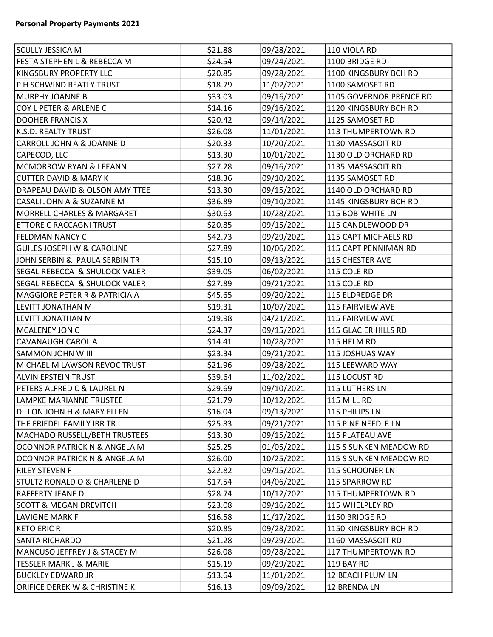| <b>SCULLY JESSICA M</b>                  | \$21.88 | 09/28/2021 | 110 VIOLA RD            |
|------------------------------------------|---------|------------|-------------------------|
| FESTA STEPHEN L & REBECCA M              | \$24.54 | 09/24/2021 | 1100 BRIDGE RD          |
| KINGSBURY PROPERTY LLC                   | \$20.85 | 09/28/2021 | 1100 KINGSBURY BCH RD   |
| P H SCHWIND REATLY TRUST                 | \$18.79 | 11/02/2021 | 1100 SAMOSET RD         |
| MURPHY JOANNE B                          | \$33.03 | 09/16/2021 | 1105 GOVERNOR PRENCE RD |
| COY L PETER & ARLENE C                   | \$14.16 | 09/16/2021 | 1120 KINGSBURY BCH RD   |
| <b>DOOHER FRANCIS X</b>                  | \$20.42 | 09/14/2021 | 1125 SAMOSET RD         |
| K.S.D. REALTY TRUST                      | \$26.08 | 11/01/2021 | 113 THUMPERTOWN RD      |
| CARROLL JOHN A & JOANNE D                | \$20.33 | 10/20/2021 | 1130 MASSASOIT RD       |
| CAPECOD, LLC                             | \$13.30 | 10/01/2021 | 1130 OLD ORCHARD RD     |
| MCMORROW RYAN & LEEANN                   | \$27.28 | 09/16/2021 | 1135 MASSASOIT RD       |
| <b>CUTTER DAVID &amp; MARY K</b>         | \$18.36 | 09/10/2021 | 1135 SAMOSET RD         |
| DRAPEAU DAVID & OLSON AMY TTEE           | \$13.30 | 09/15/2021 | 1140 OLD ORCHARD RD     |
| CASALI JOHN A & SUZANNE M                | \$36.89 | 09/10/2021 | 1145 KINGSBURY BCH RD   |
| MORRELL CHARLES & MARGARET               | \$30.63 | 10/28/2021 | 115 BOB-WHITE LN        |
| <b>ETTORE C RACCAGNI TRUST</b>           | \$20.85 | 09/15/2021 | 115 CANDLEWOOD DR       |
| <b>FELDMAN NANCY C</b>                   | \$42.73 | 09/29/2021 | 115 CAPT MICHAELS RD    |
| <b>GUILES JOSEPH W &amp; CAROLINE</b>    | \$27.89 | 10/06/2021 | 115 CAPT PENNIMAN RD    |
| JOHN SERBIN & PAULA SERBIN TR            | \$15.10 | 09/13/2021 | 115 CHESTER AVE         |
| <b>SEGAL REBECCA &amp; SHULOCK VALER</b> | \$39.05 | 06/02/2021 | 115 COLE RD             |
| <b>SEGAL REBECCA &amp; SHULOCK VALER</b> | \$27.89 | 09/21/2021 | 115 COLE RD             |
| <b>MAGGIORE PETER R &amp; PATRICIA A</b> | \$45.65 | 09/20/2021 | 115 ELDREDGE DR         |
| LEVITT JONATHAN M                        | \$19.31 | 10/07/2021 | 115 FAIRVIEW AVE        |
| LEVITT JONATHAN M                        | \$19.98 | 04/21/2021 | 115 FAIRVIEW AVE        |
| MCALENEY JON C                           | \$24.37 | 09/15/2021 | 115 GLACIER HILLS RD    |
| CAVANAUGH CAROL A                        | \$14.41 | 10/28/2021 | 115 HELM RD             |
| SAMMON JOHN W III                        | \$23.34 | 09/21/2021 | 115 JOSHUAS WAY         |
| MICHAEL M LAWSON REVOC TRUST             | \$21.96 | 09/28/2021 | 115 LEEWARD WAY         |
| ALVIN EPSTEIN TRUST                      | \$39.64 | 11/02/2021 | 115 LOCUST RD           |
| PETERS ALFRED C & LAUREL N               | \$29.69 | 09/10/2021 | 115 LUTHERS LN          |
| LAMPKE MARIANNE TRUSTEE                  | \$21.79 | 10/12/2021 | 115 MILL RD             |
| DILLON JOHN H & MARY ELLEN               | \$16.04 | 09/13/2021 | 115 PHILIPS LN          |
| THE FRIEDEL FAMILY IRR TR                | \$25.83 | 09/21/2021 | 115 PINE NEEDLE LN      |
| MACHADO RUSSELL/BETH TRUSTEES            | \$13.30 | 09/15/2021 | 115 PLATEAU AVE         |
| OCONNOR PATRICK N & ANGELA M             | \$25.25 | 01/05/2021 | 115 S SUNKEN MEADOW RD  |
| OCONNOR PATRICK N & ANGELA M             | \$26.00 | 10/25/2021 | 115 S SUNKEN MEADOW RD  |
| <b>RILEY STEVEN F</b>                    | \$22.82 | 09/15/2021 | 115 SCHOONER LN         |
| <b>STULTZ RONALD O &amp; CHARLENE D</b>  | \$17.54 | 04/06/2021 | 115 SPARROW RD          |
| RAFFERTY JEANE D                         | \$28.74 | 10/12/2021 | 115 THUMPERTOWN RD      |
| <b>SCOTT &amp; MEGAN DREVITCH</b>        | \$23.08 | 09/16/2021 | 115 WHELPLEY RD         |
| LAVIGNE MARK F                           | \$16.58 | 11/17/2021 | 1150 BRIDGE RD          |
| KETO ERIC R                              | \$20.85 | 09/28/2021 | 1150 KINGSBURY BCH RD   |
| <b>SANTA RICHARDO</b>                    | \$21.28 | 09/29/2021 | 1160 MASSASOIT RD       |
| MANCUSO JEFFREY J & STACEY M             | \$26.08 | 09/28/2021 | 117 THUMPERTOWN RD      |
| <b>TESSLER MARK J &amp; MARIE</b>        | \$15.19 | 09/29/2021 | 119 BAY RD              |
| <b>BUCKLEY EDWARD JR</b>                 | \$13.64 | 11/01/2021 | 12 BEACH PLUM LN        |
| ORIFICE DEREK W & CHRISTINE K            | \$16.13 | 09/09/2021 | 12 BRENDA LN            |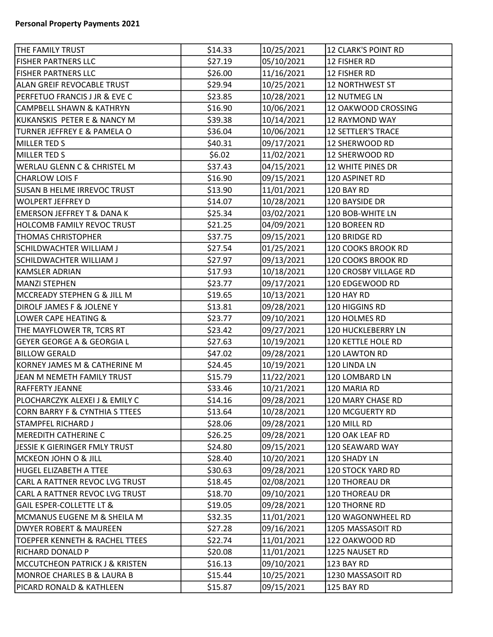| <b>THE FAMILY TRUST</b>                   | \$14.33 | 10/25/2021 | <b>12 CLARK'S POINT RD</b> |
|-------------------------------------------|---------|------------|----------------------------|
| <b>FISHER PARTNERS LLC</b>                | \$27.19 | 05/10/2021 | 12 FISHER RD               |
| <b>FISHER PARTNERS LLC</b>                | \$26.00 | 11/16/2021 | 12 FISHER RD               |
| ALAN GREIF REVOCABLE TRUST                | \$29.94 | 10/25/2021 | <b>12 NORTHWEST ST</b>     |
| PERFETUO FRANCIS J JR & EVE C             | \$23.85 | 10/28/2021 | 12 NUTMEG LN               |
| CAMPBELL SHAWN & KATHRYN                  | \$16.90 | 10/06/2021 | 12 OAKWOOD CROSSING        |
| KUKANSKIS PETER E & NANCY M               | \$39.38 | 10/14/2021 | 12 RAYMOND WAY             |
| TURNER JEFFREY E & PAMELA O               | \$36.04 | 10/06/2021 | <b>12 SETTLER'S TRACE</b>  |
| MILLER TED S                              | \$40.31 | 09/17/2021 | 12 SHERWOOD RD             |
| MILLER TED S                              | \$6.02  | 11/02/2021 | 12 SHERWOOD RD             |
| <b>WERLAU GLENN C &amp; CHRISTEL M</b>    | \$37.43 | 04/15/2021 | 12 WHITE PINES DR          |
| <b>CHARLOW LOIS F</b>                     | \$16.90 | 09/15/2021 | 120 ASPINET RD             |
| <b>SUSAN B HELME IRREVOC TRUST</b>        | \$13.90 | 11/01/2021 | 120 BAY RD                 |
| WOLPERT JEFFREY D                         | \$14.07 | 10/28/2021 | 120 BAYSIDE DR             |
| EMERSON JEFFREY T & DANA K                | \$25.34 | 03/02/2021 | 120 BOB-WHITE LN           |
| <b>HOLCOMB FAMILY REVOC TRUST</b>         | \$21.25 | 04/09/2021 | 120 BOREEN RD              |
| <b>THOMAS CHRISTOPHER</b>                 | \$37.75 | 09/15/2021 | 120 BRIDGE RD              |
| SCHILDWACHTER WILLIAM J                   | \$27.54 | 01/25/2021 | 120 COOKS BROOK RD         |
| SCHILDWACHTER WILLIAM J                   | \$27.97 | 09/13/2021 | 120 COOKS BROOK RD         |
| <b>KAMSLER ADRIAN</b>                     | \$17.93 | 10/18/2021 | 120 CROSBY VILLAGE RD      |
| MANZI STEPHEN                             | \$23.77 | 09/17/2021 | 120 EDGEWOOD RD            |
| MCCREADY STEPHEN G & JILL M               | \$19.65 | 10/13/2021 | 120 HAY RD                 |
| DIROLF JAMES F & JOLENE Y                 | \$13.81 | 09/28/2021 | 120 HIGGINS RD             |
| LOWER CAPE HEATING &                      | \$23.77 | 09/10/2021 | 120 HOLMES RD              |
| THE MAYFLOWER TR, TCRS RT                 | \$23.42 | 09/27/2021 | 120 HUCKLEBERRY LN         |
| <b>GEYER GEORGE A &amp; GEORGIA L</b>     | \$27.63 | 10/19/2021 | 120 KETTLE HOLE RD         |
| <b>BILLOW GERALD</b>                      | \$47.02 | 09/28/2021 | 120 LAWTON RD              |
| KORNEY JAMES M & CATHERINE M              | \$24.45 | 10/19/2021 | 120 LINDA LN               |
| JEAN M NEMETH FAMILY TRUST                | \$15.79 | 11/22/2021 | 120 LOMBARD LN             |
| <b>RAFFERTY JEANNE</b>                    | \$33.46 | 10/21/2021 | 120 MARIA RD               |
| PLOCHARCZYK ALEXEI J & EMILY C            | \$14.16 | 09/28/2021 | 120 MARY CHASE RD          |
| <b>CORN BARRY F &amp; CYNTHIA S TTEES</b> | \$13.64 | 10/28/2021 | 120 MCGUERTY RD            |
| <b>STAMPFEL RICHARD J</b>                 | \$28.06 | 09/28/2021 | 120 MILL RD                |
| MEREDITH CATHERINE C                      | \$26.25 | 09/28/2021 | 120 OAK LEAF RD            |
| JESSIE K GIERINGER FMLY TRUST             | \$24.80 | 09/15/2021 | 120 SEAWARD WAY            |
| MCKEON JOHN O & JILL                      | \$28.40 | 10/20/2021 | 120 SHADY LN               |
| <b>HUGEL ELIZABETH A TTEE</b>             | \$30.63 | 09/28/2021 | 120 STOCK YARD RD          |
| CARL A RATTNER REVOC LVG TRUST            | \$18.45 | 02/08/2021 | 120 THOREAU DR             |
| CARL A RATTNER REVOC LVG TRUST            | \$18.70 | 09/10/2021 | <b>120 THOREAU DR</b>      |
| <b>GAIL ESPER-COLLETTE LT &amp;</b>       | \$19.05 | 09/28/2021 | 120 THORNE RD              |
| MCMANUS EUGENE M & SHEILA M               | \$32.35 | 11/01/2021 | 120 WAGONWHEEL RD          |
| DWYER ROBERT & MAUREEN                    | \$27.28 | 09/16/2021 | 1205 MASSASOIT RD          |
| TOEPFER KENNETH & RACHEL TTEES            | \$22.74 | 11/01/2021 | 122 OAKWOOD RD             |
| RICHARD DONALD P                          | \$20.08 | 11/01/2021 | 1225 NAUSET RD             |
| MCCUTCHEON PATRICK J & KRISTEN            | \$16.13 | 09/10/2021 | 123 BAY RD                 |
| MONROE CHARLES B & LAURA B                | \$15.44 | 10/25/2021 | 1230 MASSASOIT RD          |
| PICARD RONALD & KATHLEEN                  | \$15.87 | 09/15/2021 | 125 BAY RD                 |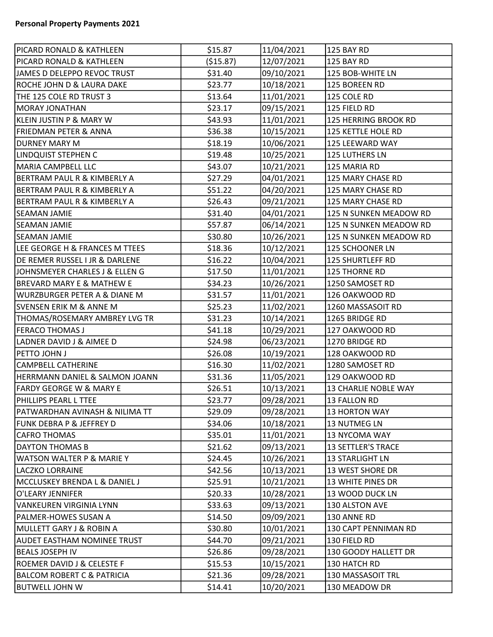| <b>PICARD RONALD &amp; KATHLEEN</b>     | \$15.87    | 11/04/2021 | 125 BAY RD                |
|-----------------------------------------|------------|------------|---------------------------|
| PICARD RONALD & KATHLEEN                | ( \$15.87) | 12/07/2021 | 125 BAY RD                |
| JAMES D DELEPPO REVOC TRUST             | \$31.40    | 09/10/2021 | 125 BOB-WHITE LN          |
| ROCHE JOHN D & LAURA DAKE               | \$23.77    | 10/18/2021 | 125 BOREEN RD             |
| THE 125 COLE RD TRUST 3                 | \$13.64    | 11/01/2021 | 125 COLE RD               |
| <b>MORAY JONATHAN</b>                   | \$23.17    | 09/15/2021 | 125 FIELD RD              |
| KLEIN JUSTIN P & MARY W                 | \$43.93    | 11/01/2021 | 125 HERRING BROOK RD      |
| <b>FRIEDMAN PETER &amp; ANNA</b>        | \$36.38    | 10/15/2021 | 125 KETTLE HOLE RD        |
| <b>DURNEY MARY M</b>                    | \$18.19    | 10/06/2021 | 125 LEEWARD WAY           |
| <b>LINDQUIST STEPHEN C</b>              | \$19.48    | 10/25/2021 | 125 LUTHERS LN            |
| MARIA CAMPBELL LLC                      | \$43.07    | 10/21/2021 | 125 MARIA RD              |
| <b>BERTRAM PAUL R &amp; KIMBERLY A</b>  | \$27.29    | 04/01/2021 | 125 MARY CHASE RD         |
| <b>BERTRAM PAUL R &amp; KIMBERLY A</b>  | \$51.22    | 04/20/2021 | 125 MARY CHASE RD         |
| <b>BERTRAM PAUL R &amp; KIMBERLY A</b>  | \$26.43    | 09/21/2021 | 125 MARY CHASE RD         |
| <b>SEAMAN JAMIE</b>                     | \$31.40    | 04/01/2021 | 125 N SUNKEN MEADOW RD    |
| SEAMAN JAMIE                            | \$57.87    | 06/14/2021 | 125 N SUNKEN MEADOW RD    |
| SEAMAN JAMIE                            | \$30.80    | 10/26/2021 | 125 N SUNKEN MEADOW RD    |
| LEE GEORGE H & FRANCES M TTEES          | \$18.36    | 10/12/2021 | 125 SCHOONER LN           |
| DE REMER RUSSEL I JR & DARLENE          | \$16.22    | 10/04/2021 | <b>125 SHURTLEFF RD</b>   |
| JOHNSMEYER CHARLES J & ELLEN G          | \$17.50    | 11/01/2021 | 125 THORNE RD             |
| <b>BREVARD MARY E &amp; MATHEW E</b>    | \$34.23    | 10/26/2021 | 1250 SAMOSET RD           |
| <b>WURZBURGER PETER A &amp; DIANE M</b> | \$31.57    | 11/01/2021 | 126 OAKWOOD RD            |
| <b>SVENSEN ERIK M &amp; ANNE M</b>      | \$25.23    | 11/02/2021 | 1260 MASSASOIT RD         |
| THOMAS/ROSEMARY AMBREY LVG TR           | \$31.23    | 10/14/2021 | 1265 BRIDGE RD            |
| <b>FERACO THOMAS J</b>                  | \$41.18    | 10/29/2021 | 127 OAKWOOD RD            |
| LADNER DAVID J & AIMEE D                | \$24.98    | 06/23/2021 | 1270 BRIDGE RD            |
| <b>PETTO JOHN J</b>                     | \$26.08    | 10/19/2021 | 128 OAKWOOD RD            |
| <b>CAMPBELL CATHERINE</b>               | \$16.30    | 11/02/2021 | 1280 SAMOSET RD           |
| HERRMANN DANIEL & SALMON JOANN          | \$31.36    | 11/05/2021 | 129 OAKWOOD RD            |
| <b>FARDY GEORGE W &amp; MARY E</b>      | \$26.51    | 10/13/2021 | 13 CHARLIE NOBLE WAY      |
| PHILLIPS PEARL L TTEE                   | \$23.77    | 09/28/2021 | 13 FALLON RD              |
| PATWARDHAN AVINASH & NILIMA TT          | \$29.09    | 09/28/2021 | <b>13 HORTON WAY</b>      |
| <b>FUNK DEBRA P &amp; JEFFREY D</b>     | \$34.06    | 10/18/2021 | 13 NUTMEG LN              |
| <b>CAFRO THOMAS</b>                     | \$35.01    | 11/01/2021 | 13 NYCOMA WAY             |
| <b>DAYTON THOMAS B</b>                  | \$21.62    | 09/13/2021 | <b>13 SETTLER'S TRACE</b> |
| <b>WATSON WALTER P &amp; MARIE Y</b>    | \$24.45    | 10/26/2021 | <b>13 STARLIGHT LN</b>    |
| <b>LACZKO LORRAINE</b>                  | \$42.56    | 10/13/2021 | 13 WEST SHORE DR          |
| MCCLUSKEY BRENDA L & DANIEL J           | \$25.91    | 10/21/2021 | 13 WHITE PINES DR         |
| O'LEARY JENNIFER                        | \$20.33    | 10/28/2021 | 13 WOOD DUCK LN           |
| <b>VANKEUREN VIRGINIA LYNN</b>          | \$33.63    | 09/13/2021 | 130 ALSTON AVE            |
| PALMER-HOWES SUSAN A                    | \$14.50    | 09/09/2021 | 130 ANNE RD               |
| MULLETT GARY J & ROBIN A                | \$30.80    | 10/01/2021 | 130 CAPT PENNIMAN RD      |
| <b>AUDET EASTHAM NOMINEE TRUST</b>      | \$44.70    | 09/21/2021 | 130 FIELD RD              |
| <b>BEALS JOSEPH IV</b>                  | \$26.86    | 09/28/2021 | 130 GOODY HALLETT DR      |
| ROEMER DAVID J & CELESTE F              | \$15.53    | 10/15/2021 | 130 HATCH RD              |
| <b>BALCOM ROBERT C &amp; PATRICIA</b>   | \$21.36    | 09/28/2021 | 130 MASSASOIT TRL         |
| <b>BUTWELL JOHN W</b>                   | \$14.41    | 10/20/2021 | 130 MEADOW DR             |
|                                         |            |            |                           |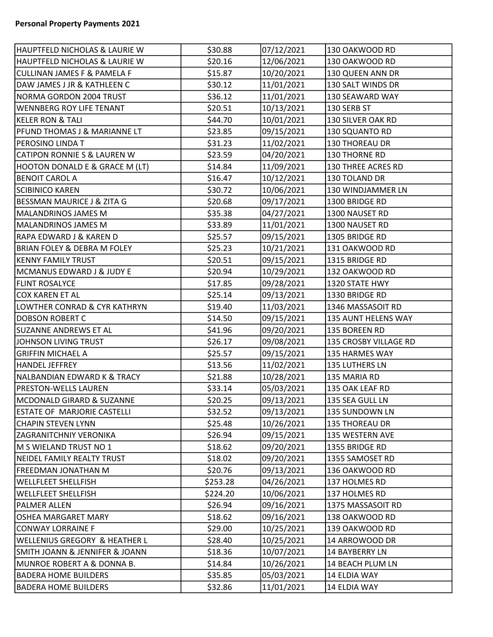| HAUPTFELD NICHOLAS & LAURIE W<br>07/12/2021<br>\$30.88<br>130 OAKWOOD RD<br>HAUPTFELD NICHOLAS & LAURIE W<br>\$20.16<br>12/06/2021<br>130 OAKWOOD RD<br>10/20/2021<br><b>CULLINAN JAMES F &amp; PAMELA F</b><br>\$15.87<br>130 QUEEN ANN DR<br>DAW JAMES J JR & KATHLEEN C<br>\$30.12<br>11/01/2021<br>130 SALT WINDS DR<br>11/01/2021<br>NORMA GORDON 2004 TRUST<br>\$36.12<br>130 SEAWARD WAY<br><b>WENNBERG ROY LIFE TENANT</b><br>10/13/2021<br>\$20.51<br>130 SERB ST<br><b>KELER RON &amp; TALI</b><br>\$44.70<br>10/01/2021<br>130 SILVER OAK RD<br>09/15/2021<br>PFUND THOMAS J & MARIANNE LT<br>\$23.85<br>130 SQUANTO RD<br>PEROSINO LINDA T<br>\$31.23<br>11/02/2021<br>130 THOREAU DR<br>\$23.59<br><b>CATIPON RONNIE S &amp; LAUREN W</b><br>04/20/2021<br>130 THORNE RD<br>HOOTON DONALD E & GRACE M (LT)<br>\$14.84<br>11/09/2021<br>130 THREE ACRES RD<br><b>BENOIT CAROL A</b><br>\$16.47<br>10/12/2021<br>130 TOLAND DR<br>10/06/2021<br><b>SCIBINICO KAREN</b><br>\$30.72<br>130 WINDJAMMER LN<br>\$20.68<br>09/17/2021<br>1300 BRIDGE RD<br><b>BESSMAN MAURICE J &amp; ZITA G</b><br>MALANDRINOS JAMES M<br>\$35.38<br>04/27/2021<br>1300 NAUSET RD<br>11/01/2021<br>MALANDRINOS JAMES M<br>\$33.89<br>1300 NAUSET RD<br>09/15/2021<br><b>RAPA EDWARD J &amp; KAREN D</b><br>\$25.57<br>1305 BRIDGE RD<br><b>BRIAN FOLEY &amp; DEBRA M FOLEY</b><br>\$25.23<br>131 OAKWOOD RD<br>10/21/2021<br>09/15/2021<br>KENNY FAMILY TRUST<br>\$20.51<br>1315 BRIDGE RD<br>10/29/2021<br>MCMANUS EDWARD J & JUDY E<br>\$20.94<br>132 OAKWOOD RD<br>09/28/2021<br><b>FLINT ROSALYCE</b><br>\$17.85<br>1320 STATE HWY<br>09/13/2021<br>COX KAREN ET AL<br>\$25.14<br>1330 BRIDGE RD<br>LOWTHER CONRAD & CYR KATHRYN<br>\$19.40<br>11/03/2021<br>1346 MASSASOIT RD<br><b>DOBSON ROBERT C</b><br>\$14.50<br>09/15/2021<br>135 BOREEN RD<br><b>SUZANNE ANDREWS ET AL</b><br>\$41.96<br>09/20/2021<br>09/08/2021<br>JOHNSON LIVING TRUST<br>\$26.17<br>09/15/2021<br>\$25.57<br>135 HARMES WAY<br>GRIFFIN MICHAEL A<br>11/02/2021<br>\$13.56<br>135 LUTHERS LN<br>HANDEL JEFFREY<br>\$21.88<br>NALBANDIAN EDWARD K & TRACY<br>10/28/2021<br>135 MARIA RD<br><b>PRESTON-WELLS LAUREN</b><br>\$33.14<br>05/03/2021<br>135 OAK LEAF RD<br>\$20.25<br>09/13/2021<br>MCDONALD GIRARD & SUZANNE<br>135 SEA GULL LN<br>09/13/2021<br><b>ESTATE OF MARJORIE CASTELLI</b><br>\$32.52<br>135 SUNDOWN LN<br>\$25.48<br>10/26/2021<br><b>CHAPIN STEVEN LYNN</b><br><b>135 THOREAU DR</b><br>09/15/2021<br><b>ZAGRANITCHNIY VERONIKA</b><br>\$26.94<br>135 WESTERN AVE<br>M S WIELAND TRUST NO 1<br>\$18.62<br>09/20/2021<br>1355 BRIDGE RD<br>09/20/2021<br>NEIDEL FAMILY REALTY TRUST<br>\$18.02<br>1355 SAMOSET RD<br>09/13/2021<br>FREEDMAN JONATHAN M<br>\$20.76<br>136 OAKWOOD RD<br>04/26/2021<br>\$253.28<br>137 HOLMES RD<br>WELLFLEET SHELLFISH<br>10/06/2021<br><b>WELLFLEET SHELLFISH</b><br>\$224.20<br>137 HOLMES RD<br>\$26.94<br>09/16/2021<br><b>PALMER ALLEN</b><br>1375 MASSASOIT RD<br>09/16/2021<br><b>OSHEA MARGARET MARY</b><br>\$18.62<br>138 OAKWOOD RD<br>\$29.00<br>10/25/2021<br>CONWAY LORRAINE F<br>139 OAKWOOD RD<br>10/25/2021<br><b>WELLENIUS GREGORY &amp; HEATHER L</b><br>\$28.40<br>14 ARROWOOD DR |                             |         |            |                       |  |
|-------------------------------------------------------------------------------------------------------------------------------------------------------------------------------------------------------------------------------------------------------------------------------------------------------------------------------------------------------------------------------------------------------------------------------------------------------------------------------------------------------------------------------------------------------------------------------------------------------------------------------------------------------------------------------------------------------------------------------------------------------------------------------------------------------------------------------------------------------------------------------------------------------------------------------------------------------------------------------------------------------------------------------------------------------------------------------------------------------------------------------------------------------------------------------------------------------------------------------------------------------------------------------------------------------------------------------------------------------------------------------------------------------------------------------------------------------------------------------------------------------------------------------------------------------------------------------------------------------------------------------------------------------------------------------------------------------------------------------------------------------------------------------------------------------------------------------------------------------------------------------------------------------------------------------------------------------------------------------------------------------------------------------------------------------------------------------------------------------------------------------------------------------------------------------------------------------------------------------------------------------------------------------------------------------------------------------------------------------------------------------------------------------------------------------------------------------------------------------------------------------------------------------------------------------------------------------------------------------------------------------------------------------------------------------------------------------------------------------------------------------------------------------------------------------------------------------------------------------------------------------------------------------------------------------------------------------------------------------------------------------------------------------------------------------------------------------------------------------------------------------------------------------------------------------------------------------------------------------|-----------------------------|---------|------------|-----------------------|--|
|                                                                                                                                                                                                                                                                                                                                                                                                                                                                                                                                                                                                                                                                                                                                                                                                                                                                                                                                                                                                                                                                                                                                                                                                                                                                                                                                                                                                                                                                                                                                                                                                                                                                                                                                                                                                                                                                                                                                                                                                                                                                                                                                                                                                                                                                                                                                                                                                                                                                                                                                                                                                                                                                                                                                                                                                                                                                                                                                                                                                                                                                                                                                                                                                                               |                             |         |            |                       |  |
|                                                                                                                                                                                                                                                                                                                                                                                                                                                                                                                                                                                                                                                                                                                                                                                                                                                                                                                                                                                                                                                                                                                                                                                                                                                                                                                                                                                                                                                                                                                                                                                                                                                                                                                                                                                                                                                                                                                                                                                                                                                                                                                                                                                                                                                                                                                                                                                                                                                                                                                                                                                                                                                                                                                                                                                                                                                                                                                                                                                                                                                                                                                                                                                                                               |                             |         |            |                       |  |
|                                                                                                                                                                                                                                                                                                                                                                                                                                                                                                                                                                                                                                                                                                                                                                                                                                                                                                                                                                                                                                                                                                                                                                                                                                                                                                                                                                                                                                                                                                                                                                                                                                                                                                                                                                                                                                                                                                                                                                                                                                                                                                                                                                                                                                                                                                                                                                                                                                                                                                                                                                                                                                                                                                                                                                                                                                                                                                                                                                                                                                                                                                                                                                                                                               |                             |         |            |                       |  |
|                                                                                                                                                                                                                                                                                                                                                                                                                                                                                                                                                                                                                                                                                                                                                                                                                                                                                                                                                                                                                                                                                                                                                                                                                                                                                                                                                                                                                                                                                                                                                                                                                                                                                                                                                                                                                                                                                                                                                                                                                                                                                                                                                                                                                                                                                                                                                                                                                                                                                                                                                                                                                                                                                                                                                                                                                                                                                                                                                                                                                                                                                                                                                                                                                               |                             |         |            |                       |  |
|                                                                                                                                                                                                                                                                                                                                                                                                                                                                                                                                                                                                                                                                                                                                                                                                                                                                                                                                                                                                                                                                                                                                                                                                                                                                                                                                                                                                                                                                                                                                                                                                                                                                                                                                                                                                                                                                                                                                                                                                                                                                                                                                                                                                                                                                                                                                                                                                                                                                                                                                                                                                                                                                                                                                                                                                                                                                                                                                                                                                                                                                                                                                                                                                                               |                             |         |            |                       |  |
|                                                                                                                                                                                                                                                                                                                                                                                                                                                                                                                                                                                                                                                                                                                                                                                                                                                                                                                                                                                                                                                                                                                                                                                                                                                                                                                                                                                                                                                                                                                                                                                                                                                                                                                                                                                                                                                                                                                                                                                                                                                                                                                                                                                                                                                                                                                                                                                                                                                                                                                                                                                                                                                                                                                                                                                                                                                                                                                                                                                                                                                                                                                                                                                                                               |                             |         |            |                       |  |
|                                                                                                                                                                                                                                                                                                                                                                                                                                                                                                                                                                                                                                                                                                                                                                                                                                                                                                                                                                                                                                                                                                                                                                                                                                                                                                                                                                                                                                                                                                                                                                                                                                                                                                                                                                                                                                                                                                                                                                                                                                                                                                                                                                                                                                                                                                                                                                                                                                                                                                                                                                                                                                                                                                                                                                                                                                                                                                                                                                                                                                                                                                                                                                                                                               |                             |         |            |                       |  |
|                                                                                                                                                                                                                                                                                                                                                                                                                                                                                                                                                                                                                                                                                                                                                                                                                                                                                                                                                                                                                                                                                                                                                                                                                                                                                                                                                                                                                                                                                                                                                                                                                                                                                                                                                                                                                                                                                                                                                                                                                                                                                                                                                                                                                                                                                                                                                                                                                                                                                                                                                                                                                                                                                                                                                                                                                                                                                                                                                                                                                                                                                                                                                                                                                               |                             |         |            |                       |  |
|                                                                                                                                                                                                                                                                                                                                                                                                                                                                                                                                                                                                                                                                                                                                                                                                                                                                                                                                                                                                                                                                                                                                                                                                                                                                                                                                                                                                                                                                                                                                                                                                                                                                                                                                                                                                                                                                                                                                                                                                                                                                                                                                                                                                                                                                                                                                                                                                                                                                                                                                                                                                                                                                                                                                                                                                                                                                                                                                                                                                                                                                                                                                                                                                                               |                             |         |            |                       |  |
|                                                                                                                                                                                                                                                                                                                                                                                                                                                                                                                                                                                                                                                                                                                                                                                                                                                                                                                                                                                                                                                                                                                                                                                                                                                                                                                                                                                                                                                                                                                                                                                                                                                                                                                                                                                                                                                                                                                                                                                                                                                                                                                                                                                                                                                                                                                                                                                                                                                                                                                                                                                                                                                                                                                                                                                                                                                                                                                                                                                                                                                                                                                                                                                                                               |                             |         |            |                       |  |
|                                                                                                                                                                                                                                                                                                                                                                                                                                                                                                                                                                                                                                                                                                                                                                                                                                                                                                                                                                                                                                                                                                                                                                                                                                                                                                                                                                                                                                                                                                                                                                                                                                                                                                                                                                                                                                                                                                                                                                                                                                                                                                                                                                                                                                                                                                                                                                                                                                                                                                                                                                                                                                                                                                                                                                                                                                                                                                                                                                                                                                                                                                                                                                                                                               |                             |         |            |                       |  |
|                                                                                                                                                                                                                                                                                                                                                                                                                                                                                                                                                                                                                                                                                                                                                                                                                                                                                                                                                                                                                                                                                                                                                                                                                                                                                                                                                                                                                                                                                                                                                                                                                                                                                                                                                                                                                                                                                                                                                                                                                                                                                                                                                                                                                                                                                                                                                                                                                                                                                                                                                                                                                                                                                                                                                                                                                                                                                                                                                                                                                                                                                                                                                                                                                               |                             |         |            |                       |  |
|                                                                                                                                                                                                                                                                                                                                                                                                                                                                                                                                                                                                                                                                                                                                                                                                                                                                                                                                                                                                                                                                                                                                                                                                                                                                                                                                                                                                                                                                                                                                                                                                                                                                                                                                                                                                                                                                                                                                                                                                                                                                                                                                                                                                                                                                                                                                                                                                                                                                                                                                                                                                                                                                                                                                                                                                                                                                                                                                                                                                                                                                                                                                                                                                                               |                             |         |            |                       |  |
|                                                                                                                                                                                                                                                                                                                                                                                                                                                                                                                                                                                                                                                                                                                                                                                                                                                                                                                                                                                                                                                                                                                                                                                                                                                                                                                                                                                                                                                                                                                                                                                                                                                                                                                                                                                                                                                                                                                                                                                                                                                                                                                                                                                                                                                                                                                                                                                                                                                                                                                                                                                                                                                                                                                                                                                                                                                                                                                                                                                                                                                                                                                                                                                                                               |                             |         |            |                       |  |
|                                                                                                                                                                                                                                                                                                                                                                                                                                                                                                                                                                                                                                                                                                                                                                                                                                                                                                                                                                                                                                                                                                                                                                                                                                                                                                                                                                                                                                                                                                                                                                                                                                                                                                                                                                                                                                                                                                                                                                                                                                                                                                                                                                                                                                                                                                                                                                                                                                                                                                                                                                                                                                                                                                                                                                                                                                                                                                                                                                                                                                                                                                                                                                                                                               |                             |         |            |                       |  |
|                                                                                                                                                                                                                                                                                                                                                                                                                                                                                                                                                                                                                                                                                                                                                                                                                                                                                                                                                                                                                                                                                                                                                                                                                                                                                                                                                                                                                                                                                                                                                                                                                                                                                                                                                                                                                                                                                                                                                                                                                                                                                                                                                                                                                                                                                                                                                                                                                                                                                                                                                                                                                                                                                                                                                                                                                                                                                                                                                                                                                                                                                                                                                                                                                               |                             |         |            |                       |  |
|                                                                                                                                                                                                                                                                                                                                                                                                                                                                                                                                                                                                                                                                                                                                                                                                                                                                                                                                                                                                                                                                                                                                                                                                                                                                                                                                                                                                                                                                                                                                                                                                                                                                                                                                                                                                                                                                                                                                                                                                                                                                                                                                                                                                                                                                                                                                                                                                                                                                                                                                                                                                                                                                                                                                                                                                                                                                                                                                                                                                                                                                                                                                                                                                                               |                             |         |            |                       |  |
|                                                                                                                                                                                                                                                                                                                                                                                                                                                                                                                                                                                                                                                                                                                                                                                                                                                                                                                                                                                                                                                                                                                                                                                                                                                                                                                                                                                                                                                                                                                                                                                                                                                                                                                                                                                                                                                                                                                                                                                                                                                                                                                                                                                                                                                                                                                                                                                                                                                                                                                                                                                                                                                                                                                                                                                                                                                                                                                                                                                                                                                                                                                                                                                                                               |                             |         |            |                       |  |
|                                                                                                                                                                                                                                                                                                                                                                                                                                                                                                                                                                                                                                                                                                                                                                                                                                                                                                                                                                                                                                                                                                                                                                                                                                                                                                                                                                                                                                                                                                                                                                                                                                                                                                                                                                                                                                                                                                                                                                                                                                                                                                                                                                                                                                                                                                                                                                                                                                                                                                                                                                                                                                                                                                                                                                                                                                                                                                                                                                                                                                                                                                                                                                                                                               |                             |         |            |                       |  |
|                                                                                                                                                                                                                                                                                                                                                                                                                                                                                                                                                                                                                                                                                                                                                                                                                                                                                                                                                                                                                                                                                                                                                                                                                                                                                                                                                                                                                                                                                                                                                                                                                                                                                                                                                                                                                                                                                                                                                                                                                                                                                                                                                                                                                                                                                                                                                                                                                                                                                                                                                                                                                                                                                                                                                                                                                                                                                                                                                                                                                                                                                                                                                                                                                               |                             |         |            |                       |  |
|                                                                                                                                                                                                                                                                                                                                                                                                                                                                                                                                                                                                                                                                                                                                                                                                                                                                                                                                                                                                                                                                                                                                                                                                                                                                                                                                                                                                                                                                                                                                                                                                                                                                                                                                                                                                                                                                                                                                                                                                                                                                                                                                                                                                                                                                                                                                                                                                                                                                                                                                                                                                                                                                                                                                                                                                                                                                                                                                                                                                                                                                                                                                                                                                                               |                             |         |            |                       |  |
|                                                                                                                                                                                                                                                                                                                                                                                                                                                                                                                                                                                                                                                                                                                                                                                                                                                                                                                                                                                                                                                                                                                                                                                                                                                                                                                                                                                                                                                                                                                                                                                                                                                                                                                                                                                                                                                                                                                                                                                                                                                                                                                                                                                                                                                                                                                                                                                                                                                                                                                                                                                                                                                                                                                                                                                                                                                                                                                                                                                                                                                                                                                                                                                                                               |                             |         |            |                       |  |
|                                                                                                                                                                                                                                                                                                                                                                                                                                                                                                                                                                                                                                                                                                                                                                                                                                                                                                                                                                                                                                                                                                                                                                                                                                                                                                                                                                                                                                                                                                                                                                                                                                                                                                                                                                                                                                                                                                                                                                                                                                                                                                                                                                                                                                                                                                                                                                                                                                                                                                                                                                                                                                                                                                                                                                                                                                                                                                                                                                                                                                                                                                                                                                                                                               |                             |         |            |                       |  |
|                                                                                                                                                                                                                                                                                                                                                                                                                                                                                                                                                                                                                                                                                                                                                                                                                                                                                                                                                                                                                                                                                                                                                                                                                                                                                                                                                                                                                                                                                                                                                                                                                                                                                                                                                                                                                                                                                                                                                                                                                                                                                                                                                                                                                                                                                                                                                                                                                                                                                                                                                                                                                                                                                                                                                                                                                                                                                                                                                                                                                                                                                                                                                                                                                               |                             |         |            | 135 AUNT HELENS WAY   |  |
|                                                                                                                                                                                                                                                                                                                                                                                                                                                                                                                                                                                                                                                                                                                                                                                                                                                                                                                                                                                                                                                                                                                                                                                                                                                                                                                                                                                                                                                                                                                                                                                                                                                                                                                                                                                                                                                                                                                                                                                                                                                                                                                                                                                                                                                                                                                                                                                                                                                                                                                                                                                                                                                                                                                                                                                                                                                                                                                                                                                                                                                                                                                                                                                                                               |                             |         |            |                       |  |
|                                                                                                                                                                                                                                                                                                                                                                                                                                                                                                                                                                                                                                                                                                                                                                                                                                                                                                                                                                                                                                                                                                                                                                                                                                                                                                                                                                                                                                                                                                                                                                                                                                                                                                                                                                                                                                                                                                                                                                                                                                                                                                                                                                                                                                                                                                                                                                                                                                                                                                                                                                                                                                                                                                                                                                                                                                                                                                                                                                                                                                                                                                                                                                                                                               |                             |         |            | 135 CROSBY VILLAGE RD |  |
|                                                                                                                                                                                                                                                                                                                                                                                                                                                                                                                                                                                                                                                                                                                                                                                                                                                                                                                                                                                                                                                                                                                                                                                                                                                                                                                                                                                                                                                                                                                                                                                                                                                                                                                                                                                                                                                                                                                                                                                                                                                                                                                                                                                                                                                                                                                                                                                                                                                                                                                                                                                                                                                                                                                                                                                                                                                                                                                                                                                                                                                                                                                                                                                                                               |                             |         |            |                       |  |
|                                                                                                                                                                                                                                                                                                                                                                                                                                                                                                                                                                                                                                                                                                                                                                                                                                                                                                                                                                                                                                                                                                                                                                                                                                                                                                                                                                                                                                                                                                                                                                                                                                                                                                                                                                                                                                                                                                                                                                                                                                                                                                                                                                                                                                                                                                                                                                                                                                                                                                                                                                                                                                                                                                                                                                                                                                                                                                                                                                                                                                                                                                                                                                                                                               |                             |         |            |                       |  |
|                                                                                                                                                                                                                                                                                                                                                                                                                                                                                                                                                                                                                                                                                                                                                                                                                                                                                                                                                                                                                                                                                                                                                                                                                                                                                                                                                                                                                                                                                                                                                                                                                                                                                                                                                                                                                                                                                                                                                                                                                                                                                                                                                                                                                                                                                                                                                                                                                                                                                                                                                                                                                                                                                                                                                                                                                                                                                                                                                                                                                                                                                                                                                                                                                               |                             |         |            |                       |  |
|                                                                                                                                                                                                                                                                                                                                                                                                                                                                                                                                                                                                                                                                                                                                                                                                                                                                                                                                                                                                                                                                                                                                                                                                                                                                                                                                                                                                                                                                                                                                                                                                                                                                                                                                                                                                                                                                                                                                                                                                                                                                                                                                                                                                                                                                                                                                                                                                                                                                                                                                                                                                                                                                                                                                                                                                                                                                                                                                                                                                                                                                                                                                                                                                                               |                             |         |            |                       |  |
|                                                                                                                                                                                                                                                                                                                                                                                                                                                                                                                                                                                                                                                                                                                                                                                                                                                                                                                                                                                                                                                                                                                                                                                                                                                                                                                                                                                                                                                                                                                                                                                                                                                                                                                                                                                                                                                                                                                                                                                                                                                                                                                                                                                                                                                                                                                                                                                                                                                                                                                                                                                                                                                                                                                                                                                                                                                                                                                                                                                                                                                                                                                                                                                                                               |                             |         |            |                       |  |
|                                                                                                                                                                                                                                                                                                                                                                                                                                                                                                                                                                                                                                                                                                                                                                                                                                                                                                                                                                                                                                                                                                                                                                                                                                                                                                                                                                                                                                                                                                                                                                                                                                                                                                                                                                                                                                                                                                                                                                                                                                                                                                                                                                                                                                                                                                                                                                                                                                                                                                                                                                                                                                                                                                                                                                                                                                                                                                                                                                                                                                                                                                                                                                                                                               |                             |         |            |                       |  |
|                                                                                                                                                                                                                                                                                                                                                                                                                                                                                                                                                                                                                                                                                                                                                                                                                                                                                                                                                                                                                                                                                                                                                                                                                                                                                                                                                                                                                                                                                                                                                                                                                                                                                                                                                                                                                                                                                                                                                                                                                                                                                                                                                                                                                                                                                                                                                                                                                                                                                                                                                                                                                                                                                                                                                                                                                                                                                                                                                                                                                                                                                                                                                                                                                               |                             |         |            |                       |  |
|                                                                                                                                                                                                                                                                                                                                                                                                                                                                                                                                                                                                                                                                                                                                                                                                                                                                                                                                                                                                                                                                                                                                                                                                                                                                                                                                                                                                                                                                                                                                                                                                                                                                                                                                                                                                                                                                                                                                                                                                                                                                                                                                                                                                                                                                                                                                                                                                                                                                                                                                                                                                                                                                                                                                                                                                                                                                                                                                                                                                                                                                                                                                                                                                                               |                             |         |            |                       |  |
|                                                                                                                                                                                                                                                                                                                                                                                                                                                                                                                                                                                                                                                                                                                                                                                                                                                                                                                                                                                                                                                                                                                                                                                                                                                                                                                                                                                                                                                                                                                                                                                                                                                                                                                                                                                                                                                                                                                                                                                                                                                                                                                                                                                                                                                                                                                                                                                                                                                                                                                                                                                                                                                                                                                                                                                                                                                                                                                                                                                                                                                                                                                                                                                                                               |                             |         |            |                       |  |
|                                                                                                                                                                                                                                                                                                                                                                                                                                                                                                                                                                                                                                                                                                                                                                                                                                                                                                                                                                                                                                                                                                                                                                                                                                                                                                                                                                                                                                                                                                                                                                                                                                                                                                                                                                                                                                                                                                                                                                                                                                                                                                                                                                                                                                                                                                                                                                                                                                                                                                                                                                                                                                                                                                                                                                                                                                                                                                                                                                                                                                                                                                                                                                                                                               |                             |         |            |                       |  |
|                                                                                                                                                                                                                                                                                                                                                                                                                                                                                                                                                                                                                                                                                                                                                                                                                                                                                                                                                                                                                                                                                                                                                                                                                                                                                                                                                                                                                                                                                                                                                                                                                                                                                                                                                                                                                                                                                                                                                                                                                                                                                                                                                                                                                                                                                                                                                                                                                                                                                                                                                                                                                                                                                                                                                                                                                                                                                                                                                                                                                                                                                                                                                                                                                               |                             |         |            |                       |  |
|                                                                                                                                                                                                                                                                                                                                                                                                                                                                                                                                                                                                                                                                                                                                                                                                                                                                                                                                                                                                                                                                                                                                                                                                                                                                                                                                                                                                                                                                                                                                                                                                                                                                                                                                                                                                                                                                                                                                                                                                                                                                                                                                                                                                                                                                                                                                                                                                                                                                                                                                                                                                                                                                                                                                                                                                                                                                                                                                                                                                                                                                                                                                                                                                                               |                             |         |            |                       |  |
|                                                                                                                                                                                                                                                                                                                                                                                                                                                                                                                                                                                                                                                                                                                                                                                                                                                                                                                                                                                                                                                                                                                                                                                                                                                                                                                                                                                                                                                                                                                                                                                                                                                                                                                                                                                                                                                                                                                                                                                                                                                                                                                                                                                                                                                                                                                                                                                                                                                                                                                                                                                                                                                                                                                                                                                                                                                                                                                                                                                                                                                                                                                                                                                                                               |                             |         |            |                       |  |
|                                                                                                                                                                                                                                                                                                                                                                                                                                                                                                                                                                                                                                                                                                                                                                                                                                                                                                                                                                                                                                                                                                                                                                                                                                                                                                                                                                                                                                                                                                                                                                                                                                                                                                                                                                                                                                                                                                                                                                                                                                                                                                                                                                                                                                                                                                                                                                                                                                                                                                                                                                                                                                                                                                                                                                                                                                                                                                                                                                                                                                                                                                                                                                                                                               |                             |         |            |                       |  |
|                                                                                                                                                                                                                                                                                                                                                                                                                                                                                                                                                                                                                                                                                                                                                                                                                                                                                                                                                                                                                                                                                                                                                                                                                                                                                                                                                                                                                                                                                                                                                                                                                                                                                                                                                                                                                                                                                                                                                                                                                                                                                                                                                                                                                                                                                                                                                                                                                                                                                                                                                                                                                                                                                                                                                                                                                                                                                                                                                                                                                                                                                                                                                                                                                               |                             |         |            |                       |  |
|                                                                                                                                                                                                                                                                                                                                                                                                                                                                                                                                                                                                                                                                                                                                                                                                                                                                                                                                                                                                                                                                                                                                                                                                                                                                                                                                                                                                                                                                                                                                                                                                                                                                                                                                                                                                                                                                                                                                                                                                                                                                                                                                                                                                                                                                                                                                                                                                                                                                                                                                                                                                                                                                                                                                                                                                                                                                                                                                                                                                                                                                                                                                                                                                                               |                             |         |            |                       |  |
|                                                                                                                                                                                                                                                                                                                                                                                                                                                                                                                                                                                                                                                                                                                                                                                                                                                                                                                                                                                                                                                                                                                                                                                                                                                                                                                                                                                                                                                                                                                                                                                                                                                                                                                                                                                                                                                                                                                                                                                                                                                                                                                                                                                                                                                                                                                                                                                                                                                                                                                                                                                                                                                                                                                                                                                                                                                                                                                                                                                                                                                                                                                                                                                                                               |                             |         |            |                       |  |
| <b>SMITH JOANN &amp; JENNIFER &amp; JOANN</b><br>10/07/2021<br>14 BAYBERRY LN<br>\$18.36                                                                                                                                                                                                                                                                                                                                                                                                                                                                                                                                                                                                                                                                                                                                                                                                                                                                                                                                                                                                                                                                                                                                                                                                                                                                                                                                                                                                                                                                                                                                                                                                                                                                                                                                                                                                                                                                                                                                                                                                                                                                                                                                                                                                                                                                                                                                                                                                                                                                                                                                                                                                                                                                                                                                                                                                                                                                                                                                                                                                                                                                                                                                      |                             |         |            |                       |  |
| 10/26/2021<br>MUNROE ROBERT A & DONNA B.<br>\$14.84<br>14 BEACH PLUM LN                                                                                                                                                                                                                                                                                                                                                                                                                                                                                                                                                                                                                                                                                                                                                                                                                                                                                                                                                                                                                                                                                                                                                                                                                                                                                                                                                                                                                                                                                                                                                                                                                                                                                                                                                                                                                                                                                                                                                                                                                                                                                                                                                                                                                                                                                                                                                                                                                                                                                                                                                                                                                                                                                                                                                                                                                                                                                                                                                                                                                                                                                                                                                       |                             |         |            |                       |  |
| \$35.85<br>05/03/2021<br>BADERA HOME BUILDERS<br>14 ELDIA WAY                                                                                                                                                                                                                                                                                                                                                                                                                                                                                                                                                                                                                                                                                                                                                                                                                                                                                                                                                                                                                                                                                                                                                                                                                                                                                                                                                                                                                                                                                                                                                                                                                                                                                                                                                                                                                                                                                                                                                                                                                                                                                                                                                                                                                                                                                                                                                                                                                                                                                                                                                                                                                                                                                                                                                                                                                                                                                                                                                                                                                                                                                                                                                                 |                             |         |            |                       |  |
|                                                                                                                                                                                                                                                                                                                                                                                                                                                                                                                                                                                                                                                                                                                                                                                                                                                                                                                                                                                                                                                                                                                                                                                                                                                                                                                                                                                                                                                                                                                                                                                                                                                                                                                                                                                                                                                                                                                                                                                                                                                                                                                                                                                                                                                                                                                                                                                                                                                                                                                                                                                                                                                                                                                                                                                                                                                                                                                                                                                                                                                                                                                                                                                                                               | <b>BADERA HOME BUILDERS</b> | \$32.86 | 11/01/2021 | 14 ELDIA WAY          |  |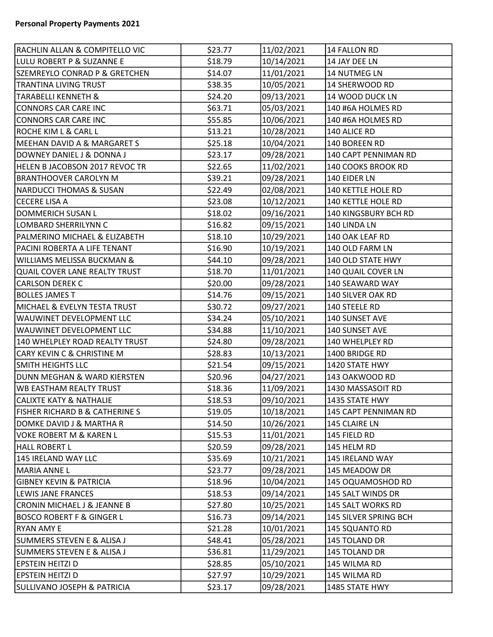| RACHLIN ALLAN & COMPITELLO VIC            | \$23.77 | 11/02/2021 | 14 FALLON RD              |
|-------------------------------------------|---------|------------|---------------------------|
| LULU ROBERT P & SUZANNE E                 | \$18.79 | 10/14/2021 | 14 JAY DEE LN             |
| <b>SZEMREYLO CONRAD P &amp; GRETCHEN</b>  | \$14.07 | 11/01/2021 | 14 NUTMEG LN              |
| <b>TRANTINA LIVING TRUST</b>              | \$38.35 | 10/05/2021 | 14 SHERWOOD RD            |
| <b>TARABELLI KENNETH &amp;</b>            | \$24.20 | 09/13/2021 | 14 WOOD DUCK LN           |
| CONNORS CAR CARE INC                      | \$63.71 | 05/03/2021 | 140 #6A HOLMES RD         |
| <b>CONNORS CAR CARE INC</b>               | \$55.85 | 10/06/2021 | 140 #6A HOLMES RD         |
| <b>ROCHE KIM L &amp; CARL L</b>           | \$13.21 | 10/28/2021 | 140 ALICE RD              |
| <b>MEEHAN DAVID A &amp; MARGARET S</b>    | \$25.18 | 10/04/2021 | 140 BOREEN RD             |
| DOWNEY DANIEL J & DONNA J                 | \$23.17 | 09/28/2021 | 140 CAPT PENNIMAN RD      |
| HELEN B JACOBSON 2017 REVOC TR            | \$22.65 | 11/02/2021 | 140 COOKS BROOK RD        |
| <b>BRANTHOOVER CAROLYN M</b>              | \$39.21 | 09/28/2021 | 140 EIDER LN              |
| <b>NARDUCCI THOMAS &amp; SUSAN</b>        | \$22.49 | 02/08/2021 | 140 KETTLE HOLE RD        |
| <b>CECERE LISA A</b>                      | \$23.08 | 10/12/2021 | <b>140 KETTLE HOLE RD</b> |
| DOMMERICH SUSAN L                         | \$18.02 | 09/16/2021 | 140 KINGSBURY BCH RD      |
| LOMBARD SHERRILYNN C                      | \$16.82 | 09/15/2021 | 140 LINDA LN              |
| PALMERINO MICHAEL & ELIZABETH             | \$18.10 | 10/29/2021 | 140 OAK LEAF RD           |
| PACINI ROBERTA A LIFE TENANT              | \$16.90 | 10/19/2021 | 140 OLD FARM LN           |
| WILLIAMS MELISSA BUCKMAN &                | \$44.10 | 09/28/2021 | 140 OLD STATE HWY         |
| QUAIL COVER LANE REALTY TRUST             | \$18.70 | 11/01/2021 | 140 QUAIL COVER LN        |
| <b>CARLSON DEREK C</b>                    | \$20.00 | 09/28/2021 | 140 SEAWARD WAY           |
| <b>BOLLES JAMES T</b>                     | \$14.76 | 09/15/2021 | 140 SILVER OAK RD         |
| MICHAEL & EVELYN TESTA TRUST              | \$30.72 | 09/27/2021 | 140 STEELE RD             |
| WAUWINET DEVELOPMENT LLC                  | \$34.24 | 05/10/2021 | 140 SUNSET AVE            |
| <b>WAUWINET DEVELOPMENT LLC</b>           | \$34.88 | 11/10/2021 | 140 SUNSET AVE            |
| 140 WHELPLEY ROAD REALTY TRUST            | \$24.80 | 09/28/2021 | 140 WHELPLEY RD           |
| <b>CARY KEVIN C &amp; CHRISTINE M</b>     | \$28.83 | 10/13/2021 | 1400 BRIDGE RD            |
| <b>SMITH HEIGHTS LLC</b>                  | \$21.54 | 09/15/2021 | 1420 STATE HWY            |
| DUNN MEGHAN & WARD KIERSTEN               | \$20.96 | 04/27/2021 | 143 OAKWOOD RD            |
| <b>WB EASTHAM REALTY TRUST</b>            | \$18.36 | 11/09/2021 | 1430 MASSASOIT RD         |
| <b>CALIXTE KATY &amp; NATHALIE</b>        | \$18.53 | 09/10/2021 | 1435 STATE HWY            |
| <b>FISHER RICHARD B &amp; CATHERINE S</b> | \$19.05 | 10/18/2021 | 145 CAPT PENNIMAN RD      |
| DOMKE DAVID J & MARTHA R                  | \$14.50 | 10/26/2021 | 145 CLAIRE LN             |
| <b>VOKE ROBERT M &amp; KAREN L</b>        | \$15.53 | 11/01/2021 | 145 FIELD RD              |
| <b>HALL ROBERT L</b>                      | \$20.59 | 09/28/2021 | 145 HELM RD               |
| 145 IRELAND WAY LLC                       | \$35.69 | 10/21/2021 | 145 IRELAND WAY           |
| <b>MARIA ANNE L</b>                       | \$23.77 | 09/28/2021 | 145 MEADOW DR             |
| <b>GIBNEY KEVIN &amp; PATRICIA</b>        | \$18.96 | 10/04/2021 | 145 OQUAMOSHOD RD         |
| <b>LEWIS JANE FRANCES</b>                 | \$18.53 | 09/14/2021 | 145 SALT WINDS DR         |
| <b>CRONIN MICHAEL J &amp; JEANNE B</b>    | \$27.80 | 10/25/2021 | 145 SALT WORKS RD         |
| <b>BOSCO ROBERT F &amp; GINGER L</b>      | \$16.73 | 09/14/2021 | 145 SILVER SPRING BCH     |
| <b>RYAN AMY E</b>                         | \$21.28 | 10/01/2021 | 145 SQUANTO RD            |
| <b>SUMMERS STEVEN E &amp; ALISA J</b>     | \$48.41 | 05/28/2021 | 145 TOLAND DR             |
| <b>SUMMERS STEVEN E &amp; ALISA J</b>     | \$36.81 | 11/29/2021 | 145 TOLAND DR             |
| EPSTEIN HEITZI D                          | \$28.85 | 05/10/2021 | 145 WILMA RD              |
| <b>EPSTEIN HEITZI D</b>                   | \$27.97 | 10/29/2021 | 145 WILMA RD              |
| <b>SULLIVANO JOSEPH &amp; PATRICIA</b>    | \$23.17 | 09/28/2021 | 1485 STATE HWY            |
|                                           |         |            |                           |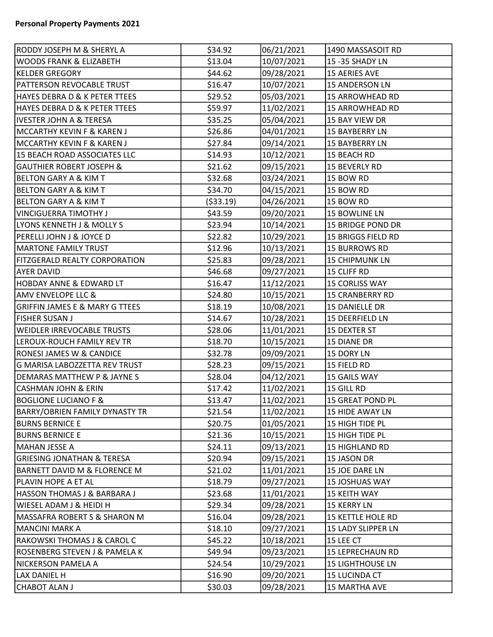| RODDY JOSEPH M & SHERYL A                 | \$34.92    | 06/21/2021 | 1490 MASSASOIT RD        |  |
|-------------------------------------------|------------|------------|--------------------------|--|
| <b>WOODS FRANK &amp; ELIZABETH</b>        | \$13.04    | 10/07/2021 | 15-35 SHADY LN           |  |
| <b>KELDER GREGORY</b>                     | \$44.62    | 09/28/2021 | <b>15 AERIES AVE</b>     |  |
| PATTERSON REVOCABLE TRUST                 | \$16.47    | 10/07/2021 | <b>15 ANDERSON LN</b>    |  |
| HAYES DEBRA D & K PETER TTEES             | \$29.52    | 05/03/2021 | <b>15 ARROWHEAD RD</b>   |  |
| HAYES DEBRA D & K PETER TTEES             | \$59.97    | 11/02/2021 | <b>15 ARROWHEAD RD</b>   |  |
| <b>IVESTER JOHN A &amp; TERESA</b>        | \$35.25    | 05/04/2021 | 15 BAY VIEW DR           |  |
| MCCARTHY KEVIN F & KAREN J                | \$26.86    | 04/01/2021 | <b>15 BAYBERRY LN</b>    |  |
| <b>MCCARTHY KEVIN F &amp; KAREN J</b>     | \$27.84    | 09/14/2021 | 15 BAYBERRY LN           |  |
| 15 BEACH ROAD ASSOCIATES LLC              | \$14.93    | 10/12/2021 | 15 BEACH RD              |  |
| <b>GAUTHIER ROBERT JOSEPH &amp;</b>       | \$21.62    | 09/15/2021 | 15 BEVERLY RD            |  |
| <b>BELTON GARY A &amp; KIM T</b>          | \$32.68    | 03/24/2021 | 15 BOW RD                |  |
| <b>BELTON GARY A &amp; KIM T</b>          | \$34.70    | 04/15/2021 | 15 BOW RD                |  |
| <b>BELTON GARY A &amp; KIM T</b>          | ( \$33.19) | 04/26/2021 | 15 BOW RD                |  |
| <b>VINCIGUERRA TIMOTHY J</b>              | \$43.59    | 09/20/2021 | <b>15 BOWLINE LN</b>     |  |
| LYONS KENNETH J & MOLLY S                 | \$23.94    | 10/14/2021 | 15 BRIDGE POND DR        |  |
| PERELLI JOHN J & JOYCE D                  | \$22.82    | 10/29/2021 | 15 BRIGGS FIELD RD       |  |
| <b>MARTONE FAMILY TRUST</b>               | \$12.96    | 10/13/2021 | <b>15 BURROWS RD</b>     |  |
| <b>FITZGERALD REALTY CORPORATION</b>      | \$25.83    | 09/28/2021 | <b>15 CHIPMUNK LN</b>    |  |
| AYER DAVID                                | \$46.68    | 09/27/2021 | 15 CLIFF RD              |  |
| <b>HOBDAY ANNE &amp; EDWARD LT</b>        | \$16.47    | 11/12/2021 | 15 CORLISS WAY           |  |
| <b>AMV ENVELOPE LLC &amp;</b>             | \$24.80    | 10/15/2021 | <b>15 CRANBERRY RD</b>   |  |
| <b>GRIFFIN JAMES E &amp; MARY G TTEES</b> | \$18.19    | 10/08/2021 | 15 DANIELLE DR           |  |
| <b>FISHER SUSAN J</b>                     | \$14.67    | 10/28/2021 | 15 DEERFIELD LN          |  |
| <b>WEIDLER IRREVOCABLE TRUSTS</b>         | \$28.06    | 11/01/2021 | <b>15 DEXTER ST</b>      |  |
| LEROUX-ROUCH FAMILY REV TR                | \$18.70    | 10/15/2021 | 15 DIANE DR              |  |
| RONESI JAMES W & CANDICE                  | \$32.78    | 09/09/2021 | 15 DORY LN               |  |
| G MARISA LABOZZETTA REV TRUST             | \$28.23    | 09/15/2021 | 15 FIELD RD              |  |
| DEMARAS MATTHEW P & JAYNE S               | \$28.04    | 04/12/2021 | 15 GAILS WAY             |  |
| <b>CASHMAN JOHN &amp; ERIN</b>            | \$17.42    | 11/02/2021 | 15 GILL RD               |  |
| <b>BOGLIONE LUCIANO F &amp;</b>           | \$13.47    | 11/02/2021 | 15 GREAT POND PL         |  |
| <b>BARRY/OBRIEN FAMILY DYNASTY TR</b>     | \$21.54    | 11/02/2021 | 15 HIDE AWAY LN          |  |
| <b>BURNS BERNICE E</b>                    | \$20.75    | 01/05/2021 | 15 HIGH TIDE PL          |  |
| <b>BURNS BERNICE E</b>                    | \$21.36    | 10/15/2021 | 15 HIGH TIDE PL          |  |
| MAHAN JESSE A                             | \$24.11    | 09/13/2021 | 15 HIGHLAND RD           |  |
| <b>GRIESING JONATHAN &amp; TERESA</b>     | \$20.94    | 09/15/2021 | 15 JASON DR              |  |
| <b>BARNETT DAVID M &amp; FLORENCE M</b>   | \$21.02    | 11/01/2021 | 15 JOE DARE LN           |  |
| PLAVIN HOPE A ET AL                       | \$18.79    | 09/27/2021 | 15 JOSHUAS WAY           |  |
| HASSON THOMAS J & BARBARA J               | \$23.68    | 11/01/2021 | 15 KEITH WAY             |  |
| WIESEL ADAM J & HEIDI H                   | \$29.34    | 09/28/2021 | <b>15 KERRY LN</b>       |  |
| MASSAFRA ROBERT S & SHARON M              | \$16.04    | 09/28/2021 | <b>15 KETTLE HOLE RD</b> |  |
| <b>MANCINI MARK A</b>                     | \$18.10    | 09/27/2021 | 15 LADY SLIPPER LN       |  |
| RAKOWSKI THOMAS J & CAROL C               | \$45.22    | 10/18/2021 | 15 LEE CT                |  |
| ROSENBERG STEVEN J & PAMELA K             | \$49.94    | 09/23/2021 | <b>15 LEPRECHAUN RD</b>  |  |
| NICKERSON PAMELA A                        | \$24.54    | 10/29/2021 | <b>15 LIGHTHOUSE LN</b>  |  |
| LAX DANIEL H                              | \$16.90    | 09/20/2021 | 15 LUCINDA CT            |  |
| <b>CHABOT ALAN J</b>                      | \$30.03    | 09/28/2021 | <b>15 MARTHA AVE</b>     |  |
|                                           |            |            |                          |  |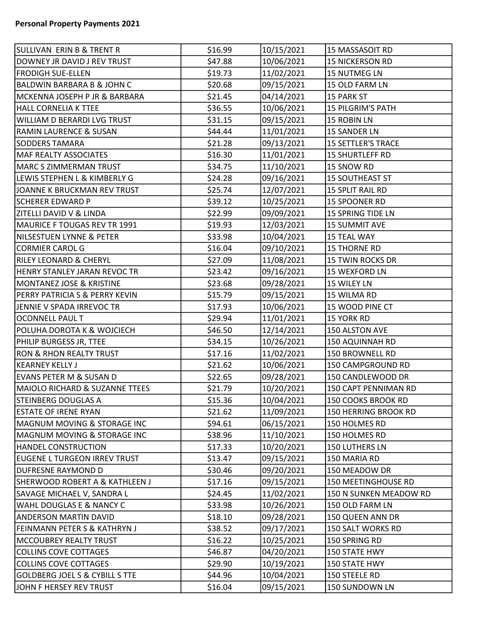| SULLIVAN ERIN B & TRENT R                 | \$16.99 | 10/15/2021 | 15 MASSASOIT RD           |
|-------------------------------------------|---------|------------|---------------------------|
| DOWNEY JR DAVID J REV TRUST               | \$47.88 | 10/06/2021 | <b>15 NICKERSON RD</b>    |
| <b>FRODIGH SUE-ELLEN</b>                  | \$19.73 | 11/02/2021 | 15 NUTMEG LN              |
| <b>BALDWIN BARBARA B &amp; JOHN C</b>     | \$20.68 | 09/15/2021 | 15 OLD FARM LN            |
| MCKENNA JOSEPH P JR & BARBARA             | \$21.45 | 04/14/2021 | <b>15 PARK ST</b>         |
| HALL CORNELIA K TTEE                      | \$36.55 | 10/06/2021 | <b>15 PILGRIM'S PATH</b>  |
| WILLIAM D BERARDI LVG TRUST               | \$31.15 | 09/15/2021 | <b>15 ROBIN LN</b>        |
| <b>RAMIN LAURENCE &amp; SUSAN</b>         | \$44.44 | 11/01/2021 | 15 SANDER LN              |
| <b>SODDERS TAMARA</b>                     | \$21.28 | 09/13/2021 | <b>15 SETTLER'S TRACE</b> |
| <b>MAF REALTY ASSOCIATES</b>              | \$16.30 | 11/01/2021 | <b>15 SHURTLEFF RD</b>    |
| MARC S ZIMMERMAN TRUST                    | \$34.75 | 11/10/2021 | 15 SNOW RD                |
| LEWIS STEPHEN L & KIMBERLY G              | \$24.28 | 09/16/2021 | <b>15 SOUTHEAST ST</b>    |
| JOANNE K BRUCKMAN REV TRUST               | \$25.74 | 12/07/2021 | 15 SPLIT RAIL RD          |
| <b>SCHERER EDWARD P</b>                   | \$39.12 | 10/25/2021 | 15 SPOONER RD             |
| ZITELLI DAVID V & LINDA                   | \$22.99 | 09/09/2021 | 15 SPRING TIDE LN         |
| MAURICE F TOUGAS REV TR 1991              | \$19.93 | 12/03/2021 | 15 SUMMIT AVE             |
| NILSESTUEN LYNNE & PETER                  | \$33.98 | 10/04/2021 | <b>15 TEAL WAY</b>        |
| <b>CORMIER CAROL G</b>                    | \$16.04 | 09/10/2021 | <b>15 THORNE RD</b>       |
| <b>RILEY LEONARD &amp; CHERYL</b>         | \$27.09 | 11/08/2021 | <b>15 TWIN ROCKS DR</b>   |
| HENRY STANLEY JARAN REVOC TR              | \$23.42 | 09/16/2021 | 15 WEXFORD LN             |
| <b>MONTANEZ JOSE &amp; KRISTINE</b>       | \$23.68 | 09/28/2021 | 15 WILEY LN               |
| PERRY PATRICIA S & PERRY KEVIN            | \$15.79 | 09/15/2021 | 15 WILMA RD               |
| JENNIE V SPADA IRREVOC TR                 | \$17.93 | 10/06/2021 | 15 WOOD PINE CT           |
| <b>OCONNELL PAUL T</b>                    | \$29.94 | 11/01/2021 | <b>15 YORK RD</b>         |
| POLUHA DOROTA K & WOJCIECH                | \$46.50 | 12/14/2021 | 150 ALSTON AVE            |
| PHILIP BURGESS JR, TTEE                   | \$34.15 | 10/26/2021 | 150 AQUINNAH RD           |
| <b>RON &amp; RHON REALTY TRUST</b>        | \$17.16 | 11/02/2021 | 150 BROWNELL RD           |
| <b>KEARNEY KELLY J</b>                    | \$21.62 | 10/06/2021 | 150 CAMPGROUND RD         |
| EVANS PETER M & SUSAN D                   | \$22.65 | 09/28/2021 | 150 CANDLEWOOD DR         |
| <b>MAIOLO RICHARD &amp; SUZANNE TTEES</b> | \$21.79 | 10/20/2021 | 150 CAPT PENNIMAN RD      |
| <b>STEINBERG DOUGLAS A</b>                | \$15.36 | 10/04/2021 | 150 COOKS BROOK RD        |
| <b>ESTATE OF IRENE RYAN</b>               | \$21.62 | 11/09/2021 | 150 HERRING BROOK RD      |
| <b>MAGNUM MOVING &amp; STORAGE INC</b>    | \$94.61 | 06/15/2021 | 150 HOLMES RD             |
| <b>MAGNUM MOVING &amp; STORAGE INC</b>    | \$38.96 | 11/10/2021 | 150 HOLMES RD             |
| <b>HANDEL CONSTRUCTION</b>                | \$17.33 | 10/20/2021 | 150 LUTHERS LN            |
| <b>EUGENE L TURGEON IRREV TRUST</b>       | \$13.47 | 09/15/2021 | 150 MARIA RD              |
| DUFRESNE RAYMOND D                        | \$30.46 | 09/20/2021 | 150 MEADOW DR             |
| <b>SHERWOOD ROBERT A &amp; KATHLEEN J</b> | \$17.16 | 09/15/2021 | 150 MEETINGHOUSE RD       |
| SAVAGE MICHAEL V, SANDRA L                | \$24.45 | 11/02/2021 | 150 N SUNKEN MEADOW RD    |
| <b>WAHL DOUGLAS E &amp; NANCY C</b>       | \$33.98 | 10/26/2021 | 150 OLD FARM LN           |
| <b>ANDERSON MARTIN DAVID</b>              | \$18.10 | 09/28/2021 | 150 QUEEN ANN DR          |
| FEINMANN PETER S & KATHRYN J              | \$38.52 | 09/17/2021 | 150 SALT WORKS RD         |
| MCCOUBREY REALTY TRUST                    | \$16.22 | 10/25/2021 | 150 SPRING RD             |
| COLLINS COVE COTTAGES                     | \$46.87 | 04/20/2021 | 150 STATE HWY             |
| <b>COLLINS COVE COTTAGES</b>              | \$29.90 | 10/19/2021 | 150 STATE HWY             |
| <b>GOLDBERG JOEL S &amp; CYBILL S TTE</b> | \$44.96 | 10/04/2021 | 150 STEELE RD             |
| JOHN F HERSEY REV TRUST                   | \$16.04 | 09/15/2021 | 150 SUNDOWN LN            |
|                                           |         |            |                           |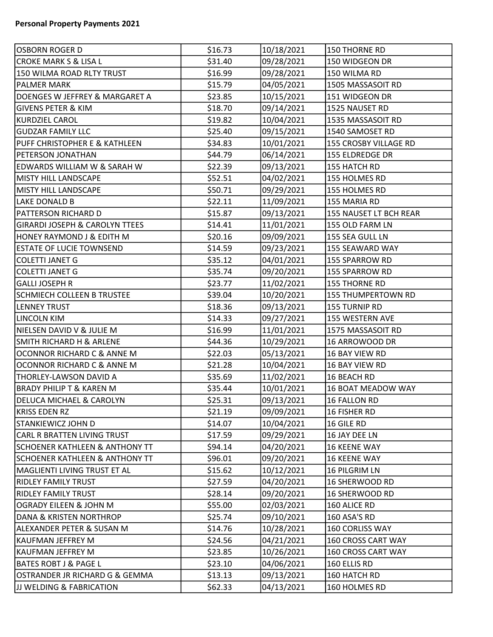| OSBORN ROGER D                            | \$16.73 | 10/18/2021 | 150 THORNE RD             |
|-------------------------------------------|---------|------------|---------------------------|
| CROKE MARK S & LISA L                     | \$31.40 | 09/28/2021 | 150 WIDGEON DR            |
| 150 WILMA ROAD RLTY TRUST                 | \$16.99 | 09/28/2021 | 150 WILMA RD              |
| <b>PALMER MARK</b>                        | \$15.79 | 04/05/2021 | 1505 MASSASOIT RD         |
| DOENGES W JEFFREY & MARGARET A            | \$23.85 | 10/15/2021 | 151 WIDGEON DR            |
| <b>GIVENS PETER &amp; KIM</b>             | \$18.70 | 09/14/2021 | 1525 NAUSET RD            |
| KURDZIEL CAROL                            | \$19.82 | 10/04/2021 | 1535 MASSASOIT RD         |
| <b>GUDZAR FAMILY LLC</b>                  | \$25.40 | 09/15/2021 | 1540 SAMOSET RD           |
| PUFF CHRISTOPHER E & KATHLEEN             | \$34.83 | 10/01/2021 | 155 CROSBY VILLAGE RD     |
| <b>PETERSON JONATHAN</b>                  | \$44.79 | 06/14/2021 | <b>155 ELDREDGE DR</b>    |
| EDWARDS WILLIAM W & SARAH W               | \$22.39 | 09/13/2021 | 155 HATCH RD              |
| <b>MISTY HILL LANDSCAPE</b>               | \$52.51 | 04/02/2021 | 155 HOLMES RD             |
| MISTY HILL LANDSCAPE                      | \$50.71 | 09/29/2021 | 155 HOLMES RD             |
| LAKE DONALD B                             | \$22.11 | 11/09/2021 | 155 MARIA RD              |
| PATTERSON RICHARD D                       | \$15.87 | 09/13/2021 | 155 NAUSET LT BCH REAR    |
| <b>GIRARDI JOSEPH &amp; CAROLYN TTEES</b> | \$14.41 | 11/01/2021 | 155 OLD FARM LN           |
| HONEY RAYMOND J & EDITH M                 | \$20.16 | 09/09/2021 | 155 SEA GULL LN           |
| <b>ESTATE OF LUCIE TOWNSEND</b>           | \$14.59 | 09/23/2021 | 155 SEAWARD WAY           |
| <b>COLETTI JANET G</b>                    | \$35.12 | 04/01/2021 | 155 SPARROW RD            |
| COLETTI JANET G                           | \$35.74 | 09/20/2021 | 155 SPARROW RD            |
| <b>GALLI JOSEPH R</b>                     | \$23.77 | 11/02/2021 | 155 THORNE RD             |
| <b>SCHMIECH COLLEEN B TRUSTEE</b>         | \$39.04 | 10/20/2021 | <b>155 THUMPERTOWN RD</b> |
| <b>LENNEY TRUST</b>                       | \$18.36 | 09/13/2021 | 155 TURNIP RD             |
| LINCOLN KIM                               | \$14.33 | 09/27/2021 | 155 WESTERN AVE           |
| NIELSEN DAVID V & JULIE M                 | \$16.99 | 11/01/2021 | 1575 MASSASOIT RD         |
| <b>SMITH RICHARD H &amp; ARLENE</b>       | \$44.36 | 10/29/2021 | 16 ARROWOOD DR            |
| OCONNOR RICHARD C & ANNE M                | \$22.03 | 05/13/2021 | 16 BAY VIEW RD            |
| OCONNOR RICHARD C & ANNE M                | \$21.28 | 10/04/2021 | 16 BAY VIEW RD            |
| THORLEY-LAWSON DAVID A                    | \$35.69 | 11/02/2021 | 16 BEACH RD               |
| <b>BRADY PHILIP T &amp; KAREN M</b>       | \$35.44 | 10/01/2021 | 16 BOAT MEADOW WAY        |
| <b>DELUCA MICHAEL &amp; CAROLYN</b>       | \$25.31 | 09/13/2021 | 16 FALLON RD              |
| KRISS EDEN RZ                             | \$21.19 | 09/09/2021 | 16 FISHER RD              |
| STANKIEWICZ JOHN D                        | \$14.07 | 10/04/2021 | 16 GILE RD                |
| CARL R BRATTEN LIVING TRUST               | \$17.59 | 09/29/2021 | 16 JAY DEE LN             |
| <b>SCHOENER KATHLEEN &amp; ANTHONY TT</b> | \$94.14 | 04/20/2021 | <b>16 KEENE WAY</b>       |
| <b>SCHOENER KATHLEEN &amp; ANTHONY TT</b> | \$96.01 | 09/20/2021 | <b>16 KEENE WAY</b>       |
| MAGLIENTI LIVING TRUST ET AL              | \$15.62 | 10/12/2021 | 16 PILGRIM LN             |
| RIDLEY FAMILY TRUST                       | \$27.59 | 04/20/2021 | 16 SHERWOOD RD            |
| <b>RIDLEY FAMILY TRUST</b>                | \$28.14 | 09/20/2021 | <b>16 SHERWOOD RD</b>     |
| OGRADY EILEEN & JOHN M                    | \$55.00 | 02/03/2021 | 160 ALICE RD              |
| DANA & KRISTEN NORTHROP                   | \$25.74 | 09/10/2021 | 160 ASA'S RD              |
| ALEXANDER PETER & SUSAN M                 | \$14.76 | 10/28/2021 | 160 CORLISS WAY           |
| KAUFMAN JEFFREY M                         | \$24.56 | 04/21/2021 | 160 CROSS CART WAY        |
| KAUFMAN JEFFREY M                         | \$23.85 | 10/26/2021 | 160 CROSS CART WAY        |
| <b>BATES ROBT J &amp; PAGE L</b>          | \$23.10 | 04/06/2021 | 160 ELLIS RD              |
| OSTRANDER JR RICHARD G & GEMMA            | \$13.13 | 09/13/2021 | 160 HATCH RD              |
| <b>JJ WELDING &amp; FABRICATION</b>       | \$62.33 | 04/13/2021 | 160 HOLMES RD             |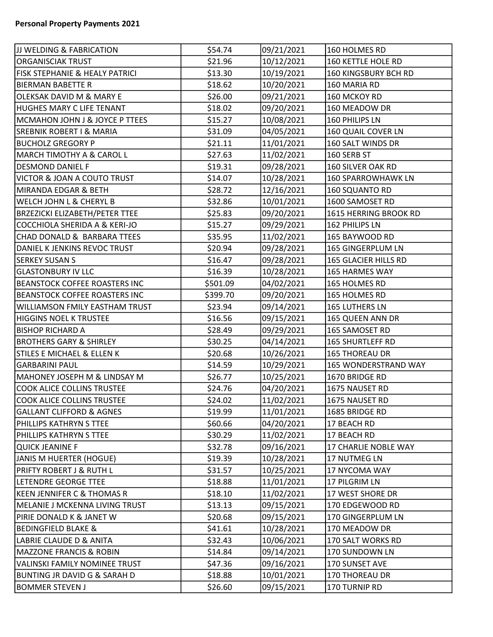| <b>JJ WELDING &amp; FABRICATION</b>       | \$54.74  | 09/21/2021 | 160 HOLMES RD             |
|-------------------------------------------|----------|------------|---------------------------|
| <b>ORGANISCIAK TRUST</b>                  | \$21.96  | 10/12/2021 | 160 KETTLE HOLE RD        |
| <b>FISK STEPHANIE &amp; HEALY PATRICI</b> | \$13.30  | 10/19/2021 | 160 KINGSBURY BCH RD      |
| <b>BIERMAN BABETTE R</b>                  | \$18.62  | 10/20/2021 | 160 MARIA RD              |
| OLEKSAK DAVID M & MARY E                  | \$26.00  | 09/21/2021 | 160 MCKOY RD              |
| HUGHES MARY C LIFE TENANT                 | \$18.02  | 09/20/2021 | 160 MEADOW DR             |
| MCMAHON JOHN J & JOYCE P TTEES            | \$15.27  | 10/08/2021 | 160 PHILIPS LN            |
| <b>SREBNIK ROBERT I &amp; MARIA</b>       | \$31.09  | 04/05/2021 | 160 QUAIL COVER LN        |
| <b>BUCHOLZ GREGORY P</b>                  | \$21.11  | 11/01/2021 | 160 SALT WINDS DR         |
| <b>MARCH TIMOTHY A &amp; CAROL L</b>      | \$27.63  | 11/02/2021 | 160 SERB ST               |
| <b>DESMOND DANIEL F</b>                   | \$19.31  | 09/28/2021 | 160 SILVER OAK RD         |
| VICTOR & JOAN A COUTO TRUST               | \$14.07  | 10/28/2021 | <b>160 SPARROWHAWK LN</b> |
| MIRANDA EDGAR & BETH                      | \$28.72  | 12/16/2021 | 160 SQUANTO RD            |
| <b>WELCH JOHN L &amp; CHERYL B</b>        | \$32.86  | 10/01/2021 | 1600 SAMOSET RD           |
| <b>BRZEZICKI ELIZABETH/PETER TTEE</b>     | \$25.83  | 09/20/2021 | 1615 HERRING BROOK RD     |
| COCCHIOLA SHERIDA A & KERI-JO             | \$15.27  | 09/29/2021 | 162 PHILIPS LN            |
| CHAD DONALD & BARBARA TTEES               | \$35.95  | 11/02/2021 | 165 BAYWOOD RD            |
| DANIEL K JENKINS REVOC TRUST              | \$20.94  | 09/28/2021 | 165 GINGERPLUM LN         |
| <b>SERKEY SUSAN S</b>                     | \$16.47  | 09/28/2021 | 165 GLACIER HILLS RD      |
| <b>GLASTONBURY IV LLC</b>                 | \$16.39  | 10/28/2021 | 165 HARMES WAY            |
| <b>BEANSTOCK COFFEE ROASTERS INC</b>      | \$501.09 | 04/02/2021 | 165 HOLMES RD             |
| <b>BEANSTOCK COFFEE ROASTERS INC</b>      | \$399.70 | 09/20/2021 | 165 HOLMES RD             |
| <b>WILLIAMSON FMILY EASTHAM TRUST</b>     | \$23.94  | 09/14/2021 | 165 LUTHERS LN            |
| <b>HIGGINS NOEL K TRUSTEE</b>             | \$16.56  | 09/15/2021 | 165 QUEEN ANN DR          |
| <b>BISHOP RICHARD A</b>                   | \$28.49  | 09/29/2021 | 165 SAMOSET RD            |
| <b>BROTHERS GARY &amp; SHIRLEY</b>        | \$30.25  | 04/14/2021 | <b>165 SHURTLEFF RD</b>   |
| <b>STILES E MICHAEL &amp; ELLEN K</b>     | \$20.68  | 10/26/2021 | <b>165 THOREAU DR</b>     |
| <b>GARBARINI PAUL</b>                     | \$14.59  | 10/29/2021 | 165 WONDERSTRAND WAY      |
| MAHONEY JOSEPH M & LINDSAY M              | \$26.77  | 10/25/2021 | 1670 BRIDGE RD            |
| <b>COOK ALICE COLLINS TRUSTEE</b>         | \$24.76  | 04/20/2021 | 1675 NAUSET RD            |
| <b>COOK ALICE COLLINS TRUSTEE</b>         | \$24.02  | 11/02/2021 | 1675 NAUSET RD            |
| <b>GALLANT CLIFFORD &amp; AGNES</b>       | \$19.99  | 11/01/2021 | 1685 BRIDGE RD            |
| PHILLIPS KATHRYN S TTEE                   | \$60.66  | 04/20/2021 | 17 BEACH RD               |
| PHILLIPS KATHRYN S TTEE                   | \$30.29  | 11/02/2021 | 17 BEACH RD               |
| <b>QUICK JEANINE F</b>                    | \$32.78  | 09/16/2021 | 17 CHARLIE NOBLE WAY      |
| JANIS M HUERTER (HOGUE)                   | \$19.39  | 10/28/2021 | 17 NUTMEG LN              |
| <b>PRIFTY ROBERT J &amp; RUTH L</b>       | \$31.57  | 10/25/2021 | 17 NYCOMA WAY             |
| LETENDRE GEORGE TTEE                      | \$18.88  | 11/01/2021 | 17 PILGRIM LN             |
| <b>KEEN JENNIFER C &amp; THOMAS R</b>     | \$18.10  | 11/02/2021 | 17 WEST SHORE DR          |
| MELANIE J MCKENNA LIVING TRUST            | \$13.13  | 09/15/2021 | 170 EDGEWOOD RD           |
| PIRIE DONALD K & JANET W                  | \$20.68  | 09/15/2021 | 170 GINGERPLUM LN         |
| <b>BEDINGFIELD BLAKE &amp;</b>            | \$41.61  | 10/28/2021 | 170 MEADOW DR             |
| LABRIE CLAUDE D & ANITA                   | \$32.43  | 10/06/2021 | 170 SALT WORKS RD         |
| <b>MAZZONE FRANCIS &amp; ROBIN</b>        | \$14.84  | 09/14/2021 | 170 SUNDOWN LN            |
| <b>VALINSKI FAMILY NOMINEE TRUST</b>      | \$47.36  | 09/16/2021 | 170 SUNSET AVE            |
| <b>BUNTING JR DAVID G &amp; SARAH D</b>   | \$18.88  | 10/01/2021 | 170 THOREAU DR            |
| <b>BOMMER STEVEN J</b>                    | \$26.60  | 09/15/2021 | 170 TURNIP RD             |
|                                           |          |            |                           |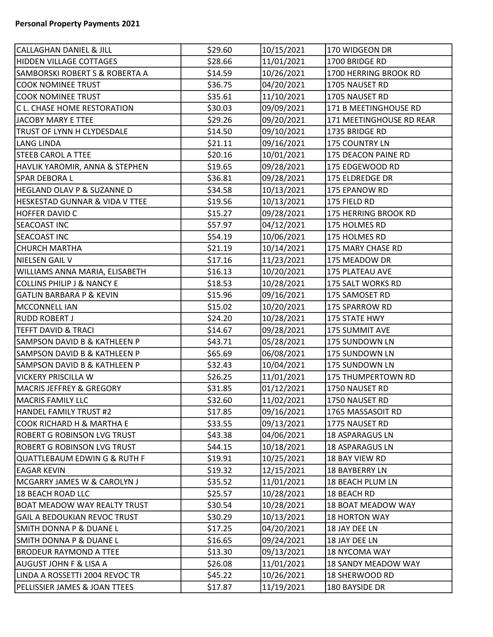| <b>CALLAGHAN DANIEL &amp; JILL</b>      | \$29.60 | 10/15/2021 | 170 WIDGEON DR            |
|-----------------------------------------|---------|------------|---------------------------|
| <b>HIDDEN VILLAGE COTTAGES</b>          | \$28.66 | 11/01/2021 | 1700 BRIDGE RD            |
| SAMBORSKI ROBERT S & ROBERTA A          | \$14.59 | 10/26/2021 | 1700 HERRING BROOK RD     |
| <b>COOK NOMINEE TRUST</b>               | \$36.75 | 04/20/2021 | 1705 NAUSET RD            |
| <b>COOK NOMINEE TRUST</b>               | \$35.61 | 11/10/2021 | 1705 NAUSET RD            |
| C L. CHASE HOME RESTORATION             | \$30.03 | 09/09/2021 | 171 B MEETINGHOUSE RD     |
| JACOBY MARY E TTEE                      | \$29.26 | 09/20/2021 | 171 MEETINGHOUSE RD REAR  |
| <b>TRUST OF LYNN H CLYDESDALE</b>       | \$14.50 | 09/10/2021 | 1735 BRIDGE RD            |
| LANG LINDA                              | \$21.11 | 09/16/2021 | 175 COUNTRY LN            |
| <b>STEEB CAROL A TTEE</b>               | \$20.16 | 10/01/2021 | 175 DEACON PAINE RD       |
| HAVLIK YAROMIR, ANNA & STEPHEN          | \$19.65 | 09/28/2021 | 175 EDGEWOOD RD           |
| <b>SPAR DEBORA L</b>                    | \$36.81 | 09/28/2021 | 175 ELDREDGE DR           |
| HEGLAND OLAV P & SUZANNE D              | \$34.58 | 10/13/2021 | 175 EPANOW RD             |
| HESKESTAD GUNNAR & VIDA V TTEE          | \$19.56 | 10/13/2021 | 175 FIELD RD              |
| <b>HOFFER DAVID C</b>                   | \$15.27 | 09/28/2021 | 175 HERRING BROOK RD      |
| <b>SEACOAST INC</b>                     | \$57.97 | 04/12/2021 | 175 HOLMES RD             |
| <b>SEACOAST INC</b>                     | \$54.19 | 10/06/2021 | 175 HOLMES RD             |
| <b>CHURCH MARTHA</b>                    | \$21.19 | 10/14/2021 | 175 MARY CHASE RD         |
| NIELSEN GAIL V                          | \$17.16 | 11/23/2021 | 175 MEADOW DR             |
| WILLIAMS ANNA MARIA, ELISABETH          | \$16.13 | 10/20/2021 | 175 PLATEAU AVE           |
| <b>COLLINS PHILIP J &amp; NANCY E</b>   | \$18.53 | 10/28/2021 | 175 SALT WORKS RD         |
| <b>GATLIN BARBARA P &amp; KEVIN</b>     | \$15.96 | 09/16/2021 | 175 SAMOSET RD            |
| MCCONNELL IAN                           | \$15.02 | 10/20/2021 | 175 SPARROW RD            |
| <b>RUDD ROBERT J</b>                    | \$24.20 | 10/28/2021 | 175 STATE HWY             |
| <b>TEFFT DAVID &amp; TRACI</b>          | \$14.67 | 09/28/2021 | 175 SUMMIT AVE            |
| <b>SAMPSON DAVID B &amp; KATHLEEN P</b> | \$43.71 | 05/28/2021 | 175 SUNDOWN LN            |
| <b>SAMPSON DAVID B &amp; KATHLEEN P</b> | \$65.69 | 06/08/2021 | 175 SUNDOWN LN            |
| <b>SAMPSON DAVID B &amp; KATHLEEN P</b> | \$32.43 | 10/04/2021 | 175 SUNDOWN LN            |
| <b>VICKERY PRISCILLA W</b>              | \$26.25 | 11/01/2021 | 175 THUMPERTOWN RD        |
| <b>MACRIS JEFFREY &amp; GREGORY</b>     | \$31.85 | 01/12/2021 | 1750 NAUSET RD            |
| MACRIS FAMILY LLC                       | \$32.60 | 11/02/2021 | 1750 NAUSET RD            |
| HANDEL FAMILY TRUST #2                  | \$17.85 | 09/16/2021 | 1765 MASSASOIT RD         |
| <b>COOK RICHARD H &amp; MARTHA E</b>    | \$33.55 | 09/13/2021 | 1775 NAUSET RD            |
| ROBERT G ROBINSON LVG TRUST             | \$43.38 | 04/06/2021 | 18 ASPARAGUS LN           |
| <b>ROBERT G ROBINSON LVG TRUST</b>      | \$44.15 | 10/18/2021 | 18 ASPARAGUS LN           |
| QUATTLEBAUM EDWIN G & RUTH F            | \$19.91 | 10/25/2021 | 18 BAY VIEW RD            |
| <b>EAGAR KEVIN</b>                      | \$19.32 | 12/15/2021 | 18 BAYBERRY LN            |
| MCGARRY JAMES W & CAROLYN J             | \$35.52 | 11/01/2021 | 18 BEACH PLUM LN          |
| <b>18 BEACH ROAD LLC</b>                | \$25.57 | 10/28/2021 | 18 BEACH RD               |
| <b>BOAT MEADOW WAY REALTY TRUST</b>     | \$30.54 | 10/28/2021 | <b>18 BOAT MEADOW WAY</b> |
| <b>GAIL A BEDOUKIAN REVOC TRUST</b>     | \$30.29 | 10/13/2021 | <b>18 HORTON WAY</b>      |
| SMITH DONNA P & DUANE L                 | \$17.25 | 04/20/2021 | 18 JAY DEE LN             |
| SMITH DONNA P & DUANE L                 | \$16.65 | 09/24/2021 | 18 JAY DEE LN             |
| <b>BRODEUR RAYMOND A TTEE</b>           | \$13.30 | 09/13/2021 | 18 NYCOMA WAY             |
| <b>AUGUST JOHN F &amp; LISA A</b>       | \$26.08 | 11/01/2021 | 18 SANDY MEADOW WAY       |
| LINDA A ROSSETTI 2004 REVOC TR          | \$45.22 | 10/26/2021 | <b>18 SHERWOOD RD</b>     |
| PELLISSIER JAMES & JOAN TTEES           | \$17.87 | 11/19/2021 | 180 BAYSIDE DR            |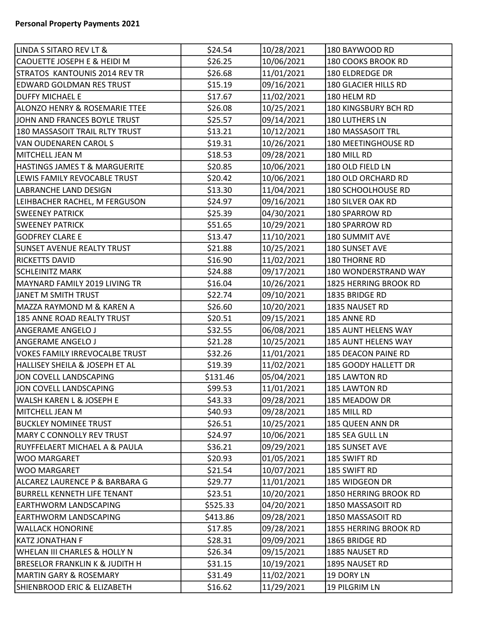| LINDA S SITARO REV LT &                   | \$24.54  | 10/28/2021 | 180 BAYWOOD RD        |
|-------------------------------------------|----------|------------|-----------------------|
| CAOUETTE JOSEPH E & HEIDI M               | \$26.25  | 10/06/2021 | 180 COOKS BROOK RD    |
| STRATOS KANTOUNIS 2014 REV TR             | \$26.68  | 11/01/2021 | 180 ELDREDGE DR       |
| <b>EDWARD GOLDMAN RES TRUST</b>           | \$15.19  | 09/16/2021 | 180 GLACIER HILLS RD  |
| <b>DUFFY MICHAEL E</b>                    | \$17.67  | 11/02/2021 | 180 HELM RD           |
| <b>ALONZO HENRY &amp; ROSEMARIE TTEE</b>  | \$26.08  | 10/25/2021 | 180 KINGSBURY BCH RD  |
| JOHN AND FRANCES BOYLE TRUST              | \$25.57  | 09/14/2021 | 180 LUTHERS LN        |
| 180 MASSASOIT TRAIL RLTY TRUST            | \$13.21  | 10/12/2021 | 180 MASSASOIT TRL     |
| VAN OUDENAREN CAROL S                     | \$19.31  | 10/26/2021 | 180 MEETINGHOUSE RD   |
| MITCHELL JEAN M                           | \$18.53  | 09/28/2021 | 180 MILL RD           |
| <b>HASTINGS JAMES T &amp; MARGUERITE</b>  | \$20.85  | 10/06/2021 | 180 OLD FIELD LN      |
| LEWIS FAMILY REVOCABLE TRUST              | \$20.42  | 10/06/2021 | 180 OLD ORCHARD RD    |
| LABRANCHE LAND DESIGN                     | \$13.30  | 11/04/2021 | 180 SCHOOLHOUSE RD    |
| LEIHBACHER RACHEL, M FERGUSON             | \$24.97  | 09/16/2021 | 180 SILVER OAK RD     |
| <b>SWEENEY PATRICK</b>                    | \$25.39  | 04/30/2021 | 180 SPARROW RD        |
| <b>SWEENEY PATRICK</b>                    | \$51.65  | 10/29/2021 | 180 SPARROW RD        |
| <b>GODFREY CLARE E</b>                    | \$13.47  | 11/10/2021 | <b>180 SUMMIT AVE</b> |
| <b>SUNSET AVENUE REALTY TRUST</b>         | \$21.88  | 10/25/2021 | 180 SUNSET AVE        |
| <b>RICKETTS DAVID</b>                     | \$16.90  | 11/02/2021 | <b>180 THORNE RD</b>  |
| <b>SCHLEINITZ MARK</b>                    | \$24.88  | 09/17/2021 | 180 WONDERSTRAND WAY  |
| MAYNARD FAMILY 2019 LIVING TR             | \$16.04  | 10/26/2021 | 1825 HERRING BROOK RD |
| JANET M SMITH TRUST                       | \$22.74  | 09/10/2021 | 1835 BRIDGE RD        |
| MAZZA RAYMOND M & KAREN A                 | \$26.60  | 10/20/2021 | 1835 NAUSET RD        |
| 185 ANNE ROAD REALTY TRUST                | \$20.51  | 09/15/2021 | 185 ANNE RD           |
| <b>ANGERAME ANGELO J</b>                  | \$32.55  | 06/08/2021 | 185 AUNT HELENS WAY   |
| <b>ANGERAME ANGELO J</b>                  | \$21.28  | 10/25/2021 | 185 AUNT HELENS WAY   |
| VOKES FAMILY IRREVOCALBE TRUST            | \$32.26  | 11/01/2021 | 185 DEACON PAINE RD   |
| HALLISEY SHEILA & JOSEPH ET AL            | \$19.39  | 11/02/2021 | 185 GOODY HALLETT DR  |
| JON COVELL LANDSCAPING                    | \$131.46 | 05/04/2021 | 185 LAWTON RD         |
| JON COVELL LANDSCAPING                    | \$99.53  | 11/01/2021 | 185 LAWTON RD         |
| <b>WALSH KAREN L &amp; JOSEPH E</b>       | \$43.33  | 09/28/2021 | 185 MEADOW DR         |
| MITCHELL JEAN M                           | \$40.93  | 09/28/2021 | 185 MILL RD           |
| <b>BUCKLEY NOMINEE TRUST</b>              | \$26.51  | 10/25/2021 | 185 QUEEN ANN DR      |
| MARY C CONNOLLY REV TRUST                 | \$24.97  | 10/06/2021 | 185 SEA GULL LN       |
| RUYFFELAERT MICHAEL A & PAULA             | \$36.21  | 09/29/2021 | 185 SUNSET AVE        |
| WOO MARGARET                              | \$20.93  | 01/05/2021 | 185 SWIFT RD          |
| <b>WOO MARGARET</b>                       | \$21.54  | 10/07/2021 | 185 SWIFT RD          |
| ALCAREZ LAURENCE P & BARBARA G            | \$29.77  | 11/01/2021 | 185 WIDGEON DR        |
| <b>BURRELL KENNETH LIFE TENANT</b>        | \$23.51  | 10/20/2021 | 1850 HERRING BROOK RD |
| <b>EARTHWORM LANDSCAPING</b>              | \$525.33 | 04/20/2021 | 1850 MASSASOIT RD     |
| <b>EARTHWORM LANDSCAPING</b>              | \$413.86 | 09/28/2021 | 1850 MASSASOIT RD     |
| <b>WALLACK HONORINE</b>                   | \$17.85  | 09/28/2021 | 1855 HERRING BROOK RD |
| KATZ JONATHAN F                           | \$28.31  | 09/09/2021 | 1865 BRIDGE RD        |
| <b>WHELAN III CHARLES &amp; HOLLY N</b>   | \$26.34  | 09/15/2021 | 1885 NAUSET RD        |
| <b>BRESELOR FRANKLIN K &amp; JUDITH H</b> | \$31.15  | 10/19/2021 | 1895 NAUSET RD        |
| <b>MARTIN GARY &amp; ROSEMARY</b>         | \$31.49  | 11/02/2021 | 19 DORY LN            |
| SHIENBROOD ERIC & ELIZABETH               | \$16.62  | 11/29/2021 | 19 PILGRIM LN         |
|                                           |          |            |                       |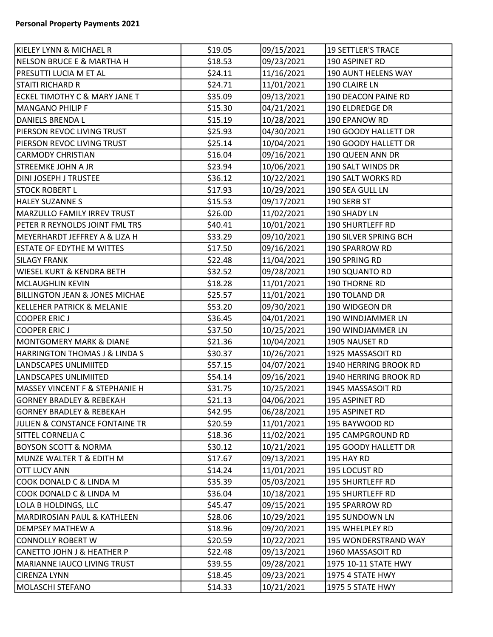| KIELEY LYNN & MICHAEL R                   | \$19.05 | 09/15/2021 | <b>19 SETTLER'S TRACE</b> |
|-------------------------------------------|---------|------------|---------------------------|
| NELSON BRUCE E & MARTHA H                 | \$18.53 | 09/23/2021 | 190 ASPINET RD            |
| <b>PRESUTTI LUCIA M ET AL</b>             | \$24.11 | 11/16/2021 | 190 AUNT HELENS WAY       |
| STAITI RICHARD R                          | \$24.71 | 11/01/2021 | 190 CLAIRE LN             |
| <b>ECKEL TIMOTHY C &amp; MARY JANE T</b>  | \$35.09 | 09/13/2021 | 190 DEACON PAINE RD       |
| <b>MANGANO PHILIP F</b>                   | \$15.30 | 04/21/2021 | 190 ELDREDGE DR           |
| DANIELS BRENDA L                          | \$15.19 | 10/28/2021 | 190 EPANOW RD             |
| PIERSON REVOC LIVING TRUST                | \$25.93 | 04/30/2021 | 190 GOODY HALLETT DR      |
| PIERSON REVOC LIVING TRUST                | \$25.14 | 10/04/2021 | 190 GOODY HALLETT DR      |
| <b>CARMODY CHRISTIAN</b>                  | \$16.04 | 09/16/2021 | 190 QUEEN ANN DR          |
| <b>STREEMKE JOHN A JR</b>                 | \$23.94 | 10/06/2021 | 190 SALT WINDS DR         |
| DINI JOSEPH J TRUSTEE                     | \$36.12 | 10/22/2021 | 190 SALT WORKS RD         |
| <b>STOCK ROBERT L</b>                     | \$17.93 | 10/29/2021 | 190 SEA GULL LN           |
| <b>HALEY SUZANNE S</b>                    | \$15.53 | 09/17/2021 | 190 SERB ST               |
| MARZULLO FAMILY IRREV TRUST               | \$26.00 | 11/02/2021 | 190 SHADY LN              |
| PETER R REYNOLDS JOINT FML TRS            | \$40.41 | 10/01/2021 | <b>190 SHURTLEFF RD</b>   |
| MEYERHARDT JEFFREY A & LIZA H             | \$33.29 | 09/10/2021 | 190 SILVER SPRING BCH     |
| ESTATE OF EDYTHE M WITTES                 | \$17.50 | 09/16/2021 | 190 SPARROW RD            |
| <b>SILAGY FRANK</b>                       | \$22.48 | 11/04/2021 | 190 SPRING RD             |
| <b>WIESEL KURT &amp; KENDRA BETH</b>      | \$32.52 | 09/28/2021 | 190 SQUANTO RD            |
| MCLAUGHLIN KEVIN                          | \$18.28 | 11/01/2021 | 190 THORNE RD             |
| <b>BILLINGTON JEAN &amp; JONES MICHAE</b> | \$25.57 | 11/01/2021 | 190 TOLAND DR             |
| <b>KELLEHER PATRICK &amp; MELANIE</b>     | \$53.20 | 09/30/2021 | 190 WIDGEON DR            |
| <b>COOPER ERICJ</b>                       | \$36.45 | 04/01/2021 | 190 WINDJAMMER LN         |
| <b>COOPER ERICJ</b>                       | \$37.50 | 10/25/2021 | 190 WINDJAMMER LN         |
| <b>MONTGOMERY MARK &amp; DIANE</b>        | \$21.36 | 10/04/2021 | 1905 NAUSET RD            |
| <b>HARRINGTON THOMAS J &amp; LINDA S</b>  | \$30.37 | 10/26/2021 | 1925 MASSASOIT RD         |
| LANDSCAPES UNLIMIITED                     | \$57.15 | 04/07/2021 | 1940 HERRING BROOK RD     |
| LANDSCAPES UNLIMIITED                     | \$54.14 | 09/16/2021 | 1940 HERRING BROOK RD     |
| <b>MASSEY VINCENT F &amp; STEPHANIE H</b> | \$31.75 | 10/25/2021 | 1945 MASSASOIT RD         |
| <b>GORNEY BRADLEY &amp; REBEKAH</b>       | \$21.13 | 04/06/2021 | 195 ASPINET RD            |
| <b>GORNEY BRADLEY &amp; REBEKAH</b>       | \$42.95 | 06/28/2021 | 195 ASPINET RD            |
| JULIEN & CONSTANCE FONTAINE TR            | \$20.59 | 11/01/2021 | 195 BAYWOOD RD            |
| SITTEL CORNELIA C                         | \$18.36 | 11/02/2021 | 195 CAMPGROUND RD         |
| <b>BOYSON SCOTT &amp; NORMA</b>           | \$30.12 | 10/21/2021 | 195 GOODY HALLETT DR      |
| MUNZE WALTER T & EDITH M                  | \$17.67 | 09/13/2021 | 195 HAY RD                |
| <b>OTT LUCY ANN</b>                       | \$14.24 | 11/01/2021 | 195 LOCUST RD             |
| COOK DONALD C & LINDA M                   | \$35.39 | 05/03/2021 | 195 SHURTLEFF RD          |
| COOK DONALD C & LINDA M                   | \$36.04 | 10/18/2021 | 195 SHURTLEFF RD          |
| LOLA B HOLDINGS, LLC                      | \$45.47 | 09/15/2021 | 195 SPARROW RD            |
| MARDIROSIAN PAUL & KATHLEEN               | \$28.06 | 10/29/2021 | 195 SUNDOWN LN            |
| DEMPSEY MATHEW A                          | \$18.96 | 09/20/2021 | 195 WHELPLEY RD           |
| CONNOLLY ROBERT W                         | \$20.59 | 10/22/2021 | 195 WONDERSTRAND WAY      |
| <b>CANETTO JOHN J &amp; HEATHER P</b>     | \$22.48 | 09/13/2021 | 1960 MASSASOIT RD         |
| MARIANNE IAUCO LIVING TRUST               | \$39.55 | 09/28/2021 | 1975 10-11 STATE HWY      |
| <b>CIRENZA LYNN</b>                       | \$18.45 | 09/23/2021 | 1975 4 STATE HWY          |
| MOLASCHI STEFANO                          | \$14.33 | 10/21/2021 | <b>1975 5 STATE HWY</b>   |
|                                           |         |            |                           |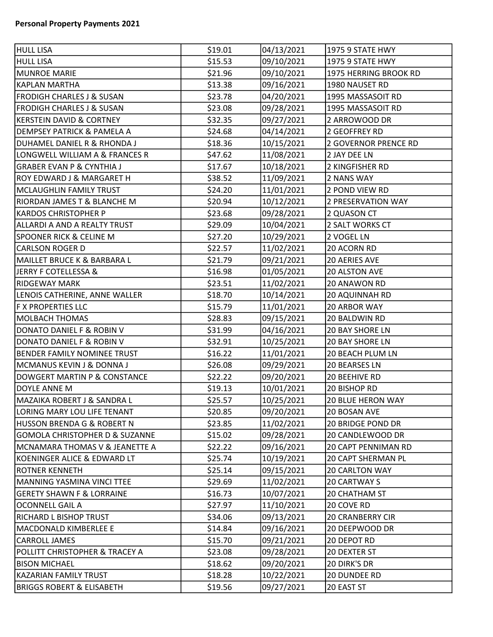| <b>HULL LISA</b>                          | \$19.01 | 04/13/2021 | 1975 9 STATE HWY            |
|-------------------------------------------|---------|------------|-----------------------------|
| HULL LISA                                 | \$15.53 | 09/10/2021 | 1975 9 STATE HWY            |
| <b>MUNROE MARIE</b>                       | \$21.96 | 09/10/2021 | 1975 HERRING BROOK RD       |
| KAPLAN MARTHA                             | \$13.38 | 09/16/2021 | 1980 NAUSET RD              |
| FRODIGH CHARLES J & SUSAN                 | \$23.78 | 04/20/2021 | 1995 MASSASOIT RD           |
| FRODIGH CHARLES J & SUSAN                 | \$23.08 | 09/28/2021 | 1995 MASSASOIT RD           |
| <b>KERSTEIN DAVID &amp; CORTNEY</b>       | \$32.35 | 09/27/2021 | 2 ARROWOOD DR               |
| <b>DEMPSEY PATRICK &amp; PAMELA A</b>     | \$24.68 | 04/14/2021 | 2 GEOFFREY RD               |
| DUHAMEL DANIEL R & RHONDA J               | \$18.36 | 10/15/2021 | <b>2 GOVERNOR PRENCE RD</b> |
| LONGWELL WILLIAM A & FRANCES R            | \$47.62 | 11/08/2021 | 2 JAY DEE LN                |
| <b>GRABER EVAN P &amp; CYNTHIA J</b>      | \$17.67 | 10/18/2021 | 2 KINGFISHER RD             |
| <b>ROY EDWARD J &amp; MARGARET H</b>      | \$38.52 | 11/09/2021 | 2 NANS WAY                  |
| MCLAUGHLIN FAMILY TRUST                   | \$24.20 | 11/01/2021 | 2 POND VIEW RD              |
| <b>RIORDAN JAMES T &amp; BLANCHE M</b>    | \$20.94 | 10/12/2021 | 2 PRESERVATION WAY          |
| <b>KARDOS CHRISTOPHER P</b>               | \$23.68 | 09/28/2021 | 2 QUASON CT                 |
| ALLARDI A AND A REALTY TRUST              | \$29.09 | 10/04/2021 | 2 SALT WORKS CT             |
| <b>SPOONER RICK &amp; CELINE M</b>        | \$27.20 | 10/29/2021 | 2 VOGEL LN                  |
| CARLSON ROGER D                           | \$22.57 | 11/02/2021 | 20 ACORN RD                 |
| MAILLET BRUCE K & BARBARA L               | \$21.79 | 09/21/2021 | 20 AERIES AVE               |
| JERRY F COTELLESSA &                      | \$16.98 | 01/05/2021 | 20 ALSTON AVE               |
| <b>RIDGEWAY MARK</b>                      | \$23.51 | 11/02/2021 | 20 ANAWON RD                |
| LENOIS CATHERINE, ANNE WALLER             | \$18.70 | 10/14/2021 | 20 AQUINNAH RD              |
| <b>F X PROPERTIES LLC</b>                 | \$15.79 | 11/01/2021 | <b>20 ARBOR WAY</b>         |
| <b>MOLBACH THOMAS</b>                     | \$28.83 | 09/15/2021 | 20 BALDWIN RD               |
| DONATO DANIEL F & ROBIN V                 | \$31.99 | 04/16/2021 | <b>20 BAY SHORE LN</b>      |
| DONATO DANIEL F & ROBIN V                 | \$32.91 | 10/25/2021 | 20 BAY SHORE LN             |
| <b>BENDER FAMILY NOMINEE TRUST</b>        | \$16.22 | 11/01/2021 | 20 BEACH PLUM LN            |
| MCMANUS KEVIN J & DONNA J                 | \$26.08 | 09/29/2021 | <b>20 BEARSES LN</b>        |
| <b>DOWGERT MARTIN P &amp; CONSTANCE</b>   | \$22.22 | 09/20/2021 | <b>20 BEEHIVE RD</b>        |
| <b>DOYLE ANNE M</b>                       | \$19.13 | 10/01/2021 | 20 BISHOP RD                |
| MAZAIKA ROBERT J & SANDRA L               | \$25.57 | 10/25/2021 | <b>20 BLUE HERON WAY</b>    |
| LORING MARY LOU LIFE TENANT               | \$20.85 | 09/20/2021 | 20 BOSAN AVE                |
| HUSSON BRENDA G & ROBERT N                | \$23.85 | 11/02/2021 | <b>20 BRIDGE POND DR</b>    |
| <b>GOMOLA CHRISTOPHER D &amp; SUZANNE</b> | \$15.02 | 09/28/2021 | 20 CANDLEWOOD DR            |
| MCNAMARA THOMAS V & JEANETTE A            | \$22.22 | 09/16/2021 | <b>20 CAPT PENNIMAN RD</b>  |
| KOENINGER ALICE & EDWARD LT               | \$25.74 | 10/19/2021 | <b>20 CAPT SHERMAN PL</b>   |
| <b>ROTNER KENNETH</b>                     | \$25.14 | 09/15/2021 | <b>20 CARLTON WAY</b>       |
| MANNING YASMINA VINCI TTEE                | \$29.69 | 11/02/2021 | <b>20 CARTWAY S</b>         |
| <b>GERETY SHAWN F &amp; LORRAINE</b>      | \$16.73 | 10/07/2021 | 20 CHATHAM ST               |
| <b>OCONNELL GAIL A</b>                    | \$27.97 | 11/10/2021 | 20 COVE RD                  |
| <b>RICHARD L BISHOP TRUST</b>             | \$34.06 | 09/13/2021 | <b>20 CRANBERRY CIR</b>     |
| MACDONALD KIMBERLEE E                     | \$14.84 | 09/16/2021 | 20 DEEPWOOD DR              |
| <b>CARROLL JAMES</b>                      | \$15.70 | 09/21/2021 | 20 DEPOT RD                 |
| POLLITT CHRISTOPHER & TRACEY A            | \$23.08 | 09/28/2021 | <b>20 DEXTER ST</b>         |
| <b>BISON MICHAEL</b>                      | \$18.62 | 09/20/2021 | 20 DIRK'S DR                |
| KAZARIAN FAMILY TRUST                     | \$18.28 | 10/22/2021 | 20 DUNDEE RD                |
| <b>BRIGGS ROBERT &amp; ELISABETH</b>      | \$19.56 | 09/27/2021 | 20 EAST ST                  |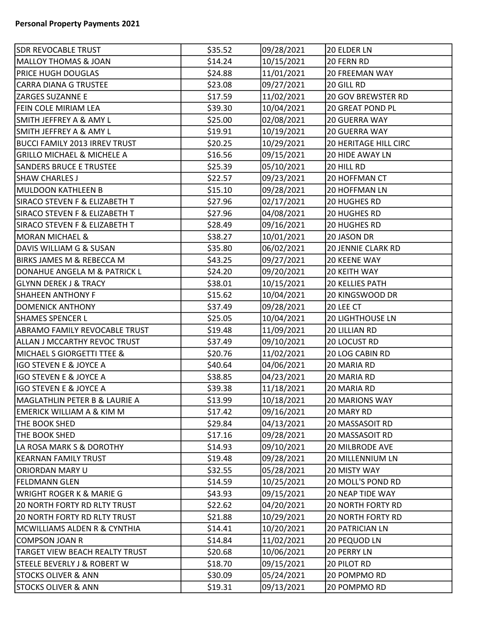| <b>SDR REVOCABLE TRUST</b>               | \$35.52 | 09/28/2021 | 20 ELDER LN                  |
|------------------------------------------|---------|------------|------------------------------|
| <b>MALLOY THOMAS &amp; JOAN</b>          | \$14.24 | 10/15/2021 | 20 FERN RD                   |
| <b>PRICE HUGH DOUGLAS</b>                | \$24.88 | 11/01/2021 | 20 FREEMAN WAY               |
| <b>CARRA DIANA G TRUSTEE</b>             | \$23.08 | 09/27/2021 | 20 GILL RD                   |
| <b>ZARGES SUZANNE E</b>                  | \$17.59 | 11/02/2021 | <b>20 GOV BREWSTER RD</b>    |
| FEIN COLE MIRIAM LEA                     | \$39.30 | 10/04/2021 | 20 GREAT POND PL             |
| <b>SMITH JEFFREY A &amp; AMY L</b>       | \$25.00 | 02/08/2021 | <b>20 GUERRA WAY</b>         |
| <b>SMITH JEFFREY A &amp; AMY L</b>       | \$19.91 | 10/19/2021 | <b>20 GUERRA WAY</b>         |
| BUCCI FAMILY 2013 IRREV TRUST            | \$20.25 | 10/29/2021 | <b>20 HERITAGE HILL CIRC</b> |
| <b>GRILLO MICHAEL &amp; MICHELE A</b>    | \$16.56 | 09/15/2021 | <b>20 HIDE AWAY LN</b>       |
| <b>SANDERS BRUCE E TRUSTEE</b>           | \$25.39 | 05/10/2021 | 20 HILL RD                   |
| <b>SHAW CHARLES J</b>                    | \$22.57 | 09/23/2021 | 20 HOFFMAN CT                |
| MULDOON KATHLEEN B                       | \$15.10 | 09/28/2021 | <b>20 HOFFMAN LN</b>         |
| <b>SIRACO STEVEN F &amp; ELIZABETH T</b> | \$27.96 | 02/17/2021 | <b>20 HUGHES RD</b>          |
| SIRACO STEVEN F & ELIZABETH T            | \$27.96 | 04/08/2021 | <b>20 HUGHES RD</b>          |
| SIRACO STEVEN F & ELIZABETH T            | \$28.49 | 09/16/2021 | <b>20 HUGHES RD</b>          |
| <b>MORAN MICHAEL &amp;</b>               | \$38.27 | 10/01/2021 | 20 JASON DR                  |
| DAVIS WILLIAM G & SUSAN                  | \$35.80 | 06/02/2021 | <b>20 JENNIE CLARK RD</b>    |
| <b>BIRKS JAMES M &amp; REBECCA M</b>     | \$43.25 | 09/27/2021 | 20 KEENE WAY                 |
| DONAHUE ANGELA M & PATRICK L             | \$24.20 | 09/20/2021 | <b>20 KEITH WAY</b>          |
| <b>GLYNN DEREK J &amp; TRACY</b>         | \$38.01 | 10/15/2021 | <b>20 KELLIES PATH</b>       |
| <b>SHAHEEN ANTHONY F</b>                 | \$15.62 | 10/04/2021 | 20 KINGSWOOD DR              |
| <b>DOMENICK ANTHONY</b>                  | \$37.49 | 09/28/2021 | 20 LEE CT                    |
| <b>SHAMES SPENCER L</b>                  | \$25.05 | 10/04/2021 | <b>20 LIGHTHOUSE LN</b>      |
| ABRAMO FAMILY REVOCABLE TRUST            | \$19.48 | 11/09/2021 | 20 LILLIAN RD                |
| ALLAN J MCCARTHY REVOC TRUST             | \$37.49 | 09/10/2021 | <b>20 LOCUST RD</b>          |
| <b>MICHAEL S GIORGETTI TTEE &amp;</b>    | \$20.76 | 11/02/2021 | 20 LOG CABIN RD              |
| IGO STEVEN E & JOYCE A                   | \$40.64 | 04/06/2021 | 20 MARIA RD                  |
| IGO STEVEN E & JOYCE A                   | \$38.85 | 04/23/2021 | 20 MARIA RD                  |
| IGO STEVEN E & JOYCE A                   | \$39.38 | 11/18/2021 | 20 MARIA RD                  |
| MAGLATHLIN PETER B & LAURIE A            | \$13.99 | 10/18/2021 | 20 MARIONS WAY               |
| <b>EMERICK WILLIAM A &amp; KIM M</b>     | \$17.42 | 09/16/2021 | 20 MARY RD                   |
| THE BOOK SHED                            | \$29.84 | 04/13/2021 | 20 MASSASOIT RD              |
| THE BOOK SHED                            | \$17.16 | 09/28/2021 | 20 MASSASOIT RD              |
| LA ROSA MARK S & DOROTHY                 | \$14.93 | 09/10/2021 | <b>20 MILBRODE AVE</b>       |
| <b>KEARNAN FAMILY TRUST</b>              | \$19.48 | 09/28/2021 | <b>20 MILLENNIUM LN</b>      |
| <b>ORIORDAN MARY U</b>                   | \$32.55 | 05/28/2021 | 20 MISTY WAY                 |
| <b>FELDMANN GLEN</b>                     | \$14.59 | 10/25/2021 | 20 MOLL'S POND RD            |
| <b>WRIGHT ROGER K &amp; MARIE G</b>      | \$43.93 | 09/15/2021 | <b>20 NEAP TIDE WAY</b>      |
| <b>20 NORTH FORTY RD RLTY TRUST</b>      | \$22.62 | 04/20/2021 | <b>20 NORTH FORTY RD</b>     |
| 20 NORTH FORTY RD RLTY TRUST             | \$21.88 | 10/29/2021 | <b>20 NORTH FORTY RD</b>     |
| MCWILLIAMS ALDEN R & CYNTHIA             | \$14.41 | 10/20/2021 | <b>20 PATRICIAN LN</b>       |
| COMPSON JOAN R                           | \$14.84 | 11/02/2021 | 20 PEQUOD LN                 |
| TARGET VIEW BEACH REALTY TRUST           | \$20.68 | 10/06/2021 | 20 PERRY LN                  |
| STEELE BEVERLY J & ROBERT W              | \$18.70 | 09/15/2021 | <b>20 PILOT RD</b>           |
| <b>STOCKS OLIVER &amp; ANN</b>           | \$30.09 | 05/24/2021 | 20 POMPMO RD                 |
| <b>STOCKS OLIVER &amp; ANN</b>           | \$19.31 | 09/13/2021 | 20 POMPMO RD                 |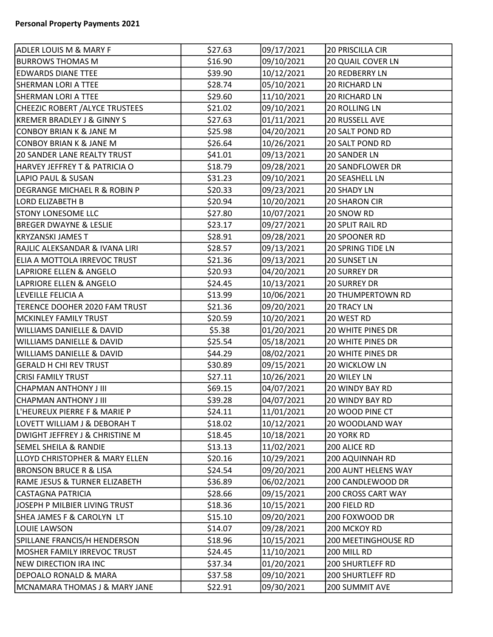| <b>ADLER LOUIS M &amp; MARY F</b>        | \$27.63 | 09/17/2021 | 20 PRISCILLA CIR         |
|------------------------------------------|---------|------------|--------------------------|
| <b>BURROWS THOMAS M</b>                  | \$16.90 | 09/10/2021 | <b>20 QUAIL COVER LN</b> |
| <b>EDWARDS DIANE TTEE</b>                | \$39.90 | 10/12/2021 | 20 REDBERRY LN           |
| <b>SHERMAN LORI A TTEE</b>               | \$28.74 | 05/10/2021 | <b>20 RICHARD LN</b>     |
| <b>SHERMAN LORI A TTEE</b>               | \$29.60 | 11/10/2021 | 20 RICHARD LN            |
| CHEEZIC ROBERT / ALYCE TRUSTEES          | \$21.02 | 09/10/2021 | <b>20 ROLLING LN</b>     |
| <b>KREMER BRADLEY J &amp; GINNY S</b>    | \$27.63 | 01/11/2021 | <b>20 RUSSELL AVE</b>    |
| <b>CONBOY BRIAN K &amp; JANE M</b>       | \$25.98 | 04/20/2021 | <b>20 SALT POND RD</b>   |
| <b>CONBOY BRIAN K &amp; JANE M</b>       | \$26.64 | 10/26/2021 | 20 SALT POND RD          |
| <b>20 SANDER LANE REALTY TRUST</b>       | \$41.01 | 09/13/2021 | 20 SANDER LN             |
| HARVEY JEFFREY T & PATRICIA O            | \$18.79 | 09/28/2021 | <b>20 SANDFLOWER DR</b>  |
| LAPIO PAUL & SUSAN                       | \$31.23 | 09/10/2021 | <b>20 SEASHELL LN</b>    |
| DEGRANGE MICHAEL R & ROBIN P             | \$20.33 | 09/23/2021 | <b>20 SHADY LN</b>       |
| <b>LORD ELIZABETH B</b>                  | \$20.94 | 10/20/2021 | <b>20 SHARON CIR</b>     |
| <b>STONY LONESOME LLC</b>                | \$27.80 | 10/07/2021 | 20 SNOW RD               |
| <b>BREGER DWAYNE &amp; LESLIE</b>        | \$23.17 | 09/27/2021 | <b>20 SPLIT RAIL RD</b>  |
| <b>KRYZANSKI JAMES T</b>                 | \$28.91 | 09/28/2021 | 20 SPOONER RD            |
| RAJLIC ALEKSANDAR & IVANA LIRI           | \$28.57 | 09/13/2021 | <b>20 SPRING TIDE LN</b> |
| ELIA A MOTTOLA IRREVOC TRUST             | \$21.36 | 09/13/2021 | <b>20 SUNSET LN</b>      |
| LAPRIORE ELLEN & ANGELO                  | \$20.93 | 04/20/2021 | <b>20 SURREY DR</b>      |
| LAPRIORE ELLEN & ANGELO                  | \$24.45 | 10/13/2021 | <b>20 SURREY DR</b>      |
| LEVEILLE FELICIA A                       | \$13.99 | 10/06/2021 | <b>20 THUMPERTOWN RD</b> |
| TERENCE DOOHER 2020 FAM TRUST            | \$21.36 | 09/20/2021 | <b>20 TRACY LN</b>       |
| <b>MCKINLEY FAMILY TRUST</b>             | \$20.59 | 10/20/2021 | 20 WEST RD               |
| <b>WILLIAMS DANIELLE &amp; DAVID</b>     | \$5.38  | 01/20/2021 | <b>20 WHITE PINES DR</b> |
| <b>WILLIAMS DANIELLE &amp; DAVID</b>     | \$25.54 | 05/18/2021 | <b>20 WHITE PINES DR</b> |
| <b>WILLIAMS DANIELLE &amp; DAVID</b>     | \$44.29 | 08/02/2021 | 20 WHITE PINES DR        |
| <b>GERALD H CHI REV TRUST</b>            | \$30.89 | 09/15/2021 | <b>20 WICKLOW LN</b>     |
| <b>CRISI FAMILY TRUST</b>                | \$27.11 | 10/26/2021 | 20 WILEY LN              |
| <b>CHAPMAN ANTHONY J III</b>             | \$69.15 | 04/07/2021 | <b>20 WINDY BAY RD</b>   |
| CHAPMAN ANTHONY J III                    | \$39.28 | 04/07/2021 | <b>20 WINDY BAY RD</b>   |
| L'HEUREUX PIERRE F & MARIE P             | \$24.11 | 11/01/2021 | 20 WOOD PINE CT          |
| LOVETT WILLIAM J & DEBORAH T             | \$18.02 | 10/12/2021 | <b>20 WOODLAND WAY</b>   |
| DWIGHT JEFFREY J & CHRISTINE M           | \$18.45 | 10/18/2021 | 20 YORK RD               |
| <b>SEMEL SHEILA &amp; RANDIE</b>         | \$13.13 | 11/02/2021 | 200 ALICE RD             |
| LLOYD CHRISTOPHER & MARY ELLEN           | \$20.16 | 10/29/2021 | 200 AQUINNAH RD          |
| <b>BRONSON BRUCE R &amp; LISA</b>        | \$24.54 | 09/20/2021 | 200 AUNT HELENS WAY      |
| <b>RAME JESUS &amp; TURNER ELIZABETH</b> | \$36.89 | 06/02/2021 | 200 CANDLEWOOD DR        |
| <b>CASTAGNA PATRICIA</b>                 | \$28.66 | 09/15/2021 | 200 CROSS CART WAY       |
| JOSEPH P MILBIER LIVING TRUST            | \$18.36 | 10/15/2021 | 200 FIELD RD             |
| SHEA JAMES F & CAROLYN LT                | \$15.10 | 09/20/2021 | 200 FOXWOOD DR           |
| LOUIE LAWSON                             | \$14.07 | 09/28/2021 | 200 MCKOY RD             |
| SPILLANE FRANCIS/H HENDERSON             | \$18.96 | 10/15/2021 | 200 MEETINGHOUSE RD      |
| MOSHER FAMILY IRREVOC TRUST              | \$24.45 | 11/10/2021 | 200 MILL RD              |
| <b>NEW DIRECTION IRA INC</b>             | \$37.34 | 01/20/2021 | 200 SHURTLEFF RD         |
| DEPOALO RONALD & MARA                    | \$37.58 | 09/10/2021 | <b>200 SHURTLEFF RD</b>  |
| MCNAMARA THOMAS J & MARY JANE            | \$22.91 | 09/30/2021 | 200 SUMMIT AVE           |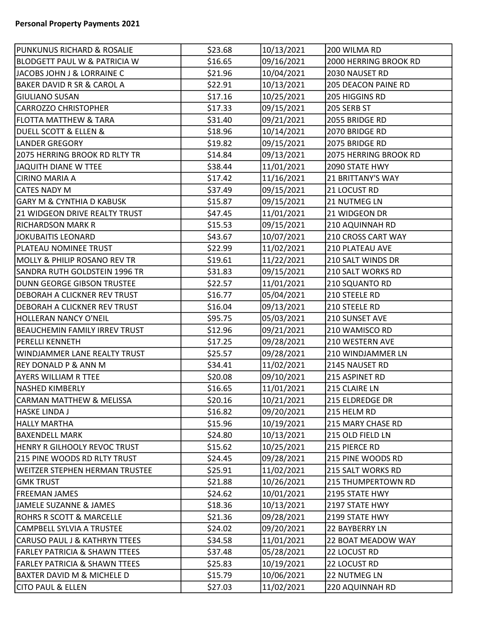| PUNKUNUS RICHARD & ROSALIE               | \$23.68 | 10/13/2021 | 200 WILMA RD               |
|------------------------------------------|---------|------------|----------------------------|
| <b>BLODGETT PAUL W &amp; PATRICIA W</b>  | \$16.65 | 09/16/2021 | 2000 HERRING BROOK RD      |
| JACOBS JOHN J & LORRAINE C               | \$21.96 | 10/04/2021 | 2030 NAUSET RD             |
| <b>BAKER DAVID R SR &amp; CAROL A</b>    | \$22.91 | 10/13/2021 | <b>205 DEACON PAINE RD</b> |
| <b>GIULIANO SUSAN</b>                    | \$17.16 | 10/25/2021 | 205 HIGGINS RD             |
| <b>CARROZZO CHRISTOPHER</b>              | \$17.33 | 09/15/2021 | 205 SERB ST                |
| <b>FLOTTA MATTHEW &amp; TARA</b>         | \$31.40 | 09/21/2021 | 2055 BRIDGE RD             |
| <b>DUELL SCOTT &amp; ELLEN &amp;</b>     | \$18.96 | 10/14/2021 | 2070 BRIDGE RD             |
| <b>LANDER GREGORY</b>                    | \$19.82 | 09/15/2021 | 2075 BRIDGE RD             |
| 2075 HERRING BROOK RD RLTY TR            | \$14.84 | 09/13/2021 | 2075 HERRING BROOK RD      |
| JAQUITH DIANE W TTEE                     | \$38.44 | 11/01/2021 | 2090 STATE HWY             |
| <b>CIRINO MARIA A</b>                    | \$17.42 | 11/16/2021 | 21 BRITTANY'S WAY          |
| <b>CATES NADY M</b>                      | \$37.49 | 09/15/2021 | 21 LOCUST RD               |
| GARY M & CYNTHIA D KABUSK                | \$15.87 | 09/15/2021 | <b>21 NUTMEG LN</b>        |
| 21 WIDGEON DRIVE REALTY TRUST            | \$47.45 | 11/01/2021 | 21 WIDGEON DR              |
| <b>RICHARDSON MARK R</b>                 | \$15.53 | 09/15/2021 | <b>210 AQUINNAH RD</b>     |
| JOKUBAITIS LEONARD                       | \$43.67 | 10/07/2021 | 210 CROSS CART WAY         |
| PLATEAU NOMINEE TRUST                    | \$22.99 | 11/02/2021 | 210 PLATEAU AVE            |
| MOLLY & PHILIP ROSANO REV TR             | \$19.61 | 11/22/2021 | 210 SALT WINDS DR          |
| SANDRA RUTH GOLDSTEIN 1996 TR            | \$31.83 | 09/15/2021 | 210 SALT WORKS RD          |
| <b>DUNN GEORGE GIBSON TRUSTEE</b>        | \$22.57 | 11/01/2021 | 210 SQUANTO RD             |
| <b>DEBORAH A CLICKNER REV TRUST</b>      | \$16.77 | 05/04/2021 | 210 STEELE RD              |
| <b>DEBORAH A CLICKNER REV TRUST</b>      | \$16.04 | 09/13/2021 | 210 STEELE RD              |
| <b>HOLLERAN NANCY O'NEIL</b>             | \$95.75 | 05/03/2021 | 210 SUNSET AVE             |
| <b>BEAUCHEMIN FAMILY IRREV TRUST</b>     | \$12.96 | 09/21/2021 | 210 WAMISCO RD             |
| PERELLI KENNETH                          | \$17.25 | 09/28/2021 | 210 WESTERN AVE            |
| WINDJAMMER LANE REALTY TRUST             | \$25.57 | 09/28/2021 | 210 WINDJAMMER LN          |
| <b>REY DONALD P &amp; ANN M</b>          | \$34.41 | 11/02/2021 | 2145 NAUSET RD             |
| <b>AYERS WILLIAM R TTEE</b>              | \$20.08 | 09/10/2021 | 215 ASPINET RD             |
| <b>NASHED KIMBERLY</b>                   | \$16.65 | 11/01/2021 | 215 CLAIRE LN              |
| <b>CARMAN MATTHEW &amp; MELISSA</b>      | \$20.16 | 10/21/2021 | 215 ELDREDGE DR            |
| HASKE LINDA J                            | \$16.82 | 09/20/2021 | 215 HELM RD                |
| <b>HALLY MARTHA</b>                      | \$15.96 | 10/19/2021 | 215 MARY CHASE RD          |
| <b>BAXENDELL MARK</b>                    | \$24.80 | 10/13/2021 | 215 OLD FIELD LN           |
| HENRY R GILHOOLY REVOC TRUST             | \$15.62 | 10/25/2021 | 215 PIERCE RD              |
| 215 PINE WOODS RD RLTY TRUST             | \$24.45 | 09/28/2021 | 215 PINE WOODS RD          |
| <b>WEITZER STEPHEN HERMAN TRUSTEE</b>    | \$25.91 | 11/02/2021 | 215 SALT WORKS RD          |
| GMK TRUST                                | \$21.88 | 10/26/2021 | <b>215 THUMPERTOWN RD</b>  |
| <b>FREEMAN JAMES</b>                     | \$24.62 | 10/01/2021 | 2195 STATE HWY             |
| JAMELE SUZANNE & JAMES                   | \$18.36 | 10/13/2021 | 2197 STATE HWY             |
| ROHRS R SCOTT & MARCELLE                 | \$21.36 | 09/28/2021 | 2199 STATE HWY             |
| CAMPBELL SYLVIA A TRUSTEE                | \$24.02 | 09/20/2021 | 22 BAYBERRY LN             |
| <b>CARUSO PAUL J &amp; KATHRYN TTEES</b> | \$34.58 | 11/01/2021 | 22 BOAT MEADOW WAY         |
| <b>FARLEY PATRICIA &amp; SHAWN TTEES</b> | \$37.48 | 05/28/2021 | 22 LOCUST RD               |
| <b>FARLEY PATRICIA &amp; SHAWN TTEES</b> | \$25.83 | 10/19/2021 | 22 LOCUST RD               |
| <b>BAXTER DAVID M &amp; MICHELE D</b>    | \$15.79 | 10/06/2021 | 22 NUTMEG LN               |
| <b>CITO PAUL &amp; ELLEN</b>             | \$27.03 | 11/02/2021 | 220 AQUINNAH RD            |
|                                          |         |            |                            |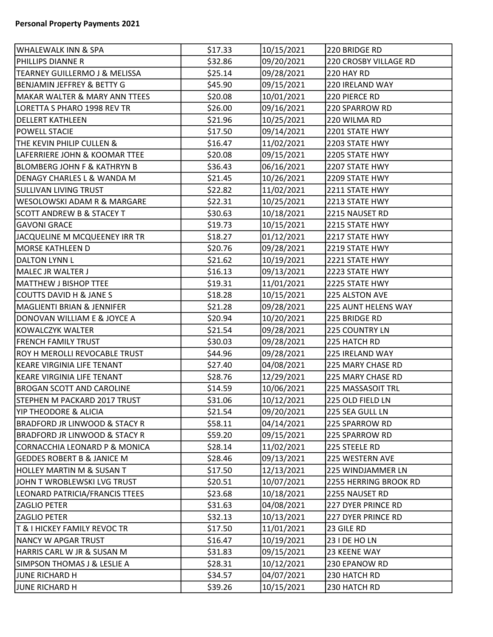| WHALEWALK INN & SPA                      | \$17.33 | 10/15/2021 | 220 BRIDGE RD         |
|------------------------------------------|---------|------------|-----------------------|
| PHILLIPS DIANNE R                        | \$32.86 | 09/20/2021 | 220 CROSBY VILLAGE RD |
| TEARNEY GUILLERMO J & MELISSA            | \$25.14 | 09/28/2021 | 220 HAY RD            |
| BENJAMIN JEFFREY & BETTY G               | \$45.90 | 09/15/2021 | 220 IRELAND WAY       |
| <b>MAKAR WALTER &amp; MARY ANN TTEES</b> | \$20.08 | 10/01/2021 | 220 PIERCE RD         |
| LORETTA S PHARO 1998 REV TR              | \$26.00 | 09/16/2021 | 220 SPARROW RD        |
| <b>DELLERT KATHLEEN</b>                  | \$21.96 | 10/25/2021 | 220 WILMA RD          |
| <b>POWELL STACIE</b>                     | \$17.50 | 09/14/2021 | 2201 STATE HWY        |
| THE KEVIN PHILIP CULLEN &                | \$16.47 | 11/02/2021 | 2203 STATE HWY        |
| LAFERRIERE JOHN & KOOMAR TTEE            | \$20.08 | 09/15/2021 | 2205 STATE HWY        |
| <b>BLOMBERG JOHN F &amp; KATHRYN B</b>   | \$36.43 | 06/16/2021 | 2207 STATE HWY        |
| DENAGY CHARLES L & WANDA M               | \$21.45 | 10/26/2021 | 2209 STATE HWY        |
| <b>SULLIVAN LIVING TRUST</b>             | \$22.82 | 11/02/2021 | 2211 STATE HWY        |
| <b>WESOLOWSKI ADAM R &amp; MARGARE</b>   | \$22.31 | 10/25/2021 | 2213 STATE HWY        |
| <b>SCOTT ANDREW B &amp; STACEY T</b>     | \$30.63 | 10/18/2021 | 2215 NAUSET RD        |
| <b>GAVONI GRACE</b>                      | \$19.73 | 10/15/2021 | 2215 STATE HWY        |
| JACQUELINE M MCQUEENEY IRR TR            | \$18.27 | 01/12/2021 | 2217 STATE HWY        |
| MORSE KATHLEEN D                         | \$20.76 | 09/28/2021 | 2219 STATE HWY        |
| <b>DALTON LYNN L</b>                     | \$21.62 | 10/19/2021 | 2221 STATE HWY        |
| MALEC JR WALTER J                        | \$16.13 | 09/13/2021 | 2223 STATE HWY        |
| MATTHEW J BISHOP TTEE                    | \$19.31 | 11/01/2021 | 2225 STATE HWY        |
| COUTTS DAVID H & JANE S                  | \$18.28 | 10/15/2021 | 225 ALSTON AVE        |
| MAGLIENTI BRIAN & JENNIFER               | \$21.28 | 09/28/2021 | 225 AUNT HELENS WAY   |
| DONOVAN WILLIAM E & JOYCE A              | \$20.94 | 10/20/2021 | 225 BRIDGE RD         |
| KOWALCZYK WALTER                         | \$21.54 | 09/28/2021 | 225 COUNTRY LN        |
| FRENCH FAMILY TRUST                      | \$30.03 | 09/28/2021 | 225 HATCH RD          |
| ROY H MEROLLI REVOCABLE TRUST            | \$44.96 | 09/28/2021 | 225 IRELAND WAY       |
| KEARE VIRGINIA LIFE TENANT               | \$27.40 | 04/08/2021 | 225 MARY CHASE RD     |
| KEARE VIRGINIA LIFE TENANT               | \$28.76 | 12/29/2021 | 225 MARY CHASE RD     |
| <b>BROGAN SCOTT AND CAROLINE</b>         | \$14.59 | 10/06/2021 | 225 MASSASOIT TRL     |
| STEPHEN M PACKARD 2017 TRUST             | \$31.06 | 10/12/2021 | 225 OLD FIELD LN      |
| YIP THEODORE & ALICIA                    | \$21.54 | 09/20/2021 | 225 SEA GULL LN       |
| BRADFORD JR LINWOOD & STACY R            | \$58.11 | 04/14/2021 | 225 SPARROW RD        |
| BRADFORD JR LINWOOD & STACY R            | \$59.20 | 09/15/2021 | 225 SPARROW RD        |
| CORNACCHIA LEONARD P & MONICA            | \$28.14 | 11/02/2021 | 225 STEELE RD         |
| <b>GEDDES ROBERT B &amp; JANICE M</b>    | \$28.46 | 09/13/2021 | 225 WESTERN AVE       |
| HOLLEY MARTIN M & SUSAN T                | \$17.50 | 12/13/2021 | 225 WINDJAMMER LN     |
| JOHN T WROBLEWSKI LVG TRUST              | \$20.51 | 10/07/2021 | 2255 HERRING BROOK RD |
| LEONARD PATRICIA/FRANCIS TTEES           | \$23.68 | 10/18/2021 | 2255 NAUSET RD        |
| <b>ZAGLIO PETER</b>                      | \$31.63 | 04/08/2021 | 227 DYER PRINCE RD    |
| <b>ZAGLIO PETER</b>                      | \$32.13 | 10/13/2021 | 227 DYER PRINCE RD    |
| T & I HICKEY FAMILY REVOC TR             | \$17.50 | 11/01/2021 | 23 GILE RD            |
| NANCY W APGAR TRUST                      | \$16.47 | 10/19/2021 | 23 I DE HO LN         |
| HARRIS CARL W JR & SUSAN M               | \$31.83 | 09/15/2021 | 23 KEENE WAY          |
| SIMPSON THOMAS J & LESLIE A              | \$28.31 | 10/12/2021 | 230 EPANOW RD         |
| JUNE RICHARD H                           | \$34.57 | 04/07/2021 | 230 HATCH RD          |
| JUNE RICHARD H                           | \$39.26 | 10/15/2021 | 230 HATCH RD          |
|                                          |         |            |                       |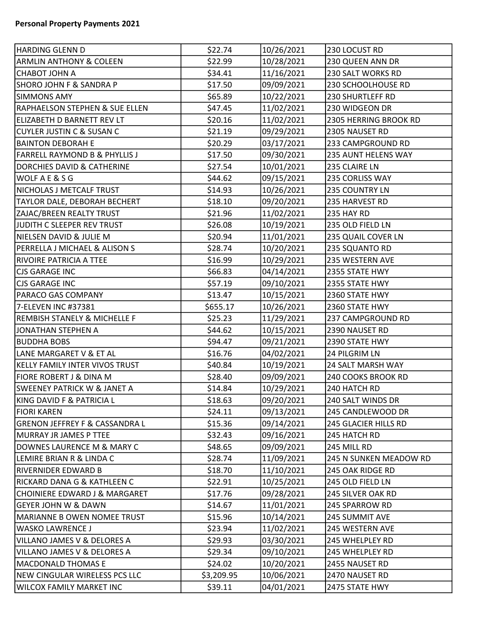| HARDING GLENN D                           | \$22.74    | 10/26/2021 | 230 LOCUST RD           |
|-------------------------------------------|------------|------------|-------------------------|
| <b>ARMLIN ANTHONY &amp; COLEEN</b>        | \$22.99    | 10/28/2021 | 230 QUEEN ANN DR        |
| <b>CHABOT JOHN A</b>                      | \$34.41    | 11/16/2021 | 230 SALT WORKS RD       |
| SHORO JOHN F & SANDRA P                   | \$17.50    | 09/09/2021 | 230 SCHOOLHOUSE RD      |
| <b>SIMMONS AMY</b>                        | \$65.89    | 10/22/2021 | <b>230 SHURTLEFF RD</b> |
| <b>RAPHAELSON STEPHEN &amp; SUE ELLEN</b> | \$47.45    | 11/02/2021 | 230 WIDGEON DR          |
| ELIZABETH D BARNETT REV LT                | \$20.16    | 11/02/2021 | 2305 HERRING BROOK RD   |
| <b>CUYLER JUSTIN C &amp; SUSAN C</b>      | \$21.19    | 09/29/2021 | 2305 NAUSET RD          |
| <b>BAINTON DEBORAH E</b>                  | \$20.29    | 03/17/2021 | 233 CAMPGROUND RD       |
| FARRELL RAYMOND B & PHYLLIS J             | \$17.50    | 09/30/2021 | 235 AUNT HELENS WAY     |
| <b>DORCHIES DAVID &amp; CATHERINE</b>     | \$27.54    | 10/01/2021 | 235 CLAIRE LN           |
| <b>WOLF A E &amp; S G</b>                 | \$44.62    | 09/15/2021 | 235 CORLISS WAY         |
| NICHOLAS J METCALF TRUST                  | \$14.93    | 10/26/2021 | 235 COUNTRY LN          |
| TAYLOR DALE, DEBORAH BECHERT              | \$18.10    | 09/20/2021 | 235 HARVEST RD          |
| ZAJAC/BREEN REALTY TRUST                  | \$21.96    | 11/02/2021 | 235 HAY RD              |
| JUDITH C SLEEPER REV TRUST                | \$26.08    | 10/19/2021 | 235 OLD FIELD LN        |
| NIELSEN DAVID & JULIE M                   | \$20.94    | 11/01/2021 | 235 QUAIL COVER LN      |
| PERRELLA J MICHAEL & ALISON S             | \$28.74    | 10/20/2021 | 235 SQUANTO RD          |
| <b>RIVOIRE PATRICIA A TTEE</b>            | \$16.99    | 10/29/2021 | 235 WESTERN AVE         |
| CJS GARAGE INC                            | \$66.83    | 04/14/2021 | 2355 STATE HWY          |
| CJS GARAGE INC                            | \$57.19    | 09/10/2021 | 2355 STATE HWY          |
| <b>PARACO GAS COMPANY</b>                 | \$13.47    | 10/15/2021 | 2360 STATE HWY          |
| 7-ELEVEN INC #37381                       | \$655.17   | 10/26/2021 | 2360 STATE HWY          |
| REMBISH STANELY & MICHELLE F              | \$25.23    | 11/29/2021 | 237 CAMPGROUND RD       |
| JONATHAN STEPHEN A                        | \$44.62    | 10/15/2021 | 2390 NAUSET RD          |
| BUDDHA BOBS                               | \$94.47    | 09/21/2021 | 2390 STATE HWY          |
| LANE MARGARET V & ET AL                   | \$16.76    | 04/02/2021 | 24 PILGRIM LN           |
| KELLY FAMILY INTER VIVOS TRUST            | \$40.84    | 10/19/2021 | 24 SALT MARSH WAY       |
| <b>FIORE ROBERT J &amp; DINA M</b>        | \$28.40    | 09/09/2021 | 240 COOKS BROOK RD      |
| <b>SWEENEY PATRICK W &amp; JANET A</b>    | \$14.84    | 10/29/2021 | 240 HATCH RD            |
| KING DAVID F & PATRICIA L                 | \$18.63    | 09/20/2021 | 240 SALT WINDS DR       |
| <b>FIORI KAREN</b>                        | \$24.11    | 09/13/2021 | 245 CANDLEWOOD DR       |
| <b>GRENON JEFFREY F &amp; CASSANDRA L</b> | \$15.36    | 09/14/2021 | 245 GLACIER HILLS RD    |
| MURRAY JR JAMES P TTEE                    | \$32.43    | 09/16/2021 | 245 HATCH RD            |
| DOWNES LAURENCE M & MARY C                | \$48.65    | 09/09/2021 | 245 MILL RD             |
| LEMIRE BRIAN R & LINDA C                  | \$28.74    | 11/09/2021 | 245 N SUNKEN MEADOW RD  |
| RIVERNIDER EDWARD B                       | \$18.70    | 11/10/2021 | 245 OAK RIDGE RD        |
| RICKARD DANA G & KATHLEEN C               | \$22.91    | 10/25/2021 | 245 OLD FIELD LN        |
| CHOINIERE EDWARD J & MARGARET             | \$17.76    | 09/28/2021 | 245 SILVER OAK RD       |
| <b>GEYER JOHN W &amp; DAWN</b>            | \$14.67    | 11/01/2021 | 245 SPARROW RD          |
| MARIANNE B OWEN NOMEE TRUST               | \$15.96    | 10/14/2021 | 245 SUMMIT AVE          |
| <b>WASKO LAWRENCE J</b>                   | \$23.94    | 11/02/2021 | 245 WESTERN AVE         |
| VILLANO JAMES V & DELORES A               | \$29.93    | 03/30/2021 | 245 WHELPLEY RD         |
| VILLANO JAMES V & DELORES A               | \$29.34    | 09/10/2021 | 245 WHELPLEY RD         |
| <b>MACDONALD THOMAS E</b>                 | \$24.02    | 10/20/2021 | 2455 NAUSET RD          |
| NEW CINGULAR WIRELESS PCS LLC             | \$3,209.95 | 10/06/2021 | 2470 NAUSET RD          |
| <b>WILCOX FAMILY MARKET INC</b>           | \$39.11    | 04/01/2021 | 2475 STATE HWY          |
|                                           |            |            |                         |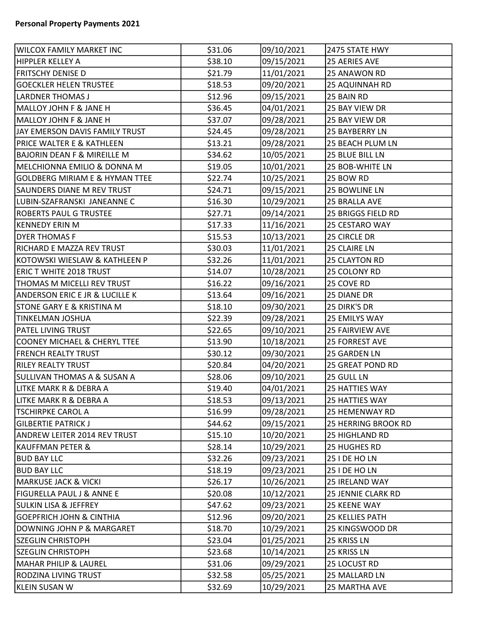| WILCOX FAMILY MARKET INC                  | \$31.06 | 09/10/2021 | 2475 STATE HWY          |
|-------------------------------------------|---------|------------|-------------------------|
| HIPPLER KELLEY A                          | \$38.10 | 09/15/2021 | 25 AERIES AVE           |
| <b>FRITSCHY DENISE D</b>                  | \$21.79 | 11/01/2021 | 25 ANAWON RD            |
| <b>GOECKLER HELEN TRUSTEE</b>             | \$18.53 | 09/20/2021 | 25 AQUINNAH RD          |
| <b>LARDNER THOMAS J</b>                   | \$12.96 | 09/15/2021 | 25 BAIN RD              |
| MALLOY JOHN F & JANE H                    | \$36.45 | 04/01/2021 | 25 BAY VIEW DR          |
| MALLOY JOHN F & JANE H                    | \$37.07 | 09/28/2021 | 25 BAY VIEW DR          |
| JAY EMERSON DAVIS FAMILY TRUST            | \$24.45 | 09/28/2021 | 25 BAYBERRY LN          |
| <b>PRICE WALTER E &amp; KATHLEEN</b>      | \$13.21 | 09/28/2021 | <b>25 BEACH PLUM LN</b> |
| <b>BAJORIN DEAN F &amp; MIREILLE M</b>    | \$34.62 | 10/05/2021 | 25 BLUE BILL LN         |
| MELCHIONNA EMILIO & DONNA M               | \$19.05 | 10/01/2021 | 25 BOB-WHITE LN         |
| <b>GOLDBERG MIRIAM E &amp; HYMAN TTEE</b> | \$22.74 | 10/25/2021 | 25 BOW RD               |
| <b>SAUNDERS DIANE M REV TRUST</b>         | \$24.71 | 09/15/2021 | 25 BOWLINE LN           |
| LUBIN-SZAFRANSKI JANEANNE C               | \$16.30 | 10/29/2021 | 25 BRALLA AVE           |
| <b>ROBERTS PAUL G TRUSTEE</b>             | \$27.71 | 09/14/2021 | 25 BRIGGS FIELD RD      |
| <b>KENNEDY ERIN M</b>                     | \$17.33 | 11/16/2021 | 25 CESTARO WAY          |
| <b>DYER THOMAS F</b>                      | \$15.53 | 10/13/2021 | 25 CIRCLE DR            |
| RICHARD E MAZZA REV TRUST                 | \$30.03 | 11/01/2021 | 25 CLAIRE LN            |
| KOTOWSKI WIESLAW & KATHLEEN P             | \$32.26 | 11/01/2021 | 25 CLAYTON RD           |
| <b>ERIC T WHITE 2018 TRUST</b>            | \$14.07 | 10/28/2021 | 25 COLONY RD            |
| THOMAS M MICELLI REV TRUST                | \$16.22 | 09/16/2021 | 25 COVE RD              |
| <b>ANDERSON ERIC E JR &amp; LUCILLE K</b> | \$13.64 | 09/16/2021 | 25 DIANE DR             |
| <b>STONE GARY E &amp; KRISTINA M</b>      | \$18.10 | 09/30/2021 | 25 DIRK'S DR            |
| <b>TINKELMAN JOSHUA</b>                   | \$22.39 | 09/28/2021 | <b>25 EMILYS WAY</b>    |
| <b>PATEL LIVING TRUST</b>                 | \$22.65 | 09/10/2021 | <b>25 FAIRVIEW AVE</b>  |
| <b>COONEY MICHAEL &amp; CHERYL TTEE</b>   | \$13.90 | 10/18/2021 | <b>25 FORREST AVE</b>   |
| <b>FRENCH REALTY TRUST</b>                | \$30.12 | 09/30/2021 | 25 GARDEN LN            |
| <b>RILEY REALTY TRUST</b>                 | \$20.84 | 04/20/2021 | <b>25 GREAT POND RD</b> |
| <b>SULLIVAN THOMAS A &amp; SUSAN A</b>    | \$28.06 | 09/10/2021 | 25 GULL LN              |
| LITKE MARK R & DEBRA A                    | \$19.40 | 04/01/2021 | 25 HATTIES WAY          |
| LITKE MARK R & DEBRA A                    | \$18.53 | 09/13/2021 | <b>25 HATTIES WAY</b>   |
| <b>TSCHIRPKE CAROL A</b>                  | \$16.99 | 09/28/2021 | 25 HEMENWAY RD          |
| <b>GILBERTIE PATRICK J</b>                | \$44.62 | 09/15/2021 | 25 HERRING BROOK RD     |
| ANDREW LEITER 2014 REV TRUST              | \$15.10 | 10/20/2021 | 25 HIGHLAND RD          |
| <b>KAUFFMAN PETER &amp;</b>               | \$28.14 | 10/29/2021 | 25 HUGHES RD            |
| <b>BUD BAY LLC</b>                        | \$32.26 | 09/23/2021 | 25 I DE HO LN           |
| <b>BUD BAY LLC</b>                        | \$18.19 | 09/23/2021 | 25 I DE HO LN           |
| <b>MARKUSE JACK &amp; VICKI</b>           | \$26.17 | 10/26/2021 | 25 IRELAND WAY          |
| <b>FIGURELLA PAUL J &amp; ANNE E</b>      | \$20.08 | 10/12/2021 | 25 JENNIE CLARK RD      |
| <b>SULKIN LISA &amp; JEFFREY</b>          | \$47.62 | 09/23/2021 | <b>25 KEENE WAY</b>     |
| <b>GOEPFRICH JOHN &amp; CINTHIA</b>       | \$12.96 | 09/20/2021 | <b>25 KELLIES PATH</b>  |
| DOWNING JOHN P & MARGARET                 | \$18.70 | 10/29/2021 | 25 KINGSWOOD DR         |
| <b>SZEGLIN CHRISTOPH</b>                  | \$23.04 | 01/25/2021 | 25 KRISS LN             |
| <b>SZEGLIN CHRISTOPH</b>                  | \$23.68 | 10/14/2021 | 25 KRISS LN             |
| <b>MAHAR PHILIP &amp; LAUREL</b>          | \$31.06 | 09/29/2021 | 25 LOCUST RD            |
| RODZINA LIVING TRUST                      | \$32.58 | 05/25/2021 | 25 MALLARD LN           |
| KLEIN SUSAN W                             | \$32.69 | 10/29/2021 | 25 MARTHA AVE           |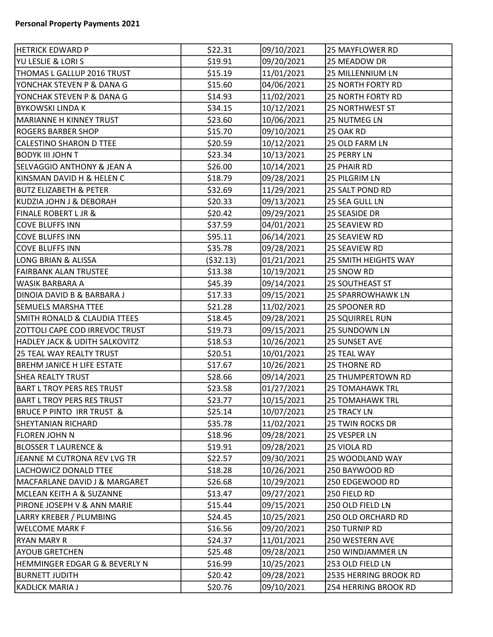| <b>HETRICK EDWARD P</b>                  | \$22.31    | 09/10/2021 | <b>25 MAYFLOWER RD</b>      |
|------------------------------------------|------------|------------|-----------------------------|
| YU LESLIE & LORI S                       | \$19.91    | 09/20/2021 | 25 MEADOW DR                |
| THOMAS L GALLUP 2016 TRUST               | \$15.19    | 11/01/2021 | 25 MILLENNIUM LN            |
| YONCHAK STEVEN P & DANA G                | \$15.60    | 04/06/2021 | <b>25 NORTH FORTY RD</b>    |
| YONCHAK STEVEN P & DANA G                | \$14.93    | 11/02/2021 | <b>25 NORTH FORTY RD</b>    |
| BYKOWSKI LINDA K                         | \$34.15    | 10/12/2021 | 25 NORTHWEST ST             |
| <b>MARIANNE H KINNEY TRUST</b>           | \$23.60    | 10/06/2021 | <b>25 NUTMEG LN</b>         |
| <b>ROGERS BARBER SHOP</b>                | \$15.70    | 09/10/2021 | 25 OAK RD                   |
| CALESTINO SHARON D TTEE                  | \$20.59    | 10/12/2021 | 25 OLD FARM LN              |
| <b>BODYK III JOHN T</b>                  | \$23.34    | 10/13/2021 | 25 PERRY LN                 |
| <b>SELVAGGIO ANTHONY &amp; JEAN A</b>    | \$26.00    | 10/14/2021 | 25 PHAIR RD                 |
| KINSMAN DAVID H & HELEN C                | \$18.79    | 09/28/2021 | 25 PILGRIM LN               |
| <b>BUTZ ELIZABETH &amp; PETER</b>        | \$32.69    | 11/29/2021 | 25 SALT POND RD             |
| KUDZIA JOHN J & DEBORAH                  | \$20.33    | 09/13/2021 | 25 SEA GULL LN              |
| <b>FINALE ROBERT L JR &amp;</b>          | \$20.42    | 09/29/2021 | 25 SEASIDE DR               |
| <b>COVE BLUFFS INN</b>                   | \$37.59    | 04/01/2021 | 25 SEAVIEW RD               |
| <b>COVE BLUFFS INN</b>                   | \$95.11    | 06/14/2021 | 25 SEAVIEW RD               |
| <b>COVE BLUFFS INN</b>                   | \$35.78    | 09/28/2021 | 25 SEAVIEW RD               |
| LONG BRIAN & ALISSA                      | ( \$32.13) | 01/21/2021 | <b>25 SMITH HEIGHTS WAY</b> |
| <b>FAIRBANK ALAN TRUSTEE</b>             | \$13.38    | 10/19/2021 | 25 SNOW RD                  |
| WASIK BARBARA A                          | \$45.39    | 09/14/2021 | <b>25 SOUTHEAST ST</b>      |
| DINOIA DAVID B & BARBARA J               | \$17.33    | 09/15/2021 | <b>25 SPARROWHAWK LN</b>    |
| <b>SEMUELS MARSHA TTEE</b>               | \$21.28    | 11/02/2021 | 25 SPOONER RD               |
| <b>SMITH RONALD &amp; CLAUDIA TTEES</b>  | \$18.45    | 09/28/2021 | <b>25 SQUIRREL RUN</b>      |
| <b>ZOTTOLI CAPE COD IRREVOC TRUST</b>    | \$19.73    | 09/15/2021 | 25 SUNDOWN LN               |
| <b>HADLEY JACK &amp; UDITH SALKOVITZ</b> | \$18.53    | 10/26/2021 | <b>25 SUNSET AVE</b>        |
| 25 TEAL WAY REALTY TRUST                 | \$20.51    | 10/01/2021 | 25 TEAL WAY                 |
| <b>BREHM JANICE H LIFE ESTATE</b>        | \$17.67    | 10/26/2021 | 25 THORNE RD                |
| <b>SHEA REALTY TRUST</b>                 | \$28.66    | 09/14/2021 | <b>25 THUMPERTOWN RD</b>    |
| BART L TROY PERS RES TRUST               | \$23.58    | 01/27/2021 | 25 TOMAHAWK TRL             |
| <b>BART L TROY PERS RES TRUST</b>        | \$23.77    | 10/15/2021 | <b>25 TOMAHAWK TRL</b>      |
| BRUCE P PINTO IRR TRUST &                | \$25.14    | 10/07/2021 | <b>25 TRACY LN</b>          |
| SHEYTANIAN RICHARD                       | \$35.78    | 11/02/2021 | <b>25 TWIN ROCKS DR</b>     |
| FLOREN JOHN N                            | \$18.96    | 09/28/2021 | 25 VESPER LN                |
| <b>BLOSSER T LAURENCE &amp;</b>          | \$19.91    | 09/28/2021 | 25 VIOLA RD                 |
| JEANNE M CUTRONA REV LVG TR              | \$22.57    | 09/30/2021 | 25 WOODLAND WAY             |
| LACHOWICZ DONALD TTEE                    | \$18.28    | 10/26/2021 | 250 BAYWOOD RD              |
| MACFARLANE DAVID J & MARGARET            | \$26.68    | 10/29/2021 | 250 EDGEWOOD RD             |
| MCLEAN KEITH A & SUZANNE                 | \$13.47    | 09/27/2021 | 250 FIELD RD                |
| PIRONE JOSEPH V & ANN MARIE              | \$15.44    | 09/15/2021 | 250 OLD FIELD LN            |
| LARRY KREBER / PLUMBING                  | \$24.45    | 10/25/2021 | 250 OLD ORCHARD RD          |
| <b>WELCOME MARK F</b>                    | \$16.56    | 09/20/2021 | 250 TURNIP RD               |
| <b>RYAN MARY R</b>                       | \$24.37    | 11/01/2021 | 250 WESTERN AVE             |
| <b>AYOUB GRETCHEN</b>                    | \$25.48    | 09/28/2021 | 250 WINDJAMMER LN           |
| HEMMINGER EDGAR G & BEVERLY N            | \$16.99    | 10/25/2021 | 253 OLD FIELD LN            |
| <b>BURNETT JUDITH</b>                    | \$20.42    | 09/28/2021 | 2535 HERRING BROOK RD       |
| KADLICK MARIA J                          | \$20.76    | 09/10/2021 | 254 HERRING BROOK RD        |
|                                          |            |            |                             |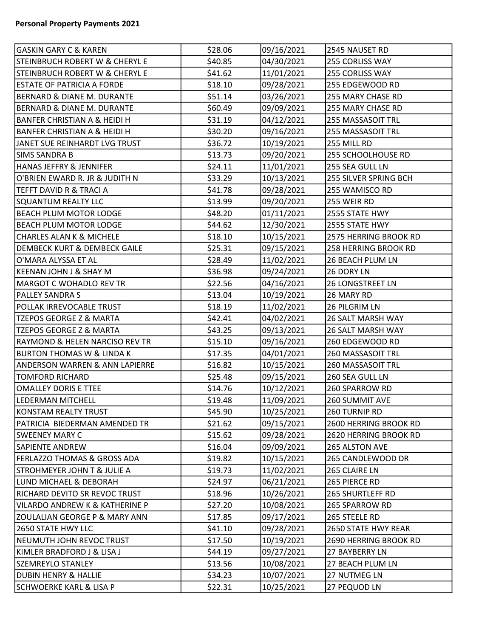| <b>GASKIN GARY C &amp; KAREN</b>          | \$28.06 | 09/16/2021 | 2545 NAUSET RD          |
|-------------------------------------------|---------|------------|-------------------------|
| <b>STEINBRUCH ROBERT W &amp; CHERYL E</b> | \$40.85 | 04/30/2021 | 255 CORLISS WAY         |
| <b>STEINBRUCH ROBERT W &amp; CHERYL E</b> | \$41.62 | 11/01/2021 | 255 CORLISS WAY         |
| <b>ESTATE OF PATRICIA A FORDE</b>         | \$18.10 | 09/28/2021 | 255 EDGEWOOD RD         |
| <b>BERNARD &amp; DIANE M. DURANTE</b>     | \$51.14 | 03/26/2021 | 255 MARY CHASE RD       |
| <b>BERNARD &amp; DIANE M. DURANTE</b>     | \$60.49 | 09/09/2021 | 255 MARY CHASE RD       |
| <b>BANFER CHRISTIAN A &amp; HEIDI H</b>   | \$31.19 | 04/12/2021 | 255 MASSASOIT TRL       |
| <b>BANFER CHRISTIAN A &amp; HEIDI H</b>   | \$30.20 | 09/16/2021 | 255 MASSASOIT TRL       |
| JANET SUE REINHARDT LVG TRUST             | \$36.72 | 10/19/2021 | 255 MILL RD             |
| <b>SIMS SANDRA B</b>                      | \$13.73 | 09/20/2021 | 255 SCHOOLHOUSE RD      |
| HANAS JEFFRY & JENNIFER                   | \$24.11 | 11/01/2021 | 255 SEA GULL LN         |
| O'BRIEN EWARD R. JR & JUDITH N            | \$33.29 | 10/13/2021 | 255 SILVER SPRING BCH   |
| TEFFT DAVID R & TRACI A                   | \$41.78 | 09/28/2021 | 255 WAMISCO RD          |
| <b>SQUANTUM REALTY LLC</b>                | \$13.99 | 09/20/2021 | 255 WEIR RD             |
| <b>BEACH PLUM MOTOR LODGE</b>             | \$48.20 | 01/11/2021 | 2555 STATE HWY          |
| <b>BEACH PLUM MOTOR LODGE</b>             | \$44.62 | 12/30/2021 | 2555 STATE HWY          |
| <b>CHARLES ALAN K &amp; MICHELE</b>       | \$18.10 | 10/15/2021 | 2575 HERRING BROOK RD   |
| <b>DEMBECK KURT &amp; DEMBECK GAILE</b>   | \$25.31 | 09/15/2021 | 258 HERRING BROOK RD    |
| O'MARA ALYSSA ET AL                       | \$28.49 | 11/02/2021 | 26 BEACH PLUM LN        |
| KEENAN JOHN J & SHAY M                    | \$36.98 | 09/24/2021 | 26 DORY LN              |
| MARGOT C WOHADLO REV TR                   | \$22.56 | 04/16/2021 | <b>26 LONGSTREET LN</b> |
| <b>PALLEY SANDRA S</b>                    | \$13.04 | 10/19/2021 | 26 MARY RD              |
| POLLAK IRREVOCABLE TRUST                  | \$18.19 | 11/02/2021 | 26 PILGRIM LN           |
| <b>TZEPOS GEORGE Z &amp; MARTA</b>        | \$42.41 | 04/02/2021 | 26 SALT MARSH WAY       |
| <b>TZEPOS GEORGE Z &amp; MARTA</b>        | \$43.25 | 09/13/2021 | 26 SALT MARSH WAY       |
| <b>RAYMOND &amp; HELEN NARCISO REV TR</b> | \$15.10 | 09/16/2021 | 260 EDGEWOOD RD         |
| <b>BURTON THOMAS W &amp; LINDA K</b>      | \$17.35 | 04/01/2021 | 260 MASSASOIT TRL       |
| <b>ANDERSON WARREN &amp; ANN LAPIERRE</b> | \$16.82 | 10/15/2021 | 260 MASSASOIT TRL       |
| <b>TOMFORD RICHARD</b>                    | \$25.48 | 09/15/2021 | 260 SEA GULL LN         |
| <b>OMALLEY DORIS E TTEE</b>               | \$14.76 | 10/12/2021 | 260 SPARROW RD          |
| LEDERMAN MITCHELL                         | \$19.48 | 11/09/2021 | 260 SUMMIT AVE          |
| KONSTAM REALTY TRUST                      | \$45.90 | 10/25/2021 | 260 TURNIP RD           |
| PATRICIA BIEDERMAN AMENDED TR             | \$21.62 | 09/15/2021 | 2600 HERRING BROOK RD   |
| <b>SWEENEY MARY C</b>                     | \$15.62 | 09/28/2021 | 2620 HERRING BROOK RD   |
| <b>SAPIENTE ANDREW</b>                    | \$16.04 | 09/09/2021 | 265 ALSTON AVE          |
| <b>FERLAZZO THOMAS &amp; GROSS ADA</b>    | \$19.82 | 10/15/2021 | 265 CANDLEWOOD DR       |
| <b>STROHMEYER JOHN T &amp; JULIE A</b>    | \$19.73 | 11/02/2021 | 265 CLAIRE LN           |
| LUND MICHAEL & DEBORAH                    | \$24.97 | 06/21/2021 | 265 PIERCE RD           |
| RICHARD DEVITO SR REVOC TRUST             | \$18.96 | 10/26/2021 | <b>265 SHURTLEFF RD</b> |
| VILARDO ANDREW K & KATHERINE P            | \$27.20 | 10/08/2021 | 265 SPARROW RD          |
| ZOULALIAN GEORGE P & MARY ANN             | \$17.85 | 09/17/2021 | 265 STEELE RD           |
| 2650 STATE HWY LLC                        | \$41.10 | 09/28/2021 | 2650 STATE HWY REAR     |
| NEUMUTH JOHN REVOC TRUST                  | \$17.50 | 10/19/2021 | 2690 HERRING BROOK RD   |
| KIMLER BRADFORD J & LISA J                | \$44.19 | 09/27/2021 | 27 BAYBERRY LN          |
| SZEMREYLO STANLEY                         | \$13.56 | 10/08/2021 | 27 BEACH PLUM LN        |
| <b>DUBIN HENRY &amp; HALLIE</b>           | \$34.23 | 10/07/2021 | 27 NUTMEG LN            |
| <b>SCHWOERKE KARL &amp; LISA P</b>        | \$22.31 | 10/25/2021 | 27 PEQUOD LN            |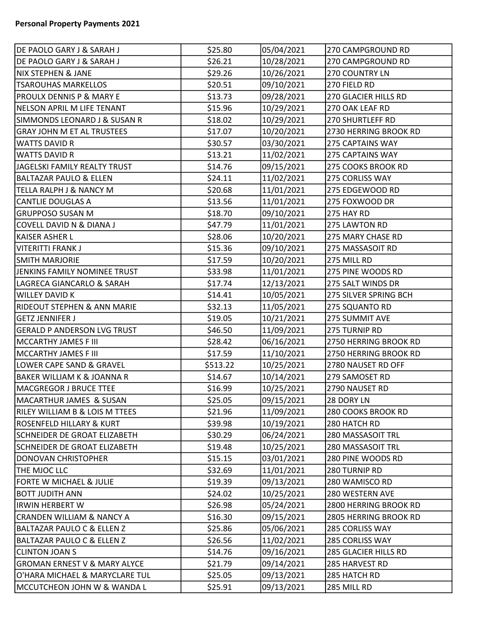| DE PAOLO GARY J & SARAH J               | \$25.80  | 05/04/2021 | 270 CAMPGROUND RD       |
|-----------------------------------------|----------|------------|-------------------------|
| DE PAOLO GARY J & SARAH J               | \$26.21  | 10/28/2021 | 270 CAMPGROUND RD       |
| NIX STEPHEN & JANE                      | \$29.26  | 10/26/2021 | 270 COUNTRY LN          |
| <b>TSAROUHAS MARKELLOS</b>              | \$20.51  | 09/10/2021 | 270 FIELD RD            |
| <b>PROULX DENNIS P &amp; MARY E</b>     | \$13.73  | 09/28/2021 | 270 GLACIER HILLS RD    |
| NELSON APRIL M LIFE TENANT              | \$15.96  | 10/29/2021 | 270 OAK LEAF RD         |
| SIMMONDS LEONARD J & SUSAN R            | \$18.02  | 10/29/2021 | <b>270 SHURTLEFF RD</b> |
| <b>GRAY JOHN M ET AL TRUSTEES</b>       | \$17.07  | 10/20/2021 | 2730 HERRING BROOK RD   |
| <b>WATTS DAVID R</b>                    | \$30.57  | 03/30/2021 | 275 CAPTAINS WAY        |
| <b>WATTS DAVID R</b>                    | \$13.21  | 11/02/2021 | 275 CAPTAINS WAY        |
| JAGELSKI FAMILY REALTY TRUST            | \$14.76  | 09/15/2021 | 275 COOKS BROOK RD      |
| <b>BALTAZAR PAULO &amp; ELLEN</b>       | \$24.11  | 11/02/2021 | 275 CORLISS WAY         |
| TELLA RALPH J & NANCY M                 | \$20.68  | 11/01/2021 | 275 EDGEWOOD RD         |
| CANTLIE DOUGLAS A                       | \$13.56  | 11/01/2021 | 275 FOXWOOD DR          |
| <b>GRUPPOSO SUSAN M</b>                 | \$18.70  | 09/10/2021 | 275 HAY RD              |
| COVELL DAVID N & DIANA J                | \$47.79  | 11/01/2021 | 275 LAWTON RD           |
| <b>KAISER ASHER L</b>                   | \$28.06  | 10/20/2021 | 275 MARY CHASE RD       |
| VITERITTI FRANK J                       | \$15.36  | 09/10/2021 | 275 MASSASOIT RD        |
| <b>SMITH MARJORIE</b>                   | \$17.59  | 10/20/2021 | 275 MILL RD             |
| JENKINS FAMILY NOMINEE TRUST            | \$33.98  | 11/01/2021 | 275 PINE WOODS RD       |
| LAGRECA GIANCARLO & SARAH               | \$17.74  | 12/13/2021 | 275 SALT WINDS DR       |
| <b>WILLEY DAVID K</b>                   | \$14.41  | 10/05/2021 | 275 SILVER SPRING BCH   |
| <b>RIDEOUT STEPHEN &amp; ANN MARIE</b>  | \$32.13  | 11/05/2021 | 275 SQUANTO RD          |
| <b>GETZ JENNIFER J</b>                  | \$19.05  | 10/21/2021 | 275 SUMMIT AVE          |
| <b>GERALD P ANDERSON LVG TRUST</b>      | \$46.50  | 11/09/2021 | 275 TURNIP RD           |
| MCCARTHY JAMES F III                    | \$28.42  | 06/16/2021 | 2750 HERRING BROOK RD   |
| MCCARTHY JAMES F III                    | \$17.59  | 11/10/2021 | 2750 HERRING BROOK RD   |
| LOWER CAPE SAND & GRAVEL                | \$513.22 | 10/25/2021 | 2780 NAUSET RD OFF      |
| <b>BAKER WILLIAM K &amp; JOANNA R</b>   | \$14.67  | 10/14/2021 | 279 SAMOSET RD          |
| MACGREGOR J BRUCE TTEE                  | \$16.99  | 10/25/2021 | 2790 NAUSET RD          |
| MACARTHUR JAMES & SUSAN                 | \$25.05  | 09/15/2021 | 28 DORY LN              |
| RILEY WILLIAM B & LOIS M TTEES          | \$21.96  | 11/09/2021 | 280 COOKS BROOK RD      |
| ROSENFELD HILLARY & KURT                | \$39.98  | 10/19/2021 | 280 HATCH RD            |
| SCHNEIDER DE GROAT ELIZABETH            | \$30.29  | 06/24/2021 | 280 MASSASOIT TRL       |
| SCHNEIDER DE GROAT ELIZABETH            | \$19.48  | 10/25/2021 | 280 MASSASOIT TRL       |
| <b>DONOVAN CHRISTOPHER</b>              | \$15.15  | 03/01/2021 | 280 PINE WOODS RD       |
| THE MJOC LLC                            | \$32.69  | 11/01/2021 | 280 TURNIP RD           |
| FORTE W MICHAEL & JULIE                 | \$19.39  | 09/13/2021 | 280 WAMISCO RD          |
| <b>BOTT JUDITH ANN</b>                  | \$24.02  | 10/25/2021 | 280 WESTERN AVE         |
| <b>IRWIN HERBERT W</b>                  | \$26.98  | 05/24/2021 | 2800 HERRING BROOK RD   |
| <b>CRANDEN WILLIAM &amp; NANCY A</b>    | \$16.30  | 09/15/2021 | 2805 HERRING BROOK RD   |
| BALTAZAR PAULO C & ELLEN Z              | \$25.86  | 05/06/2021 | 285 CORLISS WAY         |
| BALTAZAR PAULO C & ELLEN Z              | \$26.56  | 11/02/2021 | 285 CORLISS WAY         |
| <b>CLINTON JOAN S</b>                   | \$14.76  | 09/16/2021 | 285 GLACIER HILLS RD    |
| <b>GROMAN ERNEST V &amp; MARY ALYCE</b> | \$21.79  | 09/14/2021 | 285 HARVEST RD          |
| O'HARA MICHAEL & MARYCLARE TUL          | \$25.05  | 09/13/2021 | 285 HATCH RD            |
| MCCUTCHEON JOHN W & WANDA L             | \$25.91  | 09/13/2021 | 285 MILL RD             |
|                                         |          |            |                         |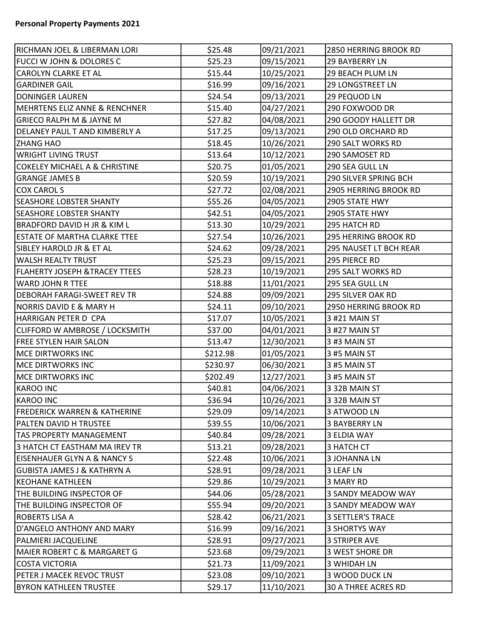| RICHMAN JOEL & LIBERMAN LORI             | \$25.48  | 09/21/2021 | 2850 HERRING BROOK RD    |
|------------------------------------------|----------|------------|--------------------------|
| <b>FUCCI W JOHN &amp; DOLORES C</b>      | \$25.23  | 09/15/2021 | 29 BAYBERRY LN           |
| CAROLYN CLARKE ET AL                     | \$15.44  | 10/25/2021 | 29 BEACH PLUM LN         |
| <b>GARDINER GAIL</b>                     | \$16.99  | 09/16/2021 | <b>29 LONGSTREET LN</b>  |
| DONINGER LAUREN                          | \$24.54  | 09/13/2021 | 29 PEQUOD LN             |
| MEHRTENS ELIZ ANNE & RENCHNER            | \$15.40  | 04/27/2021 | 290 FOXWOOD DR           |
| <b>GRIECO RALPH M &amp; JAYNE M</b>      | \$27.82  | 04/08/2021 | 290 GOODY HALLETT DR     |
| DELANEY PAUL T AND KIMBERLY A            | \$17.25  | 09/13/2021 | 290 OLD ORCHARD RD       |
| <b>ZHANG HAO</b>                         | \$18.45  | 10/26/2021 | 290 SALT WORKS RD        |
| WRIGHT LIVING TRUST                      | \$13.64  | 10/12/2021 | 290 SAMOSET RD           |
| <b>COKELEY MICHAEL A &amp; CHRISTINE</b> | \$20.75  | 01/05/2021 | 290 SEA GULL LN          |
| <b>GRANGE JAMES B</b>                    | \$20.59  | 10/19/2021 | 290 SILVER SPRING BCH    |
| COX CAROL S                              | \$27.72  | 02/08/2021 | 2905 HERRING BROOK RD    |
| <b>SEASHORE LOBSTER SHANTY</b>           | \$55.26  | 04/05/2021 | 2905 STATE HWY           |
| <b>SEASHORE LOBSTER SHANTY</b>           | \$42.51  | 04/05/2021 | 2905 STATE HWY           |
| <b>BRADFORD DAVID H JR &amp; KIM L</b>   | \$13.30  | 10/29/2021 | 295 HATCH RD             |
| <b>ESTATE OF MARTHA CLARKE TTEE</b>      | \$27.54  | 10/26/2021 | 295 HERRING BROOK RD     |
| SIBLEY HAROLD JR & ET AL                 | \$24.62  | 09/28/2021 | 295 NAUSET LT BCH REAR   |
| WALSH REALTY TRUST                       | \$25.23  | 09/15/2021 | 295 PIERCE RD            |
| <b>FLAHERTY JOSEPH &amp;TRACEY TTEES</b> | \$28.23  | 10/19/2021 | <b>295 SALT WORKS RD</b> |
| WARD JOHN R TTEE                         | \$18.88  | 11/01/2021 | 295 SEA GULL LN          |
| <b>DEBORAH FARAGI-SWEET REV TR</b>       | \$24.88  | 09/09/2021 | 295 SILVER OAK RD        |
| NORRIS DAVID E & MARY H                  | \$24.11  | 09/10/2021 | 2950 HERRING BROOK RD    |
| HARRIGAN PETER D CPA                     | \$17.07  | 10/05/2021 | 3 #21 MAIN ST            |
| CLIFFORD W AMBROSE / LOCKSMITH           | \$37.00  | 04/01/2021 | 3 #27 MAIN ST            |
| FREE STYLEN HAIR SALON                   | \$13.47  | 12/30/2021 | 3#3 MAIN ST              |
| MCE DIRTWORKS INC                        | \$212.98 | 01/05/2021 | 3#5 MAIN ST              |
| MCE DIRTWORKS INC                        | \$230.97 | 06/30/2021 | 3#5 MAIN ST              |
| MCE DIRTWORKS INC                        | \$202.49 | 12/27/2021 | 3#5 MAIN ST              |
| <b>KAROO INC</b>                         | \$40.81  | 04/06/2021 | 3 32B MAIN ST            |
| KAROO INC                                | \$36.94  | 10/26/2021 | 3 32B MAIN ST            |
| <b>FREDERICK WARREN &amp; KATHERINE</b>  | \$29.09  | 09/14/2021 | 3 ATWOOD LN              |
| PALTEN DAVID H TRUSTEE                   | \$39.55  | 10/06/2021 | <b>3 BAYBERRY LN</b>     |
| TAS PROPERTY MANAGEMENT                  | \$40.84  | 09/28/2021 | 3 ELDIA WAY              |
| 3 HATCH CT EASTHAM MA IREV TR            | \$13.21  | 09/28/2021 | 3 HATCH CT               |
| EISENHAUER GLYN A & NANCY S              | \$22.48  | 10/06/2021 | 3 JOHANNA LN             |
| GUBISTA JAMES J & KATHRYN A              | \$28.91  | 09/28/2021 | 3 LEAF LN                |
| <b>KEOHANE KATHLEEN</b>                  | \$29.86  | 10/29/2021 | 3 MARY RD                |
| THE BUILDING INSPECTOR OF                | \$44.06  | 05/28/2021 | 3 SANDY MEADOW WAY       |
| THE BUILDING INSPECTOR OF                | \$55.94  | 09/20/2021 | 3 SANDY MEADOW WAY       |
| ROBERTS LISA A                           | \$28.42  | 06/21/2021 | <b>3 SETTLER'S TRACE</b> |
| D'ANGELO ANTHONY AND MARY                | \$16.99  | 09/16/2021 | <b>3 SHORTYS WAY</b>     |
| PALMIERI JACQUELINE                      | \$28.91  | 09/27/2021 | <b>3 STRIPER AVE</b>     |
| MAIER ROBERT C & MARGARET G              | \$23.68  | 09/29/2021 | 3 WEST SHORE DR          |
| COSTA VICTORIA                           | \$21.73  | 11/09/2021 | 3 WHIDAH LN              |
| PETER J MACEK REVOC TRUST                | \$23.08  | 09/10/2021 | 3 WOOD DUCK LN           |
| <b>BYRON KATHLEEN TRUSTEE</b>            | \$29.17  | 11/10/2021 | 30 A THREE ACRES RD      |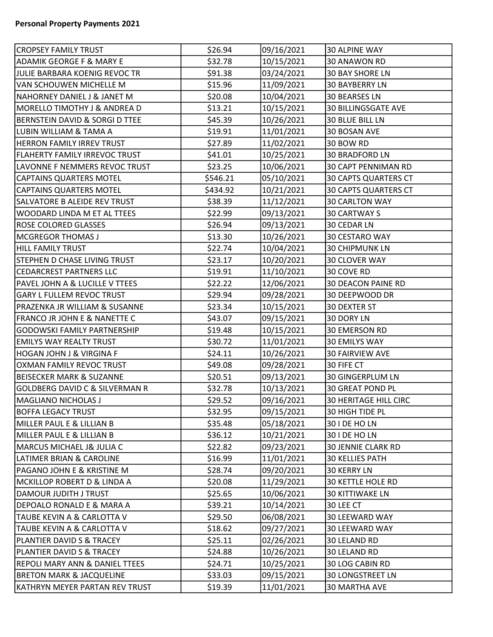| <b>CROPSEY FAMILY TRUST</b>               | \$26.94  | 09/16/2021 | 30 ALPINE WAY               |
|-------------------------------------------|----------|------------|-----------------------------|
| ADAMIK GEORGE F & MARY E                  | \$32.78  | 10/15/2021 | <b>30 ANAWON RD</b>         |
| JULIE BARBARA KOENIG REVOC TR             | \$91.38  | 03/24/2021 | <b>30 BAY SHORE LN</b>      |
| VAN SCHOUWEN MICHELLE M                   | \$15.96  | 11/09/2021 | <b>30 BAYBERRY LN</b>       |
| NAHORNEY DANIEL J & JANET M               | \$20.08  | 10/04/2021 | <b>30 BEARSES LN</b>        |
| MORELLO TIMOTHY J & ANDREA D              | \$13.21  | 10/15/2021 | <b>30 BILLINGSGATE AVE</b>  |
| BERNSTEIN DAVID & SORGI D TTEE            | \$45.39  | 10/26/2021 | <b>30 BLUE BILL LN</b>      |
| LUBIN WILLIAM & TAMA A                    | \$19.91  | 11/01/2021 | 30 BOSAN AVE                |
| HERRON FAMILY IRREV TRUST                 | \$27.89  | 11/02/2021 | 30 BOW RD                   |
| FLAHERTY FAMILY IRREVOC TRUST             | \$41.01  | 10/25/2021 | <b>30 BRADFORD LN</b>       |
| LAVONNE F NEMMERS REVOC TRUST             | \$23.25  | 10/06/2021 | <b>30 CAPT PENNIMAN RD</b>  |
| <b>CAPTAINS QUARTERS MOTEL</b>            | \$546.21 | 05/10/2021 | 30 CAPTS QUARTERS CT        |
| <b>CAPTAINS QUARTERS MOTEL</b>            | \$434.92 | 10/21/2021 | <b>30 CAPTS QUARTERS CT</b> |
| SALVATORE B ALEIDE REV TRUST              | \$38.39  | 11/12/2021 | <b>30 CARLTON WAY</b>       |
| WOODARD LINDA M ET AL TTEES               | \$22.99  | 09/13/2021 | <b>30 CARTWAY S</b>         |
| ROSE COLORED GLASSES                      | \$26.94  | 09/13/2021 | 30 CEDAR LN                 |
| <b>MCGREGOR THOMAS J</b>                  | \$13.30  | 10/26/2021 | 30 CESTARO WAY              |
| HILL FAMILY TRUST                         | \$22.74  | 10/04/2021 | <b>30 CHIPMUNK LN</b>       |
| STEPHEN D CHASE LIVING TRUST              | \$23.17  | 10/20/2021 | 30 CLOVER WAY               |
| <b>CEDARCREST PARTNERS LLC</b>            | \$19.91  | 11/10/2021 | 30 COVE RD                  |
| PAVEL JOHN A & LUCILLE V TTEES            | \$22.22  | 12/06/2021 | <b>30 DEACON PAINE RD</b>   |
| <b>GARY L FULLEM REVOC TRUST</b>          | \$29.94  | 09/28/2021 | 30 DEEPWOOD DR              |
| PRAZENKA JR WILLIAM & SUSANNE             | \$23.34  | 10/15/2021 | <b>30 DEXTER ST</b>         |
| FRANCO JR JOHN E & NANETTE C              | \$43.07  | 09/15/2021 | 30 DORY LN                  |
| <b>GODOWSKI FAMILY PARTNERSHIP</b>        | \$19.48  | 10/15/2021 | <b>30 EMERSON RD</b>        |
| <b>EMILYS WAY REALTY TRUST</b>            | \$30.72  | 11/01/2021 | <b>30 EMILYS WAY</b>        |
| <b>HOGAN JOHN J &amp; VIRGINA F</b>       | \$24.11  | 10/26/2021 | <b>30 FAIRVIEW AVE</b>      |
| OXMAN FAMILY REVOC TRUST                  | \$49.08  | 09/28/2021 | 30 FIFE CT                  |
| <b>BEISECKER MARK &amp; SUZANNE</b>       | \$20.51  | 09/13/2021 | <b>30 GINGERPLUM LN</b>     |
| <b>GOLDBERG DAVID C &amp; SILVERMAN R</b> | \$32.78  | 10/13/2021 | 30 GREAT POND PL            |
| MAGLIANO NICHOLAS J                       | \$29.52  | 09/16/2021 | 30 HERITAGE HILL CIRC       |
| <b>BOFFA LEGACY TRUST</b>                 | \$32.95  | 09/15/2021 | 30 HIGH TIDE PL             |
| MILLER PAUL E & LILLIAN B                 | \$35.48  | 05/18/2021 | 30 I DE HO LN               |
| MILLER PAUL E & LILLIAN B                 | \$36.12  | 10/21/2021 | 30 I DE HO LN               |
| MARCUS MICHAEL J& JULIA C                 | \$22.82  | 09/23/2021 | <b>30 JENNIE CLARK RD</b>   |
| LATIMER BRIAN & CAROLINE                  | \$16.99  | 11/01/2021 | <b>30 KELLIES PATH</b>      |
| PAGANO JOHN E & KRISTINE M                | \$28.74  | 09/20/2021 | <b>30 KERRY LN</b>          |
| MCKILLOP ROBERT D & LINDA A               | \$20.08  | 11/29/2021 | <b>30 KETTLE HOLE RD</b>    |
| DAMOUR JUDITH J TRUST                     | \$25.65  | 10/06/2021 | <b>30 KITTIWAKE LN</b>      |
| DEPOALO RONALD E & MARA A                 | \$39.21  | 10/14/2021 | 30 LEE CT                   |
| TAUBE KEVIN A & CARLOTTA V                | \$29.50  | 06/08/2021 | 30 LEEWARD WAY              |
| TAUBE KEVIN A & CARLOTTA V                | \$18.62  | 09/27/2021 | 30 LEEWARD WAY              |
| PLANTIER DAVID S & TRACEY                 | \$25.11  | 02/26/2021 | 30 LELAND RD                |
| PLANTIER DAVID S & TRACEY                 | \$24.88  | 10/26/2021 | 30 LELAND RD                |
| REPOLI MARY ANN & DANIEL TTEES            | \$24.71  | 10/25/2021 | 30 LOG CABIN RD             |
| <b>BRETON MARK &amp; JACQUELINE</b>       | \$33.03  | 09/15/2021 | <b>30 LONGSTREET LN</b>     |
| KATHRYN MEYER PARTAN REV TRUST            | \$19.39  | 11/01/2021 | <b>30 MARTHA AVE</b>        |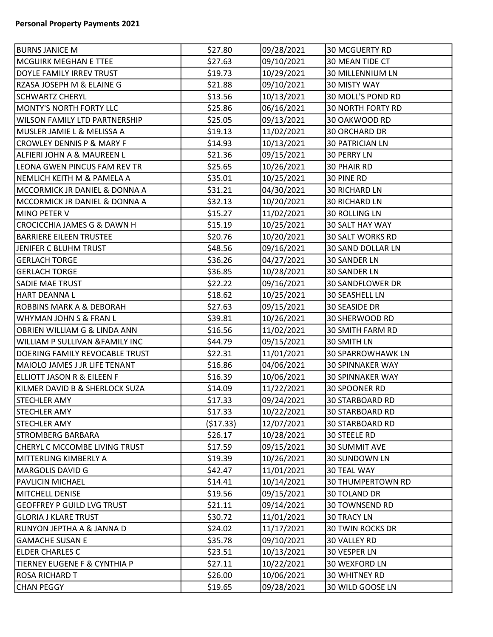| <b>BURNS JANICE M</b>                     | \$27.80   | 09/28/2021 | <b>30 MCGUERTY RD</b>    |
|-------------------------------------------|-----------|------------|--------------------------|
| <b>MCGUIRK MEGHAN E TTEE</b>              | \$27.63   | 09/10/2021 | 30 MEAN TIDE CT          |
| DOYLE FAMILY IRREV TRUST                  | \$19.73   | 10/29/2021 | 30 MILLENNIUM LN         |
| RZASA JOSEPH M & ELAINE G                 | \$21.88   | 09/10/2021 | <b>30 MISTY WAY</b>      |
| <b>SCHWARTZ CHERYL</b>                    | \$13.56   | 10/13/2021 | 30 MOLL'S POND RD        |
| MONTY'S NORTH FORTY LLC                   | \$25.86   | 06/16/2021 | <b>30 NORTH FORTY RD</b> |
| <b>WILSON FAMILY LTD PARTNERSHIP</b>      | \$25.05   | 09/13/2021 | 30 OAKWOOD RD            |
| MUSLER JAMIE L & MELISSA A                | \$19.13   | 11/02/2021 | <b>30 ORCHARD DR</b>     |
| <b>CROWLEY DENNIS P &amp; MARY F</b>      | \$14.93   | 10/13/2021 | <b>30 PATRICIAN LN</b>   |
| ALFIERI JOHN A & MAUREEN L                | \$21.36   | 09/15/2021 | <b>30 PERRY LN</b>       |
| LEONA GWEN PINCUS FAM REV TR              | \$25.65   | 10/26/2021 | <b>30 PHAIR RD</b>       |
| NEMLICH KEITH M & PAMELA A                | \$35.01   | 10/25/2021 | 30 PINE RD               |
| MCCORMICK JR DANIEL & DONNA A             | \$31.21   | 04/30/2021 | <b>30 RICHARD LN</b>     |
| MCCORMICK JR DANIEL & DONNA A             | \$32.13   | 10/20/2021 | <b>30 RICHARD LN</b>     |
| MINO PETER V                              | \$15.27   | 11/02/2021 | 30 ROLLING LN            |
| <b>CROCICCHIA JAMES G &amp; DAWN H</b>    | \$15.19   | 10/25/2021 | 30 SALT HAY WAY          |
| <b>BARRIERE EILEEN TRUSTEE</b>            | \$20.76   | 10/20/2021 | <b>30 SALT WORKS RD</b>  |
| JENIFER C BLUHM TRUST                     | \$48.56   | 09/16/2021 | <b>30 SAND DOLLAR LN</b> |
| <b>GERLACH TORGE</b>                      | \$36.26   | 04/27/2021 | <b>30 SANDER LN</b>      |
| <b>GERLACH TORGE</b>                      | \$36.85   | 10/28/2021 | 30 SANDER LN             |
| <b>SADIE MAE TRUST</b>                    | \$22.22   | 09/16/2021 | <b>30 SANDFLOWER DR</b>  |
| HART DEANNA L                             | \$18.62   | 10/25/2021 | 30 SEASHELL LN           |
| <b>ROBBINS MARK A &amp; DEBORAH</b>       | \$27.63   | 09/15/2021 | <b>30 SEASIDE DR</b>     |
| WHYMAN JOHN S & FRAN L                    | \$39.81   | 10/26/2021 | 30 SHERWOOD RD           |
| OBRIEN WILLIAM G & LINDA ANN              | \$16.56   | 11/02/2021 | <b>30 SMITH FARM RD</b>  |
| <b>WILLIAM P SULLIVAN &amp;FAMILY INC</b> | \$44.79   | 09/15/2021 | 30 SMITH LN              |
| DOERING FAMILY REVOCABLE TRUST            | \$22.31   | 11/01/2021 | <b>30 SPARROWHAWK LN</b> |
| MAIOLO JAMES J JR LIFE TENANT             | \$16.86   | 04/06/2021 | <b>30 SPINNAKER WAY</b>  |
| <b>ELLIOTT JASON R &amp; EILEEN F</b>     | \$16.39   | 10/06/2021 | <b>30 SPINNAKER WAY</b>  |
| KILMER DAVID B & SHERLOCK SUZA            | \$14.09   | 11/22/2021 | 30 SPOONER RD            |
| <b>STECHLER AMY</b>                       | \$17.33   | 09/24/2021 | <b>30 STARBOARD RD</b>   |
| <b>STECHLER AMY</b>                       | \$17.33   | 10/22/2021 | <b>30 STARBOARD RD</b>   |
| <b>STECHLER AMY</b>                       | (\$17.33) | 12/07/2021 | <b>30 STARBOARD RD</b>   |
| <b>STROMBERG BARBARA</b>                  | \$26.17   | 10/28/2021 | <b>30 STEELE RD</b>      |
| CHERYL C MCCOMBE LIVING TRUST             | \$17.59   | 09/15/2021 | 30 SUMMIT AVE            |
| MITTERLING KIMBERLY A                     | \$19.39   | 10/26/2021 | 30 SUNDOWN LN            |
| MARGOLIS DAVID G                          | \$42.47   | 11/01/2021 | <b>30 TEAL WAY</b>       |
| <b>PAVLICIN MICHAEL</b>                   | \$14.41   | 10/14/2021 | <b>30 THUMPERTOWN RD</b> |
| MITCHELL DENISE                           | \$19.56   | 09/15/2021 | 30 TOLAND DR             |
| <b>GEOFFREY P GUILD LVG TRUST</b>         | \$21.11   | 09/14/2021 | <b>30 TOWNSEND RD</b>    |
| <b>GLORIA J KLARE TRUST</b>               | \$30.72   | 11/01/2021 | <b>30 TRACY LN</b>       |
| RUNYON JEPTHA A & JANNA D                 | \$24.02   | 11/17/2021 | <b>30 TWIN ROCKS DR</b>  |
| <b>GAMACHE SUSAN E</b>                    | \$35.78   | 09/10/2021 | <b>30 VALLEY RD</b>      |
| <b>ELDER CHARLES C</b>                    | \$23.51   | 10/13/2021 | 30 VESPER LN             |
| TIERNEY EUGENE F & CYNTHIA P              | \$27.11   | 10/22/2021 | 30 WEXFORD LN            |
| <b>ROSA RICHARD T</b>                     | \$26.00   | 10/06/2021 | <b>30 WHITNEY RD</b>     |
| <b>CHAN PEGGY</b>                         | \$19.65   | 09/28/2021 | 30 WILD GOOSE LN         |
|                                           |           |            |                          |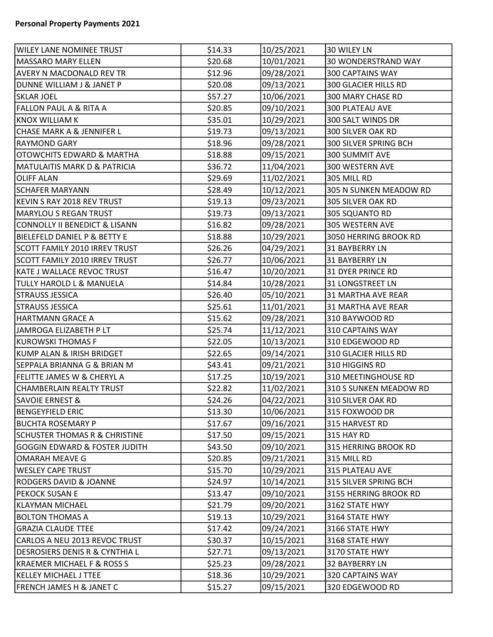| <b>WILEY LANE NOMINEE TRUST</b>           | \$14.33 | 10/25/2021 | 30 WILEY LN              |
|-------------------------------------------|---------|------------|--------------------------|
| MASSARO MARY ELLEN                        | \$20.68 | 10/01/2021 | 30 WONDERSTRAND WAY      |
| <b>AVERY N MACDONALD REV TR</b>           | \$12.96 | 09/28/2021 | <b>300 CAPTAINS WAY</b>  |
| DUNNE WILLIAM J & JANET P                 | \$20.08 | 09/13/2021 | 300 GLACIER HILLS RD     |
| <b>SKLAR JOEL</b>                         | \$57.27 | 10/06/2021 | 300 MARY CHASE RD        |
| FALLON PAUL A & RITA A                    | \$20.85 | 09/10/2021 | 300 PLATEAU AVE          |
| <b>KNOX WILLIAM K</b>                     | \$35.01 | 10/29/2021 | 300 SALT WINDS DR        |
| CHASE MARK A & JENNIFER L                 | \$19.73 | 09/13/2021 | 300 SILVER OAK RD        |
| <b>RAYMOND GARY</b>                       | \$18.96 | 09/28/2021 | 300 SILVER SPRING BCH    |
| <b>OTOWCHITS EDWARD &amp; MARTHA</b>      | \$18.88 | 09/15/2021 | <b>300 SUMMIT AVE</b>    |
| <b>MATULAITIS MARK D &amp; PATRICIA</b>   | \$36.72 | 11/04/2021 | 300 WESTERN AVE          |
| <b>OLIFF ALAN</b>                         | \$29.69 | 11/02/2021 | 305 MILL RD              |
| <b>SCHAFER MARYANN</b>                    | \$28.49 | 10/12/2021 | 305 N SUNKEN MEADOW RD   |
| KEVIN S RAY 2018 REV TRUST                | \$19.13 | 09/23/2021 | 305 SILVER OAK RD        |
| MARYLOU S REGAN TRUST                     | \$19.73 | 09/13/2021 | 305 SQUANTO RD           |
| CONNOLLY II BENEDICT & LISANN             | \$16.82 | 09/28/2021 | 305 WESTERN AVE          |
| <b>BIELEFELD DANIEL P &amp; BETTY E</b>   | \$18.88 | 10/29/2021 | 3050 HERRING BROOK RD    |
| SCOTT FAMILY 2010 IRREV TRUST             | \$26.26 | 04/29/2021 | <b>31 BAYBERRY LN</b>    |
| SCOTT FAMILY 2010 IRREV TRUST             | \$26.77 | 10/06/2021 | <b>31 BAYBERRY LN</b>    |
| KATE J WALLACE REVOC TRUST                | \$16.47 | 10/20/2021 | <b>31 DYER PRINCE RD</b> |
| <b>TULLY HAROLD L &amp; MANUELA</b>       | \$14.84 | 10/28/2021 | <b>31 LONGSTREET LN</b>  |
| <b>STRAUSS JESSICA</b>                    | \$26.40 | 05/10/2021 | 31 MARTHA AVE REAR       |
| <b>STRAUSS JESSICA</b>                    | \$25.61 | 11/01/2021 | 31 MARTHA AVE REAR       |
| HARTMANN GRACE A                          | \$15.62 | 09/28/2021 | 310 BAYWOOD RD           |
| JAMROGA ELIZABETH P LT                    | \$25.74 | 11/12/2021 | 310 CAPTAINS WAY         |
| KUROWSKI THOMAS F                         | \$22.05 | 10/13/2021 | 310 EDGEWOOD RD          |
| KUMP ALAN & IRISH BRIDGET                 | \$22.65 | 09/14/2021 | 310 GLACIER HILLS RD     |
| SEPPALA BRIANNA G & BRIAN M               | \$43.41 | 09/21/2021 | 310 HIGGINS RD           |
| FELITTE JAMES W & CHERYL A                | \$17.25 | 10/19/2021 | 310 MEETINGHOUSE RD      |
| CHAMBERLAIN REALTY TRUST                  | \$22.82 | 11/02/2021 | 310 S SUNKEN MEADOW RD   |
| <b>SAVOIE ERNEST &amp;</b>                | \$24.26 | 04/22/2021 | 310 SILVER OAK RD        |
| <b>BENGEYFIELD ERIC</b>                   | \$13.30 | 10/06/2021 | 315 FOXWOOD DR           |
| <b>BUCHTA ROSEMARY P</b>                  | \$17.67 | 09/16/2021 | 315 HARVEST RD           |
| <b>SCHUSTER THOMAS R &amp; CHRISTINE</b>  | \$17.50 | 09/15/2021 | 315 HAY RD               |
| <b>GOGGIN EDWARD &amp; FOSTER JUDITH</b>  | \$43.50 | 09/10/2021 | 315 HERRING BROOK RD     |
| OMARAH MEAVE G                            | \$20.85 | 09/21/2021 | 315 MILL RD              |
| <b>WESLEY CAPE TRUST</b>                  | \$15.70 | 10/29/2021 | 315 PLATEAU AVE          |
| <b>RODGERS DAVID &amp; JOANNE</b>         | \$24.97 | 10/14/2021 | 315 SILVER SPRING BCH    |
| PEKOCK SUSAN E                            | \$13.47 | 09/10/2021 | 3155 HERRING BROOK RD    |
| <b>KLAYMAN MICHAEL</b>                    | \$21.79 | 09/20/2021 | 3162 STATE HWY           |
| <b>BOLTON THOMAS A</b>                    | \$19.13 | 10/29/2021 | 3164 STATE HWY           |
| <b>GRAZIA CLAUDE TTEE</b>                 | \$17.42 | 09/24/2021 | 3166 STATE HWY           |
| CARLOS A NEU 2013 REVOC TRUST             | \$30.37 | 10/15/2021 | 3168 STATE HWY           |
| <b>DESROSIERS DENIS R &amp; CYNTHIA L</b> | \$27.71 | 09/13/2021 | 3170 STATE HWY           |
| KRAEMER MICHAEL F & ROSS S                | \$25.23 | 09/28/2021 | 32 BAYBERRY LN           |
| <b>KELLEY MICHAEL J TTEE</b>              | \$18.36 | 10/29/2021 | 320 CAPTAINS WAY         |
| <b>FRENCH JAMES H &amp; JANET C</b>       | \$15.27 | 09/15/2021 | 320 EDGEWOOD RD          |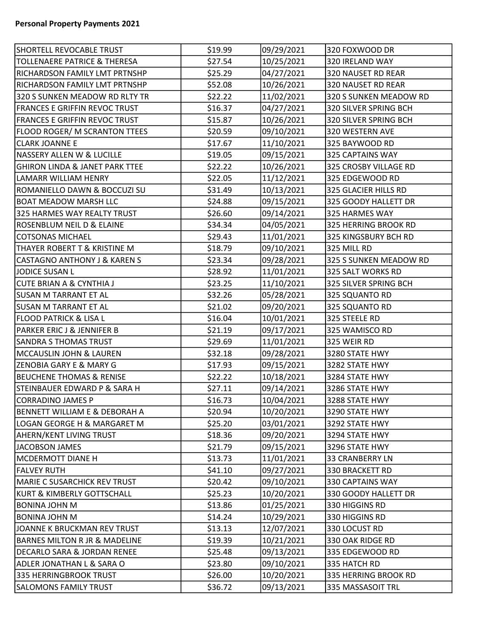| SHORTELL REVOCABLE TRUST                  | \$19.99 | 09/29/2021 | 320 FOXWOOD DR         |
|-------------------------------------------|---------|------------|------------------------|
| TOLLENAERE PATRICE & THERESA              | \$27.54 | 10/25/2021 | 320 IRELAND WAY        |
| RICHARDSON FAMILY LMT PRTNSHP             | \$25.29 | 04/27/2021 | 320 NAUSET RD REAR     |
| RICHARDSON FAMILY LMT PRTNSHP             | \$52.08 | 10/26/2021 | 320 NAUSET RD REAR     |
| 320 S SUNKEN MEADOW RD RLTY TR            | \$22.22 | 11/02/2021 | 320 S SUNKEN MEADOW RD |
| FRANCES E GRIFFIN REVOC TRUST             | \$16.37 | 04/27/2021 | 320 SILVER SPRING BCH  |
| FRANCES E GRIFFIN REVOC TRUST             | \$15.87 | 10/26/2021 | 320 SILVER SPRING BCH  |
| <b>FLOOD ROGER/ M SCRANTON TTEES</b>      | \$20.59 | 09/10/2021 | 320 WESTERN AVE        |
| <b>CLARK JOANNE E</b>                     | \$17.67 | 11/10/2021 | 325 BAYWOOD RD         |
| NASSERY ALLEN W & LUCILLE                 | \$19.05 | 09/15/2021 | 325 CAPTAINS WAY       |
| <b>GHIRON LINDA &amp; JANET PARK TTEE</b> | \$22.22 | 10/26/2021 | 325 CROSBY VILLAGE RD  |
| LAMARR WILLIAM HENRY                      | \$22.05 | 11/12/2021 | 325 EDGEWOOD RD        |
| ROMANIELLO DAWN & BOCCUZI SU              | \$31.49 | 10/13/2021 | 325 GLACIER HILLS RD   |
| <b>BOAT MEADOW MARSH LLC</b>              | \$24.88 | 09/15/2021 | 325 GOODY HALLETT DR   |
| 325 HARMES WAY REALTY TRUST               | \$26.60 | 09/14/2021 | 325 HARMES WAY         |
| <b>ROSENBLUM NEIL D &amp; ELAINE</b>      | \$34.34 | 04/05/2021 | 325 HERRING BROOK RD   |
| COTSONAS MICHAEL                          | \$29.43 | 11/01/2021 | 325 KINGSBURY BCH RD   |
| THAYER ROBERT T & KRISTINE M              | \$18.79 | 09/10/2021 | 325 MILL RD            |
| <b>CASTAGNO ANTHONY J &amp; KAREN S</b>   | \$23.34 | 09/28/2021 | 325 S SUNKEN MEADOW RD |
| JODICE SUSAN L                            | \$28.92 | 11/01/2021 | 325 SALT WORKS RD      |
| CUTE BRIAN A & CYNTHIA J                  | \$23.25 | 11/10/2021 | 325 SILVER SPRING BCH  |
| <b>SUSAN M TARRANT ET AL</b>              | \$32.26 | 05/28/2021 | 325 SQUANTO RD         |
| SUSAN M TARRANT ET AL                     | \$21.02 | 09/20/2021 | 325 SQUANTO RD         |
| FLOOD PATRICK & LISA L                    | \$16.04 | 10/01/2021 | 325 STEELE RD          |
| PARKER ERIC J & JENNIFER B                | \$21.19 | 09/17/2021 | 325 WAMISCO RD         |
| <b>SANDRA S THOMAS TRUST</b>              | \$29.69 | 11/01/2021 | 325 WEIR RD            |
| MCCAUSLIN JOHN & LAUREN                   | \$32.18 | 09/28/2021 | 3280 STATE HWY         |
| <b>ZENOBIA GARY E &amp; MARY G</b>        | \$17.93 | 09/15/2021 | 3282 STATE HWY         |
| BEUCHENE THOMAS & RENISE                  | \$22.22 | 10/18/2021 | 3284 STATE HWY         |
| STEINBAUER EDWARD P & SARA H              | \$27.11 | 09/14/2021 | 3286 STATE HWY         |
| CORRADINO JAMES P                         | \$16.73 | 10/04/2021 | 3288 STATE HWY         |
| BENNETT WILLIAM E & DEBORAH A             | \$20.94 | 10/20/2021 | 3290 STATE HWY         |
| LOGAN GEORGE H & MARGARET M               | \$25.20 | 03/01/2021 | 3292 STATE HWY         |
| AHERN/KENT LIVING TRUST                   | \$18.36 | 09/20/2021 | 3294 STATE HWY         |
| JACOBSON JAMES                            | \$21.79 | 09/15/2021 | 3296 STATE HWY         |
| MCDERMOTT DIANE H                         | \$13.73 | 11/01/2021 | <b>33 CRANBERRY LN</b> |
| <b>FALVEY RUTH</b>                        | \$41.10 | 09/27/2021 | 330 BRACKETT RD        |
| MARIE C SUSARCHICK REV TRUST              | \$20.42 | 09/10/2021 | 330 CAPTAINS WAY       |
| KURT & KIMBERLY GOTTSCHALL                | \$25.23 | 10/20/2021 | 330 GOODY HALLETT DR   |
| <b>BONINA JOHN M</b>                      | \$13.86 | 01/25/2021 | 330 HIGGINS RD         |
| <b>BONINA JOHN M</b>                      | \$14.24 | 10/29/2021 | 330 HIGGINS RD         |
| JOANNE K BRUCKMAN REV TRUST               | \$13.13 | 12/07/2021 | 330 LOCUST RD          |
| <b>BARNES MILTON R JR &amp; MADELINE</b>  | \$19.39 | 10/21/2021 | 330 OAK RIDGE RD       |
| DECARLO SARA & JORDAN RENEE               | \$25.48 | 09/13/2021 | 335 EDGEWOOD RD        |
| <b>ADLER JONATHAN L &amp; SARA O</b>      | \$23.80 | 09/10/2021 | 335 HATCH RD           |
| 335 HERRINGBROOK TRUST                    | \$26.00 | 10/20/2021 | 335 HERRING BROOK RD   |
| <b>SALOMONS FAMILY TRUST</b>              | \$36.72 | 09/13/2021 | 335 MASSASOIT TRL      |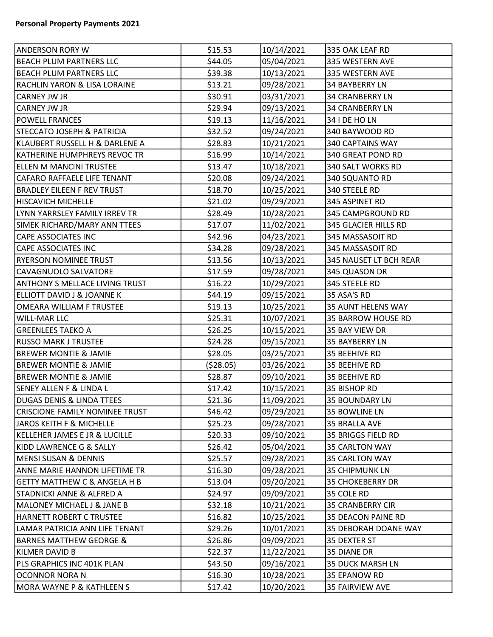| <b>ANDERSON RORY W</b>                  | \$15.53    | 10/14/2021 | 335 OAK LEAF RD         |
|-----------------------------------------|------------|------------|-------------------------|
| <b>BEACH PLUM PARTNERS LLC</b>          | \$44.05    | 05/04/2021 | 335 WESTERN AVE         |
| BEACH PLUM PARTNERS LLC                 | \$39.38    | 10/13/2021 | 335 WESTERN AVE         |
| RACHLIN YARON & LISA LORAINE            | \$13.21    | 09/28/2021 | <b>34 BAYBERRY LN</b>   |
| <b>CARNEY JW JR</b>                     | \$30.91    | 03/31/2021 | <b>34 CRANBERRY LN</b>  |
| CARNEY JW JR                            | \$29.94    | 09/13/2021 | <b>34 CRANBERRY LN</b>  |
| <b>POWELL FRANCES</b>                   | \$19.13    | 11/16/2021 | 34   DE HO LN           |
| <b>STECCATO JOSEPH &amp; PATRICIA</b>   | \$32.52    | 09/24/2021 | 340 BAYWOOD RD          |
| KLAUBERT RUSSELL H & DARLENE A          | \$28.83    | 10/21/2021 | 340 CAPTAINS WAY        |
| KATHERINE HUMPHREYS REVOC TR            | \$16.99    | 10/14/2021 | 340 GREAT POND RD       |
| ELLEN M MANCINI TRUSTEE                 | \$13.47    | 10/18/2021 | 340 SALT WORKS RD       |
| CAFARO RAFFAELE LIFE TENANT             | \$20.08    | 09/24/2021 | 340 SQUANTO RD          |
| <b>BRADLEY EILEEN F REV TRUST</b>       | \$18.70    | 10/25/2021 | 340 STEELE RD           |
| <b>HISCAVICH MICHELLE</b>               | \$21.02    | 09/29/2021 | 345 ASPINET RD          |
| LYNN YARRSLEY FAMILY IRREV TR           | \$28.49    | 10/28/2021 | 345 CAMPGROUND RD       |
| SIMEK RICHARD/MARY ANN TTEES            | \$17.07    | 11/02/2021 | 345 GLACIER HILLS RD    |
| <b>CAPE ASSOCIATES INC</b>              | \$42.96    | 04/23/2021 | 345 MASSASOIT RD        |
| <b>CAPE ASSOCIATES INC</b>              | \$34.28    | 09/28/2021 | 345 MASSASOIT RD        |
| <b>RYERSON NOMINEE TRUST</b>            | \$13.56    | 10/13/2021 | 345 NAUSET LT BCH REAR  |
| CAVAGNUOLO SALVATORE                    | \$17.59    | 09/28/2021 | 345 QUASON DR           |
| <b>ANTHONY S MELLACE LIVING TRUST</b>   | \$16.22    | 10/29/2021 | 345 STEELE RD           |
| ELLIOTT DAVID J & JOANNE K              | \$44.19    | 09/15/2021 | 35 ASA'S RD             |
| OMEARA WILLIAM F TRUSTEE                | \$19.13    | 10/25/2021 | 35 AUNT HELENS WAY      |
| <b>WILL-MAR LLC</b>                     | \$25.31    | 10/07/2021 | 35 BARROW HOUSE RD      |
| <b>GREENLEES TAEKO A</b>                | \$26.25    | 10/15/2021 | 35 BAY VIEW DR          |
| <b>RUSSO MARK J TRUSTEE</b>             | \$24.28    | 09/15/2021 | 35 BAYBERRY LN          |
| <b>BREWER MONTIE &amp; JAMIE</b>        | \$28.05    | 03/25/2021 | 35 BEEHIVE RD           |
| <b>BREWER MONTIE &amp; JAMIE</b>        | ( \$28.05) | 03/26/2021 | 35 BEEHIVE RD           |
| <b>BREWER MONTIE &amp; JAMIE</b>        | \$28.87    | 09/10/2021 | 35 BEEHIVE RD           |
| <b>SENEY ALLEN F &amp; LINDA L</b>      | \$17.42    | 10/15/2021 | 35 BISHOP RD            |
| <b>DUGAS DENIS &amp; LINDA TTEES</b>    | \$21.36    | 11/09/2021 | <b>35 BOUNDARY LN</b>   |
| CRISCIONE FAMILY NOMINEE TRUST          | \$46.42    | 09/29/2021 | 35 BOWLINE LN           |
| JAROS KEITH F & MICHELLE                | \$25.23    | 09/28/2021 | 35 BRALLA AVE           |
| KELLEHER JAMES E JR & LUCILLE           | \$20.33    | 09/10/2021 | 35 BRIGGS FIELD RD      |
| KIDD LAWRENCE G & SALLY                 | \$26.42    | 05/04/2021 | 35 CARLTON WAY          |
| <b>MENSI SUSAN &amp; DENNIS</b>         | \$25.57    | 09/28/2021 | 35 CARLTON WAY          |
| <b>ANNE MARIE HANNON LIFETIME TR</b>    | \$16.30    | 09/28/2021 | <b>35 CHIPMUNK LN</b>   |
| <b>GETTY MATTHEW C &amp; ANGELA H B</b> | \$13.04    | 09/20/2021 | <b>35 CHOKEBERRY DR</b> |
| <b>STADNICKI ANNE &amp; ALFRED A</b>    | \$24.97    | 09/09/2021 | 35 COLE RD              |
| MALONEY MICHAEL J & JANE B              | \$32.18    | 10/21/2021 | <b>35 CRANBERRY CIR</b> |
| HARNETT ROBERT C TRUSTEE                | \$16.82    | 10/25/2021 | 35 DEACON PAINE RD      |
| LAMAR PATRICIA ANN LIFE TENANT          | \$29.26    | 10/01/2021 | 35 DEBORAH DOANE WAY    |
| BARNES MATTHEW GEORGE &                 | \$26.86    | 09/09/2021 | 35 DEXTER ST            |
| KILMER DAVID B                          | \$22.37    | 11/22/2021 | 35 DIANE DR             |
| PLS GRAPHICS INC 401K PLAN              | \$43.50    | 09/16/2021 | 35 DUCK MARSH LN        |
| OCONNOR NORA N                          | \$16.30    | 10/28/2021 | 35 EPANOW RD            |
| MORA WAYNE P & KATHLEEN S               | \$17.42    | 10/20/2021 | 35 FAIRVIEW AVE         |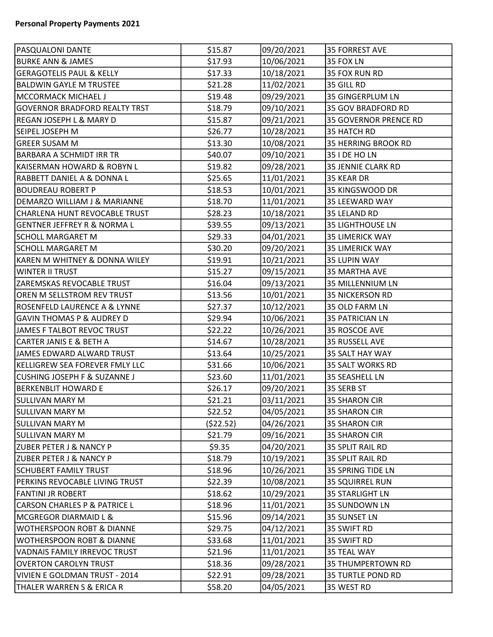| <b>PASQUALONI DANTE</b>                 | \$15.87   | 09/20/2021 | <b>35 FORREST AVE</b>        |
|-----------------------------------------|-----------|------------|------------------------------|
| <b>BURKE ANN &amp; JAMES</b>            | \$17.93   | 10/06/2021 | 35 FOX LN                    |
| <b>GERAGOTELIS PAUL &amp; KELLY</b>     | \$17.33   | 10/18/2021 | 35 FOX RUN RD                |
| <b>BALDWIN GAYLE M TRUSTEE</b>          | \$21.28   | 11/02/2021 | 35 GILL RD                   |
| MCCORMACK MICHAEL J                     | \$19.48   | 09/29/2021 | <b>35 GINGERPLUM LN</b>      |
| <b>GOVERNOR BRADFORD REALTY TRST</b>    | \$18.79   | 09/10/2021 | 35 GOV BRADFORD RD           |
| <b>REGAN JOSEPH L &amp; MARY D</b>      | \$15.87   | 09/21/2021 | <b>35 GOVERNOR PRENCE RD</b> |
| SEIPEL JOSEPH M                         | \$26.77   | 10/28/2021 | 35 HATCH RD                  |
| <b>GREER SUSAM M</b>                    | \$13.30   | 10/08/2021 | 35 HERRING BROOK RD          |
| <b>BARBARA A SCHMIDT IRR TR</b>         | \$40.07   | 09/10/2021 | 35 I DE HO LN                |
| KAISERMAN HOWARD & ROBYN L              | \$19.82   | 09/28/2021 | 35 JENNIE CLARK RD           |
| RABBETT DANIEL A & DONNA L              | \$25.65   | 11/01/2021 | 35 KEAR DR                   |
| <b>BOUDREAU ROBERT P</b>                | \$18.53   | 10/01/2021 | 35 KINGSWOOD DR              |
| DEMARZO WILLIAM J & MARIANNE            | \$18.70   | 11/01/2021 | 35 LEEWARD WAY               |
| CHARLENA HUNT REVOCABLE TRUST           | \$28.23   | 10/18/2021 | 35 LELAND RD                 |
| <b>GENTNER JEFFREY R &amp; NORMA L</b>  | \$39.55   | 09/13/2021 | 35 LIGHTHOUSE LN             |
| SCHOLL MARGARET M                       | \$29.33   | 04/01/2021 | <b>35 LIMERICK WAY</b>       |
| <b>SCHOLL MARGARET M</b>                | \$30.20   | 09/20/2021 | <b>35 LIMERICK WAY</b>       |
| KAREN M WHITNEY & DONNA WILEY           | \$19.91   | 10/21/2021 | 35 LUPIN WAY                 |
| <b>WINTER II TRUST</b>                  | \$15.27   | 09/15/2021 | 35 MARTHA AVE                |
| ZAREMSKAS REVOCABLE TRUST               | \$16.04   | 09/13/2021 | 35 MILLENNIUM LN             |
| OREN M SELLSTROM REV TRUST              | \$13.56   | 10/01/2021 | <b>35 NICKERSON RD</b>       |
| <b>ROSENFELD LAURENCE A &amp; LYNNE</b> | \$27.37   | 10/12/2021 | 35 OLD FARM LN               |
| <b>GAVIN THOMAS P &amp; AUDREY D</b>    | \$29.94   | 10/06/2021 | 35 PATRICIAN LN              |
| JAMES F TALBOT REVOC TRUST              | \$22.22   | 10/26/2021 | 35 ROSCOE AVE                |
| CARTER JANIS E & BETH A                 | \$14.67   | 10/28/2021 | 35 RUSSELL AVE               |
| JAMES EDWARD ALWARD TRUST               | \$13.64   | 10/25/2021 | 35 SALT HAY WAY              |
| KELLIGREW SEA FOREVER FMLY LLC          | \$31.66   | 10/06/2021 | 35 SALT WORKS RD             |
| <b>CUSHING JOSEPH F &amp; SUZANNE J</b> | \$23.60   | 11/01/2021 | 35 SEASHELL LN               |
| <b>BERKENBLIT HOWARD E</b>              | \$26.17   | 09/20/2021 | 35 SERB ST                   |
| <b>SULLIVAN MARY M</b>                  | \$21.21   | 03/11/2021 | 35 SHARON CIR                |
| <b>SULLIVAN MARY M</b>                  | \$22.52   | 04/05/2021 | 35 SHARON CIR                |
| <b>SULLIVAN MARY M</b>                  | (\$22.52) | 04/26/2021 | <b>35 SHARON CIR</b>         |
| <b>SULLIVAN MARY M</b>                  | \$21.79   | 09/16/2021 | <b>35 SHARON CIR</b>         |
| <b>ZUBER PETER J &amp; NANCY P</b>      | \$9.35    | 04/20/2021 | 35 SPLIT RAIL RD             |
| <b>ZUBER PETER J &amp; NANCY P</b>      | \$18.79   | 10/19/2021 | 35 SPLIT RAIL RD             |
| <b>SCHUBERT FAMILY TRUST</b>            | \$18.96   | 10/26/2021 | 35 SPRING TIDE LN            |
| PERKINS REVOCABLE LIVING TRUST          | \$22.39   | 10/08/2021 | <b>35 SQUIRREL RUN</b>       |
| <b>FANTINI JR ROBERT</b>                | \$18.62   | 10/29/2021 | <b>35 STARLIGHT LN</b>       |
| <b>CARSON CHARLES P &amp; PATRICE L</b> | \$18.96   | 11/01/2021 | 35 SUNDOWN LN                |
| <b>MCGREGOR DIARMAID L &amp;</b>        | \$15.96   | 09/14/2021 | 35 SUNSET LN                 |
| <b>WOTHERSPOON ROBT &amp; DIANNE</b>    | \$29.75   | 04/12/2021 | 35 SWIFT RD                  |
| <b>WOTHERSPOON ROBT &amp; DIANNE</b>    | \$33.68   | 11/01/2021 | 35 SWIFT RD                  |
| <b>VADNAIS FAMILY IRREVOC TRUST</b>     | \$21.96   | 11/01/2021 | 35 TEAL WAY                  |
| <b>OVERTON CAROLYN TRUST</b>            | \$18.36   | 09/28/2021 | 35 THUMPERTOWN RD            |
| VIVIEN E GOLDMAN TRUST - 2014           | \$22.91   | 09/28/2021 | <b>35 TURTLE POND RD</b>     |
| THALER WARREN S & ERICA R               | \$58.20   | 04/05/2021 | 35 WEST RD                   |
|                                         |           |            |                              |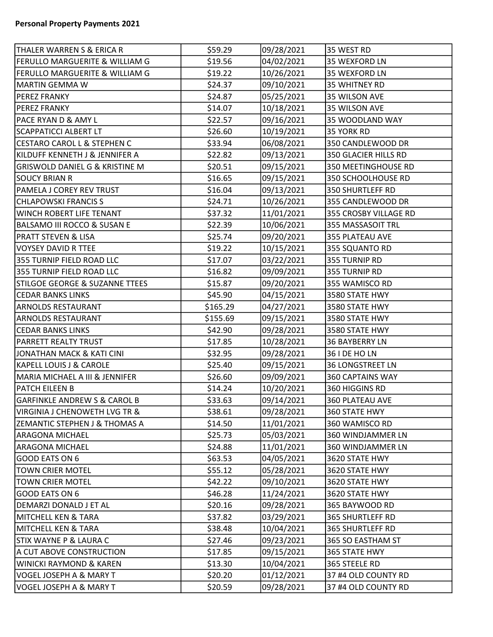| THALER WARREN S & ERICA R                 | \$59.29  | 09/28/2021 | 35 WEST RD              |  |
|-------------------------------------------|----------|------------|-------------------------|--|
| FERULLO MARGUERITE & WILLIAM G            | \$19.56  | 04/02/2021 | 35 WEXFORD LN           |  |
| FERULLO MARGUERITE & WILLIAM G            | \$19.22  | 10/26/2021 | 35 WEXFORD LN           |  |
| MARTIN GEMMA W                            | \$24.37  | 09/10/2021 | 35 WHITNEY RD           |  |
| <b>PEREZ FRANKY</b>                       | \$24.87  | 05/25/2021 | 35 WILSON AVE           |  |
| <b>PEREZ FRANKY</b>                       | \$14.07  | 10/18/2021 | 35 WILSON AVE           |  |
| PACE RYAN D & AMY L                       | \$22.57  | 09/16/2021 | 35 WOODLAND WAY         |  |
| <b>SCAPPATICCI ALBERT LT</b>              | \$26.60  | 10/19/2021 | 35 YORK RD              |  |
| <b>CESTARO CAROL L &amp; STEPHEN C</b>    | \$33.94  | 06/08/2021 | 350 CANDLEWOOD DR       |  |
| KILDUFF KENNETH J & JENNIFER A            | \$22.82  | 09/13/2021 | 350 GLACIER HILLS RD    |  |
| <b>GRISWOLD DANIEL G &amp; KRISTINE M</b> | \$20.51  | 09/15/2021 | 350 MEETINGHOUSE RD     |  |
| <b>SOUCY BRIAN R</b>                      | \$16.65  | 09/15/2021 | 350 SCHOOLHOUSE RD      |  |
| PAMELA J COREY REV TRUST                  | \$16.04  | 09/13/2021 | 350 SHURTLEFF RD        |  |
| <b>CHLAPOWSKI FRANCIS S</b>               | \$24.71  | 10/26/2021 | 355 CANDLEWOOD DR       |  |
| <b>WINCH ROBERT LIFE TENANT</b>           | \$37.32  | 11/01/2021 | 355 CROSBY VILLAGE RD   |  |
| <b>BALSAMO III ROCCO &amp; SUSAN E</b>    | \$22.39  | 10/06/2021 | 355 MASSASOIT TRL       |  |
| <b>PRATT STEVEN &amp; LISA</b>            | \$25.74  | 09/20/2021 | 355 PLATEAU AVE         |  |
| <b>VOYSEY DAVID R TTEE</b>                | \$19.22  | 10/15/2021 | 355 SQUANTO RD          |  |
| 355 TURNIP FIELD ROAD LLC                 | \$17.07  | 03/22/2021 | 355 TURNIP RD           |  |
| 355 TURNIP FIELD ROAD LLC                 | \$16.82  | 09/09/2021 | 355 TURNIP RD           |  |
| STILGOE GEORGE & SUZANNE TTEES            | \$15.87  | 09/20/2021 | 355 WAMISCO RD          |  |
| <b>CEDAR BANKS LINKS</b>                  | \$45.90  | 04/15/2021 | 3580 STATE HWY          |  |
| <b>ARNOLDS RESTAURANT</b>                 | \$165.29 | 04/27/2021 | 3580 STATE HWY          |  |
| <b>ARNOLDS RESTAURANT</b>                 | \$155.69 | 09/15/2021 | 3580 STATE HWY          |  |
| <b>CEDAR BANKS LINKS</b>                  | \$42.90  | 09/28/2021 | 3580 STATE HWY          |  |
| <b>PARRETT REALTY TRUST</b>               | \$17.85  | 10/28/2021 | 36 BAYBERRY LN          |  |
| JONATHAN MACK & KATI CINI                 | \$32.95  | 09/28/2021 | 36 I DE HO LN           |  |
| <b>KAPELL LOUIS J &amp; CAROLE</b>        | \$25.40  | 09/15/2021 | <b>36 LONGSTREET LN</b> |  |
| MARIA MICHAEL A III & JENNIFER            | \$26.60  | 09/09/2021 | 360 CAPTAINS WAY        |  |
| <b>PATCH EILEEN B</b>                     | \$14.24  | 10/20/2021 | 360 HIGGINS RD          |  |
| <b>GARFINKLE ANDREW S &amp; CAROL B</b>   | \$33.63  | 09/14/2021 | 360 PLATEAU AVE         |  |
| VIRGINIA J CHENOWETH LVG TR &             | \$38.61  | 09/28/2021 | 360 STATE HWY           |  |
| <b>ZEMANTIC STEPHEN J &amp; THOMAS A</b>  | \$14.50  | 11/01/2021 | 360 WAMISCO RD          |  |
| <b>ARAGONA MICHAEL</b>                    | \$25.73  | 05/03/2021 | 360 WINDJAMMER LN       |  |
| <b>ARAGONA MICHAEL</b>                    | \$24.88  | 11/01/2021 | 360 WINDJAMMER LN       |  |
| GOOD EATS ON 6                            | \$63.53  | 04/05/2021 | 3620 STATE HWY          |  |
| <b>TOWN CRIER MOTEL</b>                   | \$55.12  | 05/28/2021 | 3620 STATE HWY          |  |
| <b>TOWN CRIER MOTEL</b>                   | \$42.22  | 09/10/2021 | 3620 STATE HWY          |  |
| GOOD EATS ON 6                            | \$46.28  | 11/24/2021 | 3620 STATE HWY          |  |
| DEMARZI DONALD J ET AL                    | \$20.16  | 09/28/2021 | 365 BAYWOOD RD          |  |
| <b>MITCHELL KEN &amp; TARA</b>            | \$37.82  | 03/29/2021 | 365 SHURTLEFF RD        |  |
| MITCHELL KEN & TARA                       | \$38.48  | 10/04/2021 | 365 SHURTLEFF RD        |  |
| STIX WAYNE P & LAURA C                    | \$27.46  | 09/23/2021 | 365 SO EASTHAM ST       |  |
| A CUT ABOVE CONSTRUCTION                  | \$17.85  | 09/15/2021 | 365 STATE HWY           |  |
| <b>WINICKI RAYMOND &amp; KAREN</b>        | \$13.30  | 10/04/2021 | 365 STEELE RD           |  |
| VOGEL JOSEPH A & MARY T                   | \$20.20  | 01/12/2021 | 37 #4 OLD COUNTY RD     |  |
| VOGEL JOSEPH A & MARY T                   | \$20.59  | 09/28/2021 | 37 #4 OLD COUNTY RD     |  |
|                                           |          |            |                         |  |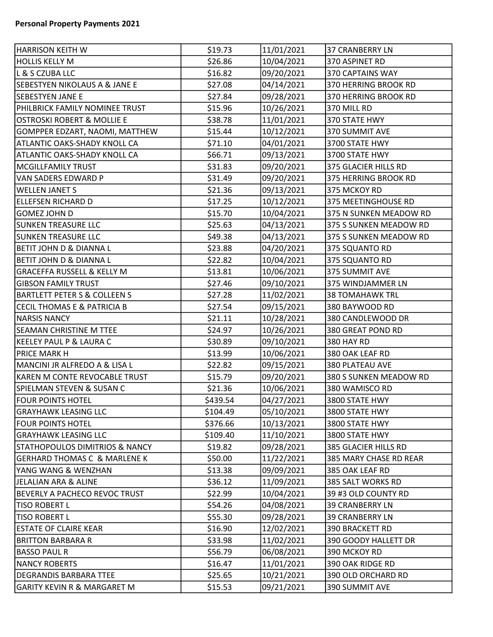| <b>HARRISON KEITH W</b>                   | \$19.73  | 11/01/2021 | <b>37 CRANBERRY LN</b> |
|-------------------------------------------|----------|------------|------------------------|
| <b>HOLLIS KELLY M</b>                     | \$26.86  | 10/04/2021 | 370 ASPINET RD         |
| L & S CZUBA LLC                           | \$16.82  | 09/20/2021 | 370 CAPTAINS WAY       |
| <b>SEBESTYEN NIKOLAUS A &amp; JANE E</b>  | \$27.08  | 04/14/2021 | 370 HERRING BROOK RD   |
| <b>SEBESTYEN JANE E</b>                   | \$27.84  | 09/28/2021 | 370 HERRING BROOK RD   |
| PHILBRICK FAMILY NOMINEE TRUST            | \$15.96  | 10/26/2021 | 370 MILL RD            |
| OSTROSKI ROBERT & MOLLIE E                | \$38.78  | 11/01/2021 | 370 STATE HWY          |
| GOMPPER EDZART, NAOMI, MATTHEW            | \$15.44  | 10/12/2021 | 370 SUMMIT AVE         |
| <b>ATLANTIC OAKS-SHADY KNOLL CA</b>       | \$71.10  | 04/01/2021 | 3700 STATE HWY         |
| <b>ATLANTIC OAKS-SHADY KNOLL CA</b>       | \$66.71  | 09/13/2021 | 3700 STATE HWY         |
| MCGILLFAMILY TRUST                        | \$31.83  | 09/20/2021 | 375 GLACIER HILLS RD   |
| VAN SADERS EDWARD P                       | \$31.49  | 09/20/2021 | 375 HERRING BROOK RD   |
| <b>WELLEN JANET S</b>                     | \$21.36  | 09/13/2021 | 375 MCKOY RD           |
| ELLEFSEN RICHARD D                        | \$17.25  | 10/12/2021 | 375 MEETINGHOUSE RD    |
| GOMEZ JOHN D                              | \$15.70  | 10/04/2021 | 375 N SUNKEN MEADOW RD |
| <b>SUNKEN TREASURE LLC</b>                | \$25.63  | 04/13/2021 | 375 S SUNKEN MEADOW RD |
| <b>SUNKEN TREASURE LLC</b>                | \$49.38  | 04/13/2021 | 375 S SUNKEN MEADOW RD |
| BETIT JOHN D & DIANNA L                   | \$23.88  | 04/20/2021 | 375 SQUANTO RD         |
| <b>BETIT JOHN D &amp; DIANNA L</b>        | \$22.82  | 10/04/2021 | 375 SQUANTO RD         |
| <b>GRACEFFA RUSSELL &amp; KELLY M</b>     | \$13.81  | 10/06/2021 | 375 SUMMIT AVE         |
| <b>GIBSON FAMILY TRUST</b>                | \$27.46  | 09/10/2021 | 375 WINDJAMMER LN      |
| <b>BARTLETT PETER S &amp; COLLEEN S</b>   | \$27.28  | 11/02/2021 | <b>38 TOMAHAWK TRL</b> |
| <b>CECIL THOMAS E &amp; PATRICIA B</b>    | \$27.54  | 09/15/2021 | 380 BAYWOOD RD         |
| <b>NARSIS NANCY</b>                       | \$21.11  | 10/28/2021 | 380 CANDLEWOOD DR      |
| <b>SEAMAN CHRISTINE M TTEE</b>            | \$24.97  | 10/26/2021 | 380 GREAT POND RD      |
| KEELEY PAUL P & LAURA C                   | \$30.89  | 09/10/2021 | 380 HAY RD             |
| <b>PRICE MARK H</b>                       | \$13.99  | 10/06/2021 | 380 OAK LEAF RD        |
| MANCINI JR ALFREDO A & LISA L             | \$22.82  | 09/15/2021 | 380 PLATEAU AVE        |
| KAREN M CONTE REVOCABLE TRUST             | \$15.79  | 09/20/2021 | 380 S SUNKEN MEADOW RD |
| SPIELMAN STEVEN & SUSAN C                 | \$21.36  | 10/06/2021 | 380 WAMISCO RD         |
| FOUR POINTS HOTEL                         | \$439.54 | 04/27/2021 | 3800 STATE HWY         |
| <b>GRAYHAWK LEASING LLC</b>               | \$104.49 | 05/10/2021 | 3800 STATE HWY         |
| <b>FOUR POINTS HOTEL</b>                  | \$376.66 | 10/13/2021 | 3800 STATE HWY         |
| <b>GRAYHAWK LEASING LLC</b>               | \$109.40 | 11/10/2021 | 3800 STATE HWY         |
| <b>STATHOPOULOS DIMITRIOS &amp; NANCY</b> | \$19.82  | 09/28/2021 | 385 GLACIER HILLS RD   |
| <b>GERHARD THOMAS C &amp; MARLENE K</b>   | \$50.00  | 11/22/2021 | 385 MARY CHASE RD REAR |
| YANG WANG & WENZHAN                       | \$13.38  | 09/09/2021 | 385 OAK LEAF RD        |
| JELALIAN ARA & ALINE                      | \$36.12  | 11/09/2021 | 385 SALT WORKS RD      |
| BEVERLY A PACHECO REVOC TRUST             | \$22.99  | 10/04/2021 | 39 #3 OLD COUNTY RD    |
| <b>TISO ROBERT L</b>                      | \$54.26  | 04/08/2021 | <b>39 CRANBERRY LN</b> |
| <b>TISO ROBERT L</b>                      | \$55.30  | 09/28/2021 | 39 CRANBERRY LN        |
| <b>ESTATE OF CLAIRE KEAR</b>              | \$16.90  | 12/02/2021 | 390 BRACKETT RD        |
| <b>BRITTON BARBARA R</b>                  | \$33.98  | 11/02/2021 | 390 GOODY HALLETT DR   |
| <b>BASSO PAUL R</b>                       | \$56.79  | 06/08/2021 | 390 MCKOY RD           |
| <b>NANCY ROBERTS</b>                      | \$16.47  | 11/01/2021 | 390 OAK RIDGE RD       |
| <b>DEGRANDIS BARBARA TTEE</b>             | \$25.65  | 10/21/2021 | 390 OLD ORCHARD RD     |
| <b>GARITY KEVIN R &amp; MARGARET M</b>    | \$15.53  | 09/21/2021 | 390 SUMMIT AVE         |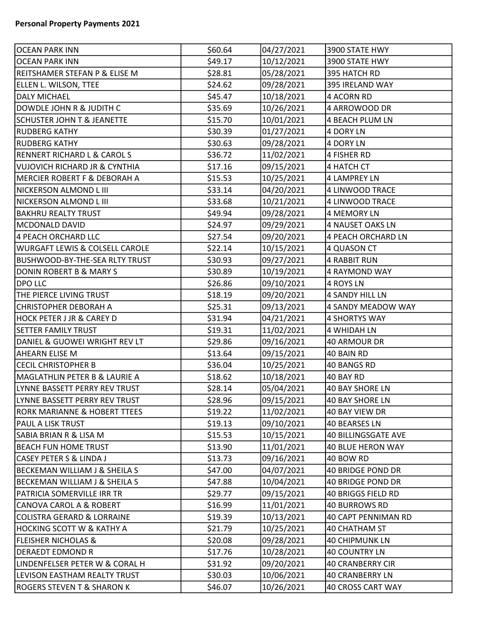| OCEAN PARK INN                           | \$60.64 | 04/27/2021 | 3900 STATE HWY             |
|------------------------------------------|---------|------------|----------------------------|
| <b>OCEAN PARK INN</b>                    | \$49.17 | 10/12/2021 | 3900 STATE HWY             |
| REITSHAMER STEFAN P & ELISE M            | \$28.81 | 05/28/2021 | 395 HATCH RD               |
| ELLEN L. WILSON, TTEE                    | \$24.62 | 09/28/2021 | 395 IRELAND WAY            |
| <b>DALY MICHAEL</b>                      | \$45.47 | 10/18/2021 | 4 ACORN RD                 |
| DOWDLE JOHN R & JUDITH C                 | \$35.69 | 10/26/2021 | 4 ARROWOOD DR              |
| <b>SCHUSTER JOHN T &amp; JEANETTE</b>    | \$15.70 | 10/01/2021 | <b>4 BEACH PLUM LN</b>     |
| <b>RUDBERG KATHY</b>                     | \$30.39 | 01/27/2021 | <b>4 DORY LN</b>           |
| <b>RUDBERG KATHY</b>                     | \$30.63 | 09/28/2021 | 4 DORY LN                  |
| <b>RENNERT RICHARD L &amp; CAROL S</b>   | \$36.72 | 11/02/2021 | 4 FISHER RD                |
| VUJOVICH RICHARD JR & CYNTHIA            | \$17.16 | 09/15/2021 | 4 HATCH CT                 |
| MERCIER ROBERT F & DEBORAH A             | \$15.53 | 10/25/2021 | <b>4 LAMPREY LN</b>        |
| NICKERSON ALMOND L III                   | \$33.14 | 04/20/2021 | 4 LINWOOD TRACE            |
| NICKERSON ALMOND L III                   | \$33.68 | 10/21/2021 | 4 LINWOOD TRACE            |
| <b>BAKHRU REALTY TRUST</b>               | \$49.94 | 09/28/2021 | 4 MEMORY LN                |
| MCDONALD DAVID                           | \$24.97 | 09/29/2021 | 4 NAUSET OAKS LN           |
| 4 PEACH ORCHARD LLC                      | \$27.54 | 09/20/2021 | <b>4 PEACH ORCHARD LN</b>  |
| WURGAFT LEWIS & COLSELL CAROLE           | \$22.14 | 10/15/2021 | 4 QUASON CT                |
| <b>BUSHWOOD-BY-THE-SEA RLTY TRUST</b>    | \$30.93 | 09/27/2021 | <b>4 RABBIT RUN</b>        |
| DONIN ROBERT B & MARY S                  | \$30.89 | 10/19/2021 | 4 RAYMOND WAY              |
| <b>DPO LLC</b>                           | \$26.86 | 09/10/2021 | 4 ROYS LN                  |
| THE PIERCE LIVING TRUST                  | \$18.19 | 09/20/2021 | <b>4 SANDY HILL LN</b>     |
| CHRISTOPHER DEBORAH A                    | \$25.31 | 09/13/2021 | 4 SANDY MEADOW WAY         |
| HOCK PETER J JR & CAREY D                | \$31.94 | 04/21/2021 | <b>4 SHORTYS WAY</b>       |
| SETTER FAMILY TRUST                      | \$19.31 | 11/02/2021 | 4 WHIDAH LN                |
| DANIEL & GUOWEI WRIGHT REV LT            | \$29.86 | 09/16/2021 | <b>40 ARMOUR DR</b>        |
| <b>AHEARN ELISE M</b>                    | \$13.64 | 09/15/2021 | 40 BAIN RD                 |
| <b>CECIL CHRISTOPHER B</b>               | \$36.04 | 10/25/2021 | 40 BANGS RD                |
| MAGLATHLIN PETER B & LAURIE A            | \$18.62 | 10/18/2021 | 40 BAY RD                  |
| LYNNE BASSETT PERRY REV TRUST            | \$28.14 | 05/04/2021 | 40 BAY SHORE LN            |
| LYNNE BASSETT PERRY REV TRUST            | \$28.96 | 09/15/2021 | <b>40 BAY SHORE LN</b>     |
| RORK MARIANNE & HOBERT TTEES             | \$19.22 | 11/02/2021 | 40 BAY VIEW DR             |
| PAUL A LISK TRUST                        | \$19.13 | 09/10/2021 | 40 BEARSES LN              |
| SABIA BRIAN R & LISA M                   | \$15.53 | 10/15/2021 | <b>40 BILLINGSGATE AVE</b> |
| BEACH FUN HOME TRUST                     | \$13.90 | 11/01/2021 | <b>40 BLUE HERON WAY</b>   |
| CASEY PETER S & LINDA J                  | \$13.73 | 09/16/2021 | 40 BOW RD                  |
| <b>BECKEMAN WILLIAM J &amp; SHEILA S</b> | \$47.00 | 04/07/2021 | <b>40 BRIDGE POND DR</b>   |
| <b>BECKEMAN WILLIAM J &amp; SHEILA S</b> | \$47.88 | 10/04/2021 | 40 BRIDGE POND DR          |
| PATRICIA SOMERVILLE IRR TR               | \$29.77 | 09/15/2021 | 40 BRIGGS FIELD RD         |
| <b>CANOVA CAROL A &amp; ROBERT</b>       | \$16.99 | 11/01/2021 | 40 BURROWS RD              |
| COLISTRA GERARD & LORRAINE               | \$19.39 | 10/13/2021 | 40 CAPT PENNIMAN RD        |
| HOCKING SCOTT W & KATHY A                | \$21.79 | 10/25/2021 | 40 CHATHAM ST              |
| <b>FLEISHER NICHOLAS &amp;</b>           | \$20.08 | 09/28/2021 | <b>40 CHIPMUNK LN</b>      |
| DERAEDT EDMOND R                         | \$17.76 | 10/28/2021 | <b>40 COUNTRY LN</b>       |
| LINDENFELSER PETER W & CORAL H           | \$31.92 | 09/20/2021 | 40 CRANBERRY CIR           |
| LEVISON EASTHAM REALTY TRUST             | \$30.03 | 10/06/2021 | <b>40 CRANBERRY LN</b>     |
| <b>ROGERS STEVEN T &amp; SHARON K</b>    | \$46.07 | 10/26/2021 | 40 CROSS CART WAY          |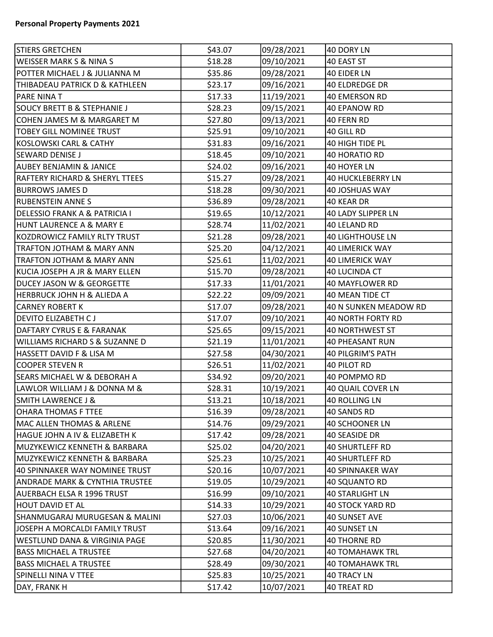| <b>STIERS GRETCHEN</b>                    | \$43.07 | 09/28/2021 | 40 DORY LN                |
|-------------------------------------------|---------|------------|---------------------------|
| <b>WEISSER MARK S &amp; NINA S</b>        | \$18.28 | 09/10/2021 | 40 EAST ST                |
| POTTER MICHAEL J & JULIANNA M             | \$35.86 | 09/28/2021 | 40 EIDER LN               |
| THIBADEAU PATRICK D & KATHLEEN            | \$23.17 | 09/16/2021 | <b>40 ELDREDGE DR</b>     |
| <b>PARE NINA T</b>                        | \$17.33 | 11/19/2021 | <b>40 EMERSON RD</b>      |
| <b>SOUCY BRETT B &amp; STEPHANIE J</b>    | \$28.23 | 09/15/2021 | 40 EPANOW RD              |
| COHEN JAMES M & MARGARET M                | \$27.80 | 09/13/2021 | 40 FERN RD                |
| <b>TOBEY GILL NOMINEE TRUST</b>           | \$25.91 | 09/10/2021 | 40 GILL RD                |
| KOSLOWSKI CARL & CATHY                    | \$31.83 | 09/16/2021 | 40 HIGH TIDE PL           |
| SEWARD DENISE J                           | \$18.45 | 09/10/2021 | <b>40 HORATIO RD</b>      |
| <b>AUBEY BENJAMIN &amp; JANICE</b>        | \$24.02 | 09/16/2021 | 40 HOYER LN               |
| <b>RAFTERY RICHARD &amp; SHERYL TTEES</b> | \$15.27 | 09/28/2021 | <b>40 HUCKLEBERRY LN</b>  |
| <b>BURROWS JAMES D</b>                    | \$18.28 | 09/30/2021 | 40 JOSHUAS WAY            |
| <b>RUBENSTEIN ANNE S</b>                  | \$36.89 | 09/28/2021 | 40 KEAR DR                |
| DELESSIO FRANK A & PATRICIA I             | \$19.65 | 10/12/2021 | <b>40 LADY SLIPPER LN</b> |
| HUNT LAURENCE A & MARY E                  | \$28.74 | 11/02/2021 | 40 LELAND RD              |
| KOZDROWICZ FAMILY RLTY TRUST              | \$21.28 | 09/28/2021 | <b>40 LIGHTHOUSE LN</b>   |
| TRAFTON JOTHAM & MARY ANN                 | \$25.20 | 04/12/2021 | <b>40 LIMERICK WAY</b>    |
| TRAFTON JOTHAM & MARY ANN                 | \$25.61 | 11/02/2021 | 40 LIMERICK WAY           |
| KUCIA JOSEPH A JR & MARY ELLEN            | \$15.70 | 09/28/2021 | 40 LUCINDA CT             |
| <b>DUCEY JASON W &amp; GEORGETTE</b>      | \$17.33 | 11/01/2021 | 40 MAYFLOWER RD           |
| HERBRUCK JOHN H & ALIEDA A                | \$22.22 | 09/09/2021 | 40 MEAN TIDE CT           |
| <b>CARNEY ROBERT K</b>                    | \$17.07 | 09/28/2021 | 40 N SUNKEN MEADOW RD     |
| <b>DEVITO ELIZABETH CJ</b>                | \$17.07 | 09/10/2021 | <b>40 NORTH FORTY RD</b>  |
| DAFTARY CYRUS E & FARANAK                 | \$25.65 | 09/15/2021 | 40 NORTHWEST ST           |
| <b>WILLIAMS RICHARD S &amp; SUZANNE D</b> | \$21.19 | 11/01/2021 | 40 PHEASANT RUN           |
| HASSETT DAVID F & LISA M                  | \$27.58 | 04/30/2021 | 40 PILGRIM'S PATH         |
| COOPER STEVEN R                           | \$26.51 | 11/02/2021 | 40 PILOT RD               |
| <b>SEARS MICHAEL W &amp; DEBORAH A</b>    | \$34.92 | 09/20/2021 | 40 POMPMO RD              |
| LAWLOR WILLIAM J & DONNA M &              | \$28.31 | 10/19/2021 | 40 QUAIL COVER LN         |
| <b>SMITH LAWRENCE J &amp;</b>             | \$13.21 | 10/18/2021 | <b>40 ROLLING LN</b>      |
| <b>OHARA THOMAS F TTEE</b>                | \$16.39 | 09/28/2021 | 40 SANDS RD               |
| MAC ALLEN THOMAS & ARLENE                 | \$14.76 | 09/29/2021 | 40 SCHOONER LN            |
| HAGUE JOHN A IV & ELIZABETH K             | \$17.42 | 09/28/2021 | 40 SEASIDE DR             |
| MUZYKEWICZ KENNETH & BARBARA              | \$25.02 | 04/20/2021 | <b>40 SHURTLEFF RD</b>    |
| MUZYKEWICZ KENNETH & BARBARA              | \$25.23 | 10/25/2021 | <b>40 SHURTLEFF RD</b>    |
| 40 SPINNAKER WAY NOMINEE TRUST            | \$20.16 | 10/07/2021 | 40 SPINNAKER WAY          |
| <b>ANDRADE MARK &amp; CYNTHIA TRUSTEE</b> | \$19.05 | 10/29/2021 | 40 SQUANTO RD             |
| AUERBACH ELSA R 1996 TRUST                | \$16.99 | 09/10/2021 | <b>40 STARLIGHT LN</b>    |
| HOUT DAVID ET AL                          | \$14.33 | 10/29/2021 | 40 STOCK YARD RD          |
| SHANMUGARAJ MURUGESAN & MALINI            | \$27.03 | 10/06/2021 | 40 SUNSET AVE             |
| JOSEPH A MORCALDI FAMILY TRUST            | \$13.64 | 09/16/2021 | 40 SUNSET LN              |
| WESTLUND DANA & VIRGINIA PAGE             | \$20.85 | 11/30/2021 | <b>40 THORNE RD</b>       |
| <b>BASS MICHAEL A TRUSTEE</b>             | \$27.68 | 04/20/2021 | <b>40 TOMAHAWK TRL</b>    |
| <b>BASS MICHAEL A TRUSTEE</b>             | \$28.49 | 09/30/2021 | <b>40 TOMAHAWK TRL</b>    |
| SPINELLI NINA V TTEE                      | \$25.83 | 10/25/2021 | 40 TRACY LN               |
| DAY, FRANK H                              | \$17.42 | 10/07/2021 | 40 TREAT RD               |
|                                           |         |            |                           |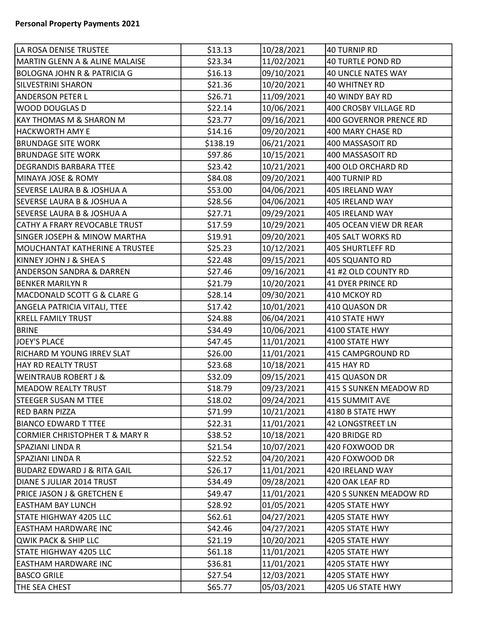| LA ROSA DENISE TRUSTEE                    | \$13.13  | 10/28/2021 | 40 TURNIP RD           |
|-------------------------------------------|----------|------------|------------------------|
| <b>MARTIN GLENN A &amp; ALINE MALAISE</b> | \$23.34  | 11/02/2021 | 40 TURTLE POND RD      |
| <b>BOLOGNA JOHN R &amp; PATRICIA G</b>    | \$16.13  | 09/10/2021 | 40 UNCLE NATES WAY     |
| <b>SILVESTRINI SHARON</b>                 | \$21.36  | 10/20/2021 | 40 WHITNEY RD          |
| <b>ANDERSON PETER L</b>                   | \$26.71  | 11/09/2021 | 40 WINDY BAY RD        |
| <b>WOOD DOUGLAS D</b>                     | \$22.14  | 10/06/2021 | 400 CROSBY VILLAGE RD  |
| KAY THOMAS M & SHARON M                   | \$23.77  | 09/16/2021 | 400 GOVERNOR PRENCE RD |
| <b>HACKWORTH AMY E</b>                    | \$14.16  | 09/20/2021 | 400 MARY CHASE RD      |
| <b>BRUNDAGE SITE WORK</b>                 | \$138.19 | 06/21/2021 | 400 MASSASOIT RD       |
| <b>BRUNDAGE SITE WORK</b>                 | \$97.86  | 10/15/2021 | 400 MASSASOIT RD       |
| <b>DEGRANDIS BARBARA TTEE</b>             | \$23.42  | 10/21/2021 | 400 OLD ORCHARD RD     |
| <b>MINAYA JOSE &amp; ROMY</b>             | \$84.08  | 09/20/2021 | 400 TURNIP RD          |
| <b>SEVERSE LAURA B &amp; JOSHUA A</b>     | \$53.00  | 04/06/2021 | 405 IRELAND WAY        |
| <b>SEVERSE LAURA B &amp; JOSHUA A</b>     | \$28.56  | 04/06/2021 | 405 IRELAND WAY        |
| <b>SEVERSE LAURA B &amp; JOSHUA A</b>     | \$27.71  | 09/29/2021 | 405 IRELAND WAY        |
| CATHY A FRARY REVOCABLE TRUST             | \$17.59  | 10/29/2021 | 405 OCEAN VIEW DR REAR |
| <b>SINGER JOSEPH &amp; MINOW MARTHA</b>   | \$19.91  | 09/20/2021 | 405 SALT WORKS RD      |
| MOUCHANTAT KATHERINE A TRUSTEE            | \$25.23  | 10/12/2021 | 405 SHURTLEFF RD       |
| KINNEY JOHN J & SHEA S                    | \$22.48  | 09/15/2021 | 405 SQUANTO RD         |
| <b>ANDERSON SANDRA &amp; DARREN</b>       | \$27.46  | 09/16/2021 | 41 #2 OLD COUNTY RD    |
| <b>BENKER MARILYN R</b>                   | \$21.79  | 10/20/2021 | 41 DYER PRINCE RD      |
| MACDONALD SCOTT G & CLARE G               | \$28.14  | 09/30/2021 | 410 MCKOY RD           |
| <b>ANGELA PATRICIA VITALI, TTEE</b>       | \$17.42  | 10/01/2021 | 410 QUASON DR          |
| <b>KRELL FAMILY TRUST</b>                 | \$24.88  | 06/04/2021 | 410 STATE HWY          |
| <b>BRINE</b>                              | \$34.49  | 10/06/2021 | 4100 STATE HWY         |
| JOEY'S PLACE                              | \$47.45  | 11/01/2021 | 4100 STATE HWY         |
| RICHARD M YOUNG IRREV SLAT                | \$26.00  | 11/01/2021 | 415 CAMPGROUND RD      |
| HAY RD REALTY TRUST                       | \$23.68  | 10/18/2021 | 415 HAY RD             |
| <b>WEINTRAUB ROBERT J &amp;</b>           | \$32.09  | 09/15/2021 | 415 QUASON DR          |
| <b>MEADOW REALTY TRUST</b>                | \$18.79  | 09/23/2021 | 415 S SUNKEN MEADOW RD |
| <b>STEEGER SUSAN M TTEE</b>               | \$18.02  | 09/24/2021 | 415 SUMMIT AVE         |
| <b>RED BARN PIZZA</b>                     | \$71.99  | 10/21/2021 | 4180 B STATE HWY       |
| <b>BIANCO EDWARD T TTEE</b>               | \$22.31  | 11/01/2021 | 42 LONGSTREET LN       |
| <b>CORMIER CHRISTOPHER T &amp; MARY R</b> | \$38.52  | 10/18/2021 | 420 BRIDGE RD          |
| <b>SPAZIANI LINDA R</b>                   | \$21.54  | 10/07/2021 | 420 FOXWOOD DR         |
| SPAZIANI LINDA R                          | \$22.52  | 04/20/2021 | 420 FOXWOOD DR         |
| <b>BUDARZ EDWARD J &amp; RITA GAIL</b>    | \$26.17  | 11/01/2021 | 420 IRELAND WAY        |
| DIANE S JULIAR 2014 TRUST                 | \$34.49  | 09/28/2021 | 420 OAK LEAF RD        |
| PRICE JASON J & GRETCHEN E                | \$49.47  | 11/01/2021 | 420 S SUNKEN MEADOW RD |
| <b>EASTHAM BAY LUNCH</b>                  | \$28.92  | 01/05/2021 | 4205 STATE HWY         |
| <b>STATE HIGHWAY 4205 LLC</b>             | \$62.61  | 04/27/2021 | 4205 STATE HWY         |
| <b>EASTHAM HARDWARE INC</b>               | \$42.46  | 04/27/2021 | 4205 STATE HWY         |
| QWIK PACK & SHIP LLC                      | \$21.19  | 10/20/2021 | 4205 STATE HWY         |
| <b>STATE HIGHWAY 4205 LLC</b>             | \$61.18  | 11/01/2021 | 4205 STATE HWY         |
| <b>EASTHAM HARDWARE INC</b>               | \$36.81  | 11/01/2021 | 4205 STATE HWY         |
| <b>BASCO GRILE</b>                        | \$27.54  | 12/03/2021 | 4205 STATE HWY         |
| THE SEA CHEST                             | \$65.77  | 05/03/2021 | 4205 U6 STATE HWY      |
|                                           |          |            |                        |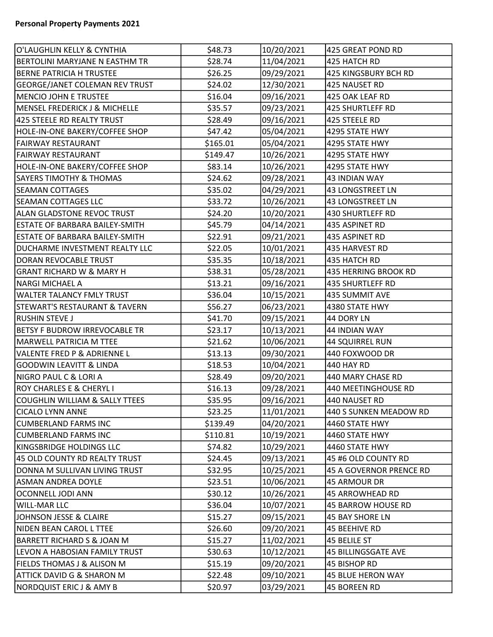| O'LAUGHLIN KELLY & CYNTHIA               | \$48.73  | 10/20/2021 | 425 GREAT POND RD         |
|------------------------------------------|----------|------------|---------------------------|
| <b>BERTOLINI MARYJANE N EASTHM TR</b>    | \$28.74  | 11/04/2021 | 425 HATCH RD              |
| <b>BERNE PATRICIA H TRUSTEE</b>          | \$26.25  | 09/29/2021 | 425 KINGSBURY BCH RD      |
| <b>GEORGE/JANET COLEMAN REV TRUST</b>    | \$24.02  | 12/30/2021 | 425 NAUSET RD             |
| <b>MENCIO JOHN E TRUSTEE</b>             | \$16.04  | 09/16/2021 | 425 OAK LEAF RD           |
| MENSEL FREDERICK J & MICHELLE            | \$35.57  | 09/23/2021 | 425 SHURTLEFF RD          |
| 425 STEELE RD REALTY TRUST               | \$28.49  | 09/16/2021 | 425 STEELE RD             |
| HOLE-IN-ONE BAKERY/COFFEE SHOP           | \$47.42  | 05/04/2021 | 4295 STATE HWY            |
| <b>FAIRWAY RESTAURANT</b>                | \$165.01 | 05/04/2021 | 4295 STATE HWY            |
| <b>FAIRWAY RESTAURANT</b>                | \$149.47 | 10/26/2021 | 4295 STATE HWY            |
| HOLE-IN-ONE BAKERY/COFFEE SHOP           | \$83.14  | 10/26/2021 | 4295 STATE HWY            |
| <b>SAYERS TIMOTHY &amp; THOMAS</b>       | \$24.62  | 09/28/2021 | <b>43 INDIAN WAY</b>      |
| <b>SEAMAN COTTAGES</b>                   | \$35.02  | 04/29/2021 | 43 LONGSTREET LN          |
| <b>SEAMAN COTTAGES LLC</b>               | \$33.72  | 10/26/2021 | <b>43 LONGSTREET LN</b>   |
| <b>ALAN GLADSTONE REVOC TRUST</b>        | \$24.20  | 10/20/2021 | <b>430 SHURTLEFF RD</b>   |
| <b>ESTATE OF BARBARA BAILEY-SMITH</b>    | \$45.79  | 04/14/2021 | 435 ASPINET RD            |
| <b>ESTATE OF BARBARA BAILEY-SMITH</b>    | \$22.91  | 09/21/2021 | 435 ASPINET RD            |
| DUCHARME INVESTMENT REALTY LLC           | \$22.05  | 10/01/2021 | 435 HARVEST RD            |
| DORAN REVOCABLE TRUST                    | \$35.35  | 10/18/2021 | 435 HATCH RD              |
| <b>GRANT RICHARD W &amp; MARY H</b>      | \$38.31  | 05/28/2021 | 435 HERRING BROOK RD      |
| <b>NARGI MICHAEL A</b>                   | \$13.21  | 09/16/2021 | <b>435 SHURTLEFF RD</b>   |
| <b>WALTER TALANCY FMLY TRUST</b>         | \$36.04  | 10/15/2021 | 435 SUMMIT AVE            |
| <b>STEWART'S RESTAURANT &amp; TAVERN</b> | \$56.27  | 06/23/2021 | 4380 STATE HWY            |
| <b>RUSHIN STEVE J</b>                    | \$41.70  | 09/15/2021 | 44 DORY LN                |
| <b>BETSY F BUDROW IRREVOCABLE TR</b>     | \$23.17  | 10/13/2021 | 44 INDIAN WAY             |
| <b>MARWELL PATRICIA M TTEE</b>           | \$21.62  | 10/06/2021 | <b>44 SQUIRREL RUN</b>    |
| <b>VALENTE FRED P &amp; ADRIENNE L</b>   | \$13.13  | 09/30/2021 | 440 FOXWOOD DR            |
| <b>GOODWIN LEAVITT &amp; LINDA</b>       | \$18.53  | 10/04/2021 | 440 HAY RD                |
| <b>NIGRO PAUL C &amp; LORI A</b>         | \$28.49  | 09/20/2021 | 440 MARY CHASE RD         |
| <b>ROY CHARLES E &amp; CHERYL I</b>      | \$16.13  | 09/28/2021 | 440 MEETINGHOUSE RD       |
| COUGHLIN WILLIAM & SALLY TTEES           | \$35.95  | 09/16/2021 | 440 NAUSET RD             |
| <b>CICALO LYNN ANNE</b>                  | \$23.25  | 11/01/2021 | 440 S SUNKEN MEADOW RD    |
| <b>CUMBERLAND FARMS INC</b>              | \$139.49 | 04/20/2021 | 4460 STATE HWY            |
| <b>CUMBERLAND FARMS INC</b>              | \$110.81 | 10/19/2021 | 4460 STATE HWY            |
| KINGSBRIDGE HOLDINGS LLC                 | \$74.82  | 10/29/2021 | 4460 STATE HWY            |
| 45 OLD COUNTY RD REALTY TRUST            | \$24.45  | 09/13/2021 | 45 #6 OLD COUNTY RD       |
| DONNA M SULLIVAN LIVING TRUST            | \$32.95  | 10/25/2021 | 45 A GOVERNOR PRENCE RD   |
| <b>ASMAN ANDREA DOYLE</b>                | \$23.51  | 10/06/2021 | 45 ARMOUR DR              |
| OCONNELL JODI ANN                        | \$30.12  | 10/26/2021 | <b>45 ARROWHEAD RD</b>    |
| <b>WILL-MAR LLC</b>                      | \$36.04  | 10/07/2021 | <b>45 BARROW HOUSE RD</b> |
| JOHNSON JESSE & CLAIRE                   | \$15.27  | 09/15/2021 | 45 BAY SHORE LN           |
| NIDEN BEAN CAROL L TTEE                  | \$26.60  | 09/20/2021 | 45 BEEHIVE RD             |
| <b>BARRETT RICHARD S &amp; JOAN M</b>    | \$15.27  | 11/02/2021 | <b>45 BELILE ST</b>       |
| LEVON A HABOSIAN FAMILY TRUST            | \$30.63  | 10/12/2021 | 45 BILLINGSGATE AVE       |
| <b>FIELDS THOMAS J &amp; ALISON M</b>    | \$15.19  | 09/20/2021 | 45 BISHOP RD              |
| ATTICK DAVID G & SHARON M                | \$22.48  | 09/10/2021 | 45 BLUE HERON WAY         |
| <b>NORDQUIST ERIC J &amp; AMY B</b>      | \$20.97  | 03/29/2021 | 45 BOREEN RD              |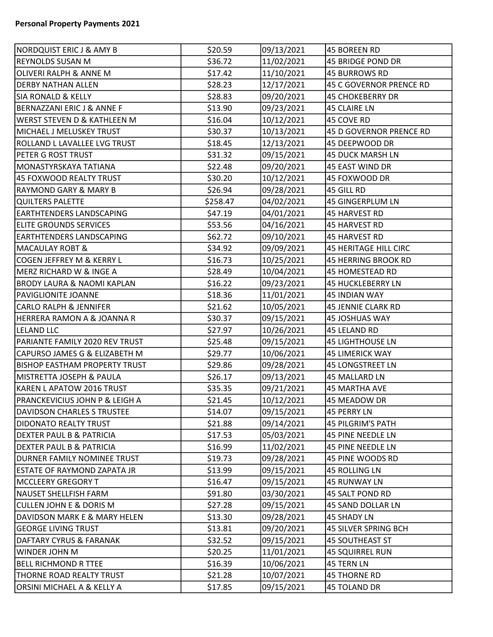| NORDQUIST ERIC J & AMY B              | \$20.59  | 09/13/2021 | 45 BOREEN RD                 |
|---------------------------------------|----------|------------|------------------------------|
| REYNOLDS SUSAN M                      | \$36.72  | 11/02/2021 | 45 BRIDGE POND DR            |
| OLIVERI RALPH & ANNE M                | \$17.42  | 11/10/2021 | <b>45 BURROWS RD</b>         |
| <b>DERBY NATHAN ALLEN</b>             | \$28.23  | 12/17/2021 | 45 C GOVERNOR PRENCE RD      |
| <b>SIA RONALD &amp; KELLY</b>         | \$28.83  | 09/20/2021 | <b>45 CHOKEBERRY DR</b>      |
| BERNAZZANI ERIC J & ANNE F            | \$13.90  | 09/23/2021 | <b>45 CLAIRE LN</b>          |
| WERST STEVEN D & KATHLEEN M           | \$16.04  | 10/12/2021 | 45 COVE RD                   |
| MICHAEL J MELUSKEY TRUST              | \$30.37  | 10/13/2021 | 45 D GOVERNOR PRENCE RD      |
| ROLLAND L LAVALLEE LVG TRUST          | \$18.45  | 12/13/2021 | 45 DEEPWOOD DR               |
| PETER G ROST TRUST                    | \$31.32  | 09/15/2021 | 45 DUCK MARSH LN             |
| MONASTYRSKAYA TATIANA                 | \$22.48  | 09/20/2021 | 45 EAST WIND DR              |
| <b>45 FOXWOOD REALTY TRUST</b>        | \$30.20  | 10/12/2021 | 45 FOXWOOD DR                |
| <b>RAYMOND GARY &amp; MARY B</b>      | \$26.94  | 09/28/2021 | 45 GILL RD                   |
| <b>QUILTERS PALETTE</b>               | \$258.47 | 04/02/2021 | 45 GINGERPLUM LN             |
| EARTHTENDERS LANDSCAPING              | \$47.19  | 04/01/2021 | <b>45 HARVEST RD</b>         |
| <b>ELITE GROUNDS SERVICES</b>         | \$53.56  | 04/16/2021 | 45 HARVEST RD                |
| <b>EARTHTENDERS LANDSCAPING</b>       | \$62.72  | 09/10/2021 | <b>45 HARVEST RD</b>         |
| <b>MACAULAY ROBT &amp;</b>            | \$34.92  | 09/09/2021 | <b>45 HERITAGE HILL CIRC</b> |
| COGEN JEFFREY M & KERRY L             | \$16.73  | 10/25/2021 | <b>45 HERRING BROOK RD</b>   |
| MERZ RICHARD W & INGE A               | \$28.49  | 10/04/2021 | 45 HOMESTEAD RD              |
| <b>BRODY LAURA &amp; NAOMI KAPLAN</b> | \$16.22  | 09/23/2021 | 45 HUCKLEBERRY LN            |
| PAVIGLIONITE JOANNE                   | \$18.36  | 11/01/2021 | <b>45 INDIAN WAY</b>         |
| <b>CARLO RALPH &amp; JENNIFER</b>     | \$21.62  | 10/05/2021 | 45 JENNIE CLARK RD           |
| HERRERA RAMON A & JOANNA R            | \$30.37  | 09/15/2021 | 45 JOSHUAS WAY               |
| <b>LELAND LLC</b>                     | \$27.97  | 10/26/2021 | 45 LELAND RD                 |
| PARIANTE FAMILY 2020 REV TRUST        | \$25.48  | 09/15/2021 | <b>45 LIGHTHOUSE LN</b>      |
| CAPURSO JAMES G & ELIZABETH M         | \$29.77  | 10/06/2021 | <b>45 LIMERICK WAY</b>       |
| BISHOP EASTHAM PROPERTY TRUST         | \$29.86  | 09/28/2021 | 45 LONGSTREET LN             |
| MISTRETTA JOSEPH & PAULA              | \$26.17  | 09/13/2021 | 45 MALLARD LN                |
| KAREN L APATOW 2016 TRUST             | \$35.35  | 09/21/2021 | 45 MARTHA AVE                |
| PRANCKEVICIUS JOHN P & LEIGH A        | \$21.45  | 10/12/2021 | 45 MEADOW DR                 |
| DAVIDSON CHARLES S TRUSTEE            | \$14.07  | 09/15/2021 | <b>45 PERRY LN</b>           |
| DIDONATO REALTY TRUST                 | \$21.88  | 09/14/2021 | 45 PILGRIM'S PATH            |
| DEXTER PAUL B & PATRICIA              | \$17.53  | 05/03/2021 | 45 PINE NEEDLE LN            |
| DEXTER PAUL B & PATRICIA              | \$16.99  | 11/02/2021 | 45 PINE NEEDLE LN            |
| DURNER FAMILY NOMINEE TRUST           | \$19.73  | 09/28/2021 | 45 PINE WOODS RD             |
| ESTATE OF RAYMOND ZAPATA JR           | \$13.99  | 09/15/2021 | <b>45 ROLLING LN</b>         |
| <b>MCCLEERY GREGORY T</b>             | \$16.47  | 09/15/2021 | <b>45 RUNWAY LN</b>          |
| NAUSET SHELLFISH FARM                 | \$91.80  | 03/30/2021 | 45 SALT POND RD              |
| <b>CULLEN JOHN E &amp; DORIS M</b>    | \$27.28  | 09/15/2021 | 45 SAND DOLLAR LN            |
| DAVIDSON MARK E & MARY HELEN          | \$13.30  | 09/28/2021 | <b>45 SHADY LN</b>           |
| <b>GEORGE LIVING TRUST</b>            | \$13.81  | 09/20/2021 | 45 SILVER SPRING BCH         |
| DAFTARY CYRUS & FARANAK               | \$32.52  | 09/15/2021 | <b>45 SOUTHEAST ST</b>       |
| WINDER JOHN M                         | \$20.25  | 11/01/2021 | <b>45 SQUIRREL RUN</b>       |
| BELL RICHMOND R TTEE                  | \$16.39  | 10/06/2021 | 45 TERN LN                   |
| THORNE ROAD REALTY TRUST              | \$21.28  | 10/07/2021 | <b>45 THORNE RD</b>          |
| ORSINI MICHAEL A & KELLY A            | \$17.85  | 09/15/2021 | 45 TOLAND DR                 |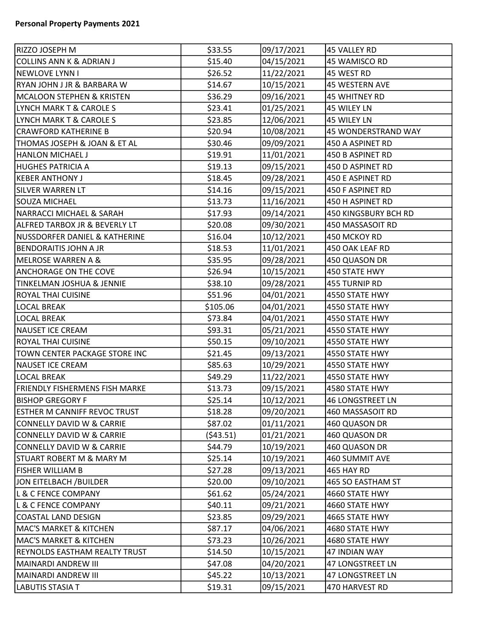| RIZZO JOSEPH M                        | \$33.55    | 09/17/2021 | 45 VALLEY RD          |
|---------------------------------------|------------|------------|-----------------------|
| COLLINS ANN K & ADRIAN J              | \$15.40    | 04/15/2021 | 45 WAMISCO RD         |
| NEWLOVE LYNN I                        | \$26.52    | 11/22/2021 | 45 WEST RD            |
| RYAN JOHN J JR & BARBARA W            | \$14.67    | 10/15/2021 | 45 WESTERN AVE        |
| MCALOON STEPHEN & KRISTEN             | \$36.29    | 09/16/2021 | <b>45 WHITNEY RD</b>  |
| LYNCH MARK T & CAROLE S               | \$23.41    | 01/25/2021 | 45 WILEY LN           |
| LYNCH MARK T & CAROLE S               | \$23.85    | 12/06/2021 | 45 WILEY LN           |
| <b>CRAWFORD KATHERINE B</b>           | \$20.94    | 10/08/2021 | 45 WONDERSTRAND WAY   |
| THOMAS JOSEPH & JOAN & ET AL          | \$30.46    | 09/09/2021 | 450 A ASPINET RD      |
| <b>HANLON MICHAEL J</b>               | \$19.91    | 11/01/2021 | 450 B ASPINET RD      |
| HUGHES PATRICIA A                     | \$19.13    | 09/15/2021 | 450 D ASPINET RD      |
| <b>KEBER ANTHONY J</b>                | \$18.45    | 09/28/2021 | 450 E ASPINET RD      |
| SILVER WARREN LT                      | \$14.16    | 09/15/2021 | 450 F ASPINET RD      |
| SOUZA MICHAEL                         | \$13.73    | 11/16/2021 | 450 H ASPINET RD      |
| NARRACCI MICHAEL & SARAH              | \$17.93    | 09/14/2021 | 450 KINGSBURY BCH RD  |
| ALFRED TARBOX JR & BEVERLY LT         | \$20.08    | 09/30/2021 | 450 MASSASOIT RD      |
| NUSSDORFER DANIEL & KATHERINE         | \$16.04    | 10/12/2021 | 450 MCKOY RD          |
| BENDORAITIS JOHN A JR                 | \$18.53    | 11/01/2021 | 450 OAK LEAF RD       |
| <b>MELROSE WARREN A &amp;</b>         | \$35.95    | 09/28/2021 | 450 QUASON DR         |
| <b>ANCHORAGE ON THE COVE</b>          | \$26.94    | 10/15/2021 | 450 STATE HWY         |
| TINKELMAN JOSHUA & JENNIE             | \$38.10    | 09/28/2021 | 455 TURNIP RD         |
| <b>ROYAL THAI CUISINE</b>             | \$51.96    | 04/01/2021 | 4550 STATE HWY        |
| <b>LOCAL BREAK</b>                    | \$105.06   | 04/01/2021 | 4550 STATE HWY        |
| <b>LOCAL BREAK</b>                    | \$73.84    | 04/01/2021 | 4550 STATE HWY        |
| <b>NAUSET ICE CREAM</b>               | \$93.31    | 05/21/2021 | 4550 STATE HWY        |
| <b>ROYAL THAI CUISINE</b>             | \$50.15    | 09/10/2021 | 4550 STATE HWY        |
| TOWN CENTER PACKAGE STORE INC         | \$21.45    | 09/13/2021 | 4550 STATE HWY        |
| NAUSET ICE CREAM                      | \$85.63    | 10/29/2021 | 4550 STATE HWY        |
| LOCAL BREAK                           | \$49.29    | 11/22/2021 | 4550 STATE HWY        |
| <b>FRIENDLY FISHERMENS FISH MARKE</b> | \$13.73    | 09/15/2021 | 4580 STATE HWY        |
| BISHOP GREGORY F                      | \$25.14    | 10/12/2021 | 46 LONGSTREET LN      |
| ESTHER M CANNIFF REVOC TRUST          | \$18.28    | 09/20/2021 | 460 MASSASOIT RD      |
| CONNELLY DAVID W & CARRIE             | \$87.02    | 01/11/2021 | 460 QUASON DR         |
| CONNELLY DAVID W & CARRIE             | ( \$43.51) | 01/21/2021 | 460 QUASON DR         |
| CONNELLY DAVID W & CARRIE             | \$44.79    | 10/19/2021 | 460 QUASON DR         |
| STUART ROBERT M & MARY M              | \$25.14    | 10/19/2021 | <b>460 SUMMIT AVE</b> |
| <b>FISHER WILLIAM B</b>               | \$27.28    | 09/13/2021 | 465 HAY RD            |
| JON EITELBACH /BUILDER                | \$20.00    | 09/10/2021 | 465 SO EASTHAM ST     |
| L & C FENCE COMPANY                   | \$61.62    | 05/24/2021 | 4660 STATE HWY        |
| L & C FENCE COMPANY                   | \$40.11    | 09/21/2021 | 4660 STATE HWY        |
| COASTAL LAND DESIGN                   | \$23.85    | 09/29/2021 | 4665 STATE HWY        |
| MAC'S MARKET & KITCHEN                | \$87.17    | 04/06/2021 | 4680 STATE HWY        |
| <b>MAC'S MARKET &amp; KITCHEN</b>     | \$73.23    | 10/26/2021 | 4680 STATE HWY        |
| REYNOLDS EASTHAM REALTY TRUST         | \$14.50    | 10/15/2021 | 47 INDIAN WAY         |
| MAINARDI ANDREW III                   | \$47.08    | 04/20/2021 | 47 LONGSTREET LN      |
| MAINARDI ANDREW III                   | \$45.22    | 10/13/2021 | 47 LONGSTREET LN      |
| <b>LABUTIS STASIA T</b>               | \$19.31    | 09/15/2021 | 470 HARVEST RD        |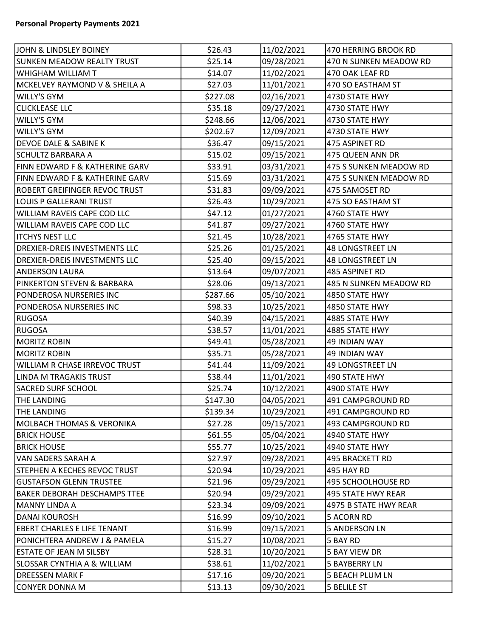| JOHN & LINDSLEY BOINEY                    | \$26.43  | 11/02/2021 | 470 HERRING BROOK RD    |
|-------------------------------------------|----------|------------|-------------------------|
| <b>SUNKEN MEADOW REALTY TRUST</b>         | \$25.14  | 09/28/2021 | 470 N SUNKEN MEADOW RD  |
| WHIGHAM WILLIAM T                         | \$14.07  | 11/02/2021 | 470 OAK LEAF RD         |
| MCKELVEY RAYMOND V & SHEILA A             | \$27.03  | 11/01/2021 | 470 SO EASTHAM ST       |
| <b>WILLY'S GYM</b>                        | \$227.08 | 02/16/2021 | 4730 STATE HWY          |
| <b>CLICKLEASE LLC</b>                     | \$35.18  | 09/27/2021 | 4730 STATE HWY          |
| <b>WILLY'S GYM</b>                        | \$248.66 | 12/06/2021 | 4730 STATE HWY          |
| <b>WILLY'S GYM</b>                        | \$202.67 | 12/09/2021 | 4730 STATE HWY          |
| <b>DEVOE DALE &amp; SABINE K</b>          | \$36.47  | 09/15/2021 | 475 ASPINET RD          |
| SCHULTZ BARBARA A                         | \$15.02  | 09/15/2021 | 475 QUEEN ANN DR        |
| <b>FINN EDWARD F &amp; KATHERINE GARV</b> | \$33.91  | 03/31/2021 | 475 S SUNKEN MEADOW RD  |
| <b>FINN EDWARD F &amp; KATHERINE GARV</b> | \$15.69  | 03/31/2021 | 475 S SUNKEN MEADOW RD  |
| ROBERT GREIFINGER REVOC TRUST             | \$31.83  | 09/09/2021 | 475 SAMOSET RD          |
| LOUIS P GALLERANI TRUST                   | \$26.43  | 10/29/2021 | 475 SO EASTHAM ST       |
| <b>WILLIAM RAVEIS CAPE COD LLC</b>        | \$47.12  | 01/27/2021 | 4760 STATE HWY          |
| <b>WILLIAM RAVEIS CAPE COD LLC</b>        | \$41.87  | 09/27/2021 | 4760 STATE HWY          |
| <b>ITCHYS NEST LLC</b>                    | \$21.45  | 10/28/2021 | 4765 STATE HWY          |
| <b>DREXIER-DREIS INVESTMENTS LLC</b>      | \$25.26  | 01/25/2021 | <b>48 LONGSTREET LN</b> |
| <b>DREXIER-DREIS INVESTMENTS LLC</b>      | \$25.40  | 09/15/2021 | <b>48 LONGSTREET LN</b> |
| <b>ANDERSON LAURA</b>                     | \$13.64  | 09/07/2021 | 485 ASPINET RD          |
| <b>PINKERTON STEVEN &amp; BARBARA</b>     | \$28.06  | 09/13/2021 | 485 N SUNKEN MEADOW RD  |
| PONDEROSA NURSERIES INC                   | \$287.66 | 05/10/2021 | 4850 STATE HWY          |
| PONDEROSA NURSERIES INC                   | \$98.33  | 10/25/2021 | 4850 STATE HWY          |
| RUGOSA                                    | \$40.39  | 04/15/2021 | 4885 STATE HWY          |
| <b>RUGOSA</b>                             | \$38.57  | 11/01/2021 | 4885 STATE HWY          |
| <b>MORITZ ROBIN</b>                       | \$49.41  | 05/28/2021 | 49 INDIAN WAY           |
| MORITZ ROBIN                              | \$35.71  | 05/28/2021 | <b>49 INDIAN WAY</b>    |
| WILLIAM R CHASE IRREVOC TRUST             | \$41.44  | 11/09/2021 | 49 LONGSTREET LN        |
| LINDA M TRAGAKIS TRUST                    | \$38.44  | 11/01/2021 | 490 STATE HWY           |
| <b>SACRED SURF SCHOOL</b>                 | \$25.74  | 10/12/2021 | 4900 STATE HWY          |
| <b>THE LANDING</b>                        | \$147.30 | 04/05/2021 | 491 CAMPGROUND RD       |
| <b>THE LANDING</b>                        | \$139.34 | 10/29/2021 | 491 CAMPGROUND RD       |
| <b>MOLBACH THOMAS &amp; VERONIKA</b>      | \$27.28  | 09/15/2021 | 493 CAMPGROUND RD       |
| <b>BRICK HOUSE</b>                        | \$61.55  | 05/04/2021 | 4940 STATE HWY          |
| <b>BRICK HOUSE</b>                        | \$55.77  | 10/25/2021 | 4940 STATE HWY          |
| VAN SADERS SARAH A                        | \$27.97  | 09/28/2021 | 495 BRACKETT RD         |
| <b>STEPHEN A KECHES REVOC TRUST</b>       | \$20.94  | 10/29/2021 | 495 HAY RD              |
| <b>GUSTAFSON GLENN TRUSTEE</b>            | \$21.96  | 09/29/2021 | 495 SCHOOLHOUSE RD      |
| <b>BAKER DEBORAH DESCHAMPS TTEE</b>       | \$20.94  | 09/29/2021 | 495 STATE HWY REAR      |
| MANNY LINDA A                             | \$23.34  | 09/09/2021 | 4975 B STATE HWY REAR   |
| DANAI KOUROSH                             | \$16.99  | 09/10/2021 | 5 ACORN RD              |
| EBERT CHARLES E LIFE TENANT               | \$16.99  | 09/15/2021 | <b>5 ANDERSON LN</b>    |
| PONICHTERA ANDREW J & PAMELA              | \$15.27  | 10/08/2021 | 5 BAY RD                |
| <b>ESTATE OF JEAN M SILSBY</b>            | \$28.31  | 10/20/2021 | <b>5 BAY VIEW DR</b>    |
| <b>SLOSSAR CYNTHIA A &amp; WILLIAM</b>    | \$38.61  | 11/02/2021 | <b>5 BAYBERRY LN</b>    |
| DREESSEN MARK F                           | \$17.16  | 09/20/2021 | <b>5 BEACH PLUM LN</b>  |
| CONYER DONNA M                            | \$13.13  | 09/30/2021 | 5 BELILE ST             |
|                                           |          |            |                         |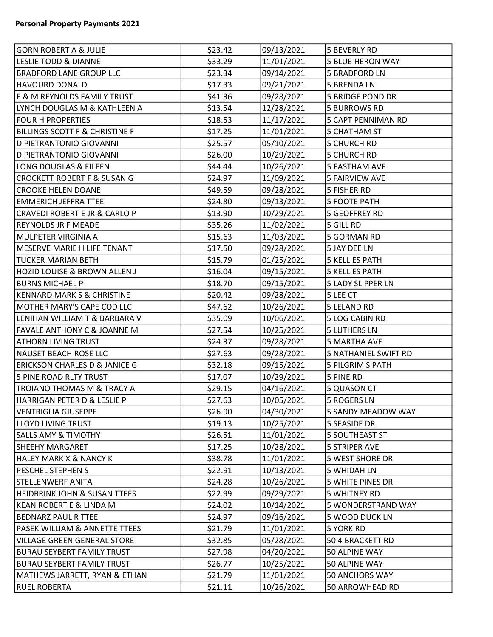| <b>GORN ROBERT A &amp; JULIE</b>          | \$23.42 | 09/13/2021 | 5 BEVERLY RD              |
|-------------------------------------------|---------|------------|---------------------------|
| LESLIE TODD & DIANNE                      | \$33.29 | 11/01/2021 | <b>5 BLUE HERON WAY</b>   |
| <b>BRADFORD LANE GROUP LLC</b>            | \$23.34 | 09/14/2021 | <b>5 BRADFORD LN</b>      |
| <b>HAVOURD DONALD</b>                     | \$17.33 | 09/21/2021 | <b>5 BRENDA LN</b>        |
| E & M REYNOLDS FAMILY TRUST               | \$41.36 | 09/28/2021 | <b>5 BRIDGE POND DR</b>   |
| LYNCH DOUGLAS M & KATHLEEN A              | \$13.54 | 12/28/2021 | <b>5 BURROWS RD</b>       |
| <b>FOUR H PROPERTIES</b>                  | \$18.53 | 11/17/2021 | <b>5 CAPT PENNIMAN RD</b> |
| <b>BILLINGS SCOTT F &amp; CHRISTINE F</b> | \$17.25 | 11/01/2021 | <b>5 CHATHAM ST</b>       |
| <b>DIPIETRANTONIO GIOVANNI</b>            | \$25.57 | 05/10/2021 | <b>5 CHURCH RD</b>        |
| <b>DIPIETRANTONIO GIOVANNI</b>            | \$26.00 | 10/29/2021 | <b>5 CHURCH RD</b>        |
| LONG DOUGLAS & EILEEN                     | \$44.44 | 10/26/2021 | <b>5 EASTHAM AVE</b>      |
| <b>CROCKETT ROBERT F &amp; SUSAN G</b>    | \$24.97 | 11/09/2021 | <b>5 FAIRVIEW AVE</b>     |
| <b>CROOKE HELEN DOANE</b>                 | \$49.59 | 09/28/2021 | 5 FISHER RD               |
| <b>EMMERICH JEFFRA TTEE</b>               | \$24.80 | 09/13/2021 | <b>5 FOOTE PATH</b>       |
| <b>CRAVEDI ROBERT E JR &amp; CARLO P</b>  | \$13.90 | 10/29/2021 | <b>5 GEOFFREY RD</b>      |
| <b>REYNOLDS JR F MEADE</b>                | \$35.26 | 11/02/2021 | 5 GILL RD                 |
| MULPETER VIRGINIA A                       | \$15.63 | 11/03/2021 | 5 GORMAN RD               |
| MESERVE MARIE H LIFE TENANT               | \$17.50 | 09/28/2021 | 5 JAY DEE LN              |
| <b>TUCKER MARIAN BETH</b>                 | \$15.79 | 01/25/2021 | <b>5 KELLIES PATH</b>     |
| HOZID LOUISE & BROWN ALLEN J              | \$16.04 | 09/15/2021 | <b>5 KELLIES PATH</b>     |
| <b>BURNS MICHAEL P</b>                    | \$18.70 | 09/15/2021 | <b>5 LADY SLIPPER LN</b>  |
| <b>KENNARD MARK S &amp; CHRISTINE</b>     | \$20.42 | 09/28/2021 | 5 LEE CT                  |
| MOTHER MARY'S CAPE COD LLC                | \$47.62 | 10/26/2021 | <b>5 LELAND RD</b>        |
| LENIHAN WILLIAM T & BARBARA V             | \$35.09 | 10/06/2021 | 5 LOG CABIN RD            |
| <b>FAVALE ANTHONY C &amp; JOANNE M</b>    | \$27.54 | 10/25/2021 | <b>5 LUTHERS LN</b>       |
| ATHORN LIVING TRUST                       | \$24.37 | 09/28/2021 | <b>5 MARTHA AVE</b>       |
| <b>NAUSET BEACH ROSE LLC</b>              | \$27.63 | 09/28/2021 | 5 NATHANIEL SWIFT RD      |
| <b>ERICKSON CHARLES D &amp; JANICE G</b>  | \$32.18 | 09/15/2021 | 5 PILGRIM'S PATH          |
| 5 PINE ROAD RLTY TRUST                    | \$17.07 | 10/29/2021 | 5 PINE RD                 |
| TROIANO THOMAS M & TRACY A                | \$29.15 | 04/16/2021 | <b>5 QUASON CT</b>        |
| HARRIGAN PETER D & LESLIE P               | \$27.63 | 10/05/2021 | <b>5 ROGERS LN</b>        |
| VENTRIGLIA GIUSEPPE                       | \$26.90 | 04/30/2021 | <b>5 SANDY MEADOW WAY</b> |
| LLOYD LIVING TRUST                        | \$19.13 | 10/25/2021 | <b>5 SEASIDE DR</b>       |
| <b>SALLS AMY &amp; TIMOTHY</b>            | \$26.51 | 11/01/2021 | <b>5 SOUTHEAST ST</b>     |
| <b>SHEEHY MARGARET</b>                    | \$17.25 | 10/28/2021 | <b>5 STRIPER AVE</b>      |
| <b>HALEY MARK X &amp; NANCY K</b>         | \$38.78 | 11/01/2021 | 5 WEST SHORE DR           |
| <b>PESCHEL STEPHEN S</b>                  | \$22.91 | 10/13/2021 | 5 WHIDAH LN               |
| <b>STELLENWERF ANITA</b>                  | \$24.28 | 10/26/2021 | 5 WHITE PINES DR          |
| <b>HEIDBRINK JOHN &amp; SUSAN TTEES</b>   | \$22.99 | 09/29/2021 | <b>5 WHITNEY RD</b>       |
| KEAN ROBERT E & LINDA M                   | \$24.02 | 10/14/2021 | 5 WONDERSTRAND WAY        |
| <b>BEDNARZ PAUL R TTEE</b>                | \$24.97 | 09/16/2021 | 5 WOOD DUCK LN            |
| <b>PASEK WILLIAM &amp; ANNETTE TTEES</b>  | \$21.79 | 11/01/2021 | <b>5 YORK RD</b>          |
| <b>VILLAGE GREEN GENERAL STORE</b>        | \$32.85 | 05/28/2021 | 50 4 BRACKETT RD          |
| <b>BURAU SEYBERT FAMILY TRUST</b>         | \$27.98 | 04/20/2021 | 50 ALPINE WAY             |
| <b>BURAU SEYBERT FAMILY TRUST</b>         | \$26.77 | 10/25/2021 | 50 ALPINE WAY             |
| MATHEWS JARRETT, RYAN & ETHAN             | \$21.79 | 11/01/2021 | 50 ANCHORS WAY            |
| <b>RUEL ROBERTA</b>                       | \$21.11 | 10/26/2021 | 50 ARROWHEAD RD           |
|                                           |         |            |                           |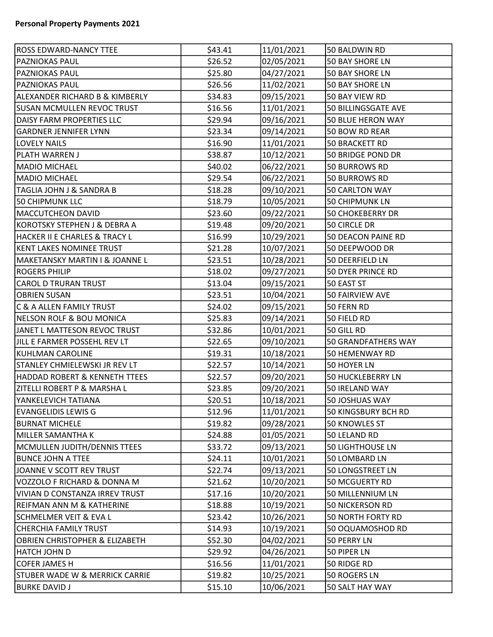| <b>ROSS EDWARD-NANCY TTEE</b>             | \$43.41 | 11/01/2021 | 50 BALDWIN RD             |
|-------------------------------------------|---------|------------|---------------------------|
| <b>PAZNIOKAS PAUL</b>                     | \$26.52 | 02/05/2021 | 50 BAY SHORE LN           |
| <b>PAZNIOKAS PAUL</b>                     | \$25.80 | 04/27/2021 | 50 BAY SHORE LN           |
| <b>PAZNIOKAS PAUL</b>                     | \$26.56 | 11/02/2021 | 50 BAY SHORE LN           |
| ALEXANDER RICHARD B & KIMBERLY            | \$34.83 | 09/15/2021 | 50 BAY VIEW RD            |
| <b>SUSAN MCMULLEN REVOC TRUST</b>         | \$16.56 | 11/01/2021 | 50 BILLINGSGATE AVE       |
| <b>DAISY FARM PROPERTIES LLC</b>          | \$29.94 | 09/16/2021 | <b>50 BLUE HERON WAY</b>  |
| <b>GARDNER JENNIFER LYNN</b>              | \$23.34 | 09/14/2021 | 50 BOW RD REAR            |
| <b>LOVELY NAILS</b>                       | \$16.90 | 11/01/2021 | 50 BRACKETT RD            |
| PLATH WARREN J                            | \$38.87 | 10/12/2021 | 50 BRIDGE POND DR         |
| MADIO MICHAEL                             | \$40.02 | 06/22/2021 | <b>50 BURROWS RD</b>      |
| MADIO MICHAEL                             | \$29.54 | 06/22/2021 | 50 BURROWS RD             |
| TAGLIA JOHN J & SANDRA B                  | \$18.28 | 09/10/2021 | 50 CARLTON WAY            |
| 50 CHIPMUNK LLC                           | \$18.79 | 10/05/2021 | <b>50 CHIPMUNK LN</b>     |
| <b>MACCUTCHEON DAVID</b>                  | \$23.60 | 09/22/2021 | <b>50 CHOKEBERRY DR</b>   |
| KOROTSKY STEPHEN J & DEBRA A              | \$19.48 | 09/20/2021 | 50 CIRCLE DR              |
| HACKER II E CHARLES & TRACY L             | \$16.99 | 10/29/2021 | <b>50 DEACON PAINE RD</b> |
| KENT LAKES NOMINEE TRUST                  | \$21.28 | 10/07/2021 | 50 DEEPWOOD DR            |
| MAKETANSKY MARTIN I & JOANNE L            | \$23.51 | 10/28/2021 | 50 DEERFIELD LN           |
| <b>ROGERS PHILIP</b>                      | \$18.02 | 09/27/2021 | 50 DYER PRINCE RD         |
| CAROL D TRURAN TRUST                      | \$13.04 | 09/15/2021 | 50 EAST ST                |
| <b>OBRIEN SUSAN</b>                       | \$23.51 | 10/04/2021 | 50 FAIRVIEW AVE           |
| C & A ALLEN FAMILY TRUST                  | \$24.02 | 09/15/2021 | 50 FERN RD                |
| NELSON ROLF & BOU MONICA                  | \$25.83 | 09/14/2021 | 50 FIELD RD               |
| JANET L MATTESON REVOC TRUST              | \$32.86 | 10/01/2021 | 50 GILL RD                |
| JILL E FARMER POSSEHL REV LT              | \$22.65 | 09/10/2021 | 50 GRANDFATHERS WAY       |
| KUHLMAN CAROLINE                          | \$19.31 | 10/18/2021 | 50 HEMENWAY RD            |
| STANLEY CHMIELEWSKI JR REV LT             | \$22.57 | 10/14/2021 | 50 HOYER LN               |
| HADDAD ROBERT & KENNETH TTEES             | \$22.57 | 09/20/2021 | <b>50 HUCKLEBERRY LN</b>  |
| ZITELLI ROBERT P & MARSHA L               | \$23.85 | 09/20/2021 | 50 IRELAND WAY            |
| YANKELEVICH TATIANA                       | \$20.51 | 10/18/2021 | 50 JOSHUAS WAY            |
| <b>EVANGELIDIS LEWIS G</b>                | \$12.96 | 11/01/2021 | 50 KINGSBURY BCH RD       |
| <b>BURNAT MICHELE</b>                     | \$19.82 | 09/28/2021 | <b>50 KNOWLES ST</b>      |
| MILLER SAMANTHA K                         | \$24.88 | 01/05/2021 | 50 LELAND RD              |
| MCMULLEN JUDITH/DENNIS TTEES              | \$33.72 | 09/13/2021 | <b>50 LIGHTHOUSE LN</b>   |
| <b>BUNCE JOHN A TTEE</b>                  | \$24.11 | 10/01/2021 | 50 LOMBARD LN             |
| JOANNE V SCOTT REV TRUST                  | \$22.74 | 09/13/2021 | <b>50 LONGSTREET LN</b>   |
| VOZZOLO F RICHARD & DONNA M               | \$21.62 | 10/20/2021 | 50 MCGUERTY RD            |
| VIVIAN D CONSTANZA IRREV TRUST            | \$17.16 | 10/20/2021 | 50 MILLENNIUM LN          |
| REIFMAN ANN M & KATHERINE                 | \$18.88 | 10/19/2021 | <b>50 NICKERSON RD</b>    |
| SCHMELMER VEIT & EVA L                    | \$23.42 | 10/26/2021 | <b>50 NORTH FORTY RD</b>  |
| CHERCHIA FAMILY TRUST                     | \$14.93 | 10/19/2021 | 50 OQUAMOSHOD RD          |
| OBRIEN CHRISTOPHER & ELIZABETH            | \$52.30 | 04/02/2021 | 50 PERRY LN               |
| HATCH JOHN D                              | \$29.92 | 04/26/2021 | 50 PIPER LN               |
| <b>COFER JAMES H</b>                      | \$16.56 | 11/01/2021 | 50 RIDGE RD               |
| <b>STUBER WADE W &amp; MERRICK CARRIE</b> | \$19.82 | 10/25/2021 | 50 ROGERS LN              |
| <b>BURKE DAVID J</b>                      | \$15.10 | 10/06/2021 | 50 SALT HAY WAY           |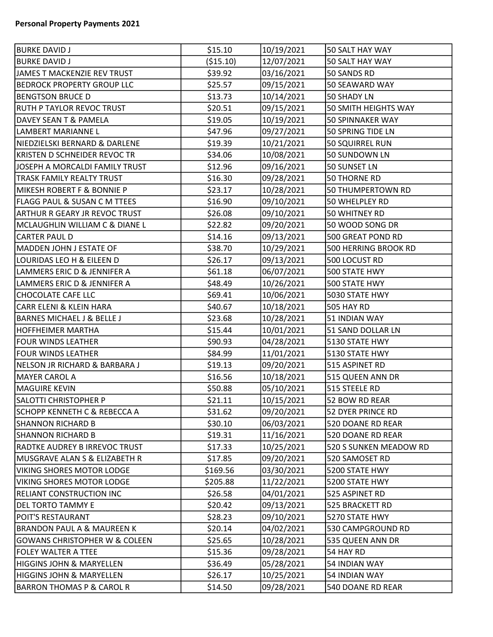| <b>BURKE DAVID J</b>                    | \$15.10    | 10/19/2021 | 50 SALT HAY WAY        |
|-----------------------------------------|------------|------------|------------------------|
| <b>BURKE DAVID J</b>                    | ( \$15.10) | 12/07/2021 | 50 SALT HAY WAY        |
| JAMES T MACKENZIE REV TRUST             | \$39.92    | 03/16/2021 | 50 SANDS RD            |
| <b>BEDROCK PROPERTY GROUP LLC</b>       | \$25.57    | 09/15/2021 | 50 SEAWARD WAY         |
| <b>BENGTSON BRUCE D</b>                 | \$13.73    | 10/14/2021 | 50 SHADY LN            |
| RUTH P TAYLOR REVOC TRUST               | \$20.51    | 09/15/2021 | 50 SMITH HEIGHTS WAY   |
| DAVEY SEAN T & PAMELA                   | \$19.05    | 10/19/2021 | 50 SPINNAKER WAY       |
| LAMBERT MARIANNE L                      | \$47.96    | 09/27/2021 | 50 SPRING TIDE LN      |
| NIEDZIELSKI BERNARD & DARLENE           | \$19.39    | 10/21/2021 | 50 SQUIRREL RUN        |
| KRISTEN D SCHNEIDER REVOC TR            | \$34.06    | 10/08/2021 | 50 SUNDOWN LN          |
| JOSEPH A MORCALDI FAMILY TRUST          | \$12.96    | 09/16/2021 | 50 SUNSET LN           |
| TRASK FAMILY REALTY TRUST               | \$16.30    | 09/28/2021 | <b>50 THORNE RD</b>    |
| MIKESH ROBERT F & BONNIE P              | \$23.17    | 10/28/2021 | 50 THUMPERTOWN RD      |
| <b>FLAGG PAUL &amp; SUSAN C M TTEES</b> | \$16.90    | 09/10/2021 | 50 WHELPLEY RD         |
| ARTHUR R GEARY JR REVOC TRUST           | \$26.08    | 09/10/2021 | 50 WHITNEY RD          |
| MCLAUGHLIN WILLIAM C & DIANE L          | \$22.82    | 09/20/2021 | 50 WOOD SONG DR        |
| <b>CARTER PAUL D</b>                    | \$14.16    | 09/13/2021 | 500 GREAT POND RD      |
| MADDEN JOHN J ESTATE OF                 | \$38.70    | 10/29/2021 | 500 HERRING BROOK RD   |
| LOURIDAS LEO H & EILEEN D               | \$26.17    | 09/13/2021 | 500 LOCUST RD          |
| LAMMERS ERIC D & JENNIFER A             | \$61.18    | 06/07/2021 | 500 STATE HWY          |
| LAMMERS ERIC D & JENNIFER A             | \$48.49    | 10/26/2021 | 500 STATE HWY          |
| <b>CHOCOLATE CAFE LLC</b>               | \$69.41    | 10/06/2021 | 5030 STATE HWY         |
| <b>CARR ELENI &amp; KLEIN HARA</b>      | \$40.67    | 10/18/2021 | <b>505 HAY RD</b>      |
| <b>BARNES MICHAEL J &amp; BELLE J</b>   | \$23.68    | 10/28/2021 | 51 INDIAN WAY          |
| HOFFHEIMER MARTHA                       | \$15.44    | 10/01/2021 | 51 SAND DOLLAR LN      |
| <b>FOUR WINDS LEATHER</b>               | \$90.93    | 04/28/2021 | 5130 STATE HWY         |
| FOUR WINDS LEATHER                      | \$84.99    | 11/01/2021 | 5130 STATE HWY         |
| NELSON JR RICHARD & BARBARA J           | \$19.13    | 09/20/2021 | 515 ASPINET RD         |
| MAYER CAROL A                           | \$16.56    | 10/18/2021 | 515 QUEEN ANN DR       |
| <b>MAGUIRE KEVIN</b>                    | \$50.88    | 05/10/2021 | 515 STEELE RD          |
| SALOTTI CHRISTOPHER P                   | \$21.11    | 10/15/2021 | 52 BOW RD REAR         |
| SCHOPP KENNETH C & REBECCA A            | \$31.62    | 09/20/2021 | 52 DYER PRINCE RD      |
| <b>SHANNON RICHARD B</b>                | \$30.10    | 06/03/2021 | 520 DOANE RD REAR      |
| <b>SHANNON RICHARD B</b>                | \$19.31    | 11/16/2021 | 520 DOANE RD REAR      |
| RADTKE AUDREY B IRREVOC TRUST           | \$17.33    | 10/25/2021 | 520 S SUNKEN MEADOW RD |
| MUSGRAVE ALAN S & ELIZABETH R           | \$17.85    | 09/20/2021 | 520 SAMOSET RD         |
| VIKING SHORES MOTOR LODGE               | \$169.56   | 03/30/2021 | 5200 STATE HWY         |
| VIKING SHORES MOTOR LODGE               | \$205.88   | 11/22/2021 | 5200 STATE HWY         |
| RELIANT CONSTRUCTION INC                | \$26.58    | 04/01/2021 | 525 ASPINET RD         |
| <b>DEL TORTO TAMMY E</b>                | \$20.42    | 09/13/2021 | 525 BRACKETT RD        |
| POIT'S RESTAURANT                       | \$28.23    | 09/10/2021 | 5270 STATE HWY         |
| BRANDON PAUL A & MAUREEN K              | \$20.14    | 04/02/2021 | 530 CAMPGROUND RD      |
| GOWANS CHRISTOPHER W & COLEEN           | \$25.65    | 10/28/2021 | 535 QUEEN ANN DR       |
| FOLEY WALTER A TTEE                     | \$15.36    | 09/28/2021 | 54 HAY RD              |
| <b>HIGGINS JOHN &amp; MARYELLEN</b>     | \$36.49    | 05/28/2021 | 54 INDIAN WAY          |
| <b>HIGGINS JOHN &amp; MARYELLEN</b>     | \$26.17    | 10/25/2021 | 54 INDIAN WAY          |
| <b>BARRON THOMAS P &amp; CAROL R</b>    | \$14.50    | 09/28/2021 | 540 DOANE RD REAR      |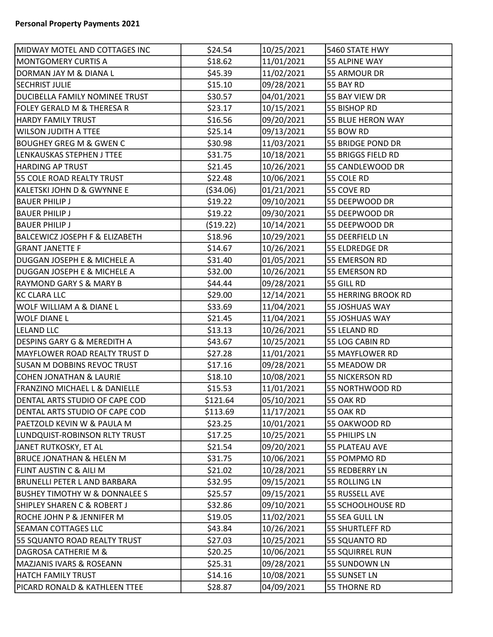| MIDWAY MOTEL AND COTTAGES INC             | \$24.54    | 10/25/2021 | 5460 STATE HWY         |  |
|-------------------------------------------|------------|------------|------------------------|--|
| <b>MONTGOMERY CURTIS A</b>                | \$18.62    | 11/01/2021 | 55 ALPINE WAY          |  |
| DORMAN JAY M & DIANA L                    | \$45.39    | 11/02/2021 | 55 ARMOUR DR           |  |
| <b>SECHRIST JULIE</b>                     | \$15.10    | 09/28/2021 | 55 BAY RD              |  |
| DUCIBELLA FAMILY NOMINEE TRUST            | \$30.57    | 04/01/2021 | 55 BAY VIEW DR         |  |
| <b>FOLEY GERALD M &amp; THERESA R</b>     | \$23.17    | 10/15/2021 | 55 BISHOP RD           |  |
| <b>HARDY FAMILY TRUST</b>                 | \$16.56    | 09/20/2021 | 55 BLUE HERON WAY      |  |
| WILSON JUDITH A TTEE                      | \$25.14    | 09/13/2021 | 55 BOW RD              |  |
| <b>BOUGHEY GREG M &amp; GWEN C</b>        | \$30.98    | 11/03/2021 | 55 BRIDGE POND DR      |  |
| LENKAUSKAS STEPHEN J TTEE                 | \$31.75    | 10/18/2021 | 55 BRIGGS FIELD RD     |  |
| <b>HARDING AP TRUST</b>                   | \$21.45    | 10/26/2021 | 55 CANDLEWOOD DR       |  |
| 55 COLE ROAD REALTY TRUST                 | \$22.48    | 10/06/2021 | 55 COLE RD             |  |
| KALETSKI JOHN D & GWYNNE E                | (\$34.06)  | 01/21/2021 | 55 COVE RD             |  |
| <b>BAUER PHILIP J</b>                     | \$19.22    | 09/10/2021 | 55 DEEPWOOD DR         |  |
| <b>BAUER PHILIP J</b>                     | \$19.22    | 09/30/2021 | 55 DEEPWOOD DR         |  |
| <b>BAUER PHILIP J</b>                     | ( \$19.22) | 10/14/2021 | 55 DEEPWOOD DR         |  |
| <b>BALCEWICZ JOSEPH F &amp; ELIZABETH</b> | \$18.96    | 10/29/2021 | 55 DEERFIELD LN        |  |
| <b>GRANT JANETTE F</b>                    | \$14.67    | 10/26/2021 | 55 ELDREDGE DR         |  |
| <b>DUGGAN JOSEPH E &amp; MICHELE A</b>    | \$31.40    | 01/05/2021 | 55 EMERSON RD          |  |
| <b>DUGGAN JOSEPH E &amp; MICHELE A</b>    | \$32.00    | 10/26/2021 | 55 EMERSON RD          |  |
| <b>RAYMOND GARY S &amp; MARY B</b>        | \$44.44    | 09/28/2021 | 55 GILL RD             |  |
| <b>KC CLARA LLC</b>                       | \$29.00    | 12/14/2021 | 55 HERRING BROOK RD    |  |
| <b>WOLF WILLIAM A &amp; DIANE L</b>       | \$33.69    | 11/04/2021 | 55 JOSHUAS WAY         |  |
| <b>WOLF DIANE L</b>                       | \$21.45    | 11/04/2021 | 55 JOSHUAS WAY         |  |
| LELAND LLC                                | \$13.13    | 10/26/2021 | 55 LELAND RD           |  |
| <b>DESPINS GARY G &amp; MEREDITH A</b>    | \$43.67    | 10/25/2021 | 55 LOG CABIN RD        |  |
| MAYFLOWER ROAD REALTY TRUST D             | \$27.28    | 11/01/2021 | 55 MAYFLOWER RD        |  |
| <b>SUSAN M DOBBINS REVOC TRUST</b>        | \$17.16    | 09/28/2021 | 55 MEADOW DR           |  |
| <b>COHEN JONATHAN &amp; LAURIE</b>        | \$18.10    | 10/08/2021 | <b>55 NICKERSON RD</b> |  |
| <b>FRANZINO MICHAEL L &amp; DANIELLE</b>  | \$15.53    | 11/01/2021 | 55 NORTHWOOD RD        |  |
| DENTAL ARTS STUDIO OF CAPE COD            | \$121.64   | 05/10/2021 | 55 OAK RD              |  |
| DENTAL ARTS STUDIO OF CAPE COD            | \$113.69   | 11/17/2021 | 55 OAK RD              |  |
| PAETZOLD KEVIN W & PAULA M                | \$23.25    | 10/01/2021 | 55 OAKWOOD RD          |  |
| LUNDQUIST-ROBINSON RLTY TRUST             | \$17.25    | 10/25/2021 | 55 PHILIPS LN          |  |
| JANET RUTKOSKY, ET AL                     | \$21.54    | 09/20/2021 | 55 PLATEAU AVE         |  |
| <b>BRUCE JONATHAN &amp; HELEN M</b>       | \$31.75    | 10/06/2021 | 55 POMPMO RD           |  |
| FLINT AUSTIN C & AILI M                   | \$21.02    | 10/28/2021 | 55 REDBERRY LN         |  |
| <b>BRUNELLI PETER L AND BARBARA</b>       | \$32.95    | 09/15/2021 | 55 ROLLING LN          |  |
| <b>BUSHEY TIMOTHY W &amp; DONNALEE S</b>  | \$25.57    | 09/15/2021 | 55 RUSSELL AVE         |  |
| <b>SHIPLEY SHAREN C &amp; ROBERT J</b>    | \$32.86    | 09/10/2021 | 55 SCHOOLHOUSE RD      |  |
| ROCHE JOHN P & JENNIFER M                 | \$19.05    | 11/02/2021 | 55 SEA GULL LN         |  |
| <b>SEAMAN COTTAGES LLC</b>                | \$43.84    | 10/26/2021 | 55 SHURTLEFF RD        |  |
| 55 SQUANTO ROAD REALTY TRUST              | \$27.03    | 10/25/2021 | 55 SQUANTO RD          |  |
| <b>DAGROSA CATHERIE M &amp;</b>           | \$20.25    | 10/06/2021 | <b>55 SQUIRREL RUN</b> |  |
| <b>MAZJANIS IVARS &amp; ROSEANN</b>       | \$25.31    | 09/28/2021 | 55 SUNDOWN LN          |  |
| <b>HATCH FAMILY TRUST</b>                 | \$14.16    | 10/08/2021 | 55 SUNSET LN           |  |
| PICARD RONALD & KATHLEEN TTEE             | \$28.87    | 04/09/2021 | <b>55 THORNE RD</b>    |  |
|                                           |            |            |                        |  |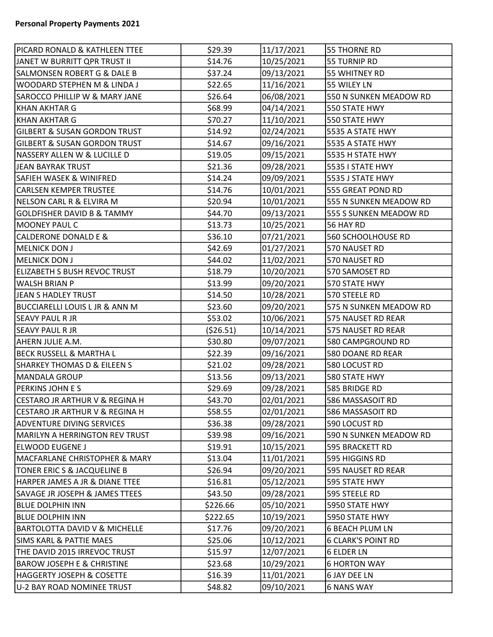| PICARD RONALD & KATHLEEN TTEE             | \$29.39    | 11/17/2021 | <b>55 THORNE RD</b>       |
|-------------------------------------------|------------|------------|---------------------------|
| JANET W BURRITT QPR TRUST II              | \$14.76    | 10/25/2021 | 55 TURNIP RD              |
| <b>SALMONSEN ROBERT G &amp; DALE B</b>    | \$37.24    | 09/13/2021 | 55 WHITNEY RD             |
| WOODARD STEPHEN M & LINDA J               | \$22.65    | 11/16/2021 | 55 WILEY LN               |
| <b>SAROCCO PHILLIP W &amp; MARY JANE</b>  | \$26.64    | 06/08/2021 | 550 N SUNKEN MEADOW RD    |
| KHAN AKHTAR G                             | \$68.99    | 04/14/2021 | 550 STATE HWY             |
| KHAN AKHTAR G                             | \$70.27    | 11/10/2021 | 550 STATE HWY             |
| <b>GILBERT &amp; SUSAN GORDON TRUST</b>   | \$14.92    | 02/24/2021 | 5535 A STATE HWY          |
| <b>GILBERT &amp; SUSAN GORDON TRUST</b>   | \$14.67    | 09/16/2021 | 5535 A STATE HWY          |
| NASSERY ALLEN W & LUCILLE D               | \$19.05    | 09/15/2021 | 5535 H STATE HWY          |
| JEAN BAYRAK TRUST                         | \$21.36    | 09/28/2021 | 5535 I STATE HWY          |
| <b>SAFIEH WASEK &amp; WINIFRED</b>        | \$14.24    | 09/09/2021 | 5535 J STATE HWY          |
| <b>CARLSEN KEMPER TRUSTEE</b>             | \$14.76    | 10/01/2021 | 555 GREAT POND RD         |
| NELSON CARL R & ELVIRA M                  | \$20.94    | 10/01/2021 | 555 N SUNKEN MEADOW RD    |
| <b>GOLDFISHER DAVID B &amp; TAMMY</b>     | \$44.70    | 09/13/2021 | 555 S SUNKEN MEADOW RD    |
| MOONEY PAUL C                             | \$13.73    | 10/25/2021 | 56 HAY RD                 |
| <b>CALDERONE DONALD E &amp;</b>           | \$36.10    | 07/21/2021 | 560 SCHOOLHOUSE RD        |
| MELNICK DON J                             | \$42.69    | 01/27/2021 | 570 NAUSET RD             |
| <b>MELNICK DON J</b>                      | \$44.02    | 11/02/2021 | 570 NAUSET RD             |
| ELIZABETH S BUSH REVOC TRUST              | \$18.79    | 10/20/2021 | 570 SAMOSET RD            |
| WALSH BRIAN P                             | \$13.99    | 09/20/2021 | 570 STATE HWY             |
| JEAN S HADLEY TRUST                       | \$14.50    | 10/28/2021 | 570 STEELE RD             |
| <b>BUCCIARELLI LOUIS L JR &amp; ANN M</b> | \$23.60    | 09/20/2021 | 575 N SUNKEN MEADOW RD    |
| <b>SEAVY PAUL R JR</b>                    | \$53.02    | 10/06/2021 | 575 NAUSET RD REAR        |
| <b>SEAVY PAUL R JR</b>                    | ( \$26.51) | 10/14/2021 | 575 NAUSET RD REAR        |
| AHERN JULIE A.M.                          | \$30.80    | 09/07/2021 | 580 CAMPGROUND RD         |
| BECK RUSSELL & MARTHA L                   | \$22.39    | 09/16/2021 | 580 DOANE RD REAR         |
| SHARKEY THOMAS D & EILEEN S               | \$21.02    | 09/28/2021 | 580 LOCUST RD             |
| MANDALA GROUP                             | \$13.56    | 09/13/2021 | 580 STATE HWY             |
| PERKINS JOHN E S                          | \$29.69    | 09/28/2021 | 585 BRIDGE RD             |
| CESTARO JR ARTHUR V & REGINA H            | \$43.70    | 02/01/2021 | 586 MASSASOIT RD          |
| CESTARO JR ARTHUR V & REGINA H            | \$58.55    | 02/01/2021 | 586 MASSASOIT RD          |
| <b>ADVENTURE DIVING SERVICES</b>          | \$36.38    | 09/28/2021 | 590 LOCUST RD             |
| MARILYN A HERRINGTON REV TRUST            | \$39.98    | 09/16/2021 | 590 N SUNKEN MEADOW RD    |
| ELWOOD EUGENE J                           | \$19.91    | 10/15/2021 | 595 BRACKETT RD           |
| MACFARLANE CHRISTOPHER & MARY             | \$13.04    | 11/01/2021 | 595 HIGGINS RD            |
| TONER ERIC S & JACQUELINE B               | \$26.94    | 09/20/2021 | 595 NAUSET RD REAR        |
| HARPER JAMES A JR & DIANE TTEE            | \$16.81    | 05/12/2021 | 595 STATE HWY             |
| SAVAGE JR JOSEPH & JAMES TTEES            | \$43.50    | 09/28/2021 | 595 STEELE RD             |
| <b>BLUE DOLPHIN INN</b>                   | \$226.66   | 05/10/2021 | 5950 STATE HWY            |
| BLUE DOLPHIN INN                          | \$222.65   | 10/19/2021 | 5950 STATE HWY            |
| BARTOLOTTA DAVID V & MICHELLE             | \$17.76    | 09/20/2021 | <b>6 BEACH PLUM LN</b>    |
| <b>SIMS KARL &amp; PATTIE MAES</b>        | \$25.06    | 10/12/2021 | <b>6 CLARK'S POINT RD</b> |
| THE DAVID 2015 IRREVOC TRUST              | \$15.97    | 12/07/2021 | <b>6 ELDER LN</b>         |
| <b>BAROW JOSEPH E &amp; CHRISTINE</b>     | \$23.68    | 10/29/2021 | <b>6 HORTON WAY</b>       |
| HAGGERTY JOSEPH & COSETTE                 | \$16.39    | 11/01/2021 | 6 JAY DEE LN              |
| U-2 BAY ROAD NOMINEE TRUST                | \$48.82    | 09/10/2021 | <b>6 NANS WAY</b>         |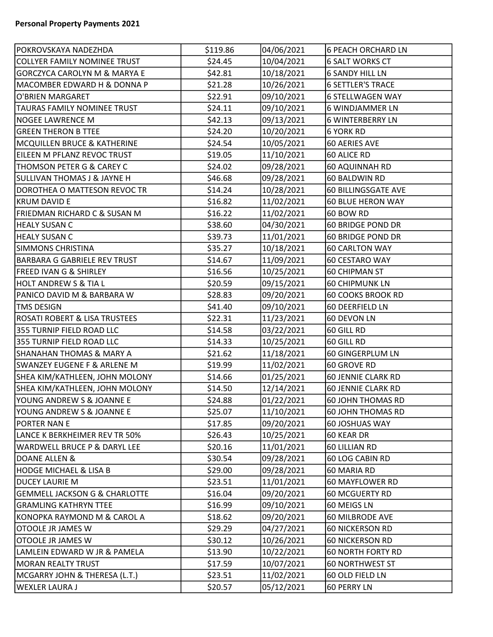| POKROVSKAYA NADEZHDA                     | \$119.86 | 04/06/2021 | <b>6 PEACH ORCHARD LN</b>  |
|------------------------------------------|----------|------------|----------------------------|
| COLLYER FAMILY NOMINEE TRUST             | \$24.45  | 10/04/2021 | <b>6 SALT WORKS CT</b>     |
| <b>GORCZYCA CAROLYN M &amp; MARYA E</b>  | \$42.81  | 10/18/2021 | <b>6 SANDY HILL LN</b>     |
| MACOMBER EDWARD H & DONNA P              | \$21.28  | 10/26/2021 | <b>6 SETTLER'S TRACE</b>   |
| O'BRIEN MARGARET                         | \$22.91  | 09/10/2021 | <b>6 STELLWAGEN WAY</b>    |
| <b>TAURAS FAMILY NOMINEE TRUST</b>       | \$24.11  | 09/10/2021 | 6 WINDJAMMER LN            |
| <b>NOGEE LAWRENCE M</b>                  | \$42.13  | 09/13/2021 | <b>6 WINTERBERRY LN</b>    |
| <b>GREEN THERON B TTEE</b>               | \$24.20  | 10/20/2021 | <b>6 YORK RD</b>           |
| <b>MCQUILLEN BRUCE &amp; KATHERINE</b>   | \$24.54  | 10/05/2021 | 60 AERIES AVE              |
| EILEEN M PFLANZ REVOC TRUST              | \$19.05  | 11/10/2021 | 60 ALICE RD                |
| THOMSON PETER G & CAREY C                | \$24.02  | 09/28/2021 | 60 AQUINNAH RD             |
| <b>SULLIVAN THOMAS J &amp; JAYNE H</b>   | \$46.68  | 09/28/2021 | 60 BALDWIN RD              |
| DOROTHEA O MATTESON REVOC TR             | \$14.24  | 10/28/2021 | <b>60 BILLINGSGATE AVE</b> |
| <b>KRUM DAVID E</b>                      | \$16.82  | 11/02/2021 | <b>60 BLUE HERON WAY</b>   |
| FRIEDMAN RICHARD C & SUSAN M             | \$16.22  | 11/02/2021 | 60 BOW RD                  |
| <b>HEALY SUSAN C</b>                     | \$38.60  | 04/30/2021 | 60 BRIDGE POND DR          |
| <b>HEALY SUSAN C</b>                     | \$39.73  | 11/01/2021 | <b>60 BRIDGE POND DR</b>   |
| <b>SIMMONS CHRISTINA</b>                 | \$35.27  | 10/18/2021 | <b>60 CARLTON WAY</b>      |
| <b>BARBARA G GABRIELE REV TRUST</b>      | \$14.67  | 11/09/2021 | 60 CESTARO WAY             |
| <b>FREED IVAN G &amp; SHIRLEY</b>        | \$16.56  | 10/25/2021 | 60 CHIPMAN ST              |
| <b>HOLT ANDREW S &amp; TIA L</b>         | \$20.59  | 09/15/2021 | <b>60 CHIPMUNK LN</b>      |
| PANICO DAVID M & BARBARA W               | \$28.83  | 09/20/2021 | <b>60 COOKS BROOK RD</b>   |
| <b>TMS DESIGN</b>                        | \$41.40  | 09/10/2021 | 60 DEERFIELD LN            |
| <b>ROSATI ROBERT &amp; LISA TRUSTEES</b> | \$22.31  | 11/23/2021 | 60 DEVON LN                |
| 355 TURNIP FIELD ROAD LLC                | \$14.58  | 03/22/2021 | 60 GILL RD                 |
| 355 TURNIP FIELD ROAD LLC                | \$14.33  | 10/25/2021 | 60 GILL RD                 |
| <b>SHANAHAN THOMAS &amp; MARY A</b>      | \$21.62  | 11/18/2021 | 60 GINGERPLUM LN           |
| <b>SWANZEY EUGENE F &amp; ARLENE M</b>   | \$19.99  | 11/02/2021 | 60 GROVE RD                |
| SHEA KIM/KATHLEEN, JOHN MOLONY           | \$14.66  | 01/25/2021 | <b>60 JENNIE CLARK RD</b>  |
| SHEA KIM/KATHLEEN, JOHN MOLONY           | \$14.50  | 12/14/2021 | <b>60 JENNIE CLARK RD</b>  |
| YOUNG ANDREW S & JOANNE E                | \$24.88  | 01/22/2021 | <b>60 JOHN THOMAS RD</b>   |
| YOUNG ANDREW S & JOANNE E                | \$25.07  | 11/10/2021 | <b>60 JOHN THOMAS RD</b>   |
| PORTER NAN E                             | \$17.85  | 09/20/2021 | 60 JOSHUAS WAY             |
| LANCE K BERKHEIMER REV TR 50%            | \$26.43  | 10/25/2021 | 60 KEAR DR                 |
| WARDWELL BRUCE P & DARYL LEE             | \$20.16  | 11/01/2021 | 60 LILLIAN RD              |
| DOANE ALLEN &                            | \$30.54  | 09/28/2021 | 60 LOG CABIN RD            |
| <b>HODGE MICHAEL &amp; LISA B</b>        | \$29.00  | 09/28/2021 | 60 MARIA RD                |
| <b>DUCEY LAURIE M</b>                    | \$23.51  | 11/01/2021 | 60 MAYFLOWER RD            |
| <b>GEMMELL JACKSON G &amp; CHARLOTTE</b> | \$16.04  | 09/20/2021 | 60 MCGUERTY RD             |
| <b>GRAMLING KATHRYN TTEE</b>             | \$16.99  | 09/10/2021 | 60 MEIGS LN                |
| KONOPKA RAYMOND M & CAROL A              | \$18.62  | 09/20/2021 | 60 MILBRODE AVE            |
| OTOOLE JR JAMES W                        | \$29.29  | 04/27/2021 | <b>60 NICKERSON RD</b>     |
| OTOOLE JR JAMES W                        | \$30.12  | 10/26/2021 | <b>60 NICKERSON RD</b>     |
| LAMLEIN EDWARD W JR & PAMELA             | \$13.90  | 10/22/2021 | <b>60 NORTH FORTY RD</b>   |
| <b>MORAN REALTY TRUST</b>                | \$17.59  | 10/07/2021 | <b>60 NORTHWEST ST</b>     |
| MCGARRY JOHN & THERESA (L.T.)            | \$23.51  | 11/02/2021 | 60 OLD FIELD LN            |
| <b>WEXLER LAURA J</b>                    | \$20.57  | 05/12/2021 | 60 PERRY LN                |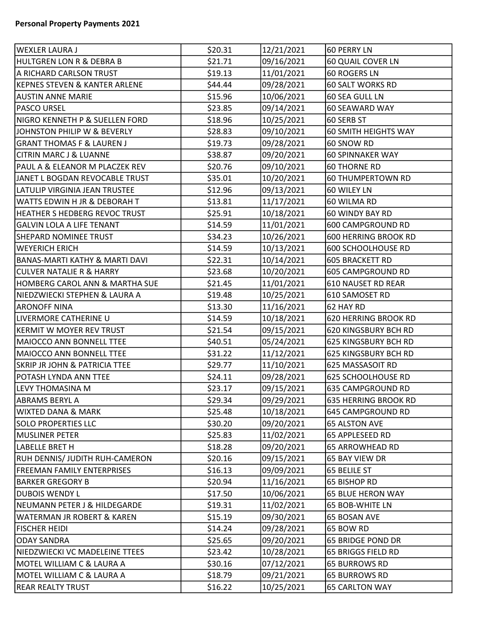| WEXLER LAURA J                           | \$20.31 | 12/21/2021 | 60 PERRY LN                 |
|------------------------------------------|---------|------------|-----------------------------|
| HULTGREN LON R & DEBRA B                 | \$21.71 | 09/16/2021 | 60 QUAIL COVER LN           |
| A RICHARD CARLSON TRUST                  | \$19.13 | 11/01/2021 | 60 ROGERS LN                |
| KEPNES STEVEN & KANTER ARLENE            | \$44.44 | 09/28/2021 | 60 SALT WORKS RD            |
| <b>AUSTIN ANNE MARIE</b>                 | \$15.96 | 10/06/2021 | 60 SEA GULL LN              |
| <b>PASCO URSEL</b>                       | \$23.85 | 09/14/2021 | 60 SEAWARD WAY              |
| NIGRO KENNETH P & SUELLEN FORD           | \$18.96 | 10/25/2021 | 60 SERB ST                  |
| JOHNSTON PHILIP W & BEVERLY              | \$28.83 | 09/10/2021 | 60 SMITH HEIGHTS WAY        |
| <b>GRANT THOMAS F &amp; LAUREN J</b>     | \$19.73 | 09/28/2021 | 60 SNOW RD                  |
| <b>CITRIN MARC J &amp; LUANNE</b>        | \$38.87 | 09/20/2021 | <b>60 SPINNAKER WAY</b>     |
| PAUL A & ELEANOR M PLACZEK REV           | \$20.76 | 09/10/2021 | <b>60 THORNE RD</b>         |
| JANET L BOGDAN REVOCABLE TRUST           | \$35.01 | 10/20/2021 | <b>60 THUMPERTOWN RD</b>    |
| LATULIP VIRGINIA JEAN TRUSTEE            | \$12.96 | 09/13/2021 | 60 WILEY LN                 |
| WATTS EDWIN H JR & DEBORAH T             | \$13.81 | 11/17/2021 | 60 WILMA RD                 |
| HEATHER S HEDBERG REVOC TRUST            | \$25.91 | 10/18/2021 | 60 WINDY BAY RD             |
| <b>GALVIN LOLA A LIFE TENANT</b>         | \$14.59 | 11/01/2021 | 600 CAMPGROUND RD           |
| <b>SHEPARD NOMINEE TRUST</b>             | \$34.23 | 10/26/2021 | <b>600 HERRING BROOK RD</b> |
| <b>WEYERICH ERICH</b>                    | \$14.59 | 10/13/2021 | <b>600 SCHOOLHOUSE RD</b>   |
| BANAS-MARTI KATHY & MARTI DAVI           | \$22.31 | 10/14/2021 | <b>605 BRACKETT RD</b>      |
| CULVER NATALIE R & HARRY                 | \$23.68 | 10/20/2021 | 605 CAMPGROUND RD           |
| HOMBERG CAROL ANN & MARTHA SUE           | \$21.45 | 11/01/2021 | 610 NAUSET RD REAR          |
| NIEDZWIECKI STEPHEN & LAURA A            | \$19.48 | 10/25/2021 | 610 SAMOSET RD              |
| <b>ARONOFF NINA</b>                      | \$13.30 | 11/16/2021 | 62 HAY RD                   |
| LIVERMORE CATHERINE U                    | \$14.59 | 10/18/2021 | 620 HERRING BROOK RD        |
| KERMIT W MOYER REV TRUST                 | \$21.54 | 09/15/2021 | 620 KINGSBURY BCH RD        |
| MAIOCCO ANN BONNELL TTEE                 | \$40.51 | 05/24/2021 | 625 KINGSBURY BCH RD        |
| MAIOCCO ANN BONNELL TTEE                 | \$31.22 | 11/12/2021 | 625 KINGSBURY BCH RD        |
| <b>SKRIP JR JOHN &amp; PATRICIA TTEE</b> | \$29.77 | 11/10/2021 | 625 MASSASOIT RD            |
| POTASH LYNDA ANN TTEE                    | \$24.11 | 09/28/2021 | <b>625 SCHOOLHOUSE RD</b>   |
| LEVY THOMASINA M                         | \$23.17 | 09/15/2021 | 635 CAMPGROUND RD           |
| ABRAMS BERYL A                           | \$29.34 | 09/29/2021 | 635 HERRING BROOK RD        |
| WIXTED DANA & MARK                       | \$25.48 | 10/18/2021 | 645 CAMPGROUND RD           |
| <b>SOLO PROPERTIES LLC</b>               | \$30.20 | 09/20/2021 | <b>65 ALSTON AVE</b>        |
| MUSLINER PETER                           | \$25.83 | 11/02/2021 | 65 APPLESEED RD             |
| LABELLE BRET H                           | \$18.28 | 09/20/2021 | <b>65 ARROWHEAD RD</b>      |
| RUH DENNIS/ JUDITH RUH-CAMERON           | \$20.16 | 09/15/2021 | 65 BAY VIEW DR              |
| <b>FREEMAN FAMILY ENTERPRISES</b>        | \$16.13 | 09/09/2021 | 65 BELILE ST                |
| BARKER GREGORY B                         | \$20.94 | 11/16/2021 | 65 BISHOP RD                |
| DUBOIS WENDY L                           | \$17.50 | 10/06/2021 | <b>65 BLUE HERON WAY</b>    |
| NEUMANN PETER J & HILDEGARDE             | \$19.31 | 11/02/2021 | 65 BOB-WHITE LN             |
| WATERMAN JR ROBERT & KAREN               | \$15.19 | 09/30/2021 | 65 BOSAN AVE                |
| <b>FISCHER HEIDI</b>                     | \$14.24 | 09/28/2021 | 65 BOW RD                   |
| ODAY SANDRA                              | \$25.65 | 09/20/2021 | <b>65 BRIDGE POND DR</b>    |
| NIEDZWIECKI VC MADELEINE TTEES           | \$23.42 | 10/28/2021 | 65 BRIGGS FIELD RD          |
| MOTEL WILLIAM C & LAURA A                | \$30.16 | 07/12/2021 | <b>65 BURROWS RD</b>        |
| MOTEL WILLIAM C & LAURA A                | \$18.79 | 09/21/2021 | <b>65 BURROWS RD</b>        |
| <b>REAR REALTY TRUST</b>                 | \$16.22 | 10/25/2021 | <b>65 CARLTON WAY</b>       |
|                                          |         |            |                             |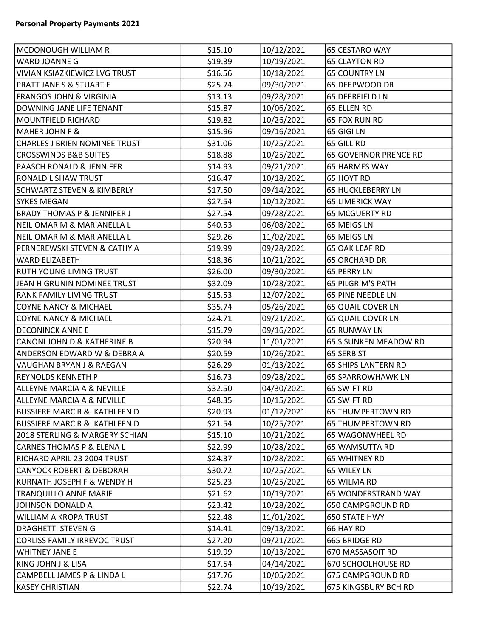| MCDONOUGH WILLIAM R                     | \$15.10 | 10/12/2021 | 65 CESTARO WAY               |
|-----------------------------------------|---------|------------|------------------------------|
| WARD JOANNE G                           | \$19.39 | 10/19/2021 | <b>65 CLAYTON RD</b>         |
| VIVIAN KSIAZKIEWICZ LVG TRUST           | \$16.56 | 10/18/2021 | <b>65 COUNTRY LN</b>         |
| <b>PRATT JANE S &amp; STUART E</b>      | \$25.74 | 09/30/2021 | 65 DEEPWOOD DR               |
| <b>FRANGOS JOHN &amp; VIRGINIA</b>      | \$13.13 | 09/28/2021 | 65 DEERFIELD LN              |
| DOWNING JANE LIFE TENANT                | \$15.87 | 10/06/2021 | 65 ELLEN RD                  |
| <b>MOUNTFIELD RICHARD</b>               | \$19.82 | 10/26/2021 | 65 FOX RUN RD                |
| <b>MAHER JOHN F &amp;</b>               | \$15.96 | 09/16/2021 | 65 GIGI LN                   |
| CHARLES J BRIEN NOMINEE TRUST           | \$31.06 | 10/25/2021 | 65 GILL RD                   |
| <b>CROSSWINDS B&amp;B SUITES</b>        | \$18.88 | 10/25/2021 | <b>65 GOVERNOR PRENCE RD</b> |
| PAASCH RONALD & JENNIFER                | \$14.93 | 09/21/2021 | <b>65 HARMES WAY</b>         |
| <b>RONALD L SHAW TRUST</b>              | \$16.47 | 10/18/2021 | 65 HOYT RD                   |
| <b>SCHWARTZ STEVEN &amp; KIMBERLY</b>   | \$17.50 | 09/14/2021 | <b>65 HUCKLEBERRY LN</b>     |
| <b>SYKES MEGAN</b>                      | \$27.54 | 10/12/2021 | <b>65 LIMERICK WAY</b>       |
| <b>BRADY THOMAS P &amp; JENNIFER J</b>  | \$27.54 | 09/28/2021 | <b>65 MCGUERTY RD</b>        |
| NEIL OMAR M & MARIANELLA L              | \$40.53 | 06/08/2021 | 65 MEIGS LN                  |
| NEIL OMAR M & MARIANELLA L              | \$29.26 | 11/02/2021 | 65 MEIGS LN                  |
| PERNEREWSKI STEVEN & CATHY A            | \$19.99 | 09/28/2021 | 65 OAK LEAF RD               |
| <b>WARD ELIZABETH</b>                   | \$18.36 | 10/21/2021 | <b>65 ORCHARD DR</b>         |
| RUTH YOUNG LIVING TRUST                 | \$26.00 | 09/30/2021 | 65 PERRY LN                  |
| JEAN H GRUNIN NOMINEE TRUST             | \$32.09 | 10/28/2021 | <b>65 PILGRIM'S PATH</b>     |
| <b>RANK FAMILY LIVING TRUST</b>         | \$15.53 | 12/07/2021 | 65 PINE NEEDLE LN            |
| <b>COYNE NANCY &amp; MICHAEL</b>        | \$35.74 | 05/26/2021 | 65 QUAIL COVER LN            |
| <b>COYNE NANCY &amp; MICHAEL</b>        | \$24.71 | 09/21/2021 | 65 QUAIL COVER LN            |
| <b>DECONINCK ANNE E</b>                 | \$15.79 | 09/16/2021 | <b>65 RUNWAY LN</b>          |
| CANONI JOHN D & KATHERINE B             | \$20.94 | 11/01/2021 | 65 S SUNKEN MEADOW RD        |
| ANDERSON EDWARD W & DEBRA A             | \$20.59 | 10/26/2021 | 65 SERB ST                   |
| VAUGHAN BRYAN J & RAEGAN                | \$26.29 | 01/13/2021 | <b>65 SHIPS LANTERN RD</b>   |
| <b>REYNOLDS KENNETH P</b>               | \$16.73 | 09/28/2021 | <b>65 SPARROWHAWK LN</b>     |
| <b>ALLEYNE MARCIA A &amp; NEVILLE</b>   | \$32.50 | 04/30/2021 | 65 SWIFT RD                  |
| ALLEYNE MARCIA A & NEVILLE              | \$48.35 | 10/15/2021 | 65 SWIFT RD                  |
| <b>BUSSIERE MARC R &amp; KATHLEEN D</b> | \$20.93 | 01/12/2021 | <b>65 THUMPERTOWN RD</b>     |
| <b>BUSSIERE MARC R &amp; KATHLEEN D</b> | \$21.54 | 10/25/2021 | <b>65 THUMPERTOWN RD</b>     |
| 2018 STERLING & MARGERY SCHIAN          | \$15.10 | 10/21/2021 | 65 WAGONWHEEL RD             |
| <b>CARNES THOMAS P &amp; ELENA L</b>    | \$22.99 | 10/28/2021 | 65 WAMSUTTA RD               |
| RICHARD APRIL 23 2004 TRUST             | \$24.37 | 10/28/2021 | <b>65 WHITNEY RD</b>         |
| <b>CANYOCK ROBERT &amp; DEBORAH</b>     | \$30.72 | 10/25/2021 | 65 WILEY LN                  |
| KURNATH JOSEPH F & WENDY H              | \$25.23 | 10/25/2021 | 65 WILMA RD                  |
| <b>TRANQUILLO ANNE MARIE</b>            | \$21.62 | 10/19/2021 | 65 WONDERSTRAND WAY          |
| JOHNSON DONALD A                        | \$23.42 | 10/28/2021 | 650 CAMPGROUND RD            |
| <b>WILLIAM A KROPA TRUST</b>            | \$22.48 | 11/01/2021 | 650 STATE HWY                |
| <b>DRAGHETTI STEVEN G</b>               | \$14.41 | 09/13/2021 | 66 HAY RD                    |
| <b>CORLISS FAMILY IRREVOC TRUST</b>     | \$27.20 | 09/21/2021 | 665 BRIDGE RD                |
| <b>WHITNEY JANE E</b>                   | \$19.99 | 10/13/2021 | 670 MASSASOIT RD             |
| KING JOHN J & LISA                      | \$17.54 | 04/14/2021 | <b>670 SCHOOLHOUSE RD</b>    |
| CAMPBELL JAMES P & LINDA L              | \$17.76 | 10/05/2021 | 675 CAMPGROUND RD            |
| <b>KASEY CHRISTIAN</b>                  | \$22.74 | 10/19/2021 | 675 KINGSBURY BCH RD         |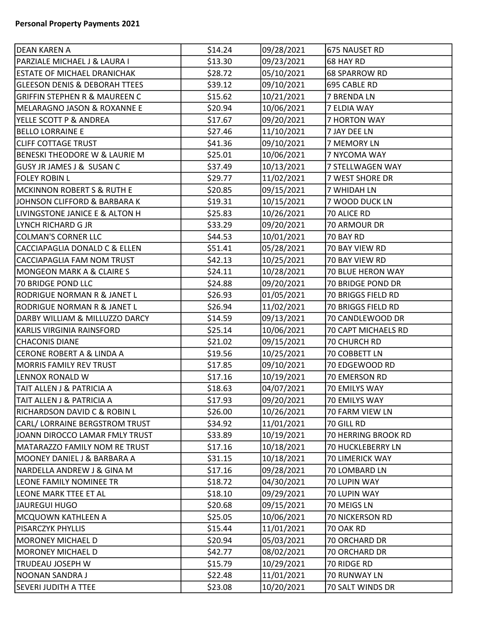| DEAN KAREN A                              | \$14.24 | 09/28/2021 | 675 NAUSET RD        |
|-------------------------------------------|---------|------------|----------------------|
| PARZIALE MICHAEL J & LAURA I              | \$13.30 | 09/23/2021 | 68 HAY RD            |
| <b>ESTATE OF MICHAEL DRANICHAK</b>        | \$28.72 | 05/10/2021 | <b>68 SPARROW RD</b> |
| <b>GLEESON DENIS &amp; DEBORAH TTEES</b>  | \$39.12 | 09/10/2021 | 695 CABLE RD         |
| <b>GRIFFIN STEPHEN R &amp; MAUREEN C</b>  | \$15.62 | 10/21/2021 | 7 BRENDA LN          |
| MELARAGNO JASON & ROXANNE E               | \$20.94 | 10/06/2021 | 7 ELDIA WAY          |
| YELLE SCOTT P & ANDREA                    | \$17.67 | 09/20/2021 | <b>7 HORTON WAY</b>  |
| <b>BELLO LORRAINE E</b>                   | \$27.46 | 11/10/2021 | 7 JAY DEE LN         |
| <b>CLIFF COTTAGE TRUST</b>                | \$41.36 | 09/10/2021 | 7 MEMORY LN          |
| <b>BENESKI THEODORE W &amp; LAURIE M</b>  | \$25.01 | 10/06/2021 | 7 NYCOMA WAY         |
| <b>GUSY JR JAMES J &amp; SUSAN C</b>      | \$37.49 | 10/13/2021 | 7 STELLWAGEN WAY     |
| <b>FOLEY ROBIN L</b>                      | \$29.77 | 11/02/2021 | 7 WEST SHORE DR      |
| MCKINNON ROBERT S & RUTH E                | \$20.85 | 09/15/2021 | 7 WHIDAH LN          |
| JOHNSON CLIFFORD & BARBARA K              | \$19.31 | 10/15/2021 | 7 WOOD DUCK LN       |
| <b>LIVINGSTONE JANICE E &amp; ALTON H</b> | \$25.83 | 10/26/2021 | 70 ALICE RD          |
| LYNCH RICHARD G JR                        | \$33.29 | 09/20/2021 | 70 ARMOUR DR         |
| COLMAN'S CORNER LLC                       | \$44.53 | 10/01/2021 | 70 BAY RD            |
| CACCIAPAGLIA DONALD C & ELLEN             | \$51.41 | 05/28/2021 | 70 BAY VIEW RD       |
| CACCIAPAGLIA FAM NOM TRUST                | \$42.13 | 10/25/2021 | 70 BAY VIEW RD       |
| MONGEON MARK A & CLAIRE S                 | \$24.11 | 10/28/2021 | 70 BLUE HERON WAY    |
| 70 BRIDGE POND LLC                        | \$24.88 | 09/20/2021 | 70 BRIDGE POND DR    |
| RODRIGUE NORMAN R & JANET L               | \$26.93 | 01/05/2021 | 70 BRIGGS FIELD RD   |
| RODRIGUE NORMAN R & JANET L               | \$26.94 | 11/02/2021 | 70 BRIGGS FIELD RD   |
| DARBY WILLIAM & MILLUZZO DARCY            | \$14.59 | 09/13/2021 | 70 CANDLEWOOD DR     |
| KARLIS VIRGINIA RAINSFORD                 | \$25.14 | 10/06/2021 | 70 CAPT MICHAELS RD  |
| <b>CHACONIS DIANE</b>                     | \$21.02 | 09/15/2021 | <b>70 CHURCH RD</b>  |
| CERONE ROBERT A & LINDA A                 | \$19.56 | 10/25/2021 | 70 COBBETT LN        |
| MORRIS FAMILY REV TRUST                   | \$17.85 | 09/10/2021 | 70 EDGEWOOD RD       |
| LENNOX RONALD W                           | \$17.16 | 10/19/2021 | 70 EMERSON RD        |
| TAIT ALLEN J & PATRICIA A                 | \$18.63 | 04/07/2021 | 70 EMILYS WAY        |
| TAIT ALLEN J & PATRICIA A                 | \$17.93 | 09/20/2021 | <b>70 EMILYS WAY</b> |
| <b>RICHARDSON DAVID C &amp; ROBIN L</b>   | \$26.00 | 10/26/2021 | 70 FARM VIEW LN      |
| CARL/ LORRAINE BERGSTROM TRUST            | \$34.92 | 11/01/2021 | 70 GILL RD           |
| JOANN DIROCCO LAMAR FMLY TRUST            | \$33.89 | 10/19/2021 | 70 HERRING BROOK RD  |
| MATARAZZO FAMILY NOM RE TRUST             | \$17.16 | 10/18/2021 | 70 HUCKLEBERRY LN    |
| MOONEY DANIEL J & BARBARA A               | \$31.15 | 10/18/2021 | 70 LIMERICK WAY      |
| NARDELLA ANDREW J & GINA M                | \$17.16 | 09/28/2021 | 70 LOMBARD LN        |
| LEONE FAMILY NOMINEE TR                   | \$18.72 | 04/30/2021 | 70 LUPIN WAY         |
| LEONE MARK TTEE ET AL                     | \$18.10 | 09/29/2021 | 70 LUPIN WAY         |
| JAUREGUI HUGO                             | \$20.68 | 09/15/2021 | 70 MEIGS LN          |
| MCQUOWN KATHLEEN A                        | \$25.05 | 10/06/2021 | 70 NICKERSON RD      |
| <b>PISARCZYK PHYLLIS</b>                  | \$15.44 | 11/01/2021 | 70 OAK RD            |
| MORONEY MICHAEL D                         | \$20.94 | 05/03/2021 | 70 ORCHARD DR        |
| MORONEY MICHAEL D                         | \$42.77 | 08/02/2021 | 70 ORCHARD DR        |
| TRUDEAU JOSEPH W                          | \$15.79 | 10/29/2021 | 70 RIDGE RD          |
| NOONAN SANDRA J                           | \$22.48 | 11/01/2021 | 70 RUNWAY LN         |
| <b>SEVERI JUDITH A TTEE</b>               | \$23.08 | 10/20/2021 | 70 SALT WINDS DR     |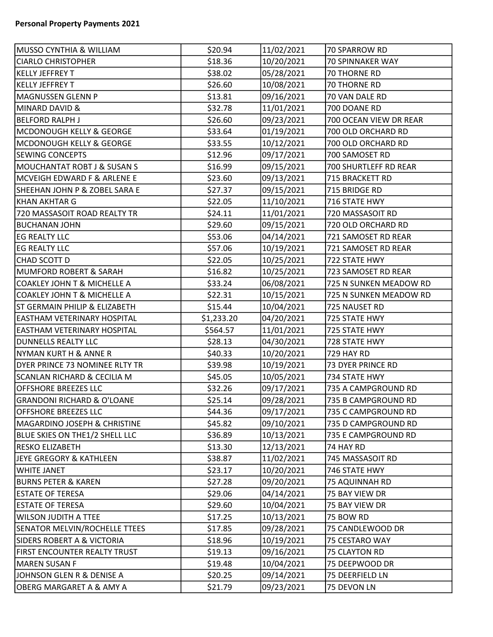| <b>MUSSO CYNTHIA &amp; WILLIAM</b>       | \$20.94    | 11/02/2021 | 70 SPARROW RD          |
|------------------------------------------|------------|------------|------------------------|
| <b>CIARLO CHRISTOPHER</b>                | \$18.36    | 10/20/2021 | 70 SPINNAKER WAY       |
| <b>KELLY JEFFREY T</b>                   | \$38.02    | 05/28/2021 | 70 THORNE RD           |
| <b>KELLY JEFFREY T</b>                   | \$26.60    | 10/08/2021 | 70 THORNE RD           |
| MAGNUSSEN GLENN P                        | \$13.81    | 09/16/2021 | 70 VAN DALE RD         |
| <b>MINARD DAVID &amp;</b>                | \$32.78    | 11/01/2021 | 700 DOANE RD           |
| <b>BELFORD RALPH J</b>                   | \$26.60    | 09/23/2021 | 700 OCEAN VIEW DR REAR |
| <b>MCDONOUGH KELLY &amp; GEORGE</b>      | \$33.64    | 01/19/2021 | 700 OLD ORCHARD RD     |
| MCDONOUGH KELLY & GEORGE                 | \$33.55    | 10/12/2021 | 700 OLD ORCHARD RD     |
| <b>SEWING CONCEPTS</b>                   | \$12.96    | 09/17/2021 | 700 SAMOSET RD         |
| MOUCHANTAT ROBT J & SUSAN S              | \$16.99    | 09/15/2021 | 700 SHURTLEFF RD REAR  |
| MCVEIGH EDWARD F & ARLENE E              | \$23.60    | 09/13/2021 | 715 BRACKETT RD        |
| SHEEHAN JOHN P & ZOBEL SARA E            | \$27.37    | 09/15/2021 | 715 BRIDGE RD          |
| KHAN AKHTAR G                            | \$22.05    | 11/10/2021 | 716 STATE HWY          |
| 720 MASSASOIT ROAD REALTY TR             | \$24.11    | 11/01/2021 | 720 MASSASOIT RD       |
| <b>BUCHANAN JOHN</b>                     | \$29.60    | 09/15/2021 | 720 OLD ORCHARD RD     |
| <b>EG REALTY LLC</b>                     | \$53.06    | 04/14/2021 | 721 SAMOSET RD REAR    |
| <b>EG REALTY LLC</b>                     | \$57.06    | 10/19/2021 | 721 SAMOSET RD REAR    |
| CHAD SCOTT D                             | \$22.05    | 10/25/2021 | 722 STATE HWY          |
| MUMFORD ROBERT & SARAH                   | \$16.82    | 10/25/2021 | 723 SAMOSET RD REAR    |
| <b>COAKLEY JOHN T &amp; MICHELLE A</b>   | \$33.24    | 06/08/2021 | 725 N SUNKEN MEADOW RD |
| <b>COAKLEY JOHN T &amp; MICHELLE A</b>   | \$22.31    | 10/15/2021 | 725 N SUNKEN MEADOW RD |
| <b>ST GERMAIN PHILIP &amp; ELIZABETH</b> | \$15.44    | 10/04/2021 | 725 NAUSET RD          |
| <b>EASTHAM VETERINARY HOSPITAL</b>       | \$1,233.20 | 04/20/2021 | 725 STATE HWY          |
| <b>EASTHAM VETERINARY HOSPITAL</b>       | \$564.57   | 11/01/2021 | 725 STATE HWY          |
| <b>DUNNELLS REALTY LLC</b>               | \$28.13    | 04/30/2021 | 728 STATE HWY          |
| NYMAN KURT H & ANNE R                    | \$40.33    | 10/20/2021 | 729 HAY RD             |
| DYER PRINCE 73 NOMINEE RLTY TR           | \$39.98    | 10/19/2021 | 73 DYER PRINCE RD      |
| <b>SCANLAN RICHARD &amp; CECILIA M</b>   | \$45.05    | 10/05/2021 | 734 STATE HWY          |
| <b>OFFSHORE BREEZES LLC</b>              | \$32.26    | 09/17/2021 | 735 A CAMPGROUND RD    |
| <b>GRANDONI RICHARD &amp; O'LOANE</b>    | \$25.14    | 09/28/2021 | 735 B CAMPGROUND RD    |
| <b>OFFSHORE BREEZES LLC</b>              | \$44.36    | 09/17/2021 | 735 C CAMPGROUND RD    |
| <b>MAGARDINO JOSEPH &amp; CHRISTINE</b>  | \$45.82    | 09/10/2021 | 735 D CAMPGROUND RD    |
| BLUE SKIES ON THE1/2 SHELL LLC           | \$36.89    | 10/13/2021 | 735 E CAMPGROUND RD    |
| <b>RESKO ELIZABETH</b>                   | \$13.30    | 12/13/2021 | 74 HAY RD              |
| JEYE GREGORY & KATHLEEN                  | \$38.87    | 11/02/2021 | 745 MASSASOIT RD       |
| <b>WHITE JANET</b>                       | \$23.17    | 10/20/2021 | 746 STATE HWY          |
| <b>BURNS PETER &amp; KAREN</b>           | \$27.28    | 09/20/2021 | 75 AQUINNAH RD         |
| <b>ESTATE OF TERESA</b>                  | \$29.06    | 04/14/2021 | 75 BAY VIEW DR         |
| <b>ESTATE OF TERESA</b>                  | \$29.60    | 10/04/2021 | 75 BAY VIEW DR         |
| <b>WILSON JUDITH A TTEE</b>              | \$17.25    | 10/13/2021 | 75 BOW RD              |
| SENATOR MELVIN/ROCHELLE TTEES            | \$17.85    | 09/28/2021 | 75 CANDLEWOOD DR       |
| <b>SIDERS ROBERT A &amp; VICTORIA</b>    | \$18.96    | 10/19/2021 | 75 CESTARO WAY         |
| FIRST ENCOUNTER REALTY TRUST             | \$19.13    | 09/16/2021 | 75 CLAYTON RD          |
| <b>MAREN SUSAN F</b>                     | \$19.48    | 10/04/2021 | 75 DEEPWOOD DR         |
| JOHNSON GLEN R & DENISE A                | \$20.25    | 09/14/2021 | 75 DEERFIELD LN        |
| OBERG MARGARET A & AMY A                 | \$21.79    | 09/23/2021 | 75 DEVON LN            |
|                                          |            |            |                        |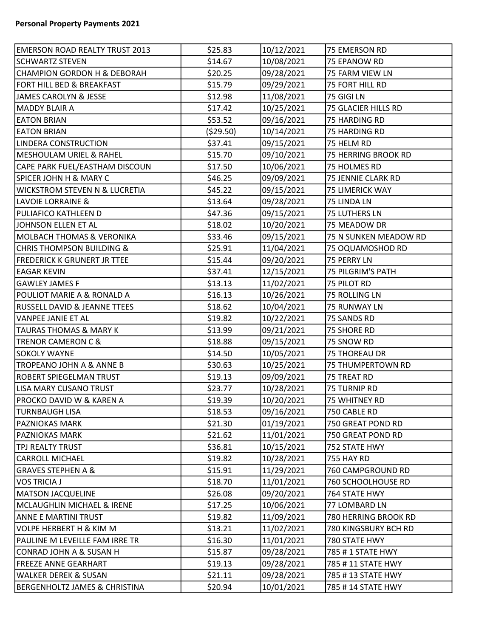| <b>EMERSON ROAD REALTY TRUST 2013</b>    | \$25.83   | 10/12/2021 | 75 EMERSON RD         |
|------------------------------------------|-----------|------------|-----------------------|
| <b>SCHWARTZ STEVEN</b>                   | \$14.67   | 10/08/2021 | 75 EPANOW RD          |
| CHAMPION GORDON H & DEBORAH              | \$20.25   | 09/28/2021 | 75 FARM VIEW LN       |
| FORT HILL BED & BREAKFAST                | \$15.79   | 09/29/2021 | 75 FORT HILL RD       |
| JAMES CAROLYN & JESSE                    | \$12.98   | 11/08/2021 | 75 GIGI LN            |
| MADDY BLAIR A                            | \$17.42   | 10/25/2021 | 75 GLACIER HILLS RD   |
| <b>EATON BRIAN</b>                       | \$53.52   | 09/16/2021 | 75 HARDING RD         |
| <b>EATON BRIAN</b>                       | (\$29.50) | 10/14/2021 | 75 HARDING RD         |
| <b>LINDERA CONSTRUCTION</b>              | \$37.41   | 09/15/2021 | 75 HELM RD            |
| MESHOULAM URIEL & RAHEL                  | \$15.70   | 09/10/2021 | 75 HERRING BROOK RD   |
| CAPE PARK FUEL/EASTHAM DISCOUN           | \$17.50   | 10/06/2021 | 75 HOLMES RD          |
| SPICER JOHN H & MARY C                   | \$46.25   | 09/09/2021 | 75 JENNIE CLARK RD    |
| <b>WICKSTROM STEVEN N &amp; LUCRETIA</b> | \$45.22   | 09/15/2021 | 75 LIMERICK WAY       |
| LAVOIE LORRAINE &                        | \$13.64   | 09/28/2021 | 75 LINDA LN           |
| PULIAFICO KATHLEEN D                     | \$47.36   | 09/15/2021 | 75 LUTHERS LN         |
| JOHNSON ELLEN ET AL                      | \$18.02   | 10/20/2021 | 75 MEADOW DR          |
| <b>MOLBACH THOMAS &amp; VERONIKA</b>     | \$33.46   | 09/15/2021 | 75 N SUNKEN MEADOW RD |
| <b>CHRIS THOMPSON BUILDING &amp;</b>     | \$25.91   | 11/04/2021 | 75 OQUAMOSHOD RD      |
| <b>FREDERICK K GRUNERT JR TTEE</b>       | \$15.44   | 09/20/2021 | 75 PERRY LN           |
| <b>EAGAR KEVIN</b>                       | \$37.41   | 12/15/2021 | 75 PILGRIM'S PATH     |
| GAWLEY JAMES F                           | \$13.13   | 11/02/2021 | <b>75 PILOT RD</b>    |
| POULIOT MARIE A & RONALD A               | \$16.13   | 10/26/2021 | 75 ROLLING LN         |
| <b>RUSSELL DAVID &amp; JEANNE TTEES</b>  | \$18.62   | 10/04/2021 | <b>75 RUNWAY LN</b>   |
| VANPEE JANIE ET AL                       | \$19.82   | 10/22/2021 | 75 SANDS RD           |
| <b>TAURAS THOMAS &amp; MARY K</b>        | \$13.99   | 09/21/2021 | 75 SHORE RD           |
| <b>TRENOR CAMERON C &amp;</b>            | \$18.88   | 09/15/2021 | 75 SNOW RD            |
| <b>SOKOLY WAYNE</b>                      | \$14.50   | 10/05/2021 | <b>75 THOREAU DR</b>  |
| TROPEANO JOHN A & ANNE B                 | \$30.63   | 10/25/2021 | 75 THUMPERTOWN RD     |
| <b>ROBERT SPIEGELMAN TRUST</b>           | \$19.13   | 09/09/2021 | 75 TREAT RD           |
| LISA MARY CUSANO TRUST                   | \$23.77   | 10/28/2021 | 75 TURNIP RD          |
| PROCKO DAVID W & KAREN A                 | \$19.39   | 10/20/2021 | 75 WHITNEY RD         |
| TURNBAUGH LISA                           | \$18.53   | 09/16/2021 | 750 CABLE RD          |
| <b>PAZNIOKAS MARK</b>                    | \$21.30   | 01/19/2021 | 750 GREAT POND RD     |
| <b>PAZNIOKAS MARK</b>                    | \$21.62   | 11/01/2021 | 750 GREAT POND RD     |
| TPJ REALTY TRUST                         | \$36.81   | 10/15/2021 | 752 STATE HWY         |
| CARROLL MICHAEL                          | \$19.82   | 10/28/2021 | <b>755 HAY RD</b>     |
| <b>GRAVES STEPHEN A &amp;</b>            | \$15.91   | 11/29/2021 | 760 CAMPGROUND RD     |
| VOS TRICIA J                             | \$18.70   | 11/01/2021 | 760 SCHOOLHOUSE RD    |
| <b>MATSON JACQUELINE</b>                 | \$26.08   | 09/20/2021 | 764 STATE HWY         |
| MCLAUGHLIN MICHAEL & IRENE               | \$17.25   | 10/06/2021 | 77 LOMBARD LN         |
| <b>ANNE E MARTINI TRUST</b>              | \$19.82   | 11/09/2021 | 780 HERRING BROOK RD  |
| VOLPE HERBERT H & KIM M                  | \$13.21   | 11/02/2021 | 780 KINGSBURY BCH RD  |
| PAULINE M LEVEILLE FAM IRRE TR           | \$16.30   | 11/01/2021 | 780 STATE HWY         |
| CONRAD JOHN A & SUSAN H                  | \$15.87   | 09/28/2021 | 785 # 1 STATE HWY     |
| <b>FREEZE ANNE GEARHART</b>              | \$19.13   | 09/28/2021 | 785 #11 STATE HWY     |
| WALKER DEREK & SUSAN                     | \$21.11   | 09/28/2021 | 785 #13 STATE HWY     |
| <b>BERGENHOLTZ JAMES &amp; CHRISTINA</b> | \$20.94   | 10/01/2021 | 785 #14 STATE HWY     |
|                                          |           |            |                       |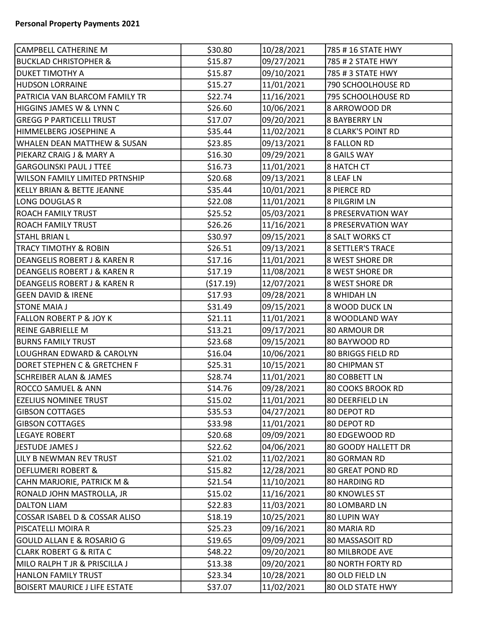| CAMPBELL CATHERINE M                   | \$30.80  | 10/28/2021 | 785 #16 STATE HWY         |
|----------------------------------------|----------|------------|---------------------------|
| <b>BUCKLAD CHRISTOPHER &amp;</b>       | \$15.87  | 09/27/2021 | 785 # 2 STATE HWY         |
| DUKET TIMOTHY A                        | \$15.87  | 09/10/2021 | 785 # 3 STATE HWY         |
| <b>HUDSON LORRAINE</b>                 | \$15.27  | 11/01/2021 | 790 SCHOOLHOUSE RD        |
| PATRICIA VAN BLARCOM FAMILY TR         | \$22.74  | 11/16/2021 | 795 SCHOOLHOUSE RD        |
| HIGGINS JAMES W & LYNN C               | \$26.60  | 10/06/2021 | 8 ARROWOOD DR             |
| <b>GREGG P PARTICELLI TRUST</b>        | \$17.07  | 09/20/2021 | <b>8 BAYBERRY LN</b>      |
| HIMMELBERG JOSEPHINE A                 | \$35.44  | 11/02/2021 | <b>8 CLARK'S POINT RD</b> |
| <b>WHALEN DEAN MATTHEW &amp; SUSAN</b> | \$23.85  | 09/13/2021 | <b>8 FALLON RD</b>        |
| PIEKARZ CRAIG J & MARY A               | \$16.30  | 09/29/2021 | 8 GAILS WAY               |
| <b>GARGOLINSKI PAUL J TTEE</b>         | \$16.73  | 11/01/2021 | <b>8 HATCH CT</b>         |
| <b>WILSON FAMILY LIMITED PRTNSHIP</b>  | \$20.68  | 09/13/2021 | <b>8 LEAF LN</b>          |
| KELLY BRIAN & BETTE JEANNE             | \$35.44  | 10/01/2021 | <b>8 PIERCE RD</b>        |
| LONG DOUGLAS R                         | \$22.08  | 11/01/2021 | <b>8 PILGRIM LN</b>       |
| <b>ROACH FAMILY TRUST</b>              | \$25.52  | 05/03/2021 | <b>8 PRESERVATION WAY</b> |
| <b>ROACH FAMILY TRUST</b>              | \$26.26  | 11/16/2021 | <b>8 PRESERVATION WAY</b> |
| <b>STAHL BRIAN L</b>                   | \$30.97  | 09/15/2021 | 8 SALT WORKS CT           |
| <b>TRACY TIMOTHY &amp; ROBIN</b>       | \$26.51  | 09/13/2021 | <b>8 SETTLER'S TRACE</b>  |
| DEANGELIS ROBERT J & KAREN R           | \$17.16  | 11/01/2021 | 8 WEST SHORE DR           |
| DEANGELIS ROBERT J & KAREN R           | \$17.19  | 11/08/2021 | <b>8 WEST SHORE DR</b>    |
| DEANGELIS ROBERT J & KAREN R           | (517.19) | 12/07/2021 | 8 WEST SHORE DR           |
| <b>GEEN DAVID &amp; IRENE</b>          | \$17.93  | 09/28/2021 | 8 WHIDAH LN               |
| <b>STONE MAIA J</b>                    | \$31.49  | 09/15/2021 | 8 WOOD DUCK LN            |
| <b>FALLON ROBERT P &amp; JOY K</b>     | \$21.11  | 11/01/2021 | 8 WOODLAND WAY            |
| <b>REINE GABRIELLE M</b>               | \$13.21  | 09/17/2021 | 80 ARMOUR DR              |
| <b>BURNS FAMILY TRUST</b>              | \$23.68  | 09/15/2021 | 80 BAYWOOD RD             |
| LOUGHRAN EDWARD & CAROLYN              | \$16.04  | 10/06/2021 | 80 BRIGGS FIELD RD        |
| DORET STEPHEN C & GRETCHEN F           | \$25.31  | 10/15/2021 | 80 CHIPMAN ST             |
| <b>SCHREIBER ALAN &amp; JAMES</b>      | \$28.74  | 11/01/2021 | 80 COBBETT LN             |
| <b>ROCCO SAMUEL &amp; ANN</b>          | \$14.76  | 09/28/2021 | <b>80 COOKS BROOK RD</b>  |
| <b>EZELIUS NOMINEE TRUST</b>           | \$15.02  | 11/01/2021 | 80 DEERFIELD LN           |
| <b>GIBSON COTTAGES</b>                 | \$35.53  | 04/27/2021 | 80 DEPOT RD               |
| <b>GIBSON COTTAGES</b>                 | \$33.98  | 11/01/2021 | 80 DEPOT RD               |
| <b>LEGAYE ROBERT</b>                   | \$20.68  | 09/09/2021 | 80 EDGEWOOD RD            |
| JESTUDE JAMES J                        | \$22.62  | 04/06/2021 | 80 GOODY HALLETT DR       |
| LILY B NEWMAN REV TRUST                | \$21.02  | 11/02/2021 | 80 GORMAN RD              |
| DEFLUMERI ROBERT &                     | \$15.82  | 12/28/2021 | <b>80 GREAT POND RD</b>   |
| <b>CAHN MARJORIE, PATRICK M &amp;</b>  | \$21.54  | 11/10/2021 | 80 HARDING RD             |
| RONALD JOHN MASTROLLA, JR              | \$15.02  | 11/16/2021 | <b>80 KNOWLES ST</b>      |
| <b>DALTON LIAM</b>                     | \$22.83  | 11/03/2021 | 80 LOMBARD LN             |
| COSSAR ISABEL D & COSSAR ALISO         | \$18.19  | 10/25/2021 | 80 LUPIN WAY              |
| PISCATELLI MOIRA R                     | \$25.23  | 09/16/2021 | 80 MARIA RD               |
| <b>GOULD ALLAN E &amp; ROSARIO G</b>   | \$19.65  | 09/09/2021 | 80 MASSASOIT RD           |
| <b>CLARK ROBERT G &amp; RITA C</b>     | \$48.22  | 09/20/2021 | <b>80 MILBRODE AVE</b>    |
| MILO RALPH T JR & PRISCILLA J          | \$13.38  | 09/20/2021 | 80 NORTH FORTY RD         |
| <b>HANLON FAMILY TRUST</b>             | \$23.34  | 10/28/2021 | 80 OLD FIELD LN           |
| <b>BOISERT MAURICE J LIFE ESTATE</b>   | \$37.07  | 11/02/2021 | 80 OLD STATE HWY          |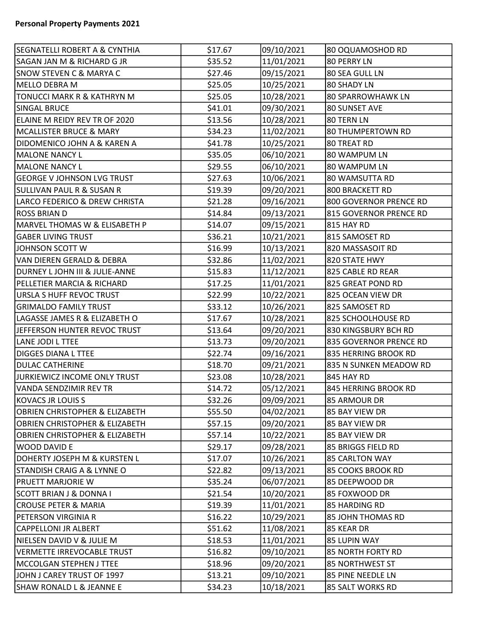| <b>SEGNATELLI ROBERT A &amp; CYNTHIA</b>  | \$17.67 | 09/10/2021 | 80 OQUAMOSHOD RD         |
|-------------------------------------------|---------|------------|--------------------------|
| SAGAN JAN M & RICHARD G JR                | \$35.52 | 11/01/2021 | 80 PERRY LN              |
| <b>SNOW STEVEN C &amp; MARYA C</b>        | \$27.46 | 09/15/2021 | 80 SEA GULL LN           |
| MELLO DEBRA M                             | \$25.05 | 10/25/2021 | 80 SHADY LN              |
| TONUCCI MARK R & KATHRYN M                | \$25.05 | 10/28/2021 | <b>80 SPARROWHAWK LN</b> |
| SINGAL BRUCE                              | \$41.01 | 09/30/2021 | 80 SUNSET AVE            |
| ELAINE M REIDY REV TR OF 2020             | \$13.56 | 10/28/2021 | 80 TERN LN               |
| MCALLISTER BRUCE & MARY                   | \$34.23 | 11/02/2021 | <b>80 THUMPERTOWN RD</b> |
| DIDOMENICO JOHN A & KAREN A               | \$41.78 | 10/25/2021 | 80 TREAT RD              |
| <b>MALONE NANCY L</b>                     | \$35.05 | 06/10/2021 | 80 WAMPUM LN             |
| MALONE NANCY L                            | \$29.55 | 06/10/2021 | 80 WAMPUM LN             |
| <b>GEORGE V JOHNSON LVG TRUST</b>         | \$27.63 | 10/06/2021 | 80 WAMSUTTA RD           |
| SULLIVAN PAUL R & SUSAN R                 | \$19.39 | 09/20/2021 | 800 BRACKETT RD          |
| LARCO FEDERICO & DREW CHRISTA             | \$21.28 | 09/16/2021 | 800 GOVERNOR PRENCE RD   |
| ROSS BRIAN D                              | \$14.84 | 09/13/2021 | 815 GOVERNOR PRENCE RD   |
| MARVEL THOMAS W & ELISABETH P             | \$14.07 | 09/15/2021 | <b>815 HAY RD</b>        |
| <b>GABER LIVING TRUST</b>                 | \$36.21 | 10/21/2021 | 815 SAMOSET RD           |
| JOHNSON SCOTT W                           | \$16.99 | 10/13/2021 | 820 MASSASOIT RD         |
| VAN DIEREN GERALD & DEBRA                 | \$32.86 | 11/02/2021 | 820 STATE HWY            |
| DURNEY L JOHN III & JULIE-ANNE            | \$15.83 | 11/12/2021 | 825 CABLE RD REAR        |
| PELLETIER MARCIA & RICHARD                | \$17.25 | 11/01/2021 | 825 GREAT POND RD        |
| URSLA S HUFF REVOC TRUST                  | \$22.99 | 10/22/2021 | 825 OCEAN VIEW DR        |
| <b>GRIMALDO FAMILY TRUST</b>              | \$33.12 | 10/26/2021 | 825 SAMOSET RD           |
| LAGASSE JAMES R & ELIZABETH O             | \$17.67 | 10/28/2021 | 825 SCHOOLHOUSE RD       |
| JEFFERSON HUNTER REVOC TRUST              | \$13.64 | 09/20/2021 | 830 KINGSBURY BCH RD     |
| LANE JODI L TTEE                          | \$13.73 | 09/20/2021 | 835 GOVERNOR PRENCE RD   |
| <b>DIGGES DIANA L TTEE</b>                | \$22.74 | 09/16/2021 | 835 HERRING BROOK RD     |
| <b>DULAC CATHERINE</b>                    | \$18.70 | 09/21/2021 | 835 N SUNKEN MEADOW RD   |
| JURKIEWICZ INCOME ONLY TRUST              | \$23.08 | 10/28/2021 | 845 HAY RD               |
| VANDA SENDZIMIR REV TR                    | \$14.72 | 05/12/2021 | 845 HERRING BROOK RD     |
| KOVACS JR LOUIS S                         | \$32.26 | 09/09/2021 | 85 ARMOUR DR             |
| OBRIEN CHRISTOPHER & ELIZABETH            | \$55.50 | 04/02/2021 | 85 BAY VIEW DR           |
| <b>OBRIEN CHRISTOPHER &amp; ELIZABETH</b> | \$57.15 | 09/20/2021 | 85 BAY VIEW DR           |
| <b>OBRIEN CHRISTOPHER &amp; ELIZABETH</b> | \$57.14 | 10/22/2021 | 85 BAY VIEW DR           |
| <b>WOOD DAVID E</b>                       | \$29.17 | 09/28/2021 | 85 BRIGGS FIELD RD       |
| DOHERTY JOSEPH M & KURSTEN L              | \$17.07 | 10/26/2021 | 85 CARLTON WAY           |
| STANDISH CRAIG A & LYNNE O                | \$22.82 | 09/13/2021 | 85 COOKS BROOK RD        |
| <b>PRUETT MARJORIE W</b>                  | \$35.24 | 06/07/2021 | 85 DEEPWOOD DR           |
| SCOTT BRIAN J & DONNA I                   | \$21.54 | 10/20/2021 | 85 FOXWOOD DR            |
| <b>CROUSE PETER &amp; MARIA</b>           | \$19.39 | 11/01/2021 | 85 HARDING RD            |
| PETERSON VIRGINIA R                       | \$16.22 | 10/29/2021 | 85 JOHN THOMAS RD        |
| CAPPELLONI JR ALBERT                      | \$51.62 | 11/08/2021 | 85 KEAR DR               |
| NIELSEN DAVID V & JULIE M                 | \$18.53 | 11/01/2021 | 85 LUPIN WAY             |
| VERMETTE IRREVOCABLE TRUST                | \$16.82 | 09/10/2021 | 85 NORTH FORTY RD        |
| MCCOLGAN STEPHEN J TTEE                   | \$18.96 | 09/20/2021 | 85 NORTHWEST ST          |
| JOHN J CAREY TRUST OF 1997                | \$13.21 | 09/10/2021 | 85 PINE NEEDLE LN        |
| SHAW RONALD L & JEANNE E                  | \$34.23 | 10/18/2021 | 85 SALT WORKS RD         |
|                                           |         |            |                          |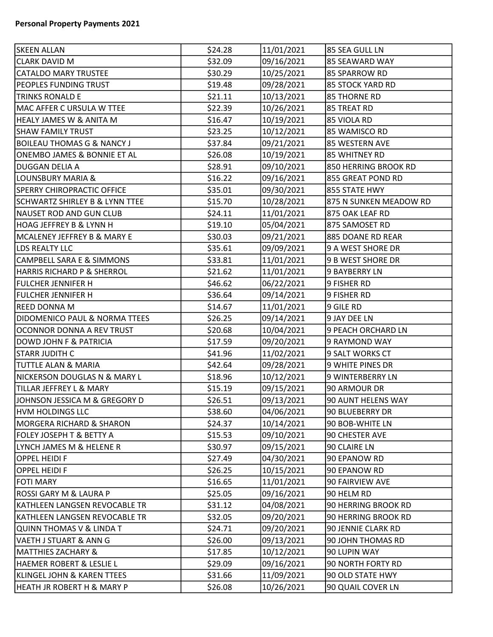| <b>SKEEN ALLAN</b>                        | \$24.28 | 11/01/2021 | 85 SEA GULL LN          |
|-------------------------------------------|---------|------------|-------------------------|
| <b>CLARK DAVID M</b>                      | \$32.09 | 09/16/2021 | 85 SEAWARD WAY          |
| CATALDO MARY TRUSTEE                      | \$30.29 | 10/25/2021 | 85 SPARROW RD           |
| PEOPLES FUNDING TRUST                     | \$19.48 | 09/28/2021 | <b>85 STOCK YARD RD</b> |
| <b>TRINKS RONALD E</b>                    | \$21.11 | 10/13/2021 | <b>85 THORNE RD</b>     |
| MAC AFFER C URSULA W TTEE                 | \$22.39 | 10/26/2021 | 85 TREAT RD             |
| HEALY JAMES W & ANITA M                   | \$16.47 | 10/19/2021 | 85 VIOLA RD             |
| SHAW FAMILY TRUST                         | \$23.25 | 10/12/2021 | 85 WAMISCO RD           |
| <b>BOILEAU THOMAS G &amp; NANCY J</b>     | \$37.84 | 09/21/2021 | 85 WESTERN AVE          |
| <b>ONEMBO JAMES &amp; BONNIE ET AL</b>    | \$26.08 | 10/19/2021 | <b>85 WHITNEY RD</b>    |
| DUGGAN DELIA A                            | \$28.91 | 09/10/2021 | 850 HERRING BROOK RD    |
| LOUNSBURY MARIA &                         | \$16.22 | 09/16/2021 | 855 GREAT POND RD       |
| <b>SPERRY CHIROPRACTIC OFFICE</b>         | \$35.01 | 09/30/2021 | 855 STATE HWY           |
| <b>SCHWARTZ SHIRLEY B &amp; LYNN TTEE</b> | \$15.70 | 10/28/2021 | 875 N SUNKEN MEADOW RD  |
| NAUSET ROD AND GUN CLUB                   | \$24.11 | 11/01/2021 | 875 OAK LEAF RD         |
| HOAG JEFFREY B & LYNN H                   | \$19.10 | 05/04/2021 | 875 SAMOSET RD          |
| MCALENEY JEFFREY B & MARY E               | \$30.03 | 09/21/2021 | 885 DOANE RD REAR       |
| LDS REALTY LLC                            | \$35.61 | 09/09/2021 | 9 A WEST SHORE DR       |
| <b>CAMPBELL SARA E &amp; SIMMONS</b>      | \$33.81 | 11/01/2021 | 9 B WEST SHORE DR       |
| HARRIS RICHARD P & SHERROL                | \$21.62 | 11/01/2021 | <b>9 BAYBERRY LN</b>    |
| FULCHER JENNIFER H                        | \$46.62 | 06/22/2021 | 9 FISHER RD             |
| FULCHER JENNIFER H                        | \$36.64 | 09/14/2021 | 9 FISHER RD             |
| REED DONNA M                              | \$14.67 | 11/01/2021 | 9 GILE RD               |
| DIDOMENICO PAUL & NORMA TTEES             | \$26.25 | 09/14/2021 | 9 JAY DEE LN            |
| OCONNOR DONNA A REV TRUST                 | \$20.68 | 10/04/2021 | 9 PEACH ORCHARD LN      |
| <b>DOWD JOHN F &amp; PATRICIA</b>         | \$17.59 | 09/20/2021 | 9 RAYMOND WAY           |
| <b>STARR JUDITH C</b>                     | \$41.96 | 11/02/2021 | 9 SALT WORKS CT         |
| TUTTLE ALAN & MARIA                       | \$42.64 | 09/28/2021 | 9 WHITE PINES DR        |
| NICKERSON DOUGLAS N & MARY L              | \$18.96 | 10/12/2021 | 9 WINTERBERRY LN        |
| TILLAR JEFFREY L & MARY                   | \$15.19 | 09/15/2021 | 90 ARMOUR DR            |
| JOHNSON JESSICA M & GREGORY D             | \$26.51 | 09/13/2021 | 90 AUNT HELENS WAY      |
| HVM HOLDINGS LLC                          | \$38.60 | 04/06/2021 | 90 BLUEBERRY DR         |
| MORGERA RICHARD & SHARON                  | \$24.37 | 10/14/2021 | 90 BOB-WHITE LN         |
| FOLEY JOSEPH T & BETTY A                  | \$15.53 | 09/10/2021 | 90 CHESTER AVE          |
| LYNCH JAMES M & HELENE R                  | \$30.97 | 09/15/2021 | 90 CLAIRE LN            |
| <b>OPPEL HEIDI F</b>                      | \$27.49 | 04/30/2021 | 90 EPANOW RD            |
| OPPEL HEIDI F                             | \$26.25 | 10/15/2021 | 90 EPANOW RD            |
| <b>FOTI MARY</b>                          | \$16.65 | 11/01/2021 | 90 FAIRVIEW AVE         |
| ROSSI GARY M & LAURA P                    | \$25.05 | 09/16/2021 | 90 HELM RD              |
| KATHLEEN LANGSEN REVOCABLE TR             | \$31.12 | 04/08/2021 | 90 HERRING BROOK RD     |
| KATHLEEN LANGSEN REVOCABLE TR             | \$32.05 | 09/20/2021 | 90 HERRING BROOK RD     |
| QUINN THOMAS V & LINDA T                  | \$24.71 | 09/20/2021 | 90 JENNIE CLARK RD      |
| VAETH J STUART & ANN G                    | \$26.00 | 09/13/2021 | 90 JOHN THOMAS RD       |
| MATTHIES ZACHARY &                        | \$17.85 | 10/12/2021 | 90 LUPIN WAY            |
| HAEMER ROBERT & LESLIE L                  | \$29.09 | 09/16/2021 | 90 NORTH FORTY RD       |
| KLINGEL JOHN & KAREN TTEES                | \$31.66 | 11/09/2021 | 90 OLD STATE HWY        |
| HEATH JR ROBERT H & MARY P                | \$26.08 | 10/26/2021 | 90 QUAIL COVER LN       |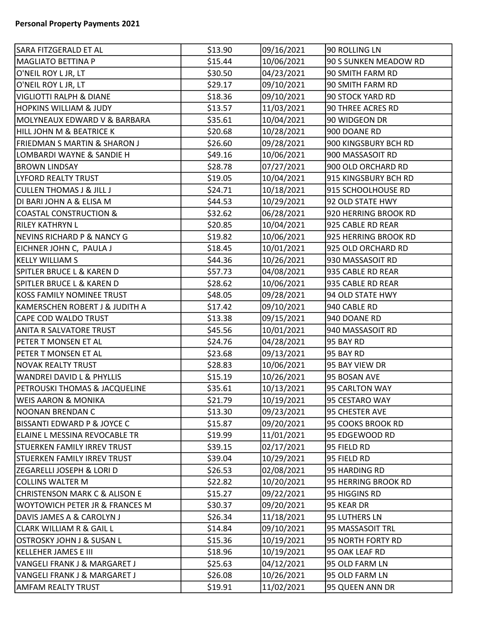| SARA FITZGERALD ET AL                    | \$13.90 | 09/16/2021 | 90 ROLLING LN         |
|------------------------------------------|---------|------------|-----------------------|
| <b>MAGLIATO BETTINA P</b>                | \$15.44 | 10/06/2021 | 90 S SUNKEN MEADOW RD |
| O'NEIL ROY L JR, LT                      | \$30.50 | 04/23/2021 | 90 SMITH FARM RD      |
| O'NEIL ROY L JR, LT                      | \$29.17 | 09/10/2021 | 90 SMITH FARM RD      |
| <b>VIGLIOTTI RALPH &amp; DIANE</b>       | \$18.36 | 09/10/2021 | 90 STOCK YARD RD      |
| <b>HOPKINS WILLIAM &amp; JUDY</b>        | \$13.57 | 11/03/2021 | 90 THREE ACRES RD     |
| MOLYNEAUX EDWARD V & BARBARA             | \$35.61 | 10/04/2021 | 90 WIDGEON DR         |
| HILL JOHN M & BEATRICE K                 | \$20.68 | 10/28/2021 | 900 DOANE RD          |
| <b>FRIEDMAN S MARTIN &amp; SHARON J</b>  | \$26.60 | 09/28/2021 | 900 KINGSBURY BCH RD  |
| LOMBARDI WAYNE & SANDIE H                | \$49.16 | 10/06/2021 | 900 MASSASOIT RD      |
| <b>BROWN LINDSAY</b>                     | \$28.78 | 07/27/2021 | 900 OLD ORCHARD RD    |
| LYFORD REALTY TRUST                      | \$19.05 | 10/04/2021 | 915 KINGSBURY BCH RD  |
| <b>CULLEN THOMAS J &amp; JILL J</b>      | \$24.71 | 10/18/2021 | 915 SCHOOLHOUSE RD    |
| DI BARI JOHN A & ELISA M                 | \$44.53 | 10/29/2021 | 92 OLD STATE HWY      |
| <b>COASTAL CONSTRUCTION &amp;</b>        | \$32.62 | 06/28/2021 | 920 HERRING BROOK RD  |
| <b>RILEY KATHRYN L</b>                   | \$20.85 | 10/04/2021 | 925 CABLE RD REAR     |
| <b>NEVINS RICHARD P &amp; NANCY G</b>    | \$19.82 | 10/06/2021 | 925 HERRING BROOK RD  |
| EICHNER JOHN C, PAULA J                  | \$18.45 | 10/01/2021 | 925 OLD ORCHARD RD    |
| <b>KELLY WILLIAM S</b>                   | \$44.36 | 10/26/2021 | 930 MASSASOIT RD      |
| <b>SPITLER BRUCE L &amp; KAREN D</b>     | \$57.73 | 04/08/2021 | 935 CABLE RD REAR     |
| <b>SPITLER BRUCE L &amp; KAREN D</b>     | \$28.62 | 10/06/2021 | 935 CABLE RD REAR     |
| <b>KOSS FAMILY NOMINEE TRUST</b>         | \$48.05 | 09/28/2021 | 94 OLD STATE HWY      |
| KAMERSCHEN ROBERT J & JUDITH A           | \$17.42 | 09/10/2021 | 940 CABLE RD          |
| CAPE COD WALDO TRUST                     | \$13.38 | 09/15/2021 | 940 DOANE RD          |
| <b>ANITA R SALVATORE TRUST</b>           | \$45.56 | 10/01/2021 | 940 MASSASOIT RD      |
| PETER T MONSEN ET AL                     | \$24.76 | 04/28/2021 | 95 BAY RD             |
| PETER T MONSEN ET AL                     | \$23.68 | 09/13/2021 | 95 BAY RD             |
| <b>NOVAK REALTY TRUST</b>                | \$28.83 | 10/06/2021 | 95 BAY VIEW DR        |
| <b>WANDREI DAVID L &amp; PHYLLIS</b>     | \$15.19 | 10/26/2021 | 95 BOSAN AVE          |
| PETROUSKI THOMAS & JACQUELINE            | \$35.61 | 10/13/2021 | 95 CARLTON WAY        |
| <b>WEIS AARON &amp; MONIKA</b>           | \$21.79 | 10/19/2021 | 95 CESTARO WAY        |
| <b>NOONAN BRENDAN C</b>                  | \$13.30 | 09/23/2021 | 95 CHESTER AVE        |
| <b>BISSANTI EDWARD P &amp; JOYCE C</b>   | \$15.87 | 09/20/2021 | 95 COOKS BROOK RD     |
| ELAINE L MESSINA REVOCABLE TR            | \$19.99 | 11/01/2021 | 95 EDGEWOOD RD        |
| <b>STUERKEN FAMILY IRREV TRUST</b>       | \$39.15 | 02/17/2021 | 95 FIELD RD           |
| <b>STUERKEN FAMILY IRREV TRUST</b>       | \$39.04 | 10/29/2021 | 95 FIELD RD           |
| ZEGARELLI JOSEPH & LORI D                | \$26.53 | 02/08/2021 | 95 HARDING RD         |
| <b>COLLINS WALTER M</b>                  | \$22.82 | 10/20/2021 | 95 HERRING BROOK RD   |
| <b>CHRISTENSON MARK C &amp; ALISON E</b> | \$15.27 | 09/22/2021 | 95 HIGGINS RD         |
| WOYTOWICH PETER JR & FRANCES M           | \$30.37 | 09/20/2021 | 95 KEAR DR            |
| DAVIS JAMES A & CAROLYN J                | \$26.34 | 11/18/2021 | 95 LUTHERS LN         |
| CLARK WILLIAM R & GAIL L                 | \$14.84 | 09/10/2021 | 95 MASSASOIT TRL      |
| OSTROSKY JOHN J & SUSAN L                | \$15.36 | 10/19/2021 | 95 NORTH FORTY RD     |
| <b>KELLEHER JAMES E III</b>              | \$18.96 | 10/19/2021 | 95 OAK LEAF RD        |
| VANGELI FRANK J & MARGARET J             | \$25.63 | 04/12/2021 | 95 OLD FARM LN        |
| VANGELI FRANK J & MARGARET J             | \$26.08 | 10/26/2021 | 95 OLD FARM LN        |
| <b>AMFAM REALTY TRUST</b>                | \$19.91 | 11/02/2021 | 95 QUEEN ANN DR       |